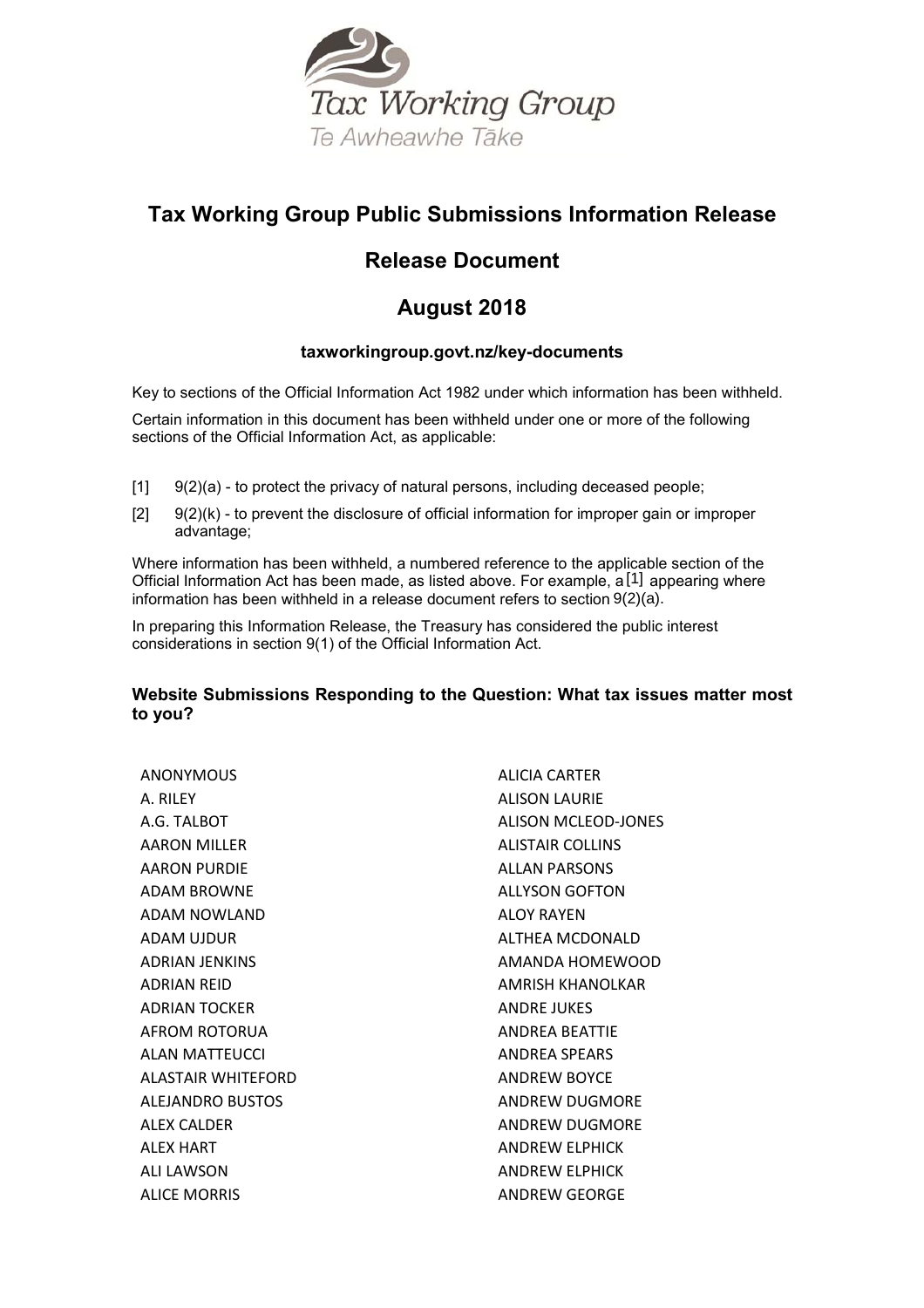

# **Tax Working Group Public Submissions Information Release**

# **Release Document**

# **August 2018**

# **taxworkingroup.govt.nz/key-documents**

Key to sections of the Official Information Act 1982 under which information has been withheld.

Certain information in this document has been withheld under one or more of the following sections of the Official Information Act, as applicable:

- $[1]$   $[9(2)(a)$  to protect the privacy of natural persons, including deceased people;
- $[2]$  9(2)(k) to prevent the disclosure of official information for improper gain or improper advantage;

Where information has been withheld, a numbered reference to the applicable section of the Official Information Act has been made, as listed above. For example,  $a[1]$  appearing where information has been withheld in a release document refers to section 9(2)(a).

In preparing this Information Release, the Treasury has considered the public interest considerations in section 9(1) of the Official Information Act.

# **Website Submissions Responding to the Question: What tax issues matter most to you?**

ANONYMOUS A. RILEY A.G. TALBOT AARON MILLER AARON PURDIE ADAM BROWNE ADAM NOWLAND ADAM UJDUR ADRIAN JENKINS ADRIAN REID ADRIAN TOCKER AFROM ROTORUA ALAN MATTEUCCI ALASTAIR WHITEFORD ALEJANDRO BUSTOS ALEX CALDER ALEX HART ALI LAWSON ALICE MORRIS

ALICIA CARTER ALISON LAURIE ALISON MCLEOD-JONES ALISTAIR COLLINS ALLAN PARSONS ALLYSON GOFTON ALOY RAYEN ALTHEA MCDONALD AMANDA HOMEWOOD AMRISH KHANOLKAR ANDRE JUKES ANDREA BEATTIE ANDREA SPEARS ANDREW BOYCE ANDREW DUGMORE ANDREW DUGMORE ANDREW ELPHICK ANDREW ELPHICK ANDREW GEORGE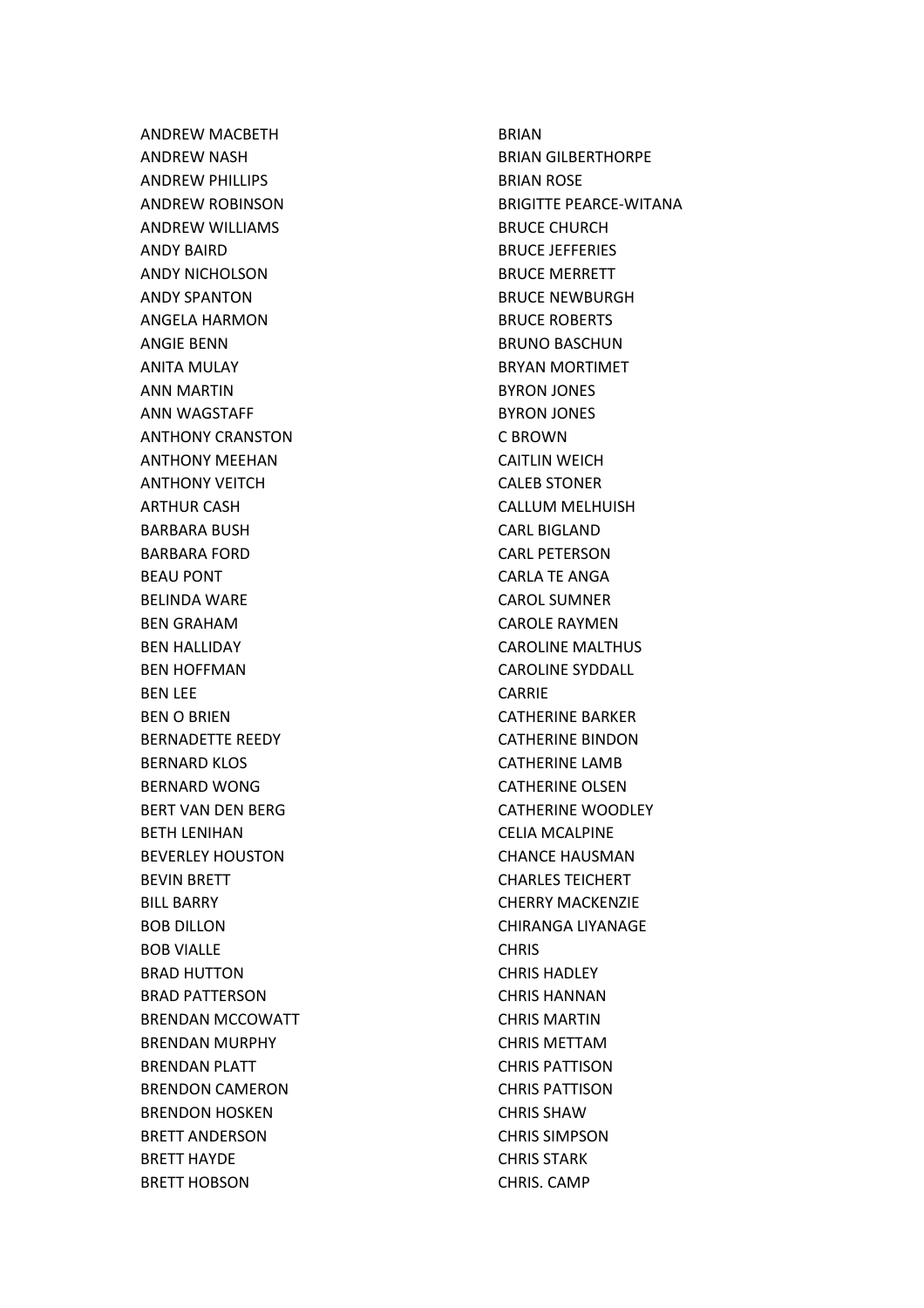ANDREW MACBETH ANDREW NASH ANDREW PHILLIPS ANDREW ROBINSON ANDREW WILLIAMS ANDY BAIRD ANDY NICHOLSON ANDY SPANTON ANGELA HARMON ANGIE BENN ANITA MULAY ANN MARTIN ANN WAGSTAFF ANTHONY CRANSTON ANTHONY MEEHAN ANTHONY VEITCH ARTHUR CASH BARBARA BUSH BARBARA FORD BEAU PONT BELINDA WARE BEN GRAHAM BEN HALLIDAY BEN HOFFMAN BEN LEE BEN O BRIEN BERNADETTE REEDY BERNARD KLOS BERNARD WONG BERT VAN DEN BERG BETH LENIHAN BEVERLEY HOUSTON BEVIN BRETT BILL BARRY BOB DILLON BOB VIALLE BRAD HUTTON BRAD PATTERSON BRENDAN MCCOWATT BRENDAN MURPHY BRENDAN PLATT BRENDON CAMERON BRENDON HOSKEN BRETT ANDERSON BRETT HAYDE BRETT HOBSON

BRIAN BRIAN GILBERTHORPE BRIAN ROSE BRIGITTE PEARCE-WITANA BRUCE CHURCH BRUCE JEFFERIES BRUCE MERRETT BRUCE NEWBURGH BRUCE ROBERTS BRUNO BASCHUN BRYAN MORTIMET BYRON JONES BYRON JONES C BROWN CAITLIN WEICH CALEB STONER CALLUM MELHUISH CARL BIGLAND CARL PETERSON CARLA TE ANGA CAROL SUMNER CAROLE RAYMEN CAROLINE MALTHUS CAROLINE SYDDALL CARRIE CATHERINE BARKER CATHERINE BINDON CATHERINE LAMB CATHERINE OLSEN CATHERINE WOODLEY CELIA MCALPINE CHANCE HAUSMAN CHARLES TEICHERT CHERRY MACKENZIE CHIRANGA LIYANAGE **CHRIS** CHRIS HADLEY CHRIS HANNAN CHRIS MARTIN CHRIS METTAM CHRIS PATTISON CHRIS PATTISON CHRIS SHAW CHRIS SIMPSON CHRIS STARK CHRIS. CAMP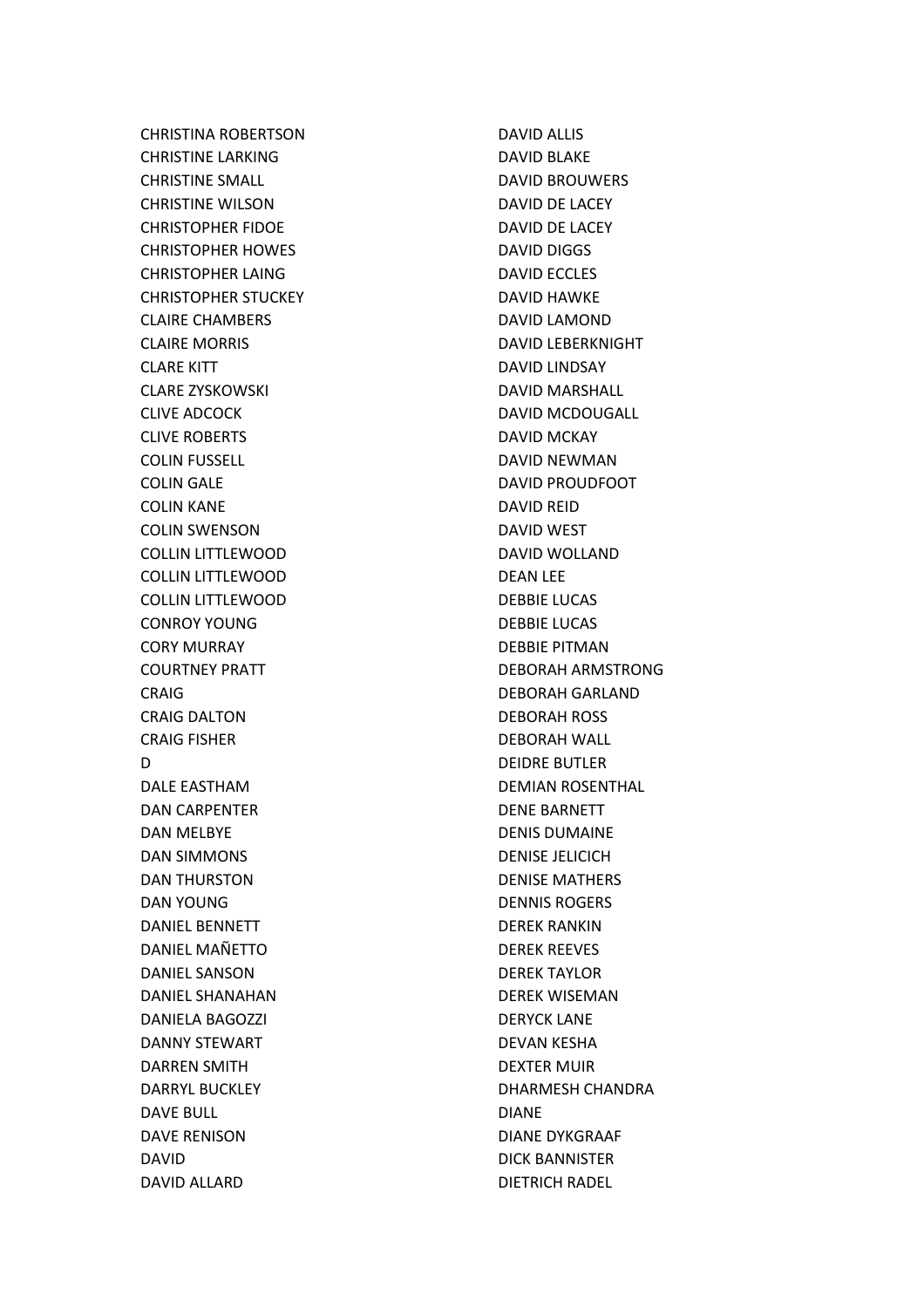CHRISTINA ROBERTSON CHRISTINE LARKING CHRISTINE SMALL CHRISTINE WILSON CHRISTOPHER FIDOE CHRISTOPHER HOWES CHRISTOPHER LAING CHRISTOPHER STUCKEY CLAIRE CHAMBERS CLAIRE MORRIS CLARE KITT CLARE ZYSKOWSKI CLIVE ADCOCK CLIVE ROBERTS COLIN FUSSELL COLIN GALE COLIN KANE COLIN SWENSON COLLIN LITTLEWOOD COLLIN LITTLEWOOD COLLIN LITTLEWOOD CONROY YOUNG CORY MURRAY COURTNEY PRATT CRAIG CRAIG DALTON CRAIG FISHER D DALE EASTHAM DAN CARPENTER DAN MELBYE DAN SIMMONS DAN THURSTON DAN YOUNG DANIEL BENNETT DANIEL MAÑETTO DANIEL SANSON DANIEL SHANAHAN DANIELA BAGOZZI DANNY STEWART DARREN SMITH DARRYL BUCKLEY DAVE BULL DAVE RENISON DAVID DAVID ALLARD

DAVID ALLIS DAVID BLAKE DAVID BROUWERS DAVID DE LACEY DAVID DE LACEY DAVID DIGGS DAVID ECCLES DAVID HAWKE DAVID LAMOND DAVID LEBERKNIGHT DAVID LINDSAY DAVID MARSHALL DAVID MCDOUGALL DAVID MCKAY DAVID NEWMAN DAVID PROUDFOOT DAVID REID DAVID WEST DAVID WOLLAND DEAN LEE DEBBIE LUCAS DEBBIE LUCAS DEBBIE PITMAN DEBORAH ARMSTRONG DEBORAH GARLAND DEBORAH ROSS DEBORAH WALL DEIDRE BUTLER DEMIAN ROSENTHAL DENE BARNETT DENIS DUMAINE DENISE JELICICH DENISE MATHERS DENNIS ROGERS DEREK RANKIN DEREK REEVES DEREK TAYLOR DEREK WISEMAN DERYCK LANE DEVAN KESHA DEXTER MUIR DHARMESH CHANDRA DIANE DIANE DYKGRAAF DICK BANNISTER DIETRICH RADEL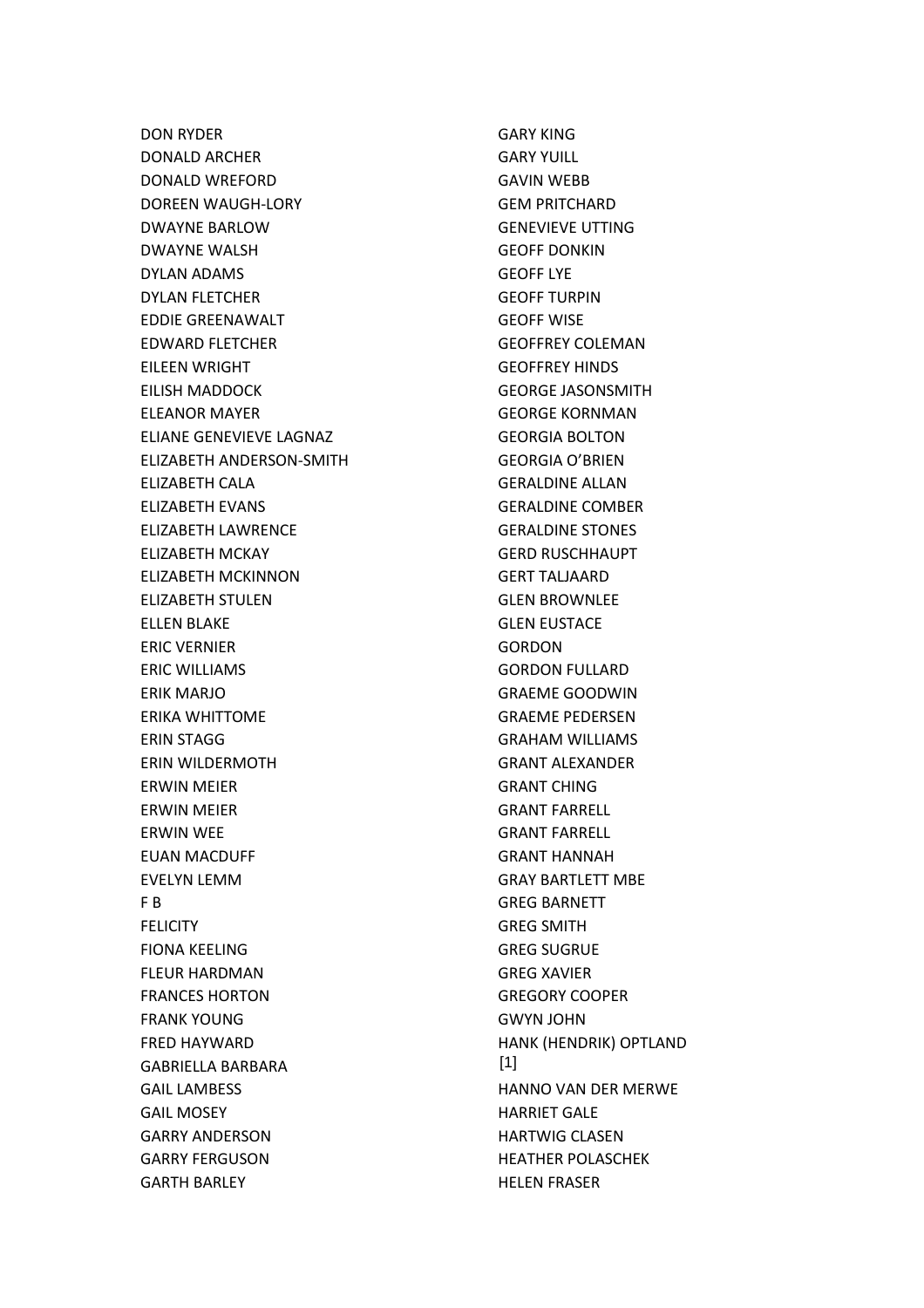DON RYDER DONALD ARCHER DONALD WREFORD DOREEN WAUGH-LORY DWAYNE BARLOW DWAYNE WALSH DYLAN ADAMS DYLAN FLETCHER EDDIE GREENAWALT EDWARD FLETCHER EILEEN WRIGHT EILISH MADDOCK ELEANOR MAYER ELIANE GENEVIEVE LAGNAZ ELIZABETH ANDERSON-SMITH ELIZABETH CALA ELIZABETH EVANS ELIZABETH LAWRENCE ELIZABETH MCKAY ELIZABETH MCKINNON ELIZABETH STULEN ELLEN BLAKE ERIC VERNIER ERIC WILLIAMS ERIK MARJO ERIKA WHITTOME ERIN STAGG ERIN WILDERMOTH ERWIN MEIER ERWIN MEIER ERWIN WEE EUAN MACDUFF EVELYN LEMM F B FELICITY FIONA KEELING FLEUR HARDMAN FRANCES HORTON FRANK YOUNG FRED HAYWARD GABRIELLA BARBARA GAIL LAMBESS GAIL MOSEY GARRY ANDERSON GARRY FERGUSON GARTH BARLEY

GARY KING GARY YUILL GAVIN WEBB GEM PRITCHARD GENEVIEVE UTTING GEOFF DONKIN GEOFF LYE GEOFF TURPIN GEOFF WISE GEOFFREY COLEMAN GEOFFREY HINDS GEORGE JASONSMITH GEORGE KORNMAN GEORGIA BOLTON GEORGIA O'BRIEN GERALDINE ALLAN GERALDINE COMBER GERALDINE STONES GERD RUSCHHAUPT GERT TALJAARD GLEN BROWNLEE GLEN EUSTACE **GORDON** GORDON FULLARD GRAEME GOODWIN GRAEME PEDERSEN GRAHAM WILLIAMS GRANT ALEXANDER GRANT CHING GRANT FARRELL GRANT FARRELL GRANT HANNAH GRAY BARTLETT MBE GREG BARNETT GREG SMITH GREG SUGRUE GREG XAVIER GREGORY COOPER GWYN JOHN HANK (HENDRIK) OPTLAND HANNO VAN DER MERWE HARRIET GALE HARTWIG CLASEN HEATHER POLASCHEK HELEN FRASER [1]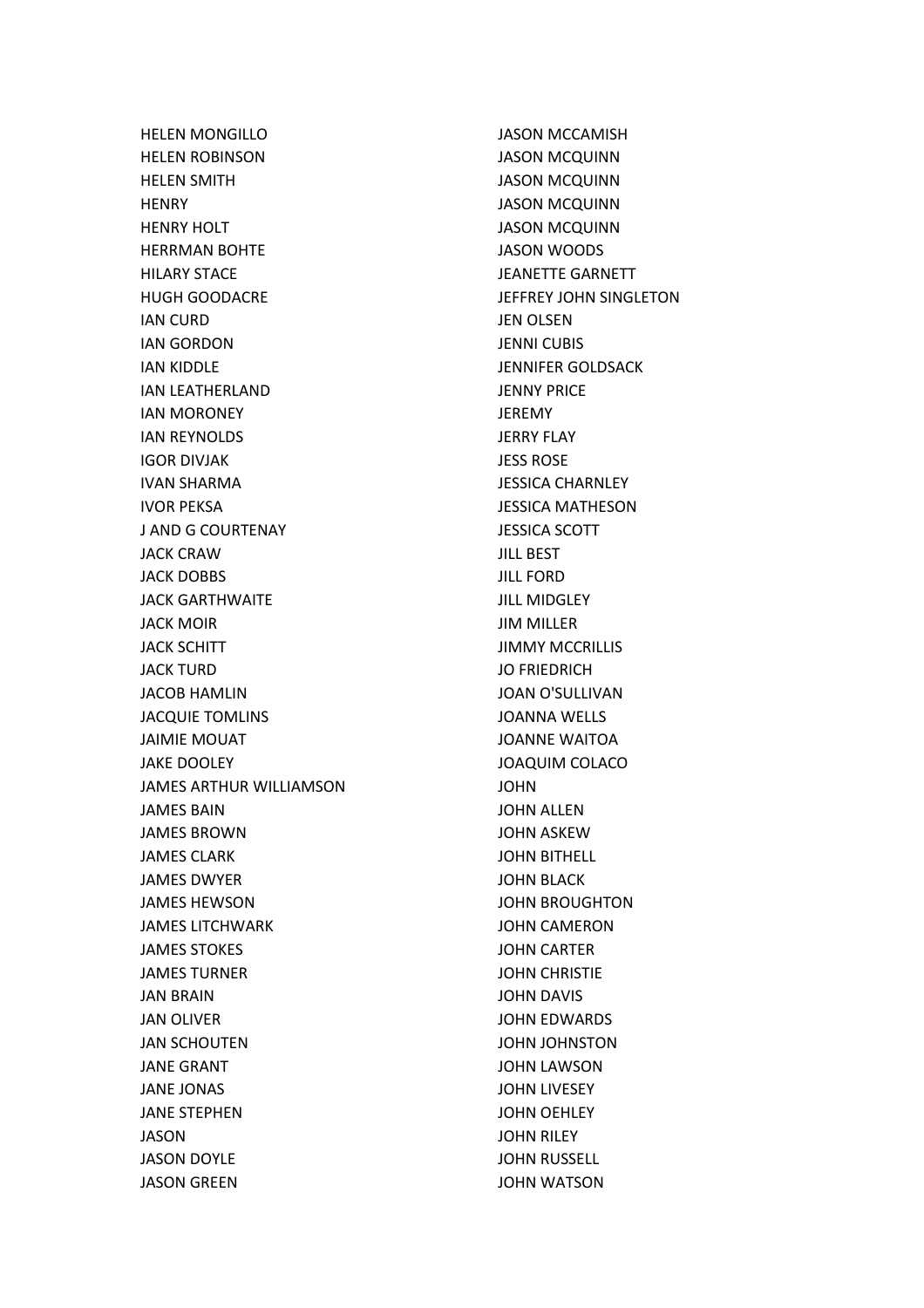HELEN MONGILLO HELEN ROBINSON HELEN SMITH **HENRY** HENRY HOLT HERRMAN BOHTE HILARY STACE HUGH GOODACRE IAN CURD IAN GORDON IAN KIDDLE IAN LEATHERLAND IAN MORONEY IAN REYNOLDS IGOR DIVJAK IVAN SHARMA IVOR PEKSA J AND G COURTENAY JACK CRAW JACK DOBBS JACK GARTHWAITE JACK MOIR JACK SCHITT JACK TURD JACOB HAMLIN JACQUIE TOMLINS JAIMIE MOUAT JAKE DOOLEY JAMES ARTHUR WILLIAMSON JAMES BAIN JAMES BROWN JAMES CLARK JAMES DWYER JAMES HEWSON JAMES LITCHWARK JAMES STOKES JAMES TURNER JAN BRAIN JAN OLIVER JAN SCHOUTEN JANE GRANT JANE JONAS JANE STEPHEN JASON JASON DOYLE JASON GREEN

JASON MCCAMISH JASON MCQUINN JASON MCQUINN JASON MCQUINN JASON MCQUINN JASON WOODS JEANETTE GARNETT JEFFREY JOHN SINGLETON JEN OLSEN JENNI CUBIS JENNIFER GOLDSACK JENNY PRICE JEREMY JERRY FLAY JESS ROSE JESSICA CHARNLEY JESSICA MATHESON JESSICA SCOTT JILL BEST JILL FORD JILL MIDGLEY JIM MILLER JIMMY MCCRILLIS JO FRIEDRICH JOAN O'SULLIVAN JOANNA WELLS JOANNE WAITOA JOAQUIM COLACO JOHN JOHN ALLEN JOHN ASKEW JOHN BITHELL JOHN BLACK JOHN BROUGHTON JOHN CAMERON JOHN CARTER JOHN CHRISTIE JOHN DAVIS JOHN EDWARDS JOHN JOHNSTON JOHN LAWSON JOHN LIVESEY JOHN OEHLEY JOHN RILEY JOHN RUSSELL JOHN WATSON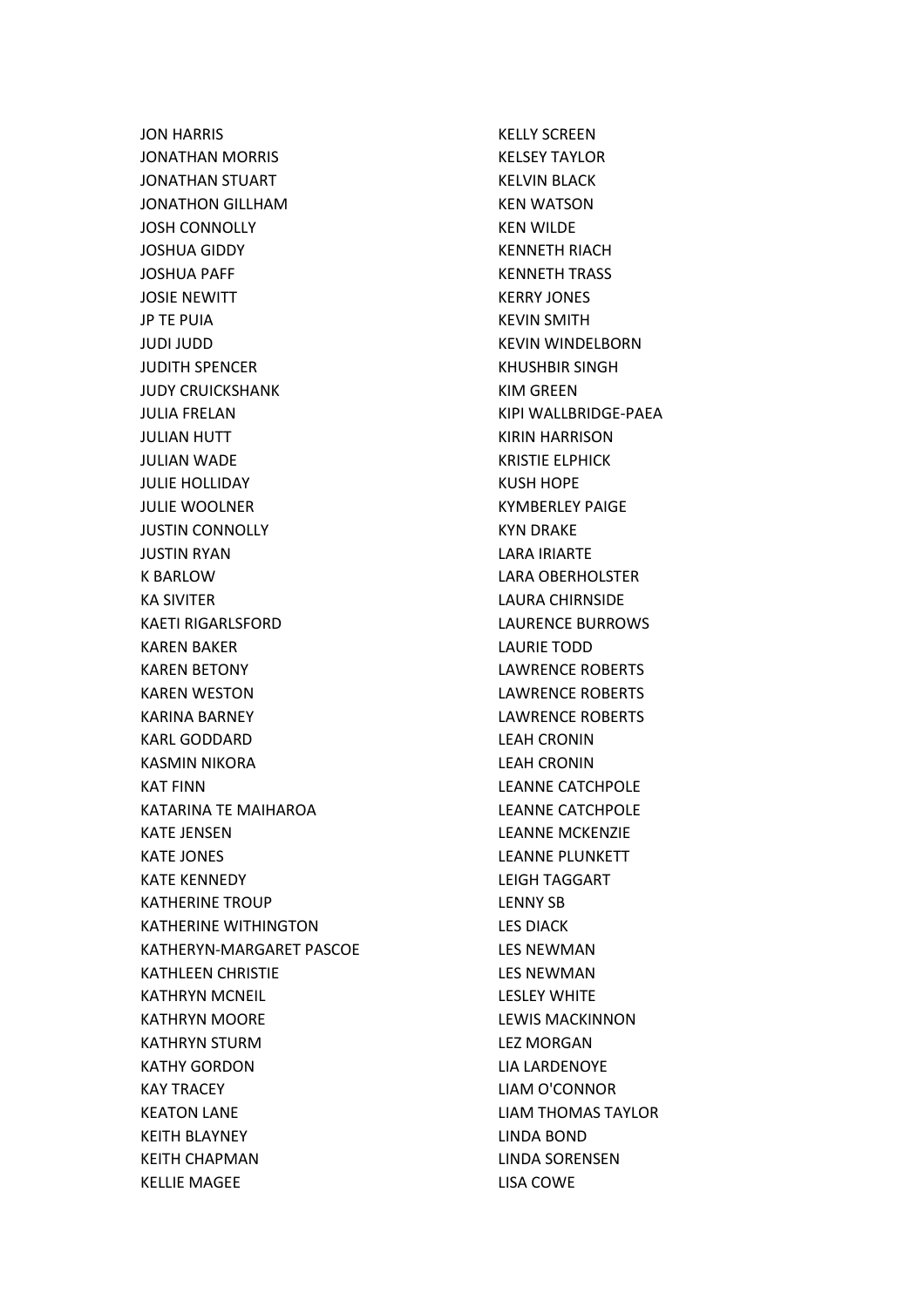JON HARRIS JONATHAN MORRIS JONATHAN STUART JONATHON GILLHAM JOSH CONNOLLY JOSHUA GIDDY JOSHUA PAFF JOSIE NEWITT JP TE PUIA JUDI JUDD JUDITH SPENCER JUDY CRUICKSHANK JULIA FRELAN JULIAN HUTT JULIAN WADE JULIE HOLLIDAY JULIE WOOLNER JUSTIN CONNOLLY JUSTIN RYAN K BARLOW KA SIVITER KAETI RIGARLSFORD KAREN BAKER KAREN BETONY KAREN WESTON KARINA BARNEY KARL GODDARD KASMIN NIKORA KAT FINN KATARINA TE MAIHAROA KATE JENSEN KATE JONES KATE KENNEDY KATHERINE TROUP KATHERINE WITHINGTON KATHERYN-MARGARET PASCOE KATHLEEN CHRISTIE KATHRYN MCNEIL KATHRYN MOORE KATHRYN STURM KATHY GORDON KAY TRACEY KEATON LANE KEITH BLAYNEY KEITH CHAPMAN KELLIE MAGEE

KELLY SCREEN KELSEY TAYLOR KELVIN BLACK KEN WATSON KEN WILDE KENNETH RIACH KENNETH TRASS KERRY JONES KEVIN SMITH KEVIN WINDELBORN KHUSHBIR SINGH KIM GREEN KIPI WALLBRIDGE-PAEA KIRIN HARRISON KRISTIE ELPHICK KUSH HOPE KYMBERLEY PAIGE KYN DRAKE LARA IRIARTE LARA OBERHOLSTER LAURA CHIRNSIDE LAURENCE BURROWS LAURIE TODD LAWRENCE ROBERTS LAWRENCE ROBERTS LAWRENCE ROBERTS LEAH CRONIN LEAH CRONIN LEANNE CATCHPOLE LEANNE CATCHPOLE LEANNE MCKENZIE LEANNE PLUNKETT LEIGH TAGGART LENNY SB LES DIACK LES NEWMAN LES NEWMAN LESLEY WHITE LEWIS MACKINNON LEZ MORGAN LIA LARDENOYE LIAM O'CONNOR LIAM THOMAS TAYLOR LINDA BOND LINDA SORENSEN LISA COWE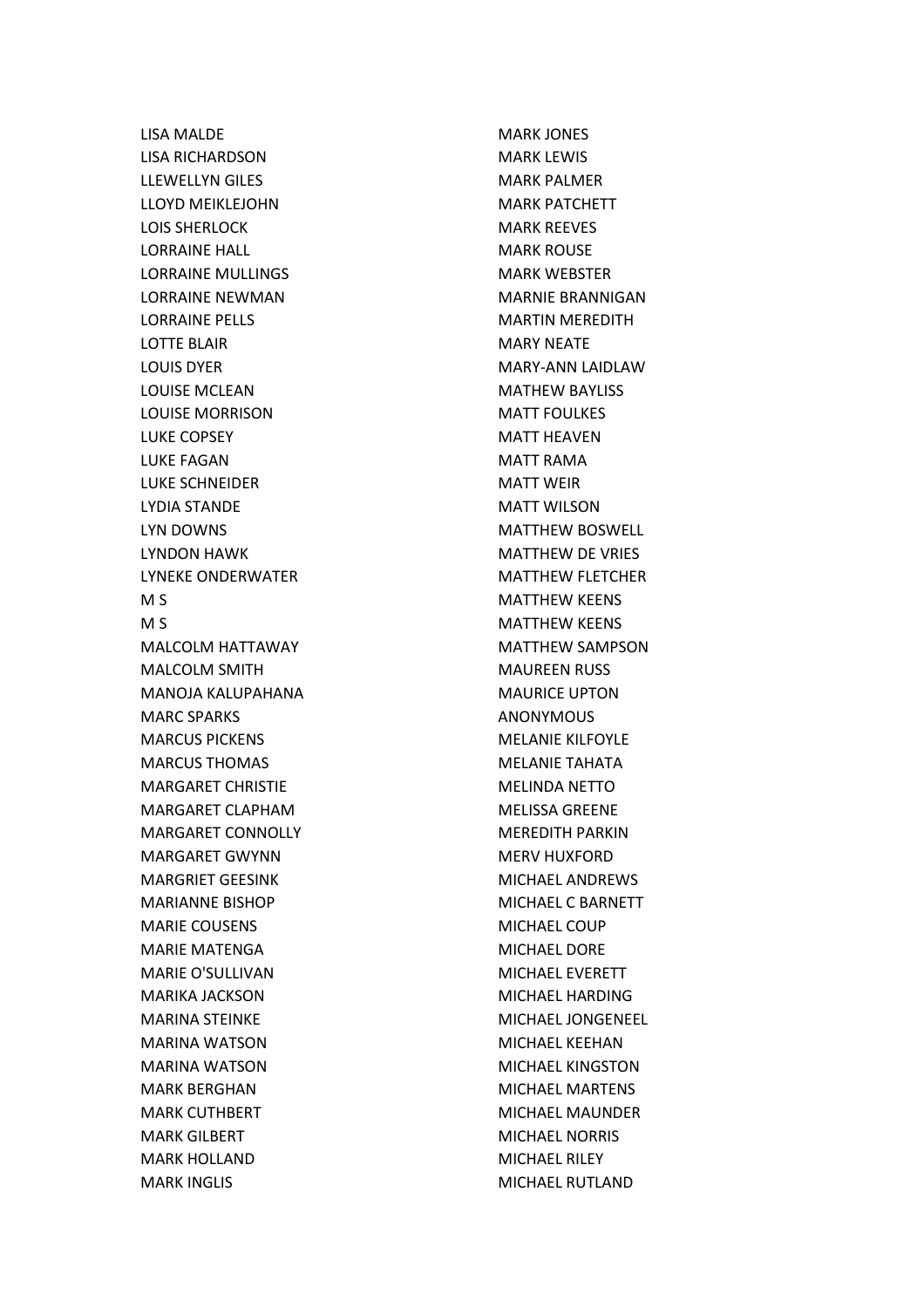LISA MALDE LISA RICHARDSON LLEWELLYN GILES LLOYD MEIKLEJOHN LOIS SHERLOCK LORRAINE HALL LORRAINE MULLINGS LORRAINE NEWMAN LORRAINE PELLS LOTTE BLAIR LOUIS DYER LOUISE MCLEAN LOUISE MORRISON LUKE COPSEY LUKE FAGAN LUKE SCHNEIDER LYDIA STANDE LYN DOWNS LYNDON HAWK LYNEKE ONDERWATER M S M S MALCOLM HATTAWAY MALCOLM SMITH MANOJA KALUPAHANA MARC SPARKS MARCUS PICKENS MARCUS THOMAS MARGARET CHRISTIE MARGARET CLAPHAM MARGARET CONNOLLY MARGARET GWYNN MARGRIET GEESINK MARIANNE BISHOP MARIE COUSENS MARIE MATENGA MARIE O'SULLIVAN MARIKA JACKSON MARINA STEINKE MARINA WATSON MARINA WATSON MARK BERGHAN MARK CUTHBERT MARK GILBERT MARK HOLLAND MARK INGLIS

MARK JONES MARK LEWIS MARK PALMER MARK PATCHETT MARK REEVES MARK ROUSE MARK WEBSTER MARNIE BRANNIGAN MARTIN MEREDITH MARY NEATE MARY-ANN LAIDLAW MATHEW BAYLISS MATT FOULKES MATT HEAVEN MATT RAMA MATT WEIR MATT WILSON MATTHEW BOSWELL MATTHEW DE VRIES MATTHEW FLETCHER MATTHEW KEENS MATTHEW KEENS MATTHEW SAMPSON MAUREEN RUSS MAURICE UPTON ANONYMOUS MELANIE KILFOYLE MELANIE TAHATA MELINDA NETTO MELISSA GREENE MEREDITH PARKIN MERV HUXFORD MICHAEL ANDREWS MICHAEL C BARNETT MICHAEL COUP MICHAEL DORE MICHAEL EVERETT MICHAEL HARDING MICHAEL JONGENEEL MICHAEL KEEHAN MICHAEL KINGSTON MICHAEL MARTENS MICHAEL MAUNDER MICHAEL NORRIS MICHAEL RILEY MICHAEL RUTLAND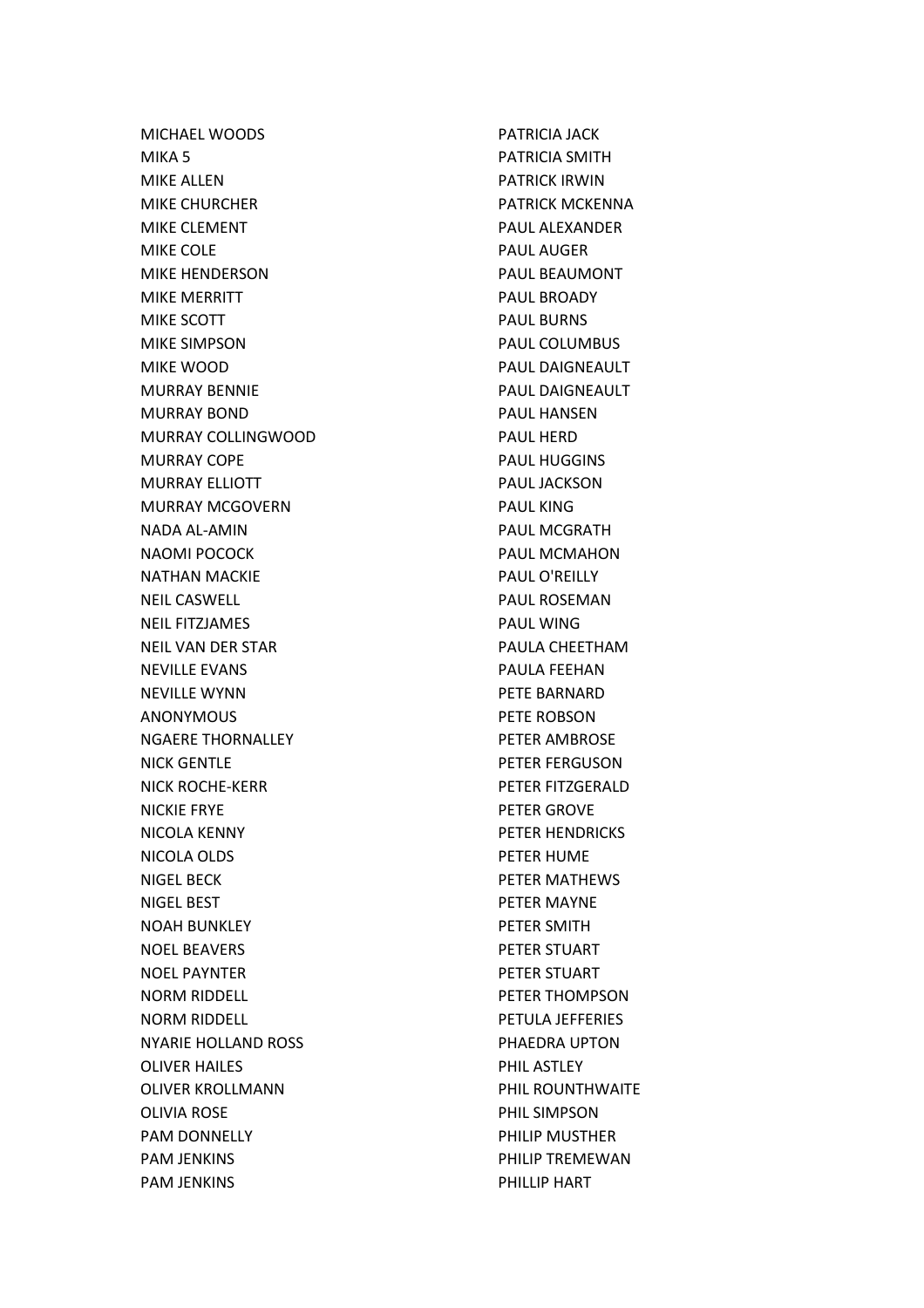MICHAEL WOODS MIKA 5 MIKE ALLEN MIKE CHURCHER MIKE CLEMENT MIKE COLE MIKE HENDERSON MIKE MERRITT MIKE SCOTT MIKE SIMPSON MIKE WOOD MURRAY BENNIE MURRAY BOND MURRAY COLLINGWOOD MURRAY COPE MURRAY ELLIOTT MURRAY MCGOVERN NADA AL-AMIN NAOMI POCOCK NATHAN MACKIE NEIL CASWELL NEIL FITZJAMES NEIL VAN DER STAR NEVILLE EVANS NEVILLE WYNN ANONYMOUS NGAERE THORNALLEY NICK GENTLE NICK ROCHE-KERR NICKIE FRYE NICOLA KENNY NICOLA OLDS NIGEL BECK NIGEL BEST NOAH BUNKLEY NOEL BEAVERS NOEL PAYNTER NORM RIDDELL NORM RIDDELL NYARIE HOLLAND ROSS OLIVER HAILES OLIVER KROLLMANN OLIVIA ROSE PAM DONNELLY PAM JENKINS PAM JENKINS

PATRICIA JACK PATRICIA SMITH PATRICK IRWIN PATRICK MCKENNA PAUL ALEXANDER PAUL AUGER PAUL BEAUMONT PAUL BROADY PAUL BURNS PAUL COLUMBUS PAUL DAIGNEAULT PAUL DAIGNEAULT PAUL HANSEN PAUL HERD PAUL HUGGINS PAUL JACKSON PAUL KING PAUL MCGRATH PAUL MCMAHON PAUL O'REILLY PAUL ROSEMAN PAUL WING PAULA CHEETHAM PAULA FEEHAN PETE BARNARD PETE ROBSON PETER AMBROSE PETER FERGUSON PETER FITZGERALD PETER GROVE PETER HENDRICKS PETER HUME PETER MATHEWS PETER MAYNE PETER SMITH PETER STUART PETER STUART PETER THOMPSON PETULA JEFFERIES PHAEDRA UPTON PHIL ASTLEY PHIL ROUNTHWAITE PHIL SIMPSON PHILIP MUSTHER PHILIP TREMEWAN PHILLIP HART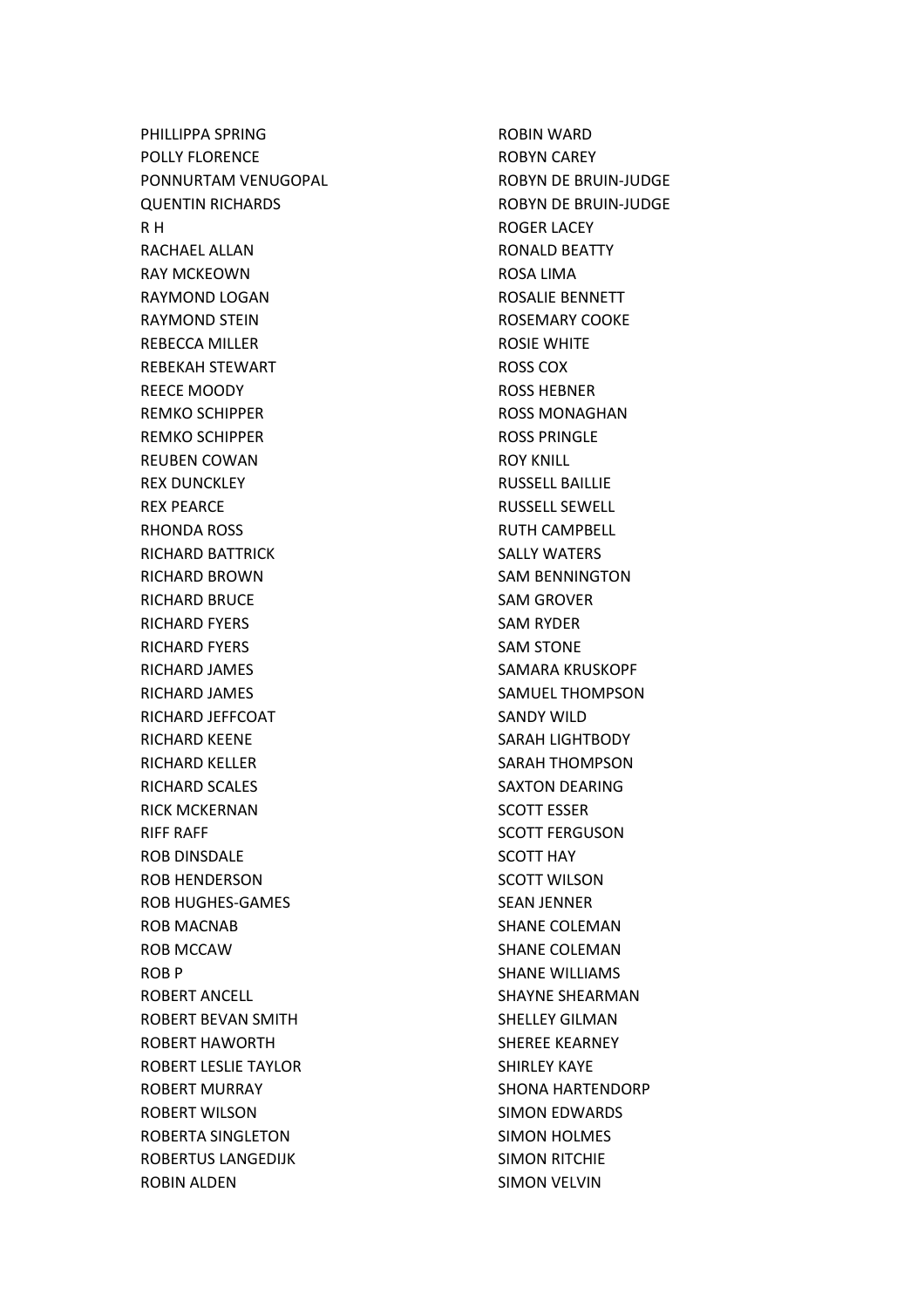PHILLIPPA SPRING POLLY FLORENCE PONNURTAM VENUGOPAL QUENTIN RICHARDS R H RACHAEL ALLAN RAY MCKEOWN RAYMOND LOGAN RAYMOND STEIN REBECCA MILLER REBEKAH STEWART REECE MOODY REMKO SCHIPPER REMKO SCHIPPER REUBEN COWAN REX DUNCKLEY REX PEARCE RHONDA ROSS RICHARD BATTRICK RICHARD BROWN RICHARD BRUCE RICHARD FYERS RICHARD FYERS RICHARD JAMES RICHARD JAMES RICHARD JEFFCOAT RICHARD KEENE RICHARD KELLER RICHARD SCALES RICK MCKERNAN RIFF RAFF ROB DINSDALE ROB HENDERSON ROB HUGHES-GAMES ROB MACNAB ROB MCCAW ROB P ROBERT ANCELL ROBERT BEVAN SMITH ROBERT HAWORTH ROBERT LESLIE TAYLOR ROBERT MURRAY ROBERT WILSON ROBERTA SINGLETON ROBERTUS LANGEDIJK ROBIN ALDEN

ROBIN WARD ROBYN CAREY ROBYN DE BRUIN-JUDGE ROBYN DE BRUIN-JUDGE ROGER LACEY RONALD BEATTY ROSA LIMA ROSALIE BENNETT ROSEMARY COOKE ROSIE WHITE ROSS COX ROSS HEBNER ROSS MONAGHAN ROSS PRINGLE ROY KNILL RUSSELL BAILLIE RUSSELL SEWELL RUTH CAMPBELL SALLY WATERS SAM BENNINGTON SAM GROVER SAM RYDER SAM STONE SAMARA KRUSKOPF SAMUEL THOMPSON SANDY WILD SARAH LIGHTBODY SARAH THOMPSON SAXTON DEARING SCOTT ESSER SCOTT FERGUSON SCOTT HAY SCOTT WILSON SEAN JENNER SHANE COLEMAN SHANE COLEMAN SHANE WILLIAMS SHAYNE SHEARMAN SHELLEY GILMAN SHEREE KEARNEY SHIRLEY KAYE SHONA HARTENDORP SIMON EDWARDS SIMON HOLMES SIMON RITCHIE SIMON VELVIN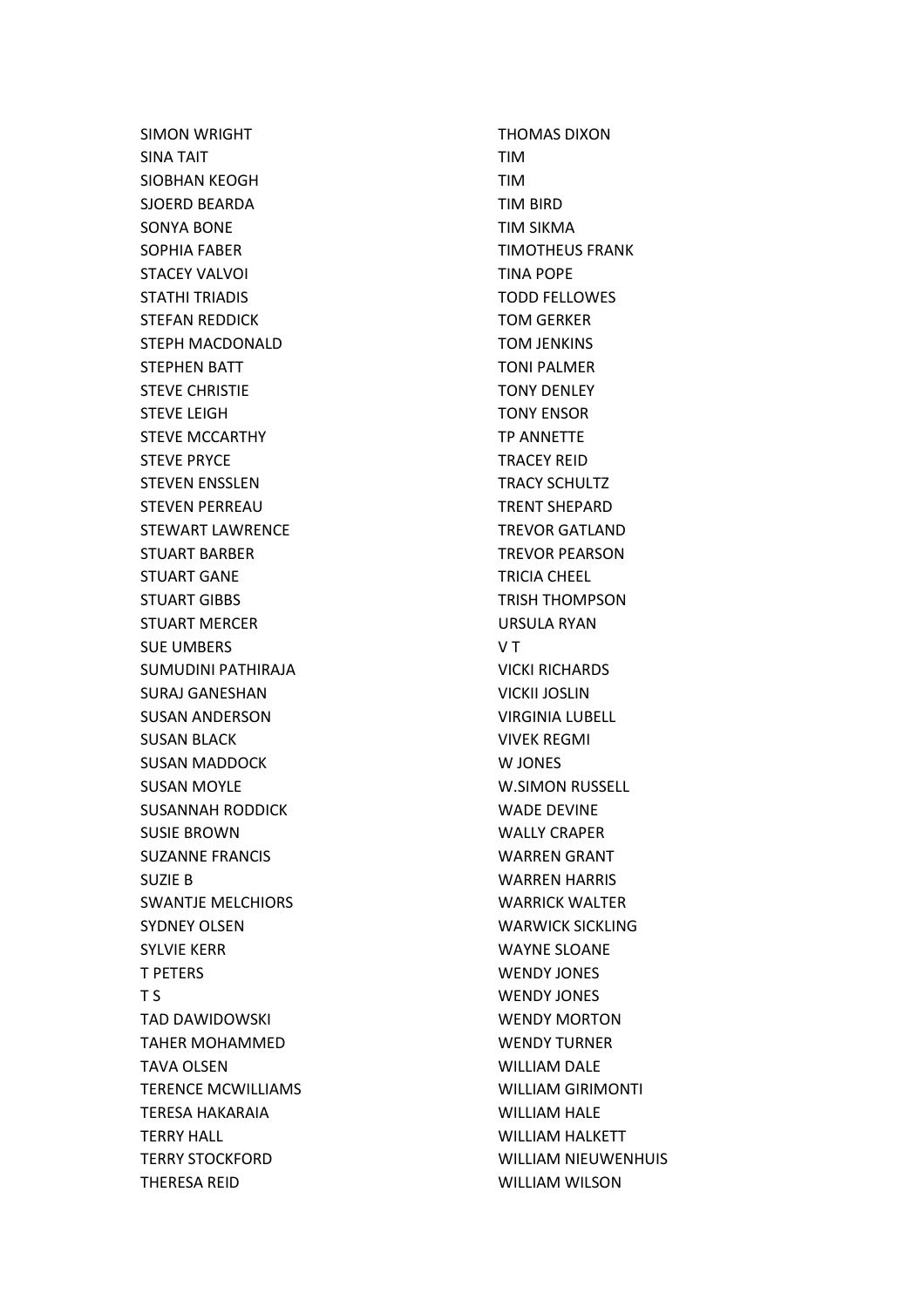SIMON WRIGHT SINA TAIT SIOBHAN KEOGH SJOERD BEARDA SONYA BONE SOPHIA FABER STACEY VALVOI STATHI TRIADIS STEFAN REDDICK STEPH MACDONALD STEPHEN BATT STEVE CHRISTIE STEVE LEIGH STEVE MCCARTHY STEVE PRYCE STEVEN ENSSLEN STEVEN PERREAU STEWART LAWRENCE STUART BARBER STUART GANE STUART GIBBS STUART MERCER SUE UMBERS SUMUDINI PATHIRAJA SURAJ GANESHAN SUSAN ANDERSON SUSAN BLACK SUSAN MADDOCK SUSAN MOYLE SUSANNAH RODDICK SUSIE BROWN SUZANNE FRANCIS SUZIE B SWANTJE MELCHIORS SYDNEY OLSEN SYLVIE KERR T PETERS T S TAD DAWIDOWSKI TAHER MOHAMMED TAVA OLSEN TERENCE MCWILLIAMS TERESA HAKARAIA TERRY HALL TERRY STOCKFORD THERESA REID

THOMAS DIXON TIM TIM TIM BIRD TIM SIKMA TIMOTHEUS FRANK TINA POPE TODD FELLOWES TOM GERKER TOM JENKINS TONI PALMER TONY DENLEY TONY ENSOR TP ANNETTE TRACEY REID TRACY SCHULTZ TRENT SHEPARD TREVOR GATLAND TREVOR PEARSON TRICIA CHEEL TRISH THOMPSON URSULA RYAN V T VICKI RICHARDS VICKII JOSLIN VIRGINIA LUBELL VIVEK REGMI W JONES W.SIMON RUSSELL WADE DEVINE WALLY CRAPER WARREN GRANT WARREN HARRIS WARRICK WALTER WARWICK SICKLING WAYNE SLOANE WENDY JONES WENDY JONES WENDY MORTON WENDY TURNER WILLIAM DALE WILLIAM GIRIMONTI WILLIAM HALE WILLIAM HALKETT WILLIAM NIEUWENHUIS WILLIAM WILSON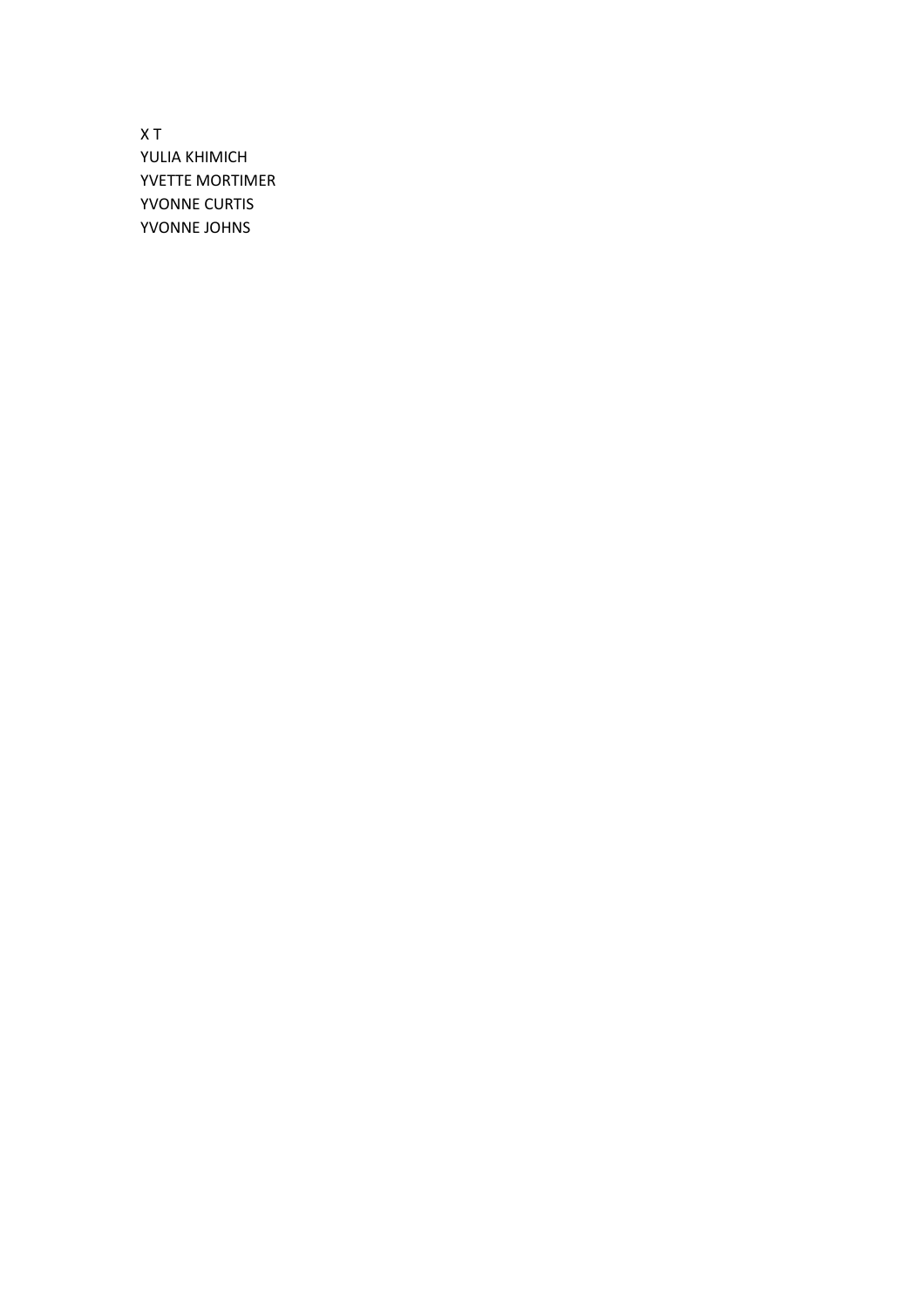X T YULIA KHIMICH YVETTE MORTIMER YVONNE CURTIS YVONNE JOHNS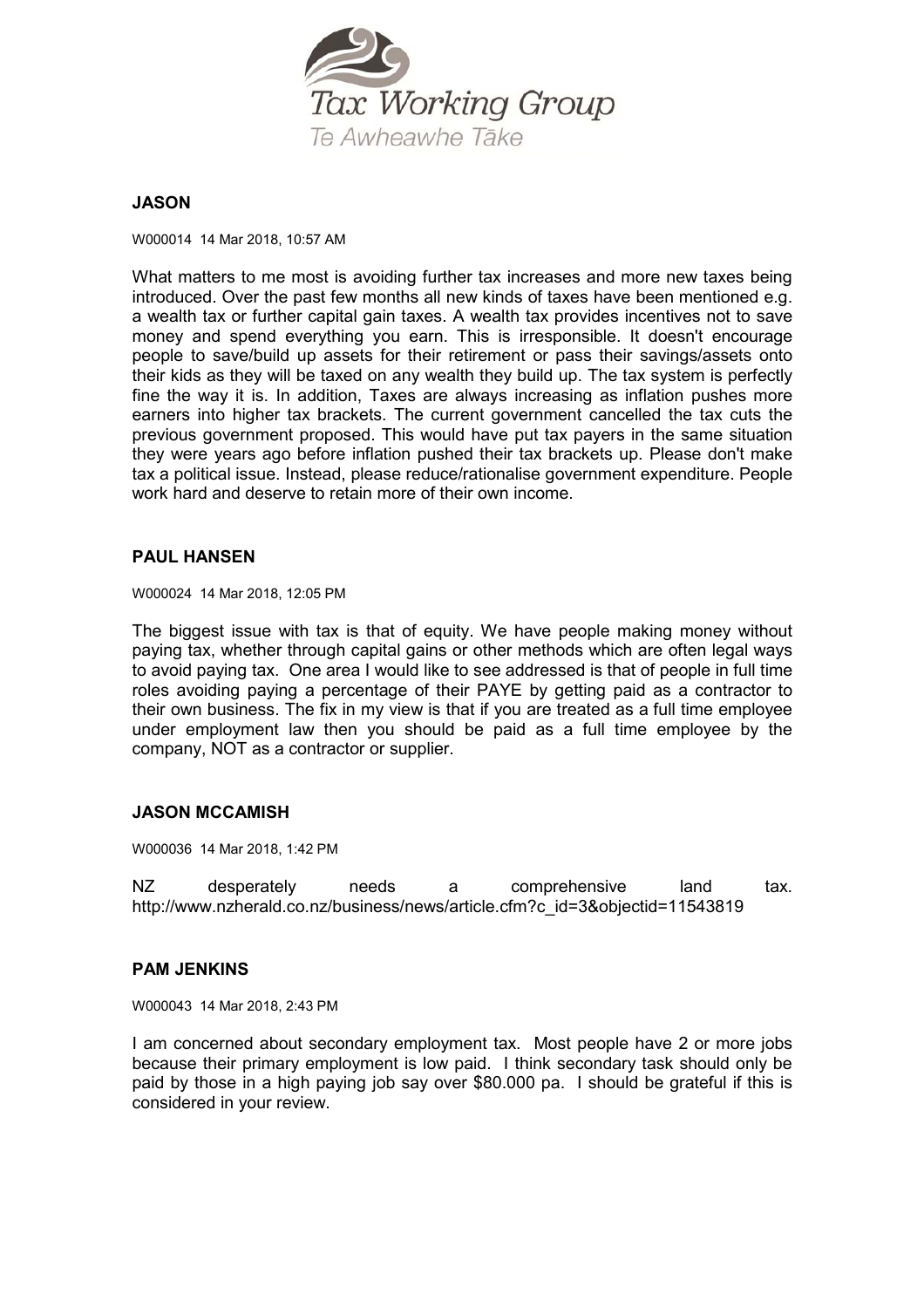

# **JASON**

W000014 14 Mar 2018, 10:57 AM

What matters to me most is avoiding further tax increases and more new taxes being introduced. Over the past few months all new kinds of taxes have been mentioned e.g. a wealth tax or further capital gain taxes. A wealth tax provides incentives not to save money and spend everything you earn. This is irresponsible. It doesn't encourage people to save/build up assets for their retirement or pass their savings/assets onto their kids as they will be taxed on any wealth they build up. The tax system is perfectly fine the way it is. In addition, Taxes are always increasing as inflation pushes more earners into higher tax brackets. The current government cancelled the tax cuts the previous government proposed. This would have put tax payers in the same situation they were years ago before inflation pushed their tax brackets up. Please don't make tax a political issue. Instead, please reduce/rationalise government expenditure. People work hard and deserve to retain more of their own income.

## **PAUL HANSEN**

W000024 14 Mar 2018, 12:05 PM

The biggest issue with tax is that of equity. We have people making money without paying tax, whether through capital gains or other methods which are often legal ways to avoid paying tax. One area I would like to see addressed is that of people in full time roles avoiding paying a percentage of their PAYE by getting paid as a contractor to their own business. The fix in my view is that if you are treated as a full time employee under employment law then you should be paid as a full time employee by the company, NOT as a contractor or supplier.

# **JASON MCCAMISH**

W000036 14 Mar 2018, 1:42 PM

NZ desperately needs a comprehensive land tax. http://www.nzherald.co.nz/business/news/article.cfm?c\_id=3&objectid=11543819

## **PAM JENKINS**

W000043 14 Mar 2018, 2:43 PM

I am concerned about secondary employment tax. Most people have 2 or more jobs because their primary employment is low paid. I think secondary task should only be paid by those in a high paying job say over \$80.000 pa. I should be grateful if this is considered in your review.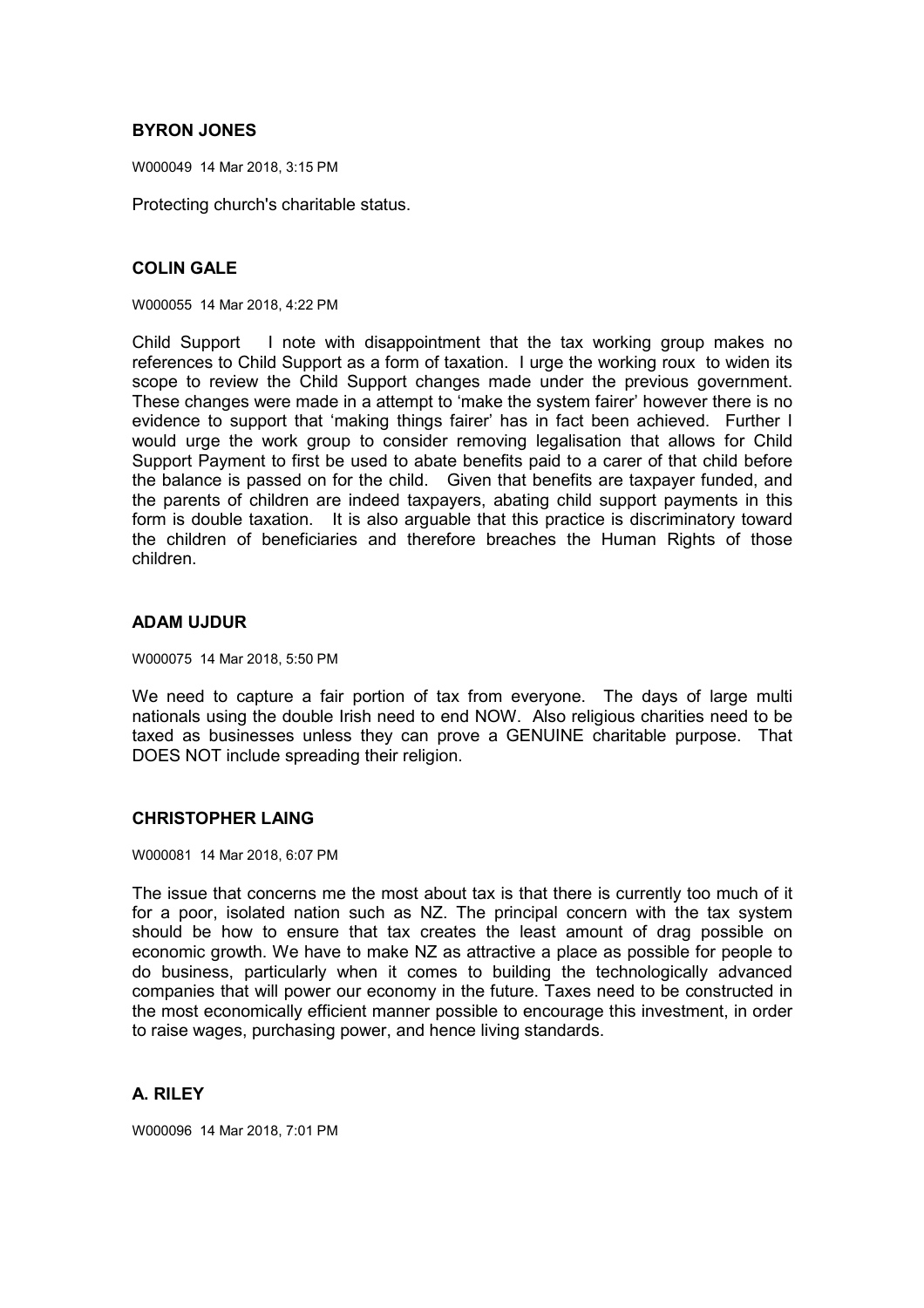# **BYRON JONES**

W000049 14 Mar 2018, 3:15 PM

Protecting church's charitable status.

# **COLIN GALE**

W000055 14 Mar 2018, 4:22 PM

Child Support I note with disappointment that the tax working group makes no references to Child Support as a form of taxation. I urge the working roux to widen its scope to review the Child Support changes made under the previous government. These changes were made in a attempt to 'make the system fairer' however there is no evidence to support that 'making things fairer' has in fact been achieved. Further I would urge the work group to consider removing legalisation that allows for Child Support Payment to first be used to abate benefits paid to a carer of that child before the balance is passed on for the child. Given that benefits are taxpayer funded, and the parents of children are indeed taxpayers, abating child support payments in this form is double taxation. It is also arguable that this practice is discriminatory toward the children of beneficiaries and therefore breaches the Human Rights of those children.

# **ADAM UJDUR**

W000075 14 Mar 2018, 5:50 PM

We need to capture a fair portion of tax from everyone. The days of large multi nationals using the double Irish need to end NOW. Also religious charities need to be taxed as businesses unless they can prove a GENUINE charitable purpose. That DOES NOT include spreading their religion.

## **CHRISTOPHER LAING**

W000081 14 Mar 2018, 6:07 PM

The issue that concerns me the most about tax is that there is currently too much of it for a poor, isolated nation such as NZ. The principal concern with the tax system should be how to ensure that tax creates the least amount of drag possible on economic growth. We have to make NZ as attractive a place as possible for people to do business, particularly when it comes to building the technologically advanced companies that will power our economy in the future. Taxes need to be constructed in the most economically efficient manner possible to encourage this investment, in order to raise wages, purchasing power, and hence living standards.

# **A. RILEY**

W000096 14 Mar 2018, 7:01 PM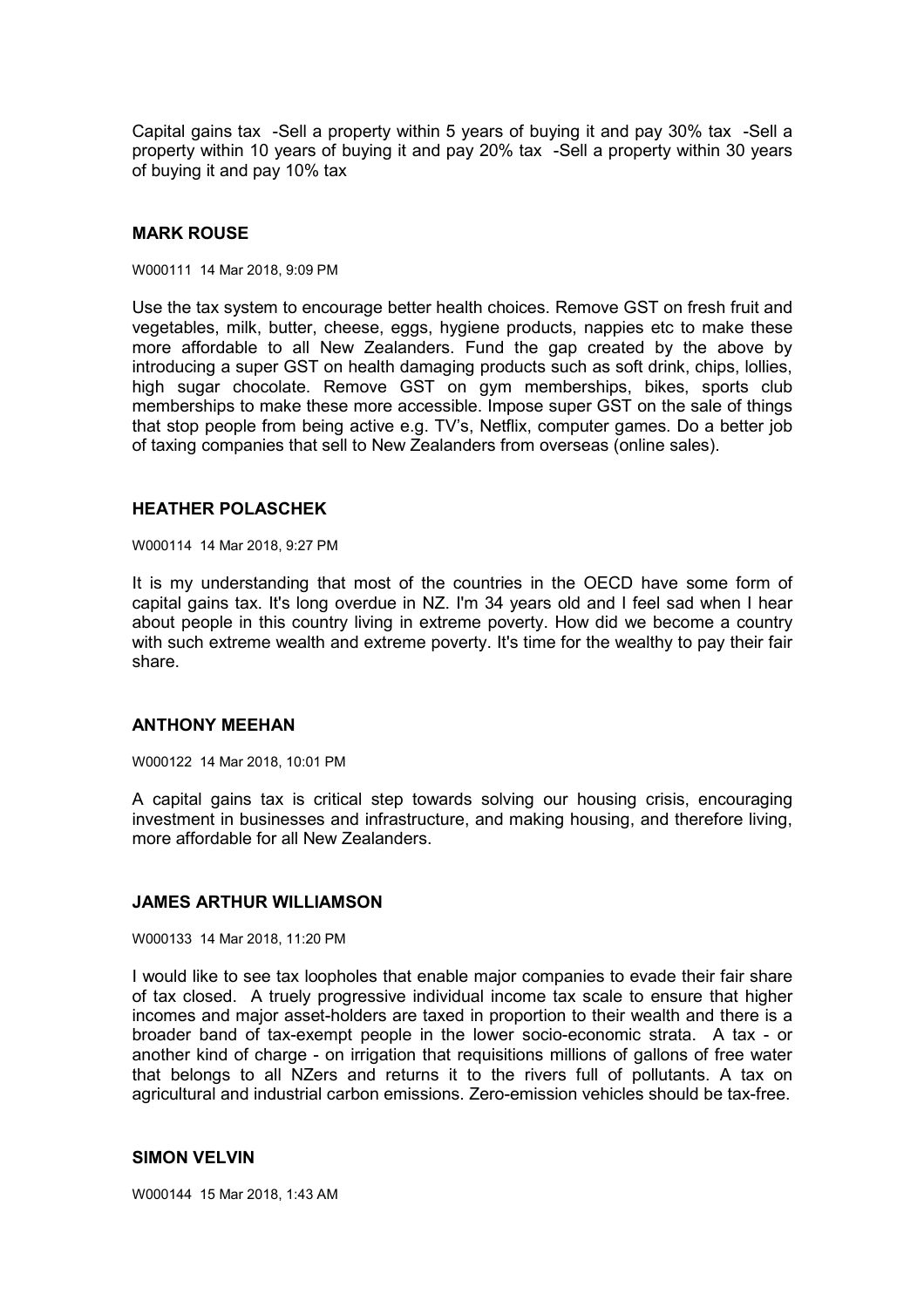Capital gains tax -Sell a property within 5 years of buying it and pay 30% tax -Sell a property within 10 years of buying it and pay 20% tax -Sell a property within 30 years of buying it and pay 10% tax

#### **MARK ROUSE**

W000111 14 Mar 2018, 9:09 PM

Use the tax system to encourage better health choices. Remove GST on fresh fruit and vegetables, milk, butter, cheese, eggs, hygiene products, nappies etc to make these more affordable to all New Zealanders. Fund the gap created by the above by introducing a super GST on health damaging products such as soft drink, chips, lollies, high sugar chocolate. Remove GST on gym memberships, bikes, sports club memberships to make these more accessible. Impose super GST on the sale of things that stop people from being active e.g. TV's, Netflix, computer games. Do a better job of taxing companies that sell to New Zealanders from overseas (online sales).

#### **HEATHER POLASCHEK**

W000114 14 Mar 2018, 9:27 PM

It is my understanding that most of the countries in the OECD have some form of capital gains tax. It's long overdue in NZ. I'm 34 years old and I feel sad when I hear about people in this country living in extreme poverty. How did we become a country with such extreme wealth and extreme poverty. It's time for the wealthy to pay their fair share.

## **ANTHONY MEEHAN**

W000122 14 Mar 2018, 10:01 PM

A capital gains tax is critical step towards solving our housing crisis, encouraging investment in businesses and infrastructure, and making housing, and therefore living, more affordable for all New Zealanders.

#### **JAMES ARTHUR WILLIAMSON**

W000133 14 Mar 2018, 11:20 PM

I would like to see tax loopholes that enable major companies to evade their fair share of tax closed. A truely progressive individual income tax scale to ensure that higher incomes and major asset-holders are taxed in proportion to their wealth and there is a broader band of tax-exempt people in the lower socio-economic strata. A tax - or another kind of charge - on irrigation that requisitions millions of gallons of free water that belongs to all NZers and returns it to the rivers full of pollutants. A tax on agricultural and industrial carbon emissions. Zero-emission vehicles should be tax-free.

## **SIMON VELVIN**

W000144 15 Mar 2018, 1:43 AM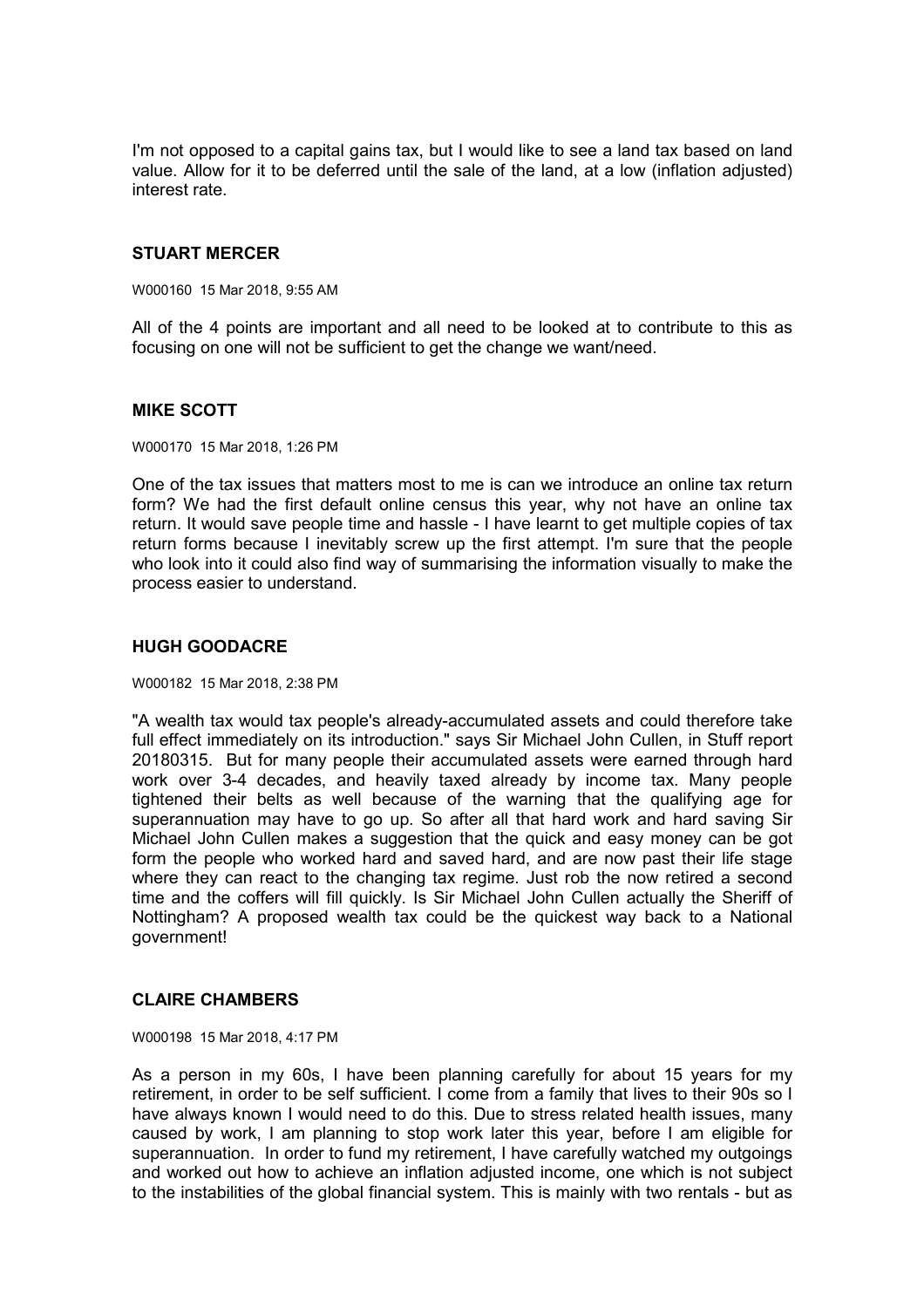I'm not opposed to a capital gains tax, but I would like to see a land tax based on land value. Allow for it to be deferred until the sale of the land, at a low (inflation adjusted) interest rate.

## **STUART MERCER**

W000160 15 Mar 2018, 9:55 AM

All of the 4 points are important and all need to be looked at to contribute to this as focusing on one will not be sufficient to get the change we want/need.

## **MIKE SCOTT**

W000170 15 Mar 2018, 1:26 PM

One of the tax issues that matters most to me is can we introduce an online tax return form? We had the first default online census this year, why not have an online tax return. It would save people time and hassle - I have learnt to get multiple copies of tax return forms because I inevitably screw up the first attempt. I'm sure that the people who look into it could also find way of summarising the information visually to make the process easier to understand.

## **HUGH GOODACRE**

W000182 15 Mar 2018, 2:38 PM

"A wealth tax would tax people's already-accumulated assets and could therefore take full effect immediately on its introduction." says Sir Michael John Cullen, in Stuff report 20180315. But for many people their accumulated assets were earned through hard work over 3-4 decades, and heavily taxed already by income tax. Many people tightened their belts as well because of the warning that the qualifying age for superannuation may have to go up. So after all that hard work and hard saving Sir Michael John Cullen makes a suggestion that the quick and easy money can be got form the people who worked hard and saved hard, and are now past their life stage where they can react to the changing tax regime. Just rob the now retired a second time and the coffers will fill quickly. Is Sir Michael John Cullen actually the Sheriff of Nottingham? A proposed wealth tax could be the quickest way back to a National government!

# **CLAIRE CHAMBERS**

W000198 15 Mar 2018, 4:17 PM

As a person in my 60s, I have been planning carefully for about 15 years for my retirement, in order to be self sufficient. I come from a family that lives to their 90s so I have always known I would need to do this. Due to stress related health issues, many caused by work, I am planning to stop work later this year, before I am eligible for superannuation. In order to fund my retirement, I have carefully watched my outgoings and worked out how to achieve an inflation adjusted income, one which is not subject to the instabilities of the global financial system. This is mainly with two rentals - but as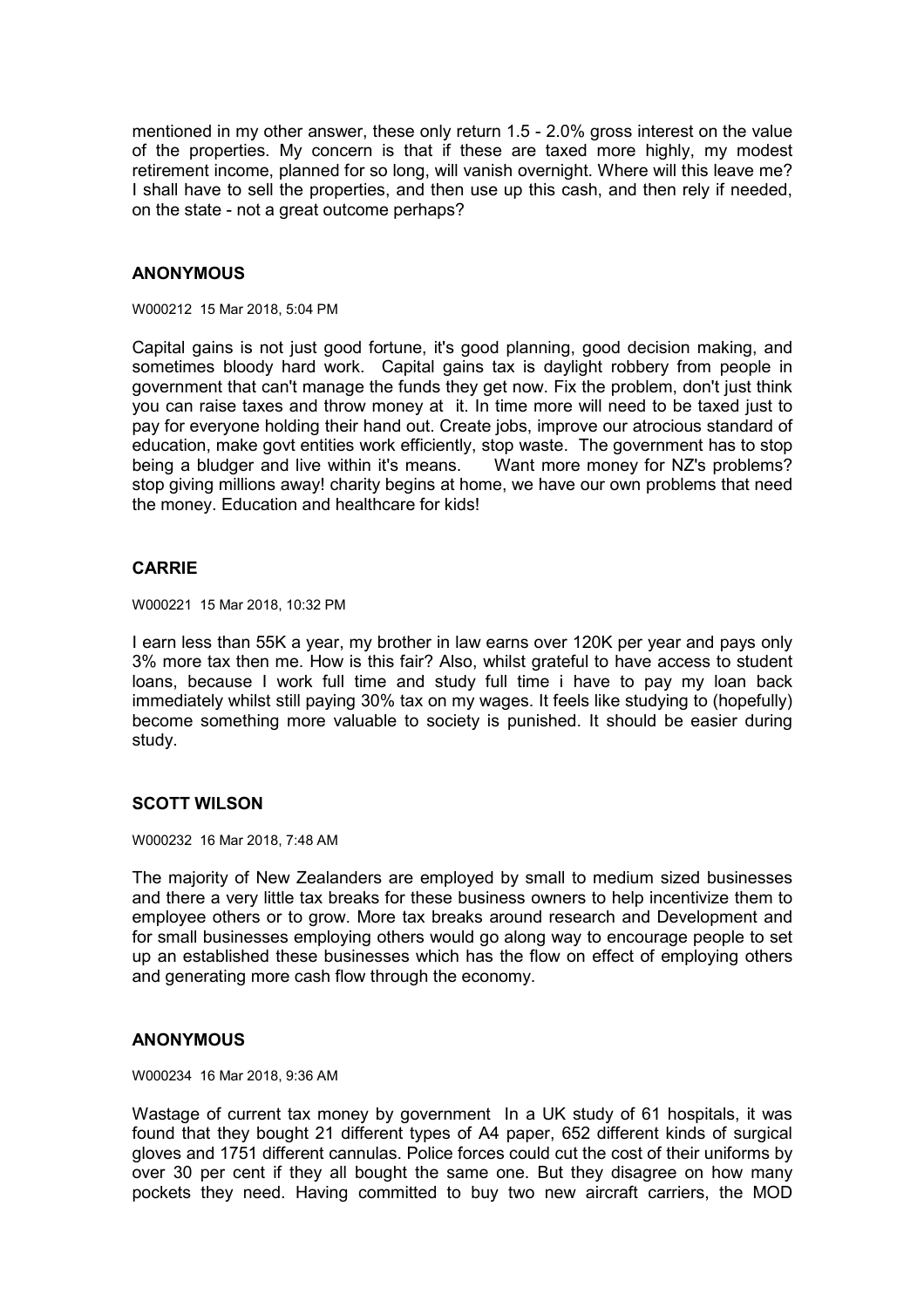mentioned in my other answer, these only return 1.5 - 2.0% gross interest on the value of the properties. My concern is that if these are taxed more highly, my modest retirement income, planned for so long, will vanish overnight. Where will this leave me? I shall have to sell the properties, and then use up this cash, and then rely if needed, on the state - not a great outcome perhaps?

## **ANONYMOUS**

W000212 15 Mar 2018, 5:04 PM

Capital gains is not just good fortune, it's good planning, good decision making, and sometimes bloody hard work. Capital gains tax is daylight robbery from people in government that can't manage the funds they get now. Fix the problem, don't just think you can raise taxes and throw money at it. In time more will need to be taxed just to pay for everyone holding their hand out. Create jobs, improve our atrocious standard of education, make govt entities work efficiently, stop waste. The government has to stop being a bludger and live within it's means. Want more money for NZ's problems? stop giving millions away! charity begins at home, we have our own problems that need the money. Education and healthcare for kids!

## **CARRIE**

W000221 15 Mar 2018, 10:32 PM

I earn less than 55K a year, my brother in law earns over 120K per year and pays only 3% more tax then me. How is this fair? Also, whilst grateful to have access to student loans, because I work full time and study full time i have to pay my loan back immediately whilst still paying 30% tax on my wages. It feels like studying to (hopefully) become something more valuable to society is punished. It should be easier during study.

## **SCOTT WILSON**

W000232 16 Mar 2018, 7:48 AM

The majority of New Zealanders are employed by small to medium sized businesses and there a very little tax breaks for these business owners to help incentivize them to employee others or to grow. More tax breaks around research and Development and for small businesses employing others would go along way to encourage people to set up an established these businesses which has the flow on effect of employing others and generating more cash flow through the economy.

## **ANONYMOUS**

W000234 16 Mar 2018, 9:36 AM

Wastage of current tax money by government In a UK study of 61 hospitals, it was found that they bought 21 different types of A4 paper, 652 different kinds of surgical gloves and 1751 different cannulas. Police forces could cut the cost of their uniforms by over 30 per cent if they all bought the same one. But they disagree on how many pockets they need. Having committed to buy two new aircraft carriers, the MOD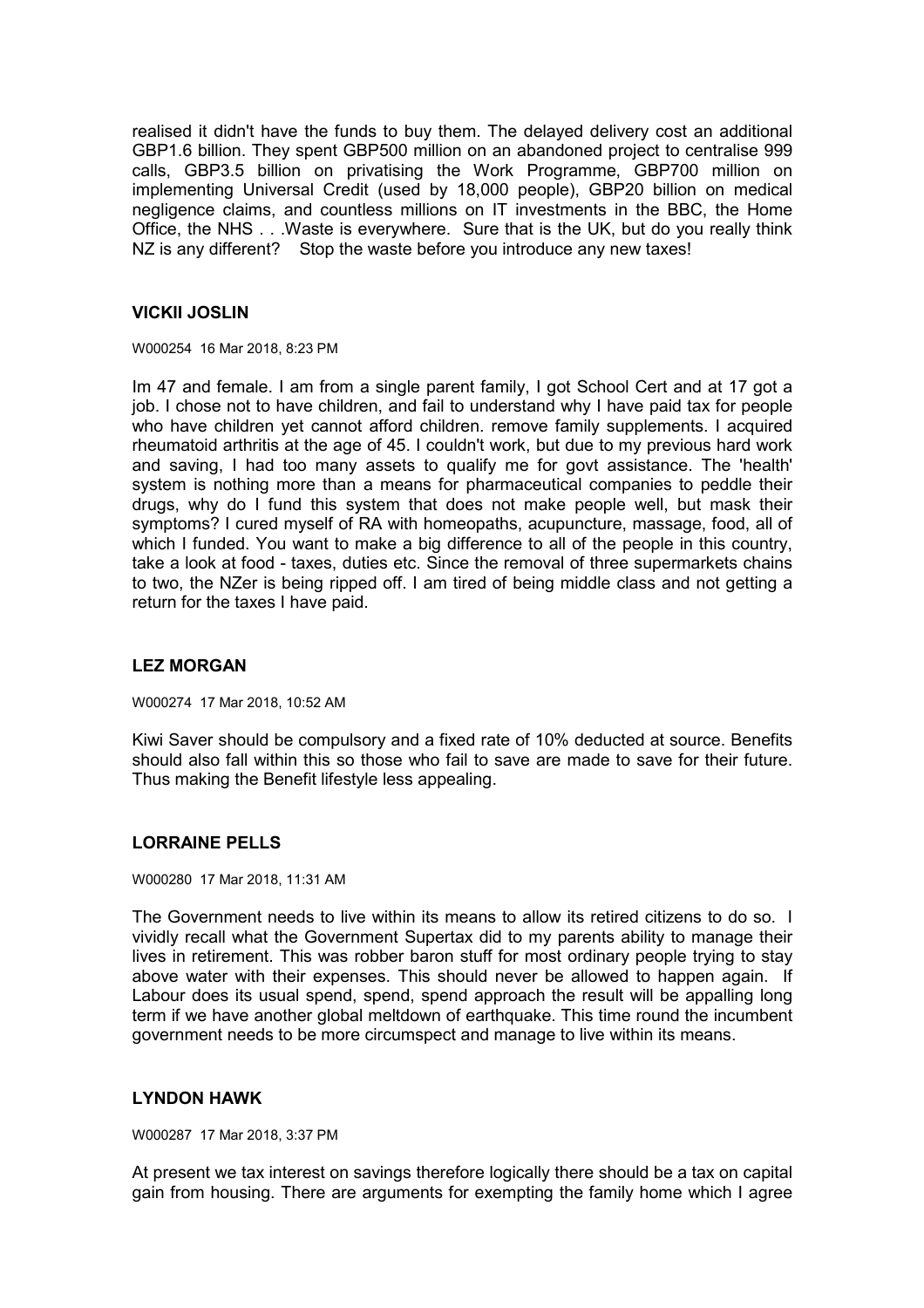realised it didn't have the funds to buy them. The delayed delivery cost an additional GBP1.6 billion. They spent GBP500 million on an abandoned project to centralise 999 calls, GBP3.5 billion on privatising the Work Programme, GBP700 million on implementing Universal Credit (used by 18,000 people), GBP20 billion on medical negligence claims, and countless millions on IT investments in the BBC, the Home Office, the NHS . . .Waste is everywhere. Sure that is the UK, but do you really think NZ is any different? Stop the waste before you introduce any new taxes!

## **VICKII JOSLIN**

W000254 16 Mar 2018, 8:23 PM

Im 47 and female. I am from a single parent family, I got School Cert and at 17 got a job. I chose not to have children, and fail to understand why I have paid tax for people who have children yet cannot afford children. remove family supplements. I acquired rheumatoid arthritis at the age of 45. I couldn't work, but due to my previous hard work and saving, I had too many assets to qualify me for govt assistance. The 'health' system is nothing more than a means for pharmaceutical companies to peddle their drugs, why do I fund this system that does not make people well, but mask their symptoms? I cured myself of RA with homeopaths, acupuncture, massage, food, all of which I funded. You want to make a big difference to all of the people in this country, take a look at food - taxes, duties etc. Since the removal of three supermarkets chains to two, the NZer is being ripped off. I am tired of being middle class and not getting a return for the taxes I have paid.

## **LEZ MORGAN**

W000274 17 Mar 2018, 10:52 AM

Kiwi Saver should be compulsory and a fixed rate of 10% deducted at source. Benefits should also fall within this so those who fail to save are made to save for their future. Thus making the Benefit lifestyle less appealing.

## **LORRAINE PELLS**

W000280 17 Mar 2018, 11:31 AM

The Government needs to live within its means to allow its retired citizens to do so. I vividly recall what the Government Supertax did to my parents ability to manage their lives in retirement. This was robber baron stuff for most ordinary people trying to stay above water with their expenses. This should never be allowed to happen again. If Labour does its usual spend, spend, spend approach the result will be appalling long term if we have another global meltdown of earthquake. This time round the incumbent government needs to be more circumspect and manage to live within its means.

## **LYNDON HAWK**

W000287 17 Mar 2018, 3:37 PM

At present we tax interest on savings therefore logically there should be a tax on capital gain from housing. There are arguments for exempting the family home which I agree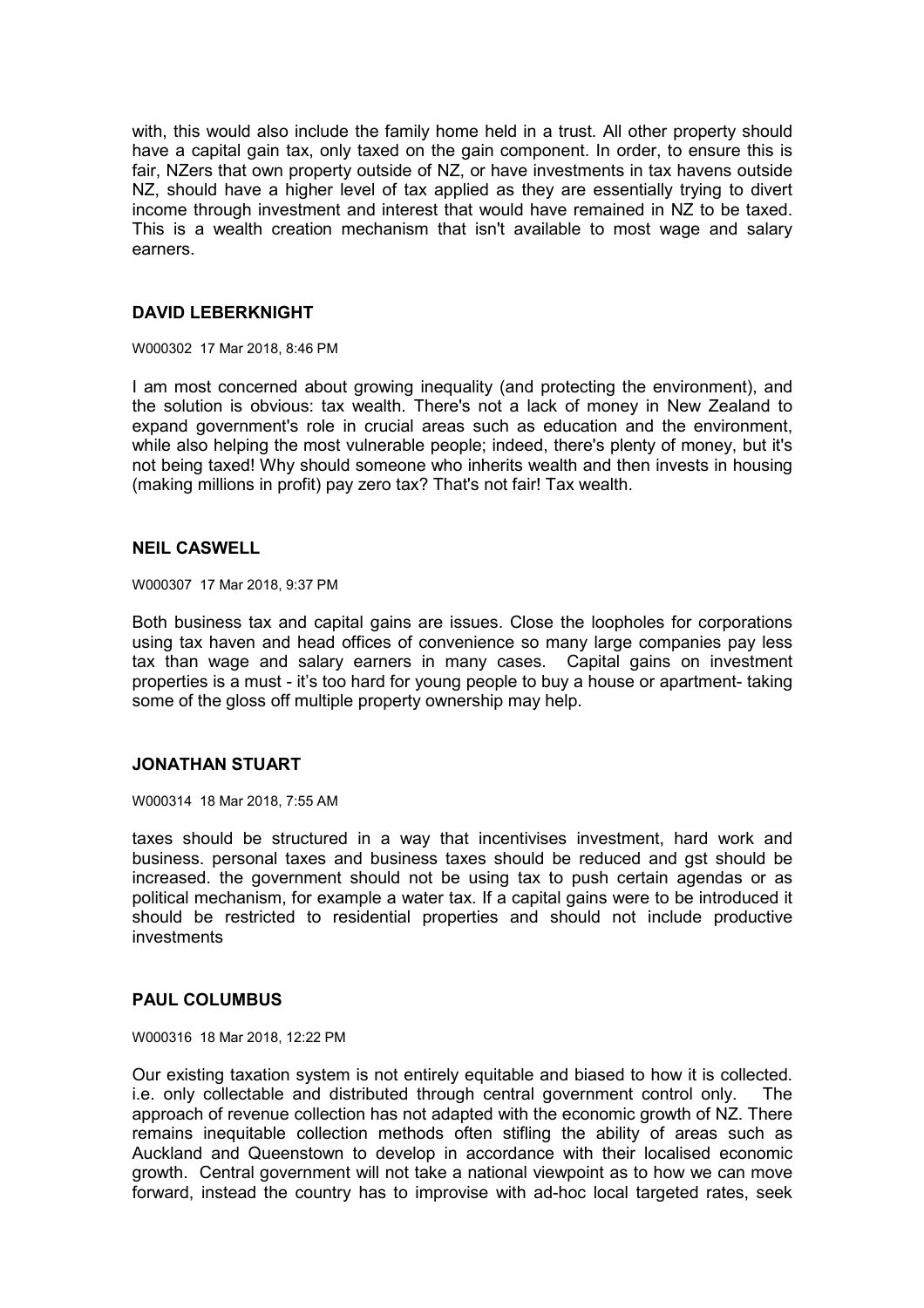with, this would also include the family home held in a trust. All other property should have a capital gain tax, only taxed on the gain component. In order, to ensure this is fair, NZers that own property outside of NZ, or have investments in tax havens outside NZ, should have a higher level of tax applied as they are essentially trying to divert income through investment and interest that would have remained in NZ to be taxed. This is a wealth creation mechanism that isn't available to most wage and salary earners.

## **DAVID LEBERKNIGHT**

W000302 17 Mar 2018, 8:46 PM

I am most concerned about growing inequality (and protecting the environment), and the solution is obvious: tax wealth. There's not a lack of money in New Zealand to expand government's role in crucial areas such as education and the environment, while also helping the most vulnerable people; indeed, there's plenty of money, but it's not being taxed! Why should someone who inherits wealth and then invests in housing (making millions in profit) pay zero tax? That's not fair! Tax wealth.

## **NEIL CASWELL**

W000307 17 Mar 2018, 9:37 PM

Both business tax and capital gains are issues. Close the loopholes for corporations using tax haven and head offices of convenience so many large companies pay less tax than wage and salary earners in many cases. Capital gains on investment properties is a must - it's too hard for young people to buy a house or apartment- taking some of the gloss off multiple property ownership may help.

## **JONATHAN STUART**

W000314 18 Mar 2018, 7:55 AM

taxes should be structured in a way that incentivises investment, hard work and business. personal taxes and business taxes should be reduced and gst should be increased. the government should not be using tax to push certain agendas or as political mechanism, for example a water tax. If a capital gains were to be introduced it should be restricted to residential properties and should not include productive investments

## **PAUL COLUMBUS**

W000316 18 Mar 2018, 12:22 PM

Our existing taxation system is not entirely equitable and biased to how it is collected. i.e. only collectable and distributed through central government control only. The approach of revenue collection has not adapted with the economic growth of NZ. There remains inequitable collection methods often stifling the ability of areas such as Auckland and Queenstown to develop in accordance with their localised economic growth. Central government will not take a national viewpoint as to how we can move forward, instead the country has to improvise with ad-hoc local targeted rates, seek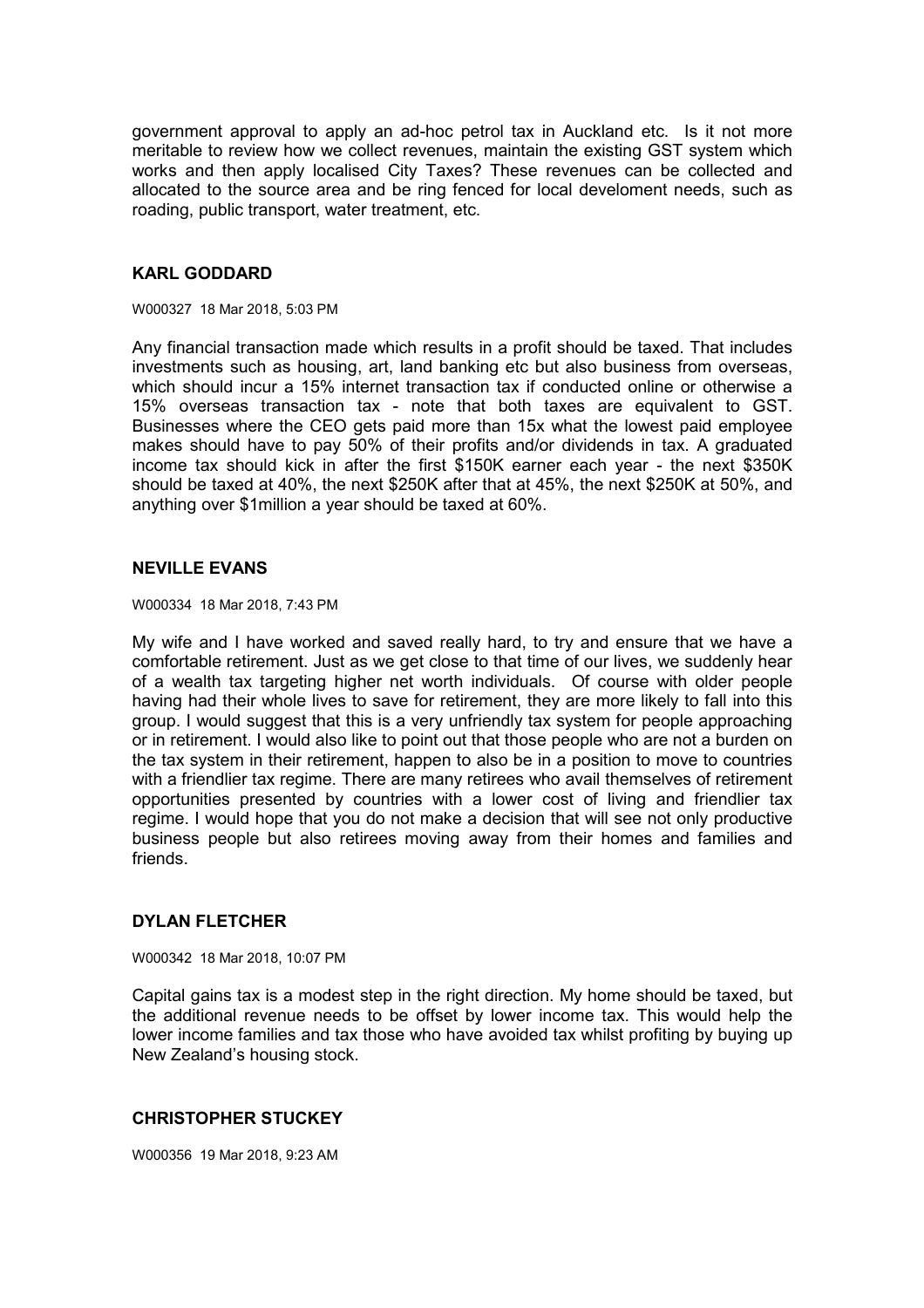government approval to apply an ad-hoc petrol tax in Auckland etc. Is it not more meritable to review how we collect revenues, maintain the existing GST system which works and then apply localised City Taxes? These revenues can be collected and allocated to the source area and be ring fenced for local develoment needs, such as roading, public transport, water treatment, etc.

## **KARL GODDARD**

W000327 18 Mar 2018, 5:03 PM

Any financial transaction made which results in a profit should be taxed. That includes investments such as housing, art, land banking etc but also business from overseas, which should incur a 15% internet transaction tax if conducted online or otherwise a 15% overseas transaction tax - note that both taxes are equivalent to GST. Businesses where the CEO gets paid more than 15x what the lowest paid employee makes should have to pay 50% of their profits and/or dividends in tax. A graduated income tax should kick in after the first \$150K earner each year - the next \$350K should be taxed at 40%, the next \$250K after that at 45%, the next \$250K at 50%, and anything over \$1million a year should be taxed at 60%.

## **NEVILLE EVANS**

W000334 18 Mar 2018, 7:43 PM

My wife and I have worked and saved really hard, to try and ensure that we have a comfortable retirement. Just as we get close to that time of our lives, we suddenly hear of a wealth tax targeting higher net worth individuals. Of course with older people having had their whole lives to save for retirement, they are more likely to fall into this group. I would suggest that this is a very unfriendly tax system for people approaching or in retirement. I would also like to point out that those people who are not a burden on the tax system in their retirement, happen to also be in a position to move to countries with a friendlier tax regime. There are many retirees who avail themselves of retirement opportunities presented by countries with a lower cost of living and friendlier tax regime. I would hope that you do not make a decision that will see not only productive business people but also retirees moving away from their homes and families and friends.

# **DYLAN FLETCHER**

W000342 18 Mar 2018, 10:07 PM

Capital gains tax is a modest step in the right direction. My home should be taxed, but the additional revenue needs to be offset by lower income tax. This would help the lower income families and tax those who have avoided tax whilst profiting by buying up New Zealand's housing stock.

## **CHRISTOPHER STUCKEY**

W000356 19 Mar 2018, 9:23 AM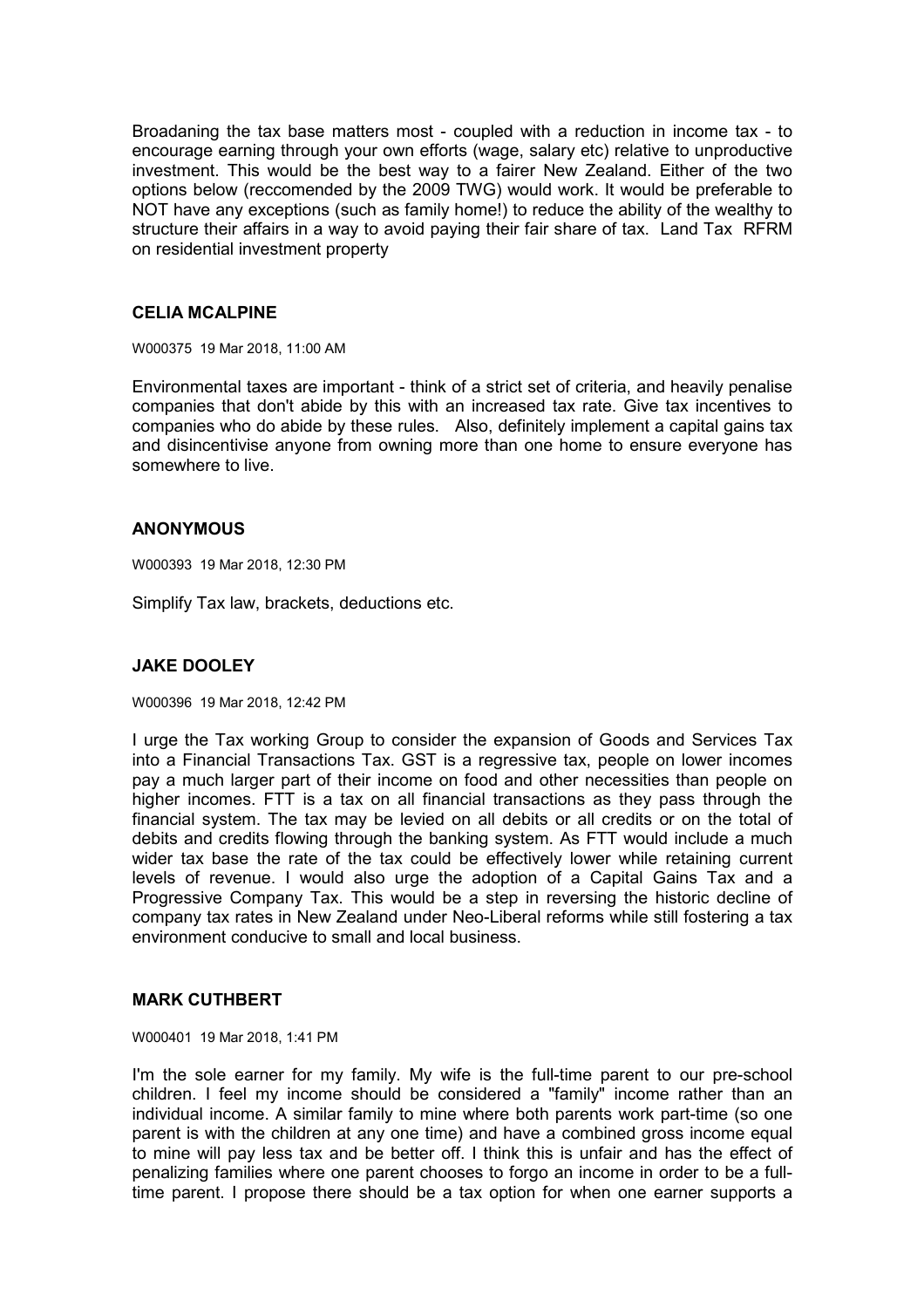Broadaning the tax base matters most - coupled with a reduction in income tax - to encourage earning through your own efforts (wage, salary etc) relative to unproductive investment. This would be the best way to a fairer New Zealand. Either of the two options below (reccomended by the 2009 TWG) would work. It would be preferable to NOT have any exceptions (such as family home!) to reduce the ability of the wealthy to structure their affairs in a way to avoid paying their fair share of tax. Land Tax RFRM on residential investment property

## **CELIA MCALPINE**

W000375 19 Mar 2018, 11:00 AM

Environmental taxes are important - think of a strict set of criteria, and heavily penalise companies that don't abide by this with an increased tax rate. Give tax incentives to companies who do abide by these rules. Also, definitely implement a capital gains tax and disincentivise anyone from owning more than one home to ensure everyone has somewhere to live.

## **ANONYMOUS**

W000393 19 Mar 2018, 12:30 PM

Simplify Tax law, brackets, deductions etc.

# **JAKE DOOLEY**

W000396 19 Mar 2018, 12:42 PM

I urge the Tax working Group to consider the expansion of Goods and Services Tax into a Financial Transactions Tax. GST is a regressive tax, people on lower incomes pay a much larger part of their income on food and other necessities than people on higher incomes. FTT is a tax on all financial transactions as they pass through the financial system. The tax may be levied on all debits or all credits or on the total of debits and credits flowing through the banking system. As FTT would include a much wider tax base the rate of the tax could be effectively lower while retaining current levels of revenue. I would also urge the adoption of a Capital Gains Tax and a Progressive Company Tax. This would be a step in reversing the historic decline of company tax rates in New Zealand under Neo-Liberal reforms while still fostering a tax environment conducive to small and local business.

## **MARK CUTHBERT**

W000401 19 Mar 2018, 1:41 PM

I'm the sole earner for my family. My wife is the full-time parent to our pre-school children. I feel my income should be considered a "family" income rather than an individual income. A similar family to mine where both parents work part-time (so one parent is with the children at any one time) and have a combined gross income equal to mine will pay less tax and be better off. I think this is unfair and has the effect of penalizing families where one parent chooses to forgo an income in order to be a fulltime parent. I propose there should be a tax option for when one earner supports a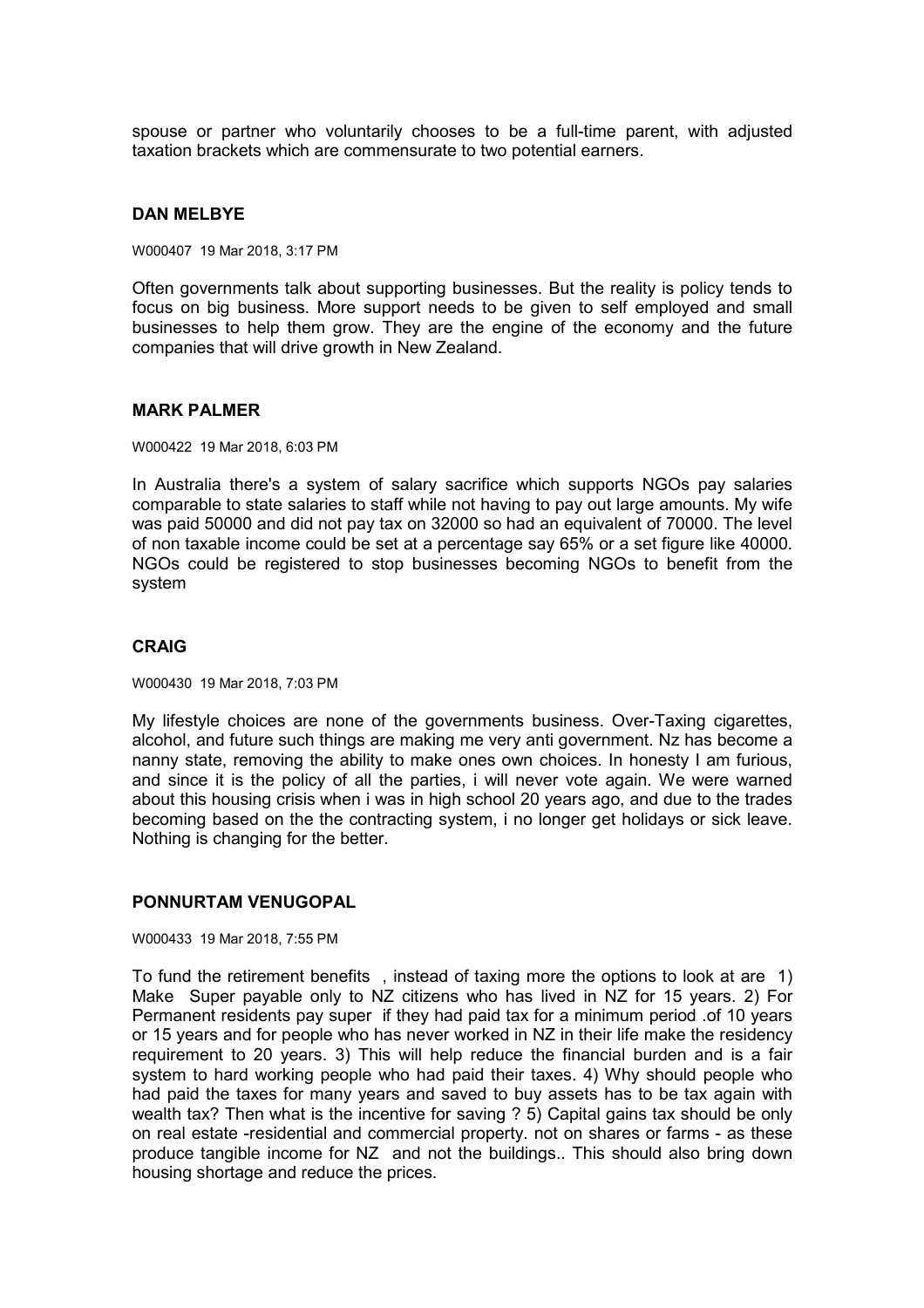spouse or partner who voluntarily chooses to be a full-time parent, with adjusted taxation brackets which are commensurate to two potential earners.

#### **DAN MELBYE**

W000407 19 Mar 2018, 3:17 PM

Often governments talk about supporting businesses. But the reality is policy tends to focus on big business. More support needs to be given to self employed and small businesses to help them grow. They are the engine of the economy and the future companies that will drive growth in New Zealand.

#### **MARK PALMER**

W000422 19 Mar 2018, 6:03 PM

In Australia there's a system of salary sacrifice which supports NGOs pay salaries comparable to state salaries to staff while not having to pay out large amounts. My wife was paid 50000 and did not pay tax on 32000 so had an equivalent of 70000. The level of non taxable income could be set at a percentage say 65% or a set figure like 40000. NGOs could be registered to stop businesses becoming NGOs to benefit from the system

#### **CRAIG**

W000430 19 Mar 2018, 7:03 PM

My lifestyle choices are none of the governments business. Over-Taxing cigarettes, alcohol, and future such things are making me very anti government. Nz has become a nanny state, removing the ability to make ones own choices. In honesty I am furious, and since it is the policy of all the parties, i will never vote again. We were warned about this housing crisis when i was in high school 20 years ago, and due to the trades becoming based on the the contracting system, i no longer get holidays or sick leave. Nothing is changing for the better.

## **PONNURTAM VENUGOPAL**

W000433 19 Mar 2018, 7:55 PM

To fund the retirement benefits , instead of taxing more the options to look at are 1) Make Super payable only to NZ citizens who has lived in NZ for 15 years. 2) For Permanent residents pay super if they had paid tax for a minimum period .of 10 years or 15 years and for people who has never worked in NZ in their life make the residency requirement to 20 years. 3) This will help reduce the financial burden and is a fair system to hard working people who had paid their taxes. 4) Why should people who had paid the taxes for many years and saved to buy assets has to be tax again with wealth tax? Then what is the incentive for saving ? 5) Capital gains tax should be only on real estate -residential and commercial property. not on shares or farms - as these produce tangible income for NZ and not the buildings.. This should also bring down housing shortage and reduce the prices.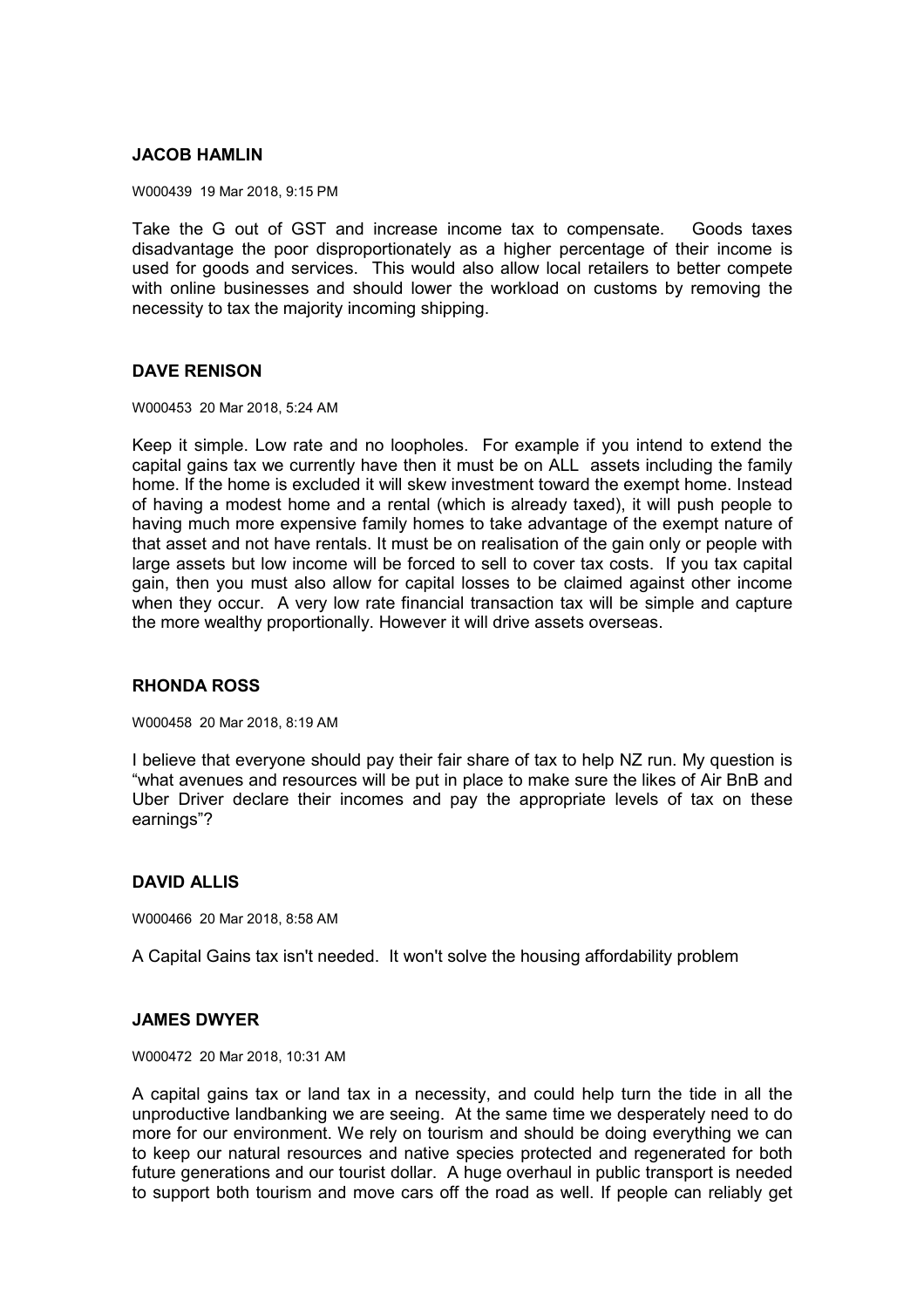# **JACOB HAMLIN**

W000439 19 Mar 2018, 9:15 PM

Take the G out of GST and increase income tax to compensate. Goods taxes disadvantage the poor disproportionately as a higher percentage of their income is used for goods and services. This would also allow local retailers to better compete with online businesses and should lower the workload on customs by removing the necessity to tax the majority incoming shipping.

# **DAVE RENISON**

W000453 20 Mar 2018, 5:24 AM

Keep it simple. Low rate and no loopholes. For example if you intend to extend the capital gains tax we currently have then it must be on ALL assets including the family home. If the home is excluded it will skew investment toward the exempt home. Instead of having a modest home and a rental (which is already taxed), it will push people to having much more expensive family homes to take advantage of the exempt nature of that asset and not have rentals. It must be on realisation of the gain only or people with large assets but low income will be forced to sell to cover tax costs. If you tax capital gain, then you must also allow for capital losses to be claimed against other income when they occur. A very low rate financial transaction tax will be simple and capture the more wealthy proportionally. However it will drive assets overseas.

## **RHONDA ROSS**

W000458 20 Mar 2018, 8:19 AM

I believe that everyone should pay their fair share of tax to help NZ run. My question is "what avenues and resources will be put in place to make sure the likes of Air BnB and Uber Driver declare their incomes and pay the appropriate levels of tax on these earnings"?

# **DAVID ALLIS**

W000466 20 Mar 2018, 8:58 AM

A Capital Gains tax isn't needed. It won't solve the housing affordability problem

## **JAMES DWYER**

W000472 20 Mar 2018, 10:31 AM

A capital gains tax or land tax in a necessity, and could help turn the tide in all the unproductive landbanking we are seeing. At the same time we desperately need to do more for our environment. We rely on tourism and should be doing everything we can to keep our natural resources and native species protected and regenerated for both future generations and our tourist dollar. A huge overhaul in public transport is needed to support both tourism and move cars off the road as well. If people can reliably get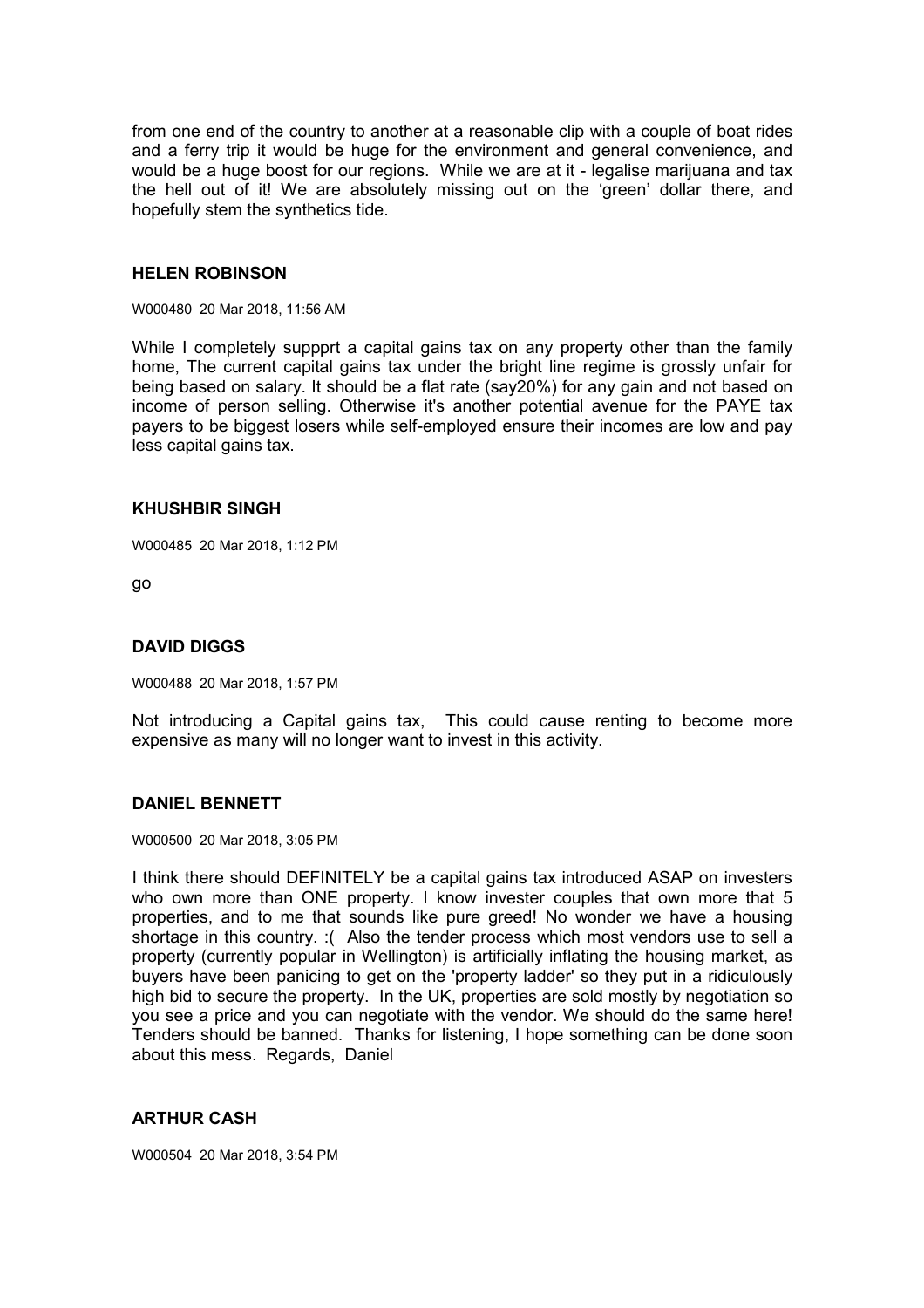from one end of the country to another at a reasonable clip with a couple of boat rides and a ferry trip it would be huge for the environment and general convenience, and would be a huge boost for our regions. While we are at it - legalise marijuana and tax the hell out of it! We are absolutely missing out on the 'green' dollar there, and hopefully stem the synthetics tide.

#### **HELEN ROBINSON**

W000480 20 Mar 2018, 11:56 AM

While I completely suppprt a capital gains tax on any property other than the family home, The current capital gains tax under the bright line regime is grossly unfair for being based on salary. It should be a flat rate (say20%) for any gain and not based on income of person selling. Otherwise it's another potential avenue for the PAYE tax payers to be biggest losers while self-employed ensure their incomes are low and pay less capital gains tax.

#### **KHUSHBIR SINGH**

W000485 20 Mar 2018, 1:12 PM

go

## **DAVID DIGGS**

W000488 20 Mar 2018, 1:57 PM

Not introducing a Capital gains tax, This could cause renting to become more expensive as many will no longer want to invest in this activity.

## **DANIEL BENNETT**

W000500 20 Mar 2018, 3:05 PM

I think there should DEFINITELY be a capital gains tax introduced ASAP on investers who own more than ONE property. I know invester couples that own more that 5 properties, and to me that sounds like pure greed! No wonder we have a housing shortage in this country. :( Also the tender process which most vendors use to sell a property (currently popular in Wellington) is artificially inflating the housing market, as buyers have been panicing to get on the 'property ladder' so they put in a ridiculously high bid to secure the property. In the UK, properties are sold mostly by negotiation so you see a price and you can negotiate with the vendor. We should do the same here! Tenders should be banned. Thanks for listening, I hope something can be done soon about this mess. Regards, Daniel

## **ARTHUR CASH**

W000504 20 Mar 2018, 3:54 PM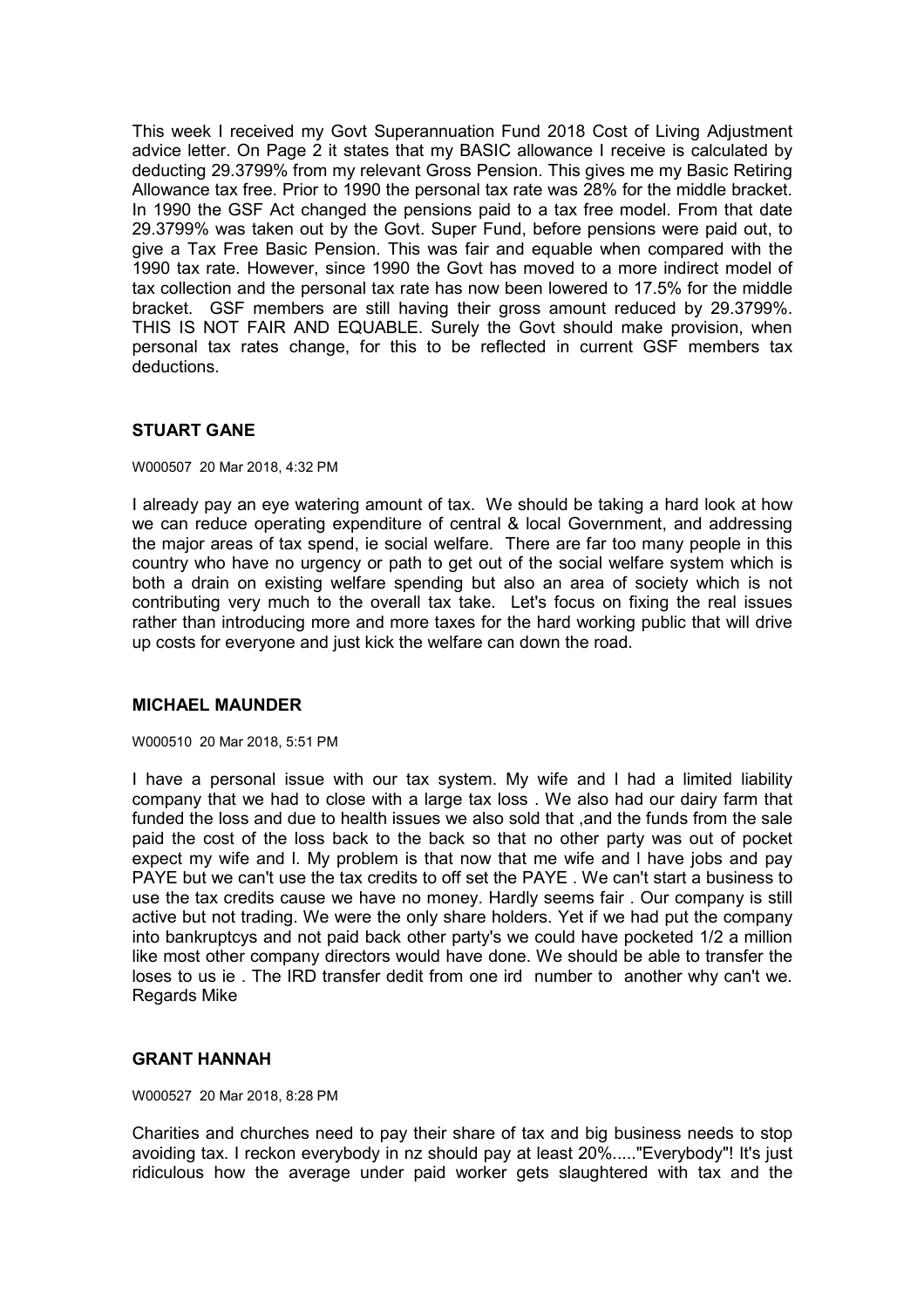This week I received my Govt Superannuation Fund 2018 Cost of Living Adjustment advice letter. On Page 2 it states that my BASIC allowance I receive is calculated by deducting 29.3799% from my relevant Gross Pension. This gives me my Basic Retiring Allowance tax free. Prior to 1990 the personal tax rate was 28% for the middle bracket. In 1990 the GSF Act changed the pensions paid to a tax free model. From that date 29.3799% was taken out by the Govt. Super Fund, before pensions were paid out, to give a Tax Free Basic Pension. This was fair and equable when compared with the 1990 tax rate. However, since 1990 the Govt has moved to a more indirect model of tax collection and the personal tax rate has now been lowered to 17.5% for the middle bracket. GSF members are still having their gross amount reduced by 29.3799%. THIS IS NOT FAIR AND EQUABLE. Surely the Govt should make provision, when personal tax rates change, for this to be reflected in current GSF members tax deductions.

# **STUART GANE**

W000507 20 Mar 2018, 4:32 PM

I already pay an eye watering amount of tax. We should be taking a hard look at how we can reduce operating expenditure of central & local Government, and addressing the major areas of tax spend, ie social welfare. There are far too many people in this country who have no urgency or path to get out of the social welfare system which is both a drain on existing welfare spending but also an area of society which is not contributing very much to the overall tax take. Let's focus on fixing the real issues rather than introducing more and more taxes for the hard working public that will drive up costs for everyone and just kick the welfare can down the road.

## **MICHAEL MAUNDER**

W000510 20 Mar 2018, 5:51 PM

I have a personal issue with our tax system. My wife and l had a limited liability company that we had to close with a large tax loss . We also had our dairy farm that funded the loss and due to health issues we also sold that ,and the funds from the sale paid the cost of the loss back to the back so that no other party was out of pocket expect my wife and l. My problem is that now that me wife and l have jobs and pay PAYE but we can't use the tax credits to off set the PAYE . We can't start a business to use the tax credits cause we have no money. Hardly seems fair . Our company is still active but not trading. We were the only share holders. Yet if we had put the company into bankruptcys and not paid back other party's we could have pocketed 1/2 a million like most other company directors would have done. We should be able to transfer the loses to us ie . The IRD transfer dedit from one ird number to another why can't we. Regards Mike

## **GRANT HANNAH**

W000527 20 Mar 2018, 8:28 PM

Charities and churches need to pay their share of tax and big business needs to stop avoiding tax. I reckon everybody in nz should pay at least 20%....."Everybody"! It's just ridiculous how the average under paid worker gets slaughtered with tax and the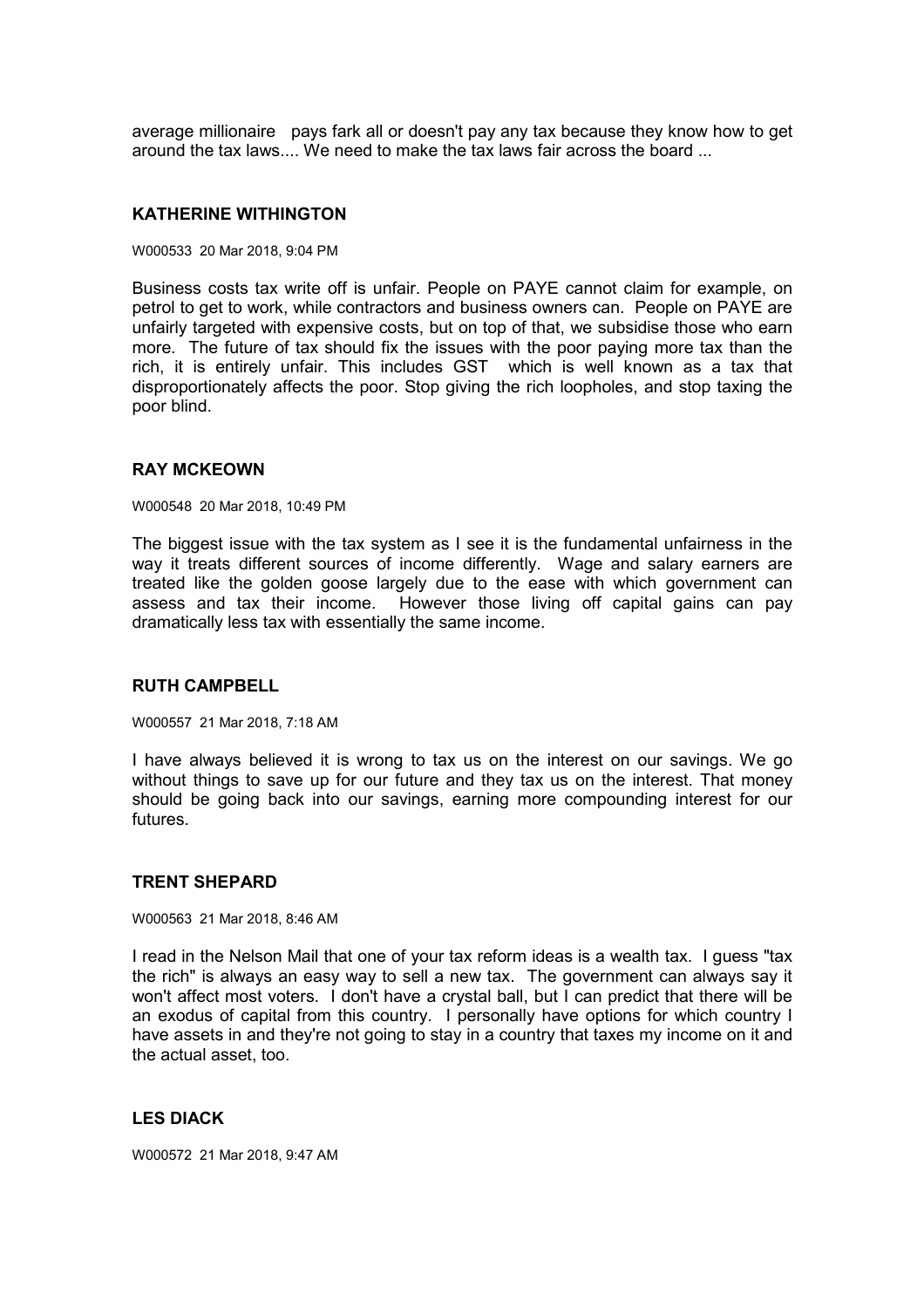average millionaire pays fark all or doesn't pay any tax because they know how to get around the tax laws.... We need to make the tax laws fair across the board ...

#### **KATHERINE WITHINGTON**

W000533 20 Mar 2018, 9:04 PM

Business costs tax write off is unfair. People on PAYE cannot claim for example, on petrol to get to work, while contractors and business owners can. People on PAYE are unfairly targeted with expensive costs, but on top of that, we subsidise those who earn more. The future of tax should fix the issues with the poor paying more tax than the rich, it is entirely unfair. This includes GST which is well known as a tax that disproportionately affects the poor. Stop giving the rich loopholes, and stop taxing the poor blind.

#### **RAY MCKEOWN**

W000548 20 Mar 2018, 10:49 PM

The biggest issue with the tax system as I see it is the fundamental unfairness in the way it treats different sources of income differently. Wage and salary earners are treated like the golden goose largely due to the ease with which government can assess and tax their income. However those living off capital gains can pay dramatically less tax with essentially the same income.

#### **RUTH CAMPBELL**

W000557 21 Mar 2018, 7:18 AM

I have always believed it is wrong to tax us on the interest on our savings. We go without things to save up for our future and they tax us on the interest. That money should be going back into our savings, earning more compounding interest for our futures.

## **TRENT SHEPARD**

W000563 21 Mar 2018, 8:46 AM

I read in the Nelson Mail that one of your tax reform ideas is a wealth tax. I guess "tax the rich" is always an easy way to sell a new tax. The government can always say it won't affect most voters. I don't have a crystal ball, but I can predict that there will be an exodus of capital from this country. I personally have options for which country I have assets in and they're not going to stay in a country that taxes my income on it and the actual asset, too.

# **LES DIACK**

W000572 21 Mar 2018, 9:47 AM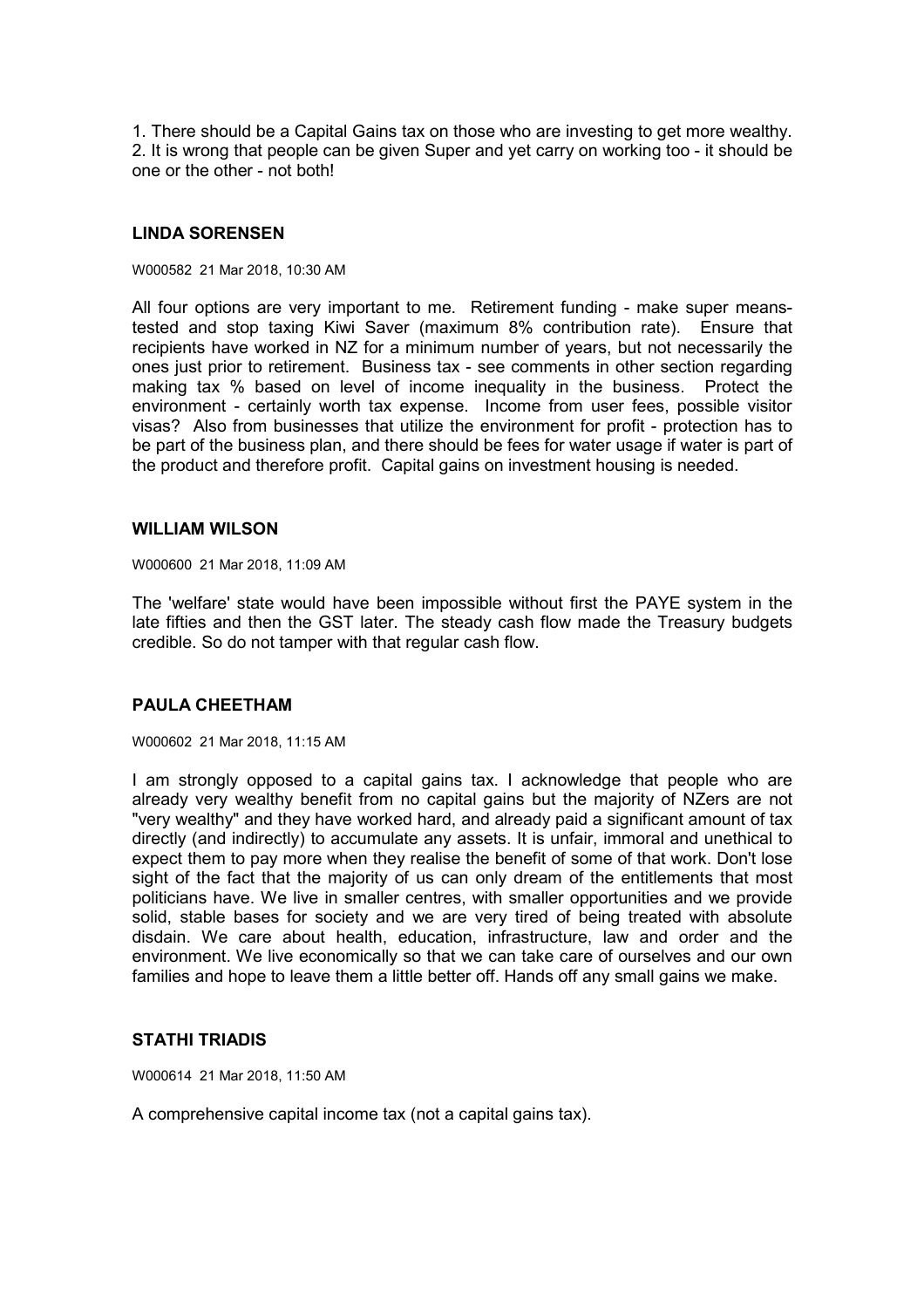1. There should be a Capital Gains tax on those who are investing to get more wealthy. 2. It is wrong that people can be given Super and yet carry on working too - it should be one or the other - not both!

## **LINDA SORENSEN**

W000582 21 Mar 2018, 10:30 AM

All four options are very important to me. Retirement funding - make super meanstested and stop taxing Kiwi Saver (maximum 8% contribution rate). Ensure that recipients have worked in NZ for a minimum number of years, but not necessarily the ones just prior to retirement. Business tax - see comments in other section regarding making tax % based on level of income inequality in the business. Protect the environment - certainly worth tax expense. Income from user fees, possible visitor visas? Also from businesses that utilize the environment for profit - protection has to be part of the business plan, and there should be fees for water usage if water is part of the product and therefore profit. Capital gains on investment housing is needed.

#### **WILLIAM WILSON**

W000600 21 Mar 2018, 11:09 AM

The 'welfare' state would have been impossible without first the PAYE system in the late fifties and then the GST later. The steady cash flow made the Treasury budgets credible. So do not tamper with that regular cash flow.

# **PAULA CHEETHAM**

W000602 21 Mar 2018, 11:15 AM

I am strongly opposed to a capital gains tax. I acknowledge that people who are already very wealthy benefit from no capital gains but the majority of NZers are not "very wealthy" and they have worked hard, and already paid a significant amount of tax directly (and indirectly) to accumulate any assets. It is unfair, immoral and unethical to expect them to pay more when they realise the benefit of some of that work. Don't lose sight of the fact that the majority of us can only dream of the entitlements that most politicians have. We live in smaller centres, with smaller opportunities and we provide solid, stable bases for society and we are very tired of being treated with absolute disdain. We care about health, education, infrastructure, law and order and the environment. We live economically so that we can take care of ourselves and our own families and hope to leave them a little better off. Hands off any small gains we make.

## **STATHI TRIADIS**

W000614 21 Mar 2018, 11:50 AM

A comprehensive capital income tax (not a capital gains tax).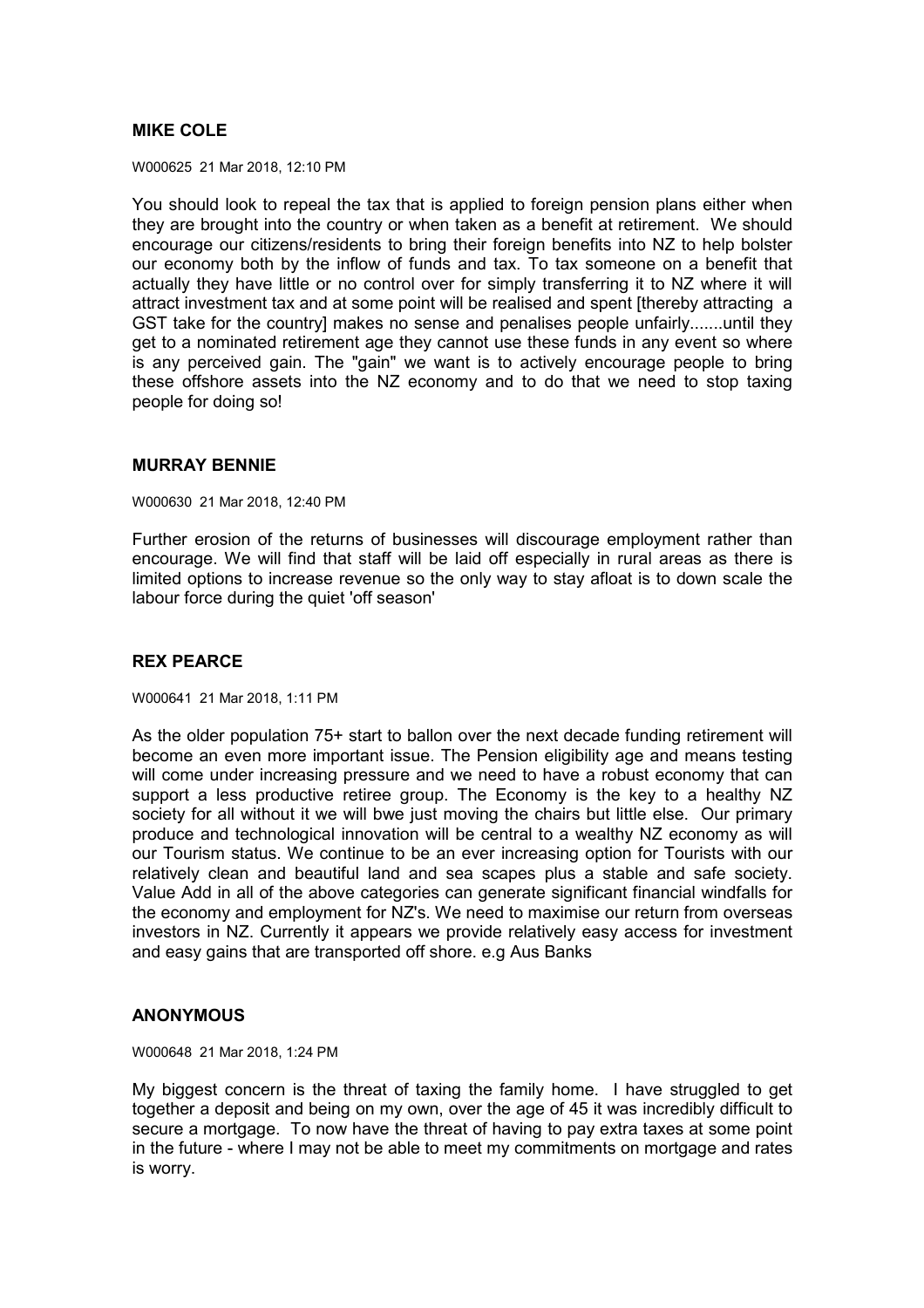## **MIKE COLE**

W000625 21 Mar 2018, 12:10 PM

You should look to repeal the tax that is applied to foreign pension plans either when they are brought into the country or when taken as a benefit at retirement. We should encourage our citizens/residents to bring their foreign benefits into NZ to help bolster our economy both by the inflow of funds and tax. To tax someone on a benefit that actually they have little or no control over for simply transferring it to NZ where it will attract investment tax and at some point will be realised and spent [thereby attracting a GST take for the country] makes no sense and penalises people unfairly.......until they get to a nominated retirement age they cannot use these funds in any event so where is any perceived gain. The "gain" we want is to actively encourage people to bring these offshore assets into the NZ economy and to do that we need to stop taxing people for doing so!

## **MURRAY BENNIE**

W000630 21 Mar 2018, 12:40 PM

Further erosion of the returns of businesses will discourage employment rather than encourage. We will find that staff will be laid off especially in rural areas as there is limited options to increase revenue so the only way to stay afloat is to down scale the labour force during the quiet 'off season'

# **REX PEARCE**

W000641 21 Mar 2018, 1:11 PM

As the older population 75+ start to ballon over the next decade funding retirement will become an even more important issue. The Pension eligibility age and means testing will come under increasing pressure and we need to have a robust economy that can support a less productive retiree group. The Economy is the key to a healthy NZ society for all without it we will bwe just moving the chairs but little else. Our primary produce and technological innovation will be central to a wealthy NZ economy as will our Tourism status. We continue to be an ever increasing option for Tourists with our relatively clean and beautiful land and sea scapes plus a stable and safe society. Value Add in all of the above categories can generate significant financial windfalls for the economy and employment for NZ's. We need to maximise our return from overseas investors in NZ. Currently it appears we provide relatively easy access for investment and easy gains that are transported off shore. e.g Aus Banks

## **ANONYMOUS**

W000648 21 Mar 2018, 1:24 PM

My biggest concern is the threat of taxing the family home. I have struggled to get together a deposit and being on my own, over the age of 45 it was incredibly difficult to secure a mortgage. To now have the threat of having to pay extra taxes at some point in the future - where I may not be able to meet my commitments on mortgage and rates is worry.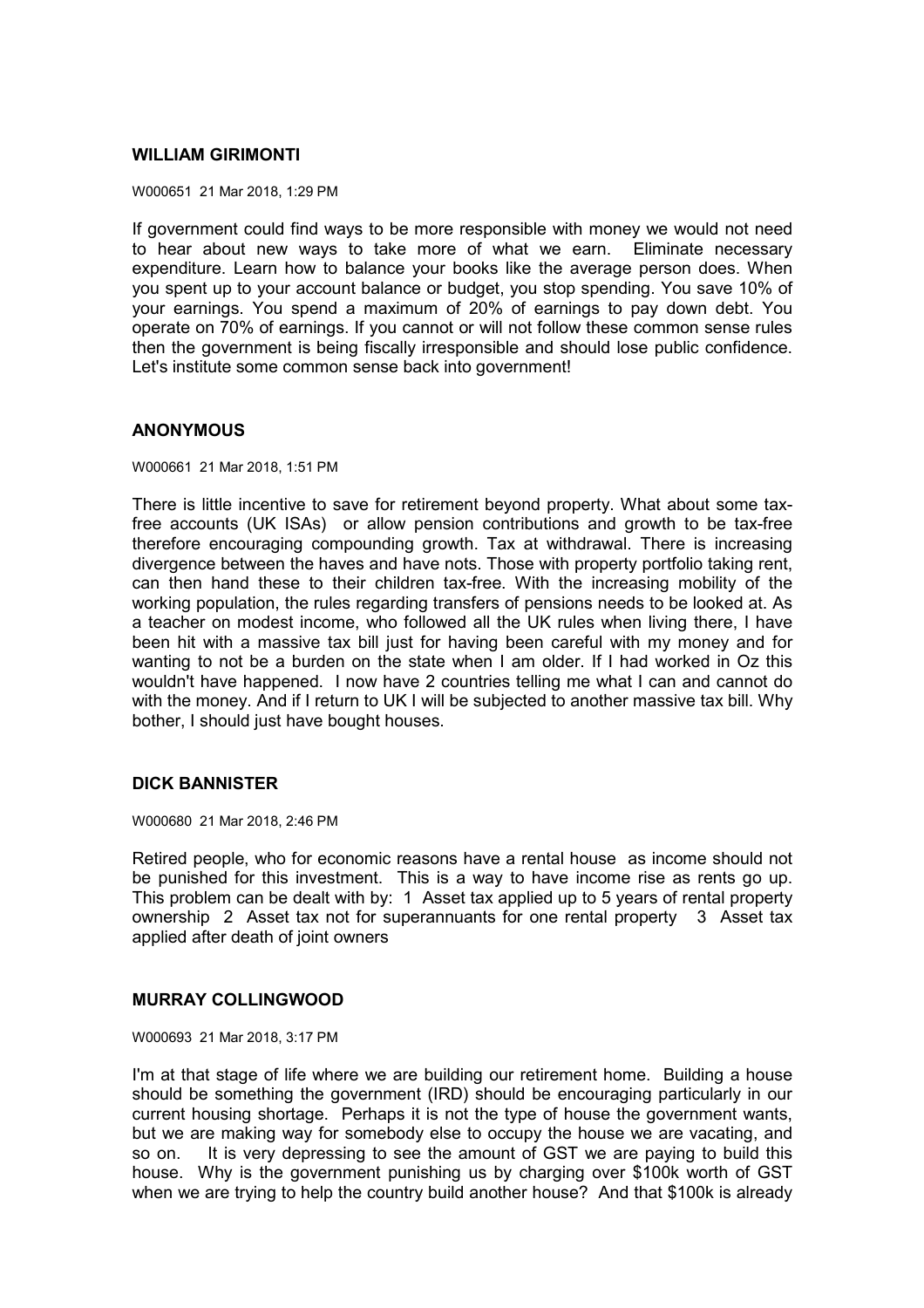#### **WILLIAM GIRIMONTI**

W000651 21 Mar 2018, 1:29 PM

If government could find ways to be more responsible with money we would not need to hear about new ways to take more of what we earn. Eliminate necessary expenditure. Learn how to balance your books like the average person does. When you spent up to your account balance or budget, you stop spending. You save 10% of your earnings. You spend a maximum of 20% of earnings to pay down debt. You operate on 70% of earnings. If you cannot or will not follow these common sense rules then the government is being fiscally irresponsible and should lose public confidence. Let's institute some common sense back into government!

#### **ANONYMOUS**

W000661 21 Mar 2018, 1:51 PM

There is little incentive to save for retirement beyond property. What about some taxfree accounts (UK ISAs) or allow pension contributions and growth to be tax-free therefore encouraging compounding growth. Tax at withdrawal. There is increasing divergence between the haves and have nots. Those with property portfolio taking rent, can then hand these to their children tax-free. With the increasing mobility of the working population, the rules regarding transfers of pensions needs to be looked at. As a teacher on modest income, who followed all the UK rules when living there, I have been hit with a massive tax bill just for having been careful with my money and for wanting to not be a burden on the state when I am older. If I had worked in Oz this wouldn't have happened. I now have 2 countries telling me what I can and cannot do with the money. And if I return to UK I will be subjected to another massive tax bill. Why bother, I should just have bought houses.

## **DICK BANNISTER**

W000680 21 Mar 2018, 2:46 PM

Retired people, who for economic reasons have a rental house as income should not be punished for this investment. This is a way to have income rise as rents go up. This problem can be dealt with by: 1 Asset tax applied up to 5 years of rental property ownership 2 Asset tax not for superannuants for one rental property 3 Asset tax applied after death of joint owners

## **MURRAY COLLINGWOOD**

W000693 21 Mar 2018, 3:17 PM

I'm at that stage of life where we are building our retirement home. Building a house should be something the government (IRD) should be encouraging particularly in our current housing shortage. Perhaps it is not the type of house the government wants, but we are making way for somebody else to occupy the house we are vacating, and so on. It is very depressing to see the amount of GST we are paying to build this house. Why is the government punishing us by charging over \$100k worth of GST when we are trying to help the country build another house? And that \$100k is already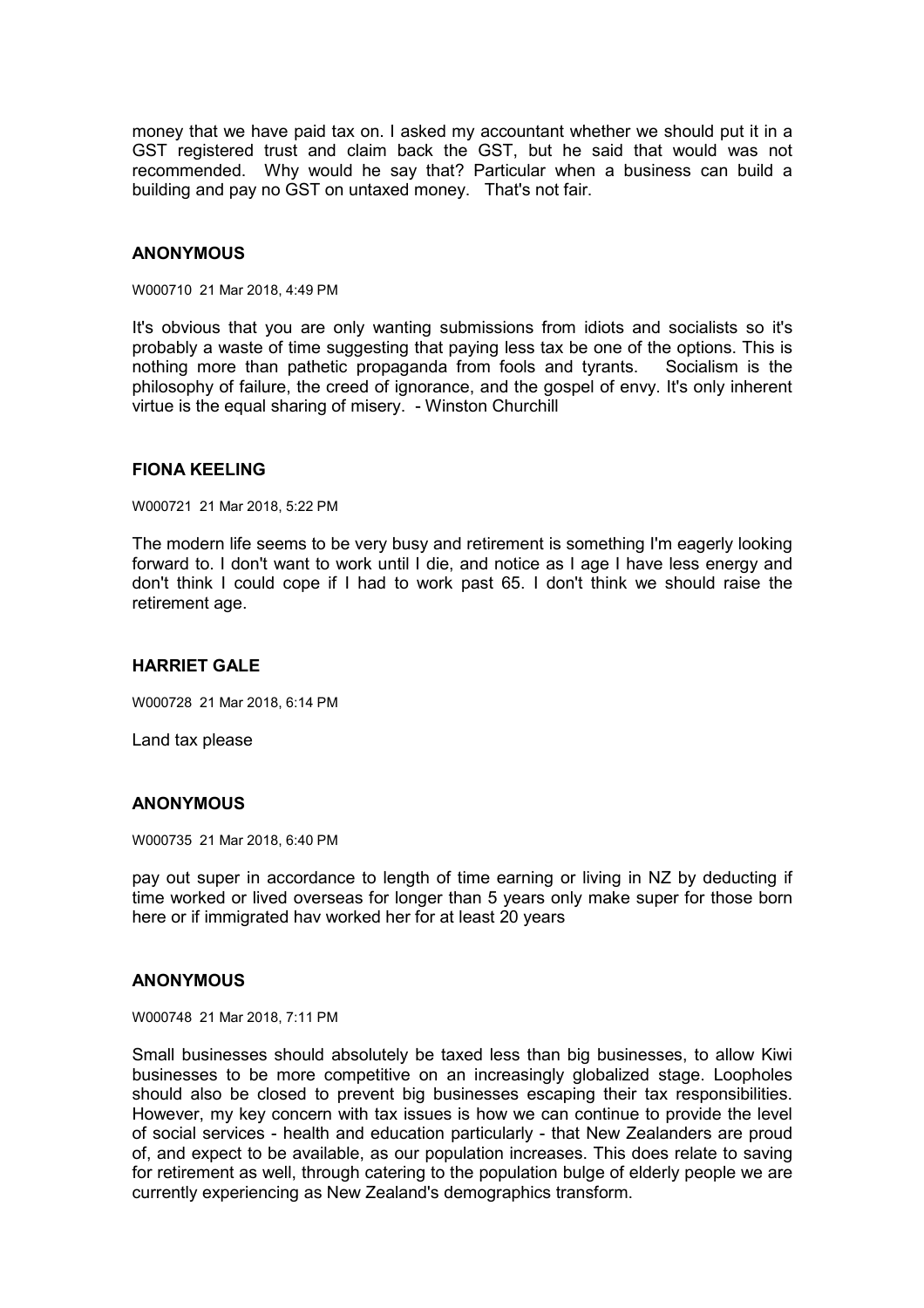money that we have paid tax on. I asked my accountant whether we should put it in a GST registered trust and claim back the GST, but he said that would was not recommended. Why would he say that? Particular when a business can build a building and pay no GST on untaxed money. That's not fair.

#### **ANONYMOUS**

W000710 21 Mar 2018, 4:49 PM

It's obvious that you are only wanting submissions from idiots and socialists so it's probably a waste of time suggesting that paying less tax be one of the options. This is nothing more than pathetic propaganda from fools and tyrants. Socialism is the philosophy of failure, the creed of ignorance, and the gospel of envy. It's only inherent virtue is the equal sharing of misery. - Winston Churchill

#### **FIONA KEELING**

W000721 21 Mar 2018, 5:22 PM

The modern life seems to be very busy and retirement is something I'm eagerly looking forward to. I don't want to work until I die, and notice as I age I have less energy and don't think I could cope if I had to work past 65. I don't think we should raise the retirement age.

# **HARRIET GALE**

W000728 21 Mar 2018, 6:14 PM

Land tax please

#### **ANONYMOUS**

W000735 21 Mar 2018, 6:40 PM

pay out super in accordance to length of time earning or living in NZ by deducting if time worked or lived overseas for longer than 5 years only make super for those born here or if immigrated hav worked her for at least 20 years

#### **ANONYMOUS**

W000748 21 Mar 2018, 7:11 PM

Small businesses should absolutely be taxed less than big businesses, to allow Kiwi businesses to be more competitive on an increasingly globalized stage. Loopholes should also be closed to prevent big businesses escaping their tax responsibilities. However, my key concern with tax issues is how we can continue to provide the level of social services - health and education particularly - that New Zealanders are proud of, and expect to be available, as our population increases. This does relate to saving for retirement as well, through catering to the population bulge of elderly people we are currently experiencing as New Zealand's demographics transform.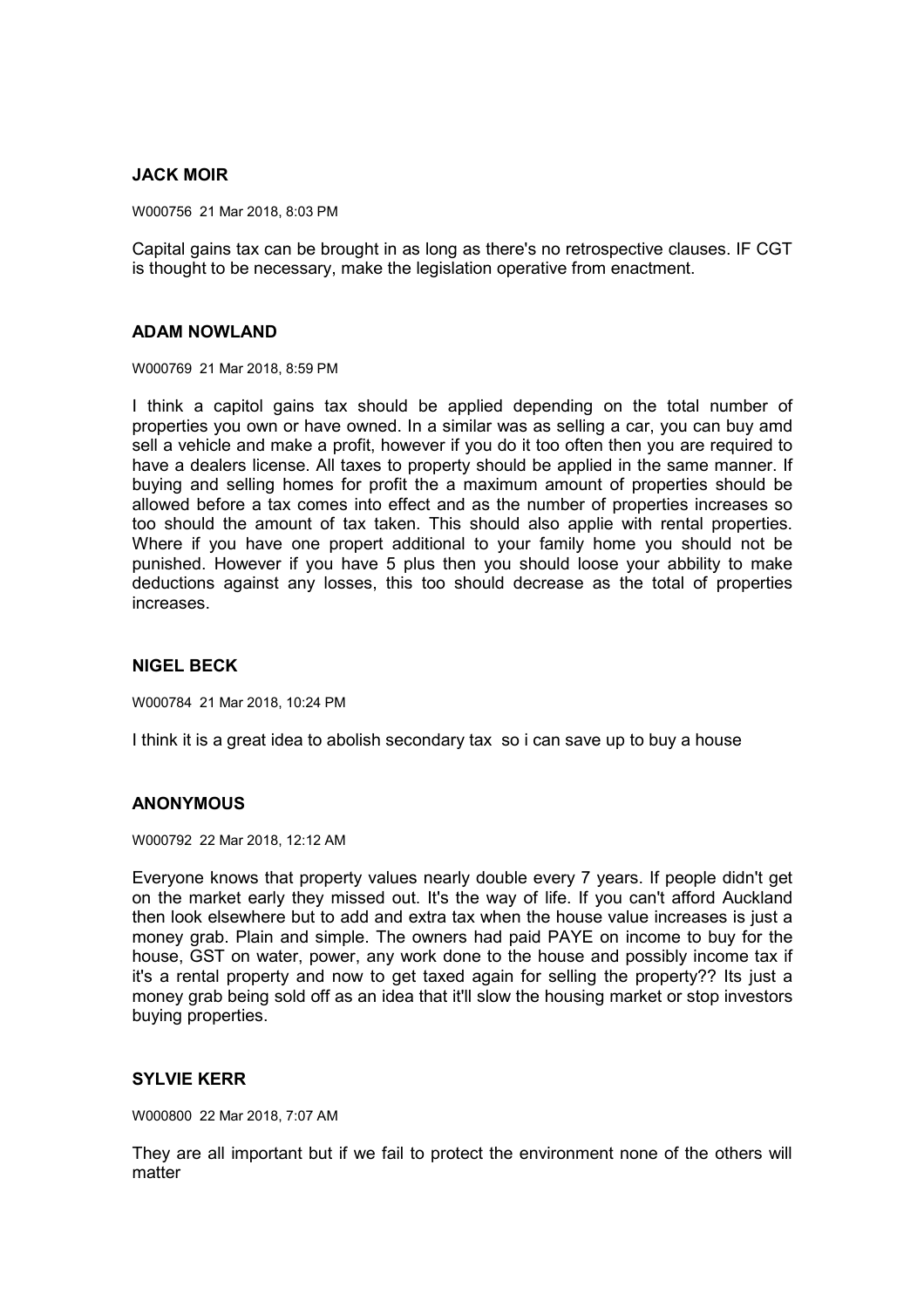## **JACK MOIR**

W000756 21 Mar 2018, 8:03 PM

Capital gains tax can be brought in as long as there's no retrospective clauses. IF CGT is thought to be necessary, make the legislation operative from enactment.

#### **ADAM NOWLAND**

W000769 21 Mar 2018, 8:59 PM

I think a capitol gains tax should be applied depending on the total number of properties you own or have owned. In a similar was as selling a car, you can buy amd sell a vehicle and make a profit, however if you do it too often then you are required to have a dealers license. All taxes to property should be applied in the same manner. If buying and selling homes for profit the a maximum amount of properties should be allowed before a tax comes into effect and as the number of properties increases so too should the amount of tax taken. This should also applie with rental properties. Where if you have one propert additional to your family home you should not be punished. However if you have 5 plus then you should loose your abbility to make deductions against any losses, this too should decrease as the total of properties increases.

## **NIGEL BECK**

W000784 21 Mar 2018, 10:24 PM

I think it is a great idea to abolish secondary tax so i can save up to buy a house

## **ANONYMOUS**

W000792 22 Mar 2018, 12:12 AM

Everyone knows that property values nearly double every 7 years. If people didn't get on the market early they missed out. It's the way of life. If you can't afford Auckland then look elsewhere but to add and extra tax when the house value increases is just a money grab. Plain and simple. The owners had paid PAYE on income to buy for the house, GST on water, power, any work done to the house and possibly income tax if it's a rental property and now to get taxed again for selling the property?? Its just a money grab being sold off as an idea that it'll slow the housing market or stop investors buying properties.

## **SYLVIE KERR**

W000800 22 Mar 2018, 7:07 AM

They are all important but if we fail to protect the environment none of the others will matter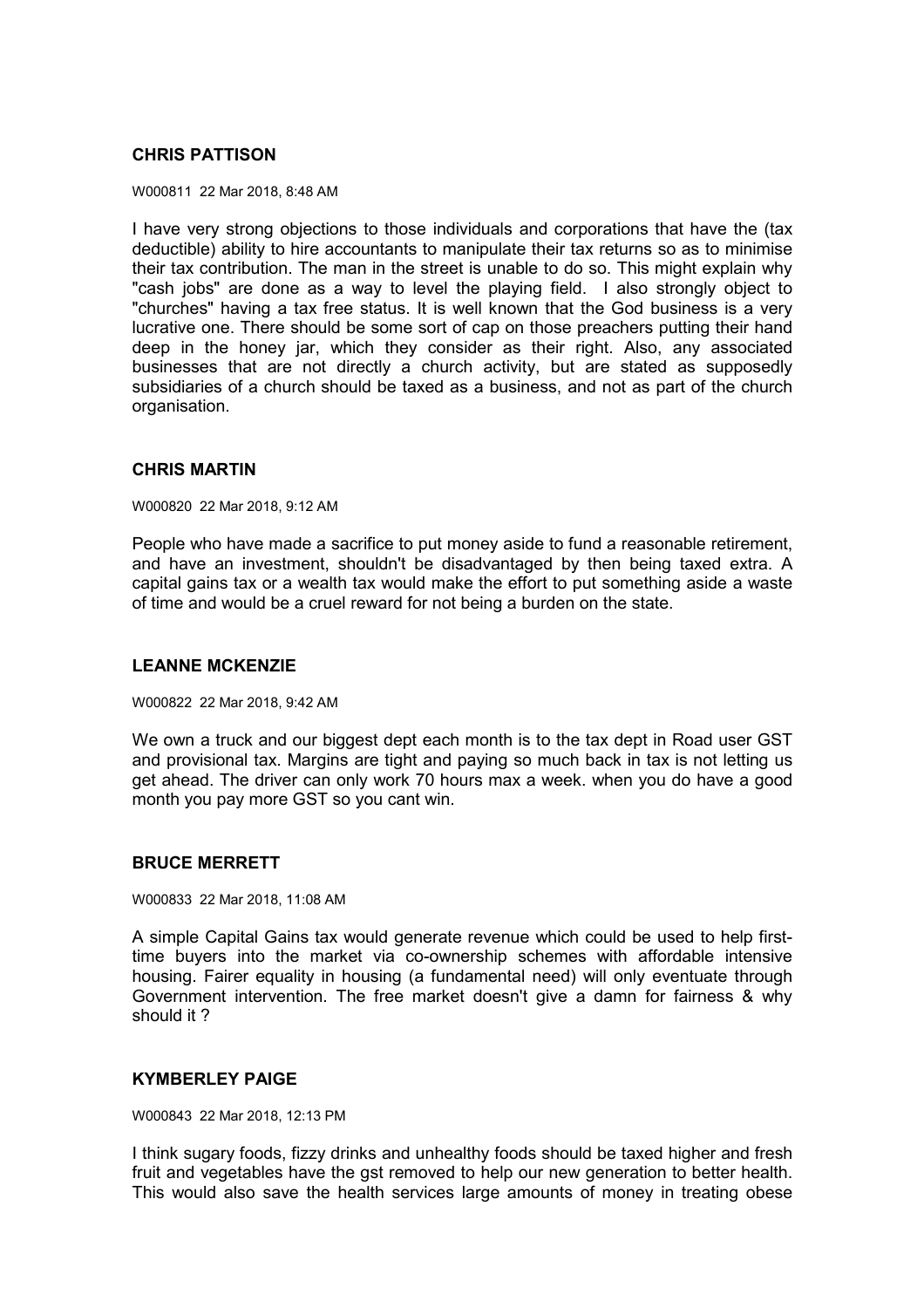# **CHRIS PATTISON**

W000811 22 Mar 2018, 8:48 AM

I have very strong objections to those individuals and corporations that have the (tax deductible) ability to hire accountants to manipulate their tax returns so as to minimise their tax contribution. The man in the street is unable to do so. This might explain why "cash jobs" are done as a way to level the playing field. I also strongly object to "churches" having a tax free status. It is well known that the God business is a very lucrative one. There should be some sort of cap on those preachers putting their hand deep in the honey jar, which they consider as their right. Also, any associated businesses that are not directly a church activity, but are stated as supposedly subsidiaries of a church should be taxed as a business, and not as part of the church organisation.

## **CHRIS MARTIN**

W000820 22 Mar 2018, 9:12 AM

People who have made a sacrifice to put money aside to fund a reasonable retirement, and have an investment, shouldn't be disadvantaged by then being taxed extra. A capital gains tax or a wealth tax would make the effort to put something aside a waste of time and would be a cruel reward for not being a burden on the state.

## **LEANNE MCKENZIE**

W000822 22 Mar 2018, 9:42 AM

We own a truck and our biggest dept each month is to the tax dept in Road user GST and provisional tax. Margins are tight and paying so much back in tax is not letting us get ahead. The driver can only work 70 hours max a week. when you do have a good month you pay more GST so you cant win.

## **BRUCE MERRETT**

W000833 22 Mar 2018, 11:08 AM

A simple Capital Gains tax would generate revenue which could be used to help firsttime buyers into the market via co-ownership schemes with affordable intensive housing. Fairer equality in housing (a fundamental need) will only eventuate through Government intervention. The free market doesn't give a damn for fairness & why should it ?

## **KYMBERLEY PAIGE**

W000843 22 Mar 2018, 12:13 PM

I think sugary foods, fizzy drinks and unhealthy foods should be taxed higher and fresh fruit and vegetables have the gst removed to help our new generation to better health. This would also save the health services large amounts of money in treating obese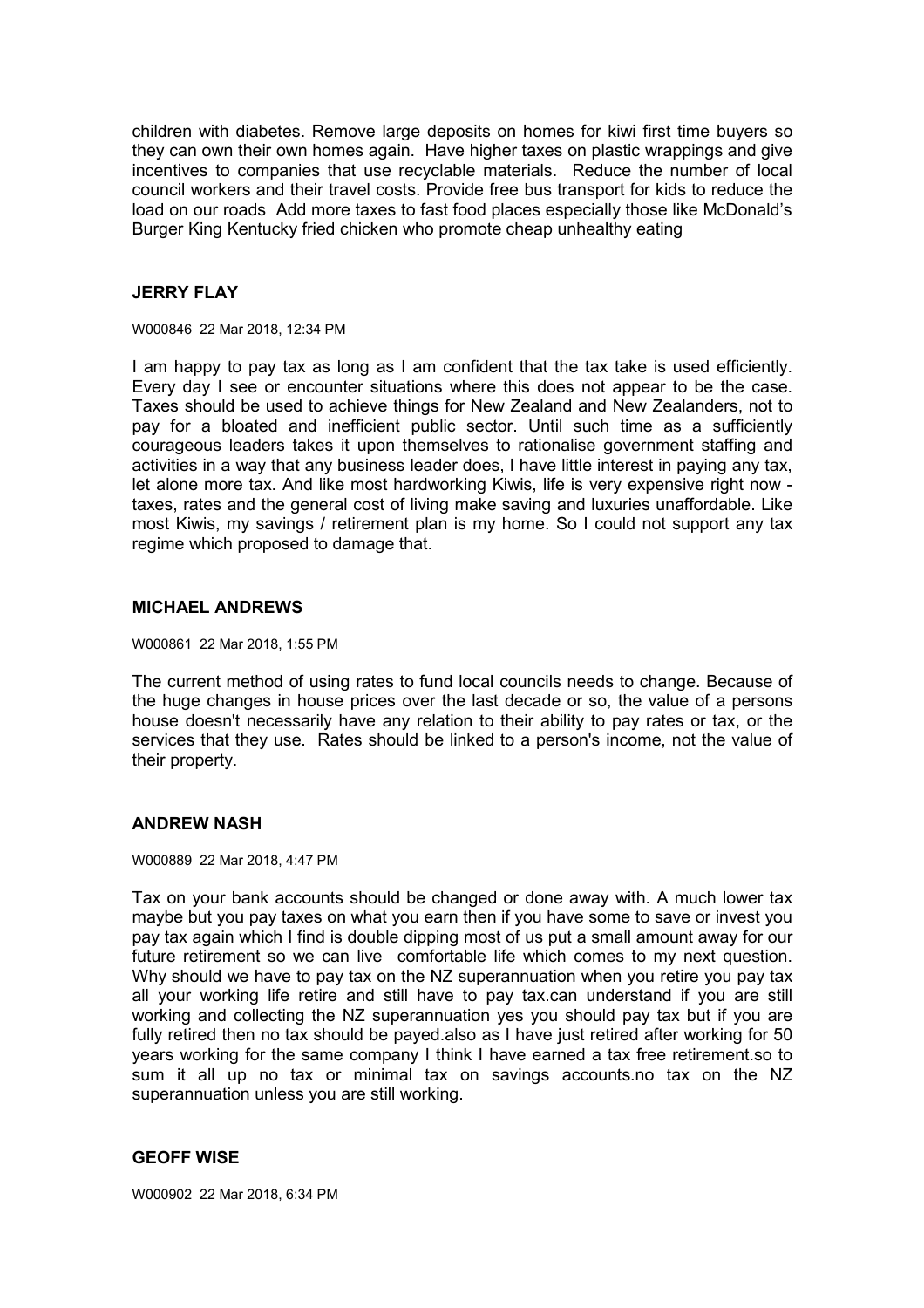children with diabetes. Remove large deposits on homes for kiwi first time buyers so they can own their own homes again. Have higher taxes on plastic wrappings and give incentives to companies that use recyclable materials. Reduce the number of local council workers and their travel costs. Provide free bus transport for kids to reduce the load on our roads Add more taxes to fast food places especially those like McDonald's Burger King Kentucky fried chicken who promote cheap unhealthy eating

## **JERRY FLAY**

W000846 22 Mar 2018, 12:34 PM

I am happy to pay tax as long as I am confident that the tax take is used efficiently. Every day I see or encounter situations where this does not appear to be the case. Taxes should be used to achieve things for New Zealand and New Zealanders, not to pay for a bloated and inefficient public sector. Until such time as a sufficiently courageous leaders takes it upon themselves to rationalise government staffing and activities in a way that any business leader does, I have little interest in paying any tax, let alone more tax. And like most hardworking Kiwis, life is very expensive right now taxes, rates and the general cost of living make saving and luxuries unaffordable. Like most Kiwis, my savings / retirement plan is my home. So I could not support any tax regime which proposed to damage that.

#### **MICHAEL ANDREWS**

W000861 22 Mar 2018, 1:55 PM

The current method of using rates to fund local councils needs to change. Because of the huge changes in house prices over the last decade or so, the value of a persons house doesn't necessarily have any relation to their ability to pay rates or tax, or the services that they use. Rates should be linked to a person's income, not the value of their property.

#### **ANDREW NASH**

W000889 22 Mar 2018, 4:47 PM

Tax on your bank accounts should be changed or done away with. A much lower tax maybe but you pay taxes on what you earn then if you have some to save or invest you pay tax again which I find is double dipping most of us put a small amount away for our future retirement so we can live comfortable life which comes to my next question. Why should we have to pay tax on the NZ superannuation when you retire you pay tax all your working life retire and still have to pay tax.can understand if you are still working and collecting the NZ superannuation yes you should pay tax but if you are fully retired then no tax should be payed.also as I have just retired after working for 50 years working for the same company I think I have earned a tax free retirement.so to sum it all up no tax or minimal tax on savings accounts.no tax on the NZ superannuation unless you are still working.

#### **GEOFF WISE**

W000902 22 Mar 2018, 6:34 PM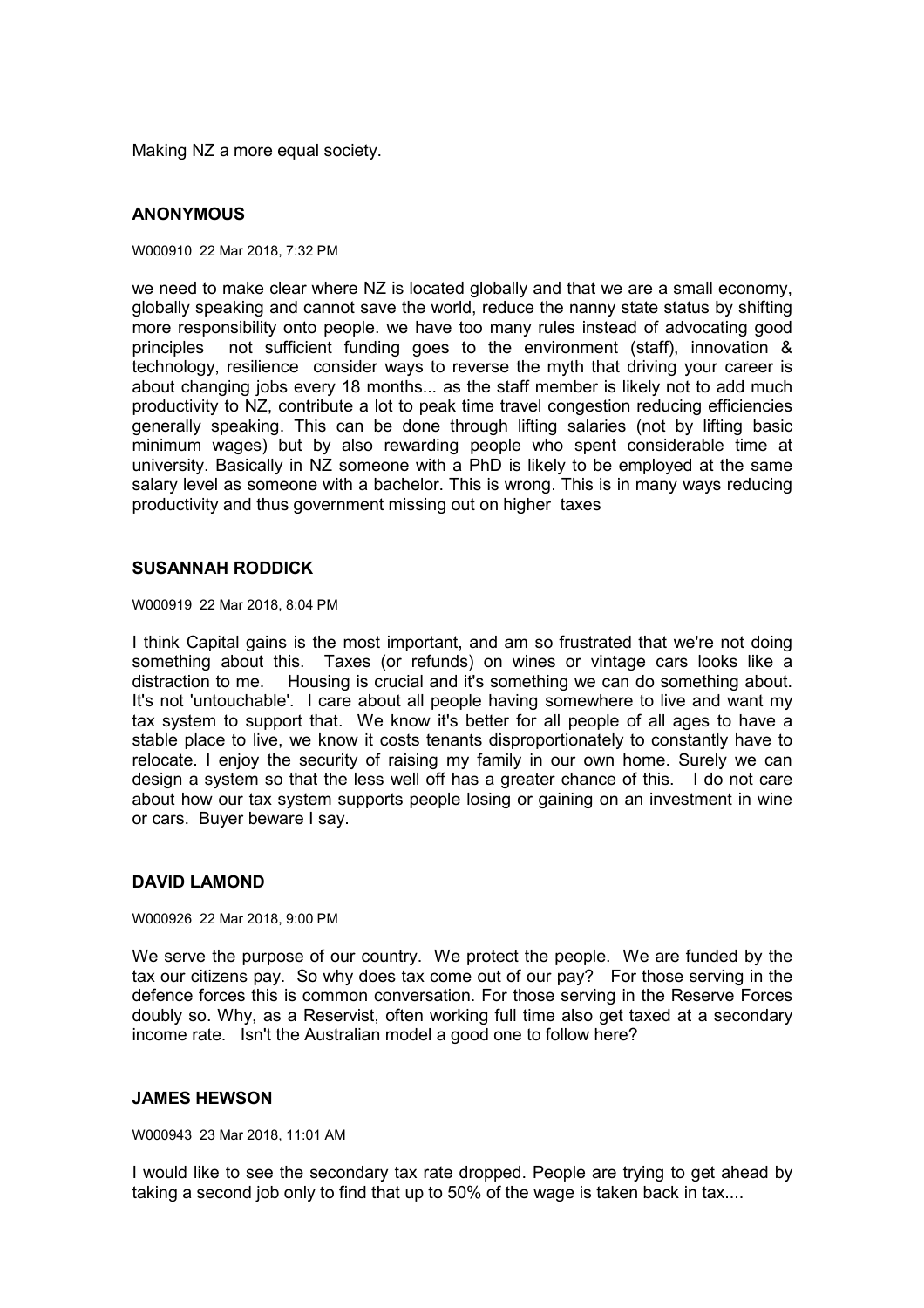Making NZ a more equal society.

## **ANONYMOUS**

W000910 22 Mar 2018, 7:32 PM

we need to make clear where NZ is located globally and that we are a small economy, globally speaking and cannot save the world, reduce the nanny state status by shifting more responsibility onto people. we have too many rules instead of advocating good principles not sufficient funding goes to the environment (staff), innovation & technology, resilience consider ways to reverse the myth that driving your career is about changing jobs every 18 months... as the staff member is likely not to add much productivity to NZ, contribute a lot to peak time travel congestion reducing efficiencies generally speaking. This can be done through lifting salaries (not by lifting basic minimum wages) but by also rewarding people who spent considerable time at university. Basically in NZ someone with a PhD is likely to be employed at the same salary level as someone with a bachelor. This is wrong. This is in many ways reducing productivity and thus government missing out on higher taxes

## **SUSANNAH RODDICK**

W000919 22 Mar 2018, 8:04 PM

I think Capital gains is the most important, and am so frustrated that we're not doing something about this. Taxes (or refunds) on wines or vintage cars looks like a distraction to me. Housing is crucial and it's something we can do something about. It's not 'untouchable'. I care about all people having somewhere to live and want my tax system to support that. We know it's better for all people of all ages to have a stable place to live, we know it costs tenants disproportionately to constantly have to relocate. I enjoy the security of raising my family in our own home. Surely we can design a system so that the less well off has a greater chance of this. I do not care about how our tax system supports people losing or gaining on an investment in wine or cars. Buyer beware I say.

## **DAVID LAMOND**

W000926 22 Mar 2018, 9:00 PM

We serve the purpose of our country. We protect the people. We are funded by the tax our citizens pay. So why does tax come out of our pay? For those serving in the defence forces this is common conversation. For those serving in the Reserve Forces doubly so. Why, as a Reservist, often working full time also get taxed at a secondary income rate. Isn't the Australian model a good one to follow here?

#### **JAMES HEWSON**

W000943 23 Mar 2018, 11:01 AM

I would like to see the secondary tax rate dropped. People are trying to get ahead by taking a second job only to find that up to 50% of the wage is taken back in tax....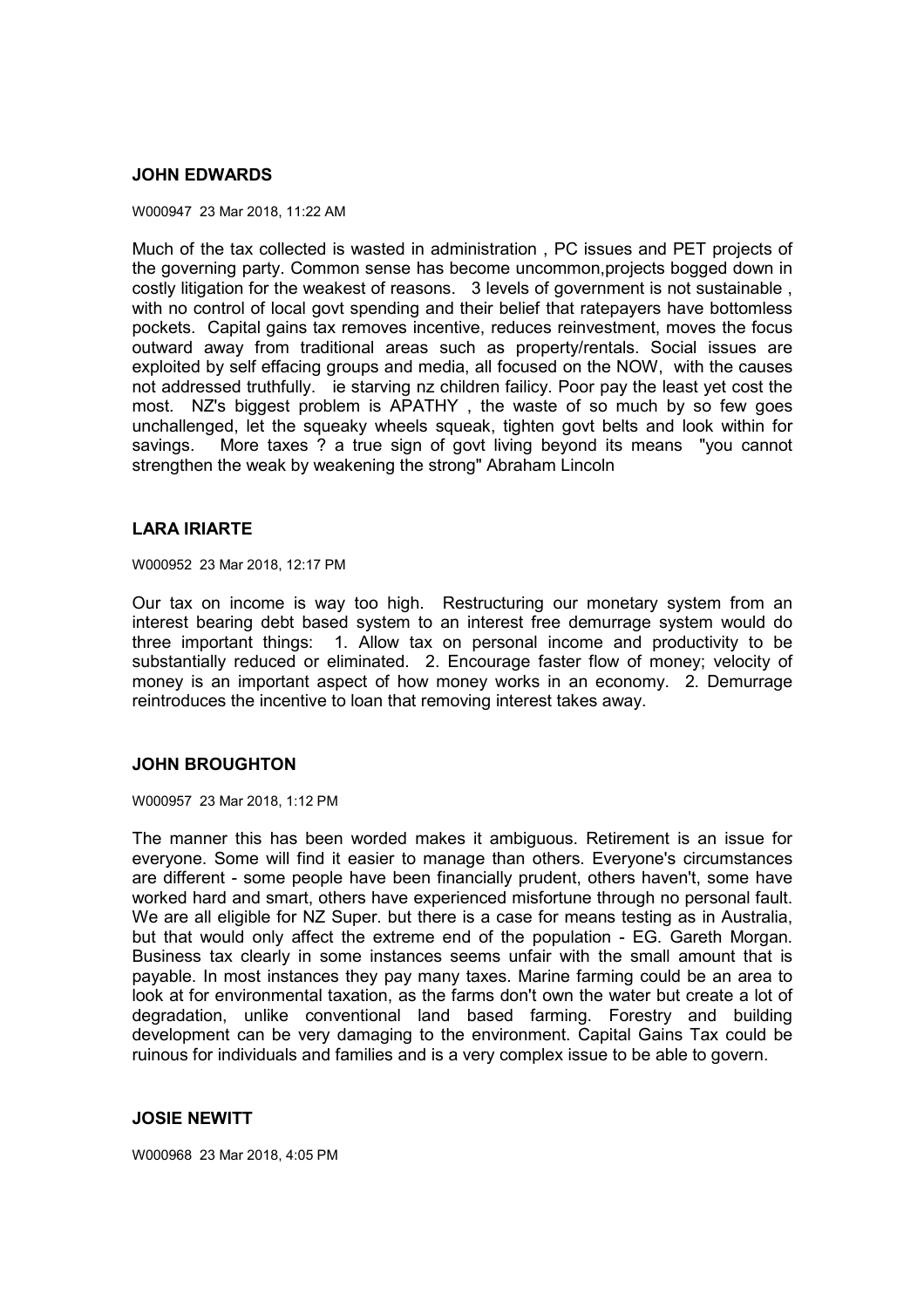#### **JOHN EDWARDS**

#### W000947 23 Mar 2018, 11:22 AM

Much of the tax collected is wasted in administration , PC issues and PET projects of the governing party. Common sense has become uncommon,projects bogged down in costly litigation for the weakest of reasons. 3 levels of government is not sustainable , with no control of local govt spending and their belief that ratepayers have bottomless pockets. Capital gains tax removes incentive, reduces reinvestment, moves the focus outward away from traditional areas such as property/rentals. Social issues are exploited by self effacing groups and media, all focused on the NOW, with the causes not addressed truthfully. ie starving nz children failicy. Poor pay the least yet cost the most. NZ's biggest problem is APATHY , the waste of so much by so few goes unchallenged, let the squeaky wheels squeak, tighten govt belts and look within for savings. More taxes ? a true sign of govt living beyond its means "you cannot strengthen the weak by weakening the strong" Abraham Lincoln

#### **LARA IRIARTE**

W000952 23 Mar 2018, 12:17 PM

Our tax on income is way too high. Restructuring our monetary system from an interest bearing debt based system to an interest free demurrage system would do three important things: 1. Allow tax on personal income and productivity to be substantially reduced or eliminated. 2. Encourage faster flow of money; velocity of money is an important aspect of how money works in an economy. 2. Demurrage reintroduces the incentive to loan that removing interest takes away.

#### **JOHN BROUGHTON**

W000957 23 Mar 2018, 1:12 PM

The manner this has been worded makes it ambiguous. Retirement is an issue for everyone. Some will find it easier to manage than others. Everyone's circumstances are different - some people have been financially prudent, others haven't, some have worked hard and smart, others have experienced misfortune through no personal fault. We are all eligible for NZ Super. but there is a case for means testing as in Australia, but that would only affect the extreme end of the population - EG. Gareth Morgan. Business tax clearly in some instances seems unfair with the small amount that is payable. In most instances they pay many taxes. Marine farming could be an area to look at for environmental taxation, as the farms don't own the water but create a lot of degradation, unlike conventional land based farming. Forestry and building development can be very damaging to the environment. Capital Gains Tax could be ruinous for individuals and families and is a very complex issue to be able to govern.

#### **JOSIE NEWITT**

W000968 23 Mar 2018, 4:05 PM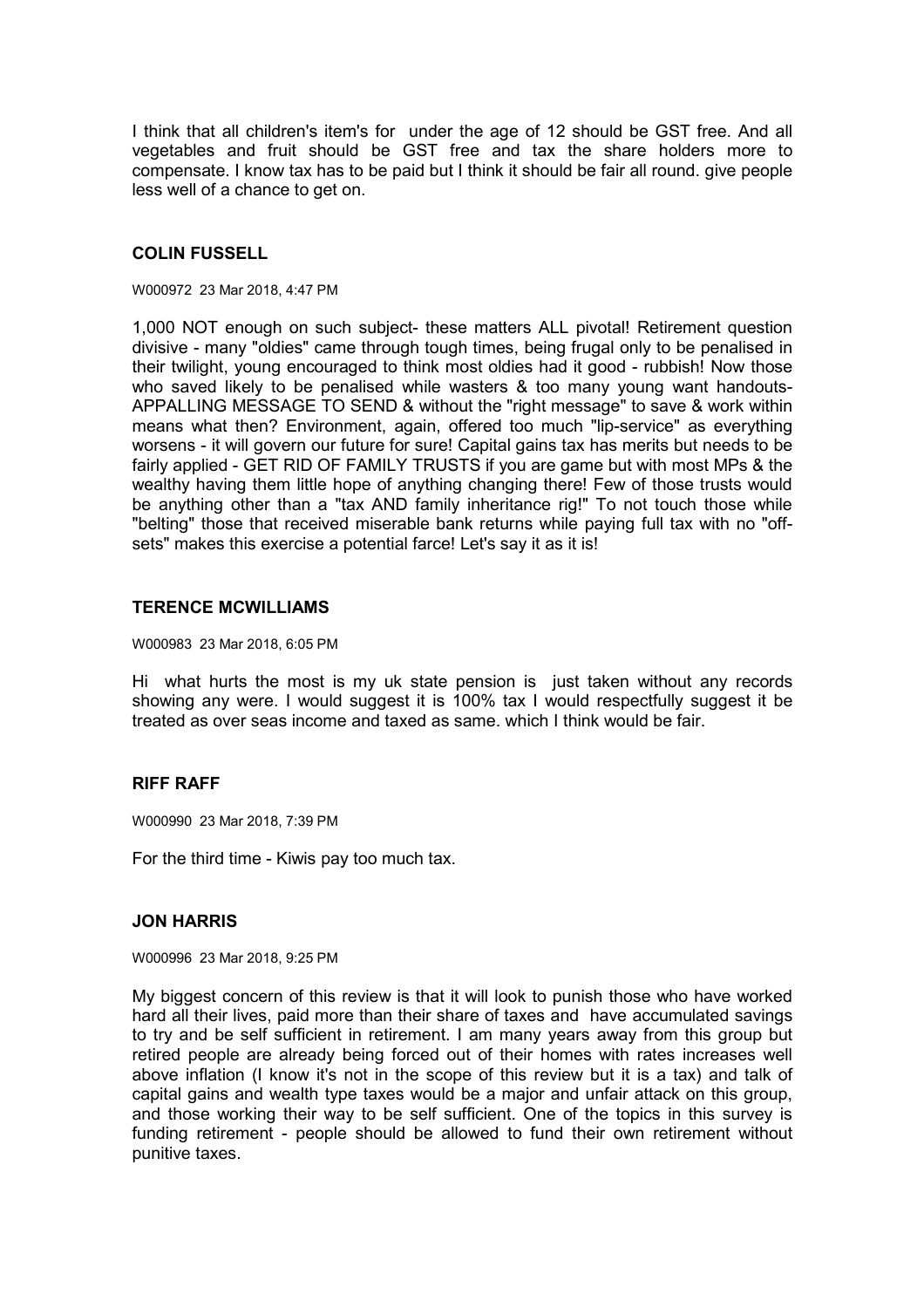I think that all children's item's for under the age of 12 should be GST free. And all vegetables and fruit should be GST free and tax the share holders more to compensate. I know tax has to be paid but I think it should be fair all round. give people less well of a chance to get on.

#### **COLIN FUSSELL**

#### W000972 23 Mar 2018, 4:47 PM

1,000 NOT enough on such subject- these matters ALL pivotal! Retirement question divisive - many "oldies" came through tough times, being frugal only to be penalised in their twilight, young encouraged to think most oldies had it good - rubbish! Now those who saved likely to be penalised while wasters & too many young want handouts-APPALLING MESSAGE TO SEND & without the "right message" to save & work within means what then? Environment, again, offered too much "lip-service" as everything worsens - it will govern our future for sure! Capital gains tax has merits but needs to be fairly applied - GET RID OF FAMILY TRUSTS if you are game but with most MPs & the wealthy having them little hope of anything changing there! Few of those trusts would be anything other than a "tax AND family inheritance rig!" To not touch those while "belting" those that received miserable bank returns while paying full tax with no "offsets" makes this exercise a potential farce! Let's say it as it is!

#### **TERENCE MCWILLIAMS**

#### W000983 23 Mar 2018, 6:05 PM

Hi what hurts the most is my uk state pension is just taken without any records showing any were. I would suggest it is 100% tax I would respectfully suggest it be treated as over seas income and taxed as same. which I think would be fair.

## **RIFF RAFF**

W000990 23 Mar 2018, 7:39 PM

For the third time - Kiwis pay too much tax.

#### **JON HARRIS**

W000996 23 Mar 2018, 9:25 PM

My biggest concern of this review is that it will look to punish those who have worked hard all their lives, paid more than their share of taxes and have accumulated savings to try and be self sufficient in retirement. I am many years away from this group but retired people are already being forced out of their homes with rates increases well above inflation (I know it's not in the scope of this review but it is a tax) and talk of capital gains and wealth type taxes would be a major and unfair attack on this group, and those working their way to be self sufficient. One of the topics in this survey is funding retirement - people should be allowed to fund their own retirement without punitive taxes.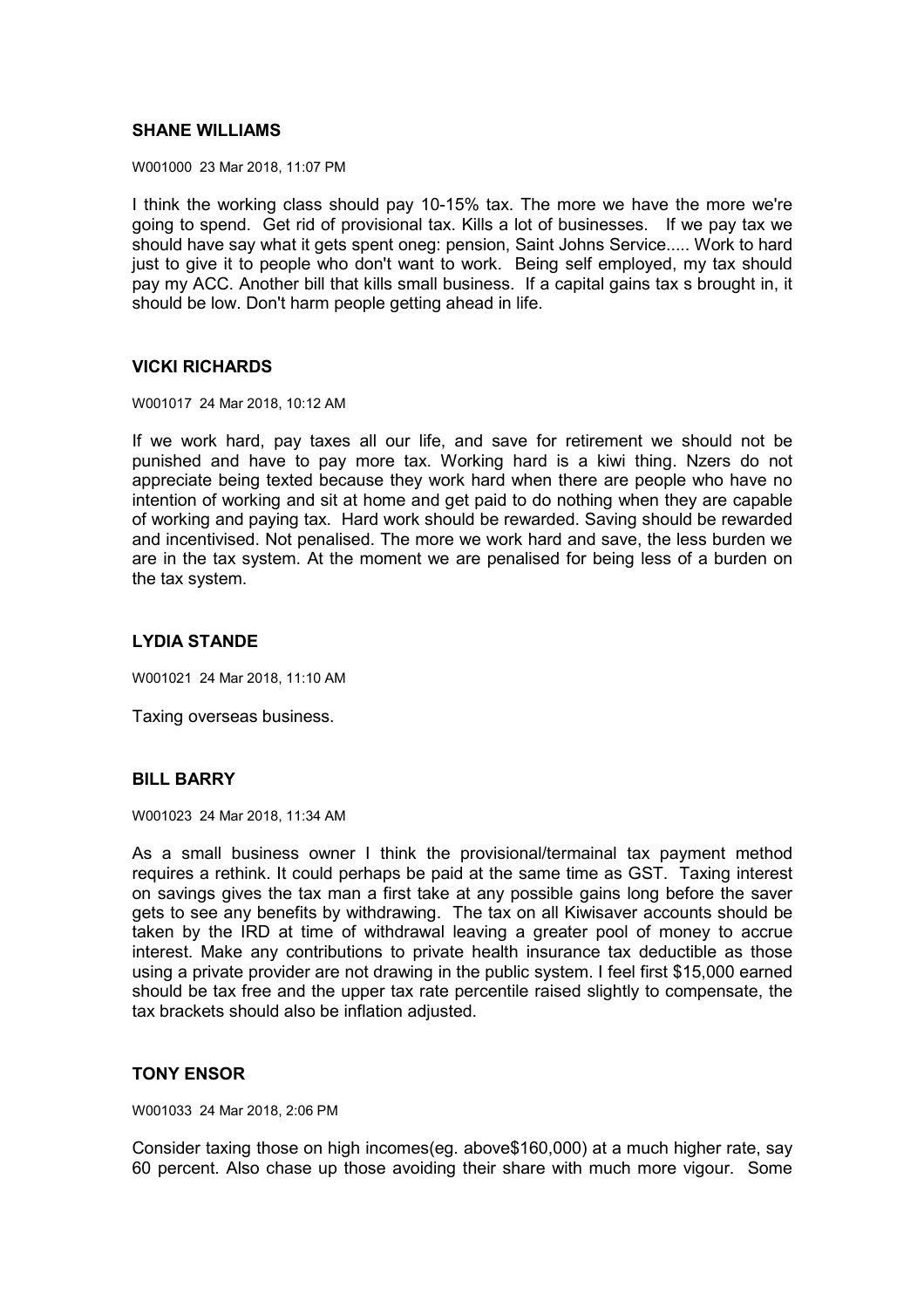## **SHANE WILLIAMS**

W001000 23 Mar 2018, 11:07 PM

I think the working class should pay 10-15% tax. The more we have the more we're going to spend. Get rid of provisional tax. Kills a lot of businesses. If we pay tax we should have say what it gets spent oneg: pension, Saint Johns Service..... Work to hard just to give it to people who don't want to work. Being self employed, my tax should pay my ACC. Another bill that kills small business. If a capital gains tax s brought in, it should be low. Don't harm people getting ahead in life.

## **VICKI RICHARDS**

W001017 24 Mar 2018, 10:12 AM

If we work hard, pay taxes all our life, and save for retirement we should not be punished and have to pay more tax. Working hard is a kiwi thing. Nzers do not appreciate being texted because they work hard when there are people who have no intention of working and sit at home and get paid to do nothing when they are capable of working and paying tax. Hard work should be rewarded. Saving should be rewarded and incentivised. Not penalised. The more we work hard and save, the less burden we are in the tax system. At the moment we are penalised for being less of a burden on the tax system.

# **LYDIA STANDE**

W001021 24 Mar 2018, 11:10 AM

Taxing overseas business.

## **BILL BARRY**

W001023 24 Mar 2018, 11:34 AM

As a small business owner I think the provisional/termainal tax payment method requires a rethink. It could perhaps be paid at the same time as GST. Taxing interest on savings gives the tax man a first take at any possible gains long before the saver gets to see any benefits by withdrawing. The tax on all Kiwisaver accounts should be taken by the IRD at time of withdrawal leaving a greater pool of money to accrue interest. Make any contributions to private health insurance tax deductible as those using a private provider are not drawing in the public system. I feel first \$15,000 earned should be tax free and the upper tax rate percentile raised slightly to compensate, the tax brackets should also be inflation adjusted.

## **TONY ENSOR**

W001033 24 Mar 2018, 2:06 PM

Consider taxing those on high incomes(eg. above\$160,000) at a much higher rate, say 60 percent. Also chase up those avoiding their share with much more vigour. Some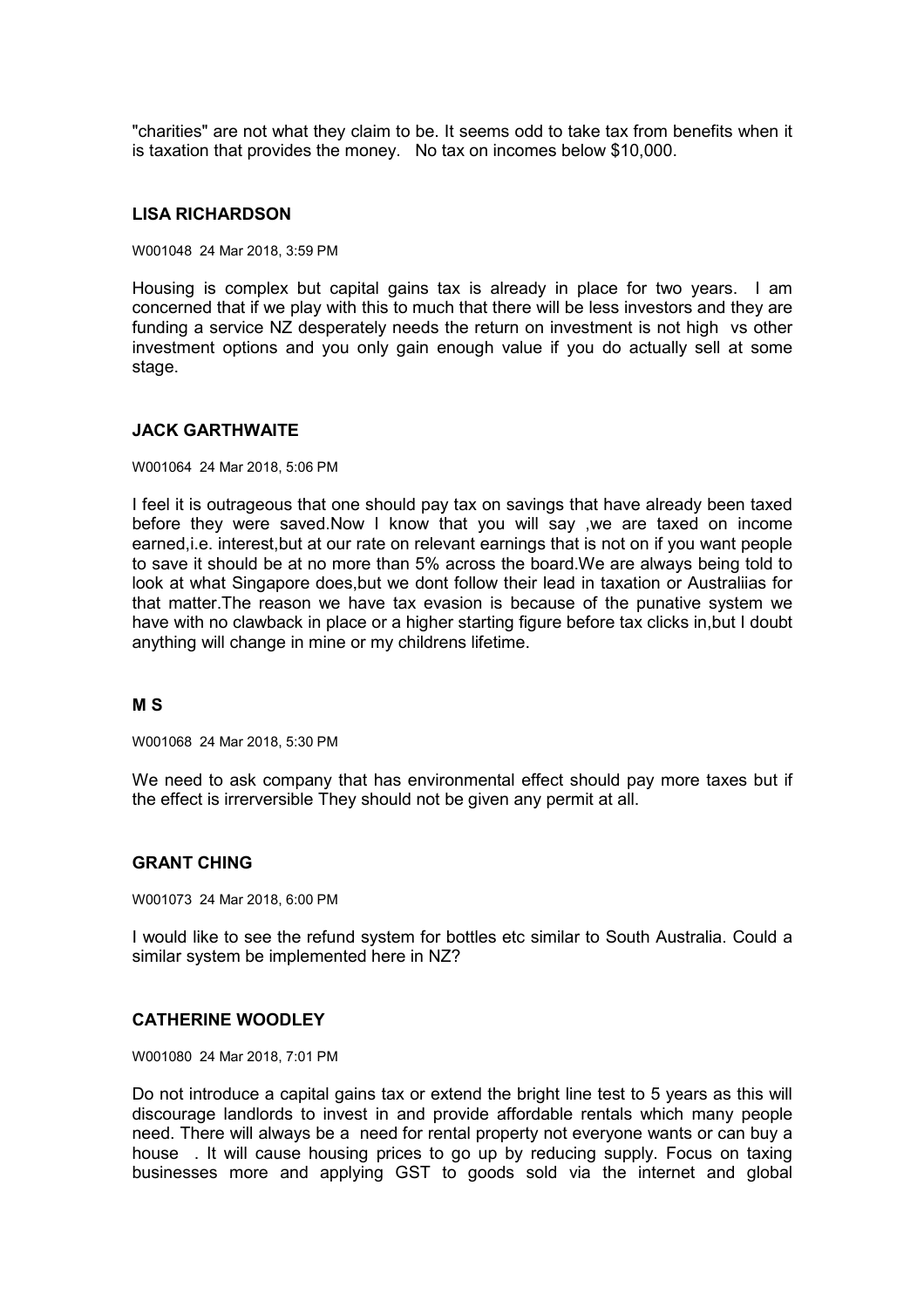"charities" are not what they claim to be. It seems odd to take tax from benefits when it is taxation that provides the money. No tax on incomes below \$10,000.

### **LISA RICHARDSON**

W001048 24 Mar 2018, 3:59 PM

Housing is complex but capital gains tax is already in place for two years. I am concerned that if we play with this to much that there will be less investors and they are funding a service NZ desperately needs the return on investment is not high vs other investment options and you only gain enough value if you do actually sell at some stage.

### **JACK GARTHWAITE**

#### W001064 24 Mar 2018, 5:06 PM

I feel it is outrageous that one should pay tax on savings that have already been taxed before they were saved.Now I know that you will say ,we are taxed on income earned,i.e. interest,but at our rate on relevant earnings that is not on if you want people to save it should be at no more than 5% across the board.We are always being told to look at what Singapore does,but we dont follow their lead in taxation or Australiias for that matter.The reason we have tax evasion is because of the punative system we have with no clawback in place or a higher starting figure before tax clicks in,but I doubt anything will change in mine or my childrens lifetime.

## **M S**

W001068 24 Mar 2018, 5:30 PM

We need to ask company that has environmental effect should pay more taxes but if the effect is irrerversible They should not be given any permit at all.

## **GRANT CHING**

W001073 24 Mar 2018, 6:00 PM

I would like to see the refund system for bottles etc similar to South Australia. Could a similar system be implemented here in NZ?

## **CATHERINE WOODLEY**

W001080 24 Mar 2018, 7:01 PM

Do not introduce a capital gains tax or extend the bright line test to 5 years as this will discourage landlords to invest in and provide affordable rentals which many people need. There will always be a need for rental property not everyone wants or can buy a house . It will cause housing prices to go up by reducing supply. Focus on taxing businesses more and applying GST to goods sold via the internet and global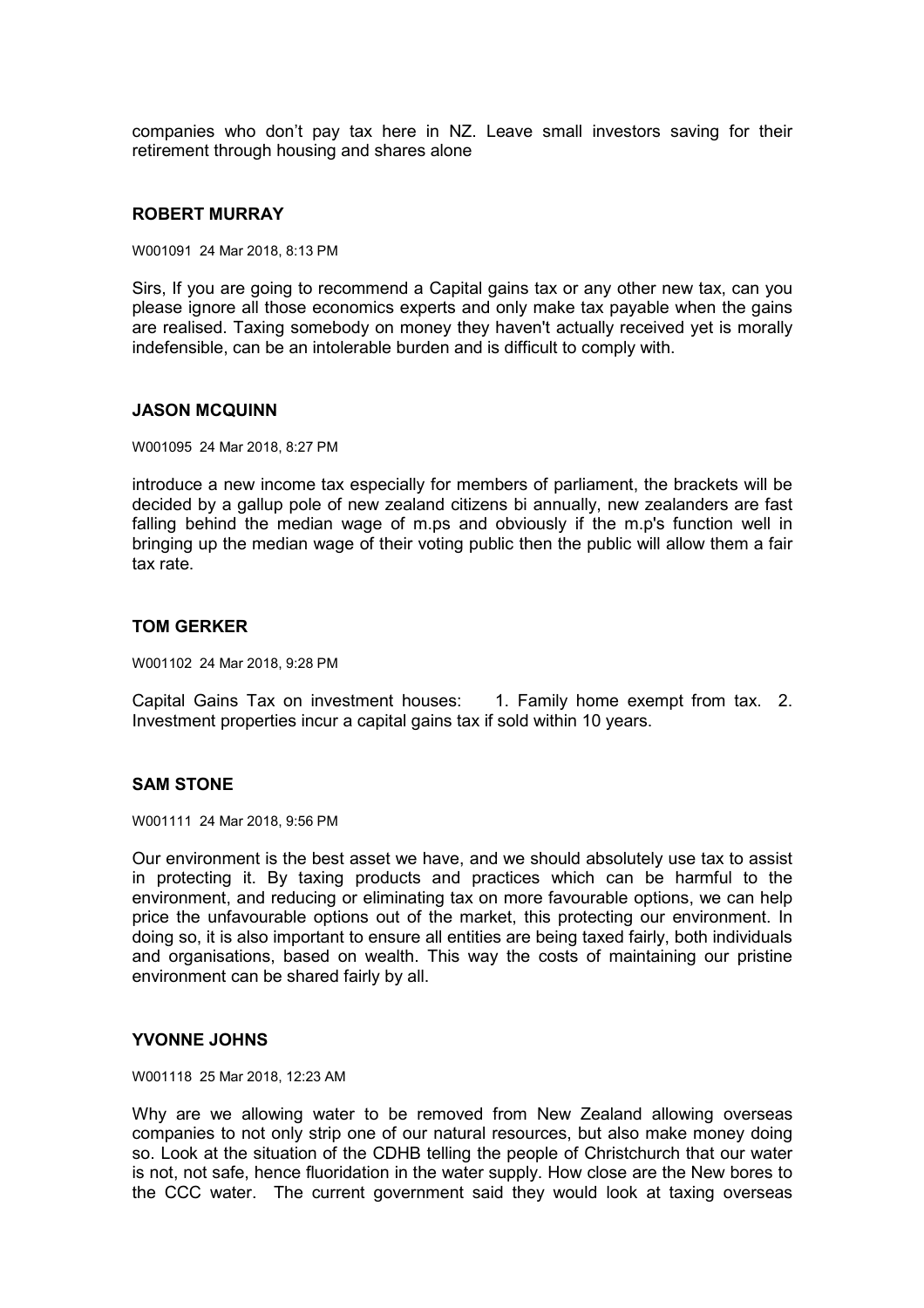companies who don't pay tax here in NZ. Leave small investors saving for their retirement through housing and shares alone

### **ROBERT MURRAY**

W001091 24 Mar 2018, 8:13 PM

Sirs, If you are going to recommend a Capital gains tax or any other new tax, can you please ignore all those economics experts and only make tax payable when the gains are realised. Taxing somebody on money they haven't actually received yet is morally indefensible, can be an intolerable burden and is difficult to comply with.

### **JASON MCQUINN**

W001095 24 Mar 2018, 8:27 PM

introduce a new income tax especially for members of parliament, the brackets will be decided by a gallup pole of new zealand citizens bi annually, new zealanders are fast falling behind the median wage of m.ps and obviously if the m.p's function well in bringing up the median wage of their voting public then the public will allow them a fair tax rate.

### **TOM GERKER**

W001102 24 Mar 2018, 9:28 PM

Capital Gains Tax on investment houses: 1. Family home exempt from tax. 2. Investment properties incur a capital gains tax if sold within 10 years.

## **SAM STONE**

W001111 24 Mar 2018, 9:56 PM

Our environment is the best asset we have, and we should absolutely use tax to assist in protecting it. By taxing products and practices which can be harmful to the environment, and reducing or eliminating tax on more favourable options, we can help price the unfavourable options out of the market, this protecting our environment. In doing so, it is also important to ensure all entities are being taxed fairly, both individuals and organisations, based on wealth. This way the costs of maintaining our pristine environment can be shared fairly by all.

### **YVONNE JOHNS**

W001118 25 Mar 2018, 12:23 AM

Why are we allowing water to be removed from New Zealand allowing overseas companies to not only strip one of our natural resources, but also make money doing so. Look at the situation of the CDHB telling the people of Christchurch that our water is not, not safe, hence fluoridation in the water supply. How close are the New bores to the CCC water. The current government said they would look at taxing overseas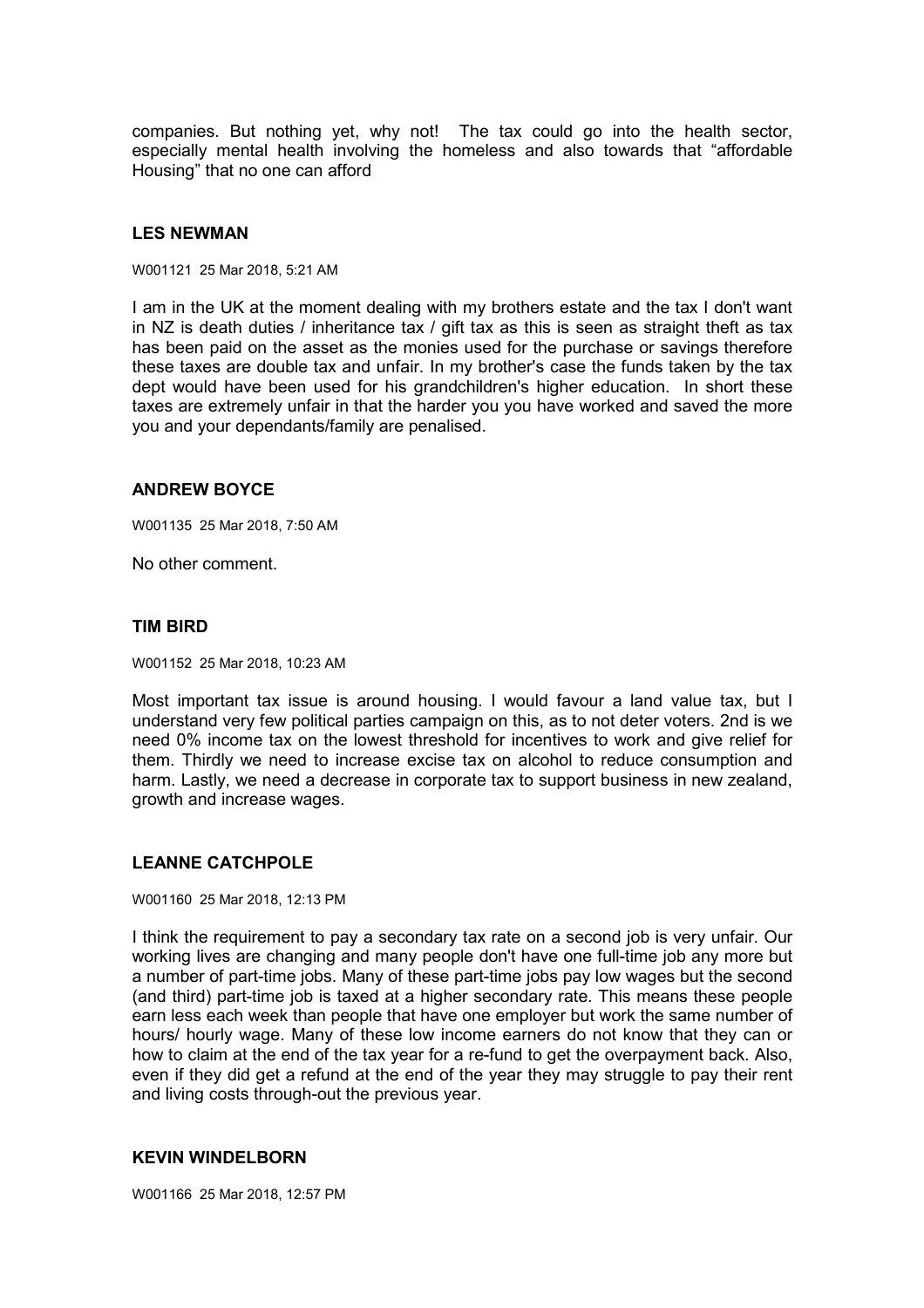companies. But nothing yet, why not! The tax could go into the health sector, especially mental health involving the homeless and also towards that "affordable Housing" that no one can afford

## **LES NEWMAN**

W001121 25 Mar 2018, 5:21 AM

I am in the UK at the moment dealing with my brothers estate and the tax I don't want in NZ is death duties / inheritance tax / gift tax as this is seen as straight theft as tax has been paid on the asset as the monies used for the purchase or savings therefore these taxes are double tax and unfair. In my brother's case the funds taken by the tax dept would have been used for his grandchildren's higher education. In short these taxes are extremely unfair in that the harder you you have worked and saved the more you and your dependants/family are penalised.

### **ANDREW BOYCE**

W001135 25 Mar 2018, 7:50 AM

No other comment.

### **TIM BIRD**

W001152 25 Mar 2018, 10:23 AM

Most important tax issue is around housing. I would favour a land value tax, but I understand very few political parties campaign on this, as to not deter voters. 2nd is we need 0% income tax on the lowest threshold for incentives to work and give relief for them. Thirdly we need to increase excise tax on alcohol to reduce consumption and harm. Lastly, we need a decrease in corporate tax to support business in new zealand, growth and increase wages.

### **LEANNE CATCHPOLE**

W001160 25 Mar 2018, 12:13 PM

I think the requirement to pay a secondary tax rate on a second job is very unfair. Our working lives are changing and many people don't have one full-time job any more but a number of part-time jobs. Many of these part-time jobs pay low wages but the second (and third) part-time job is taxed at a higher secondary rate. This means these people earn less each week than people that have one employer but work the same number of hours/ hourly wage. Many of these low income earners do not know that they can or how to claim at the end of the tax year for a re-fund to get the overpayment back. Also, even if they did get a refund at the end of the year they may struggle to pay their rent and living costs through-out the previous year.

### **KEVIN WINDELBORN**

W001166 25 Mar 2018, 12:57 PM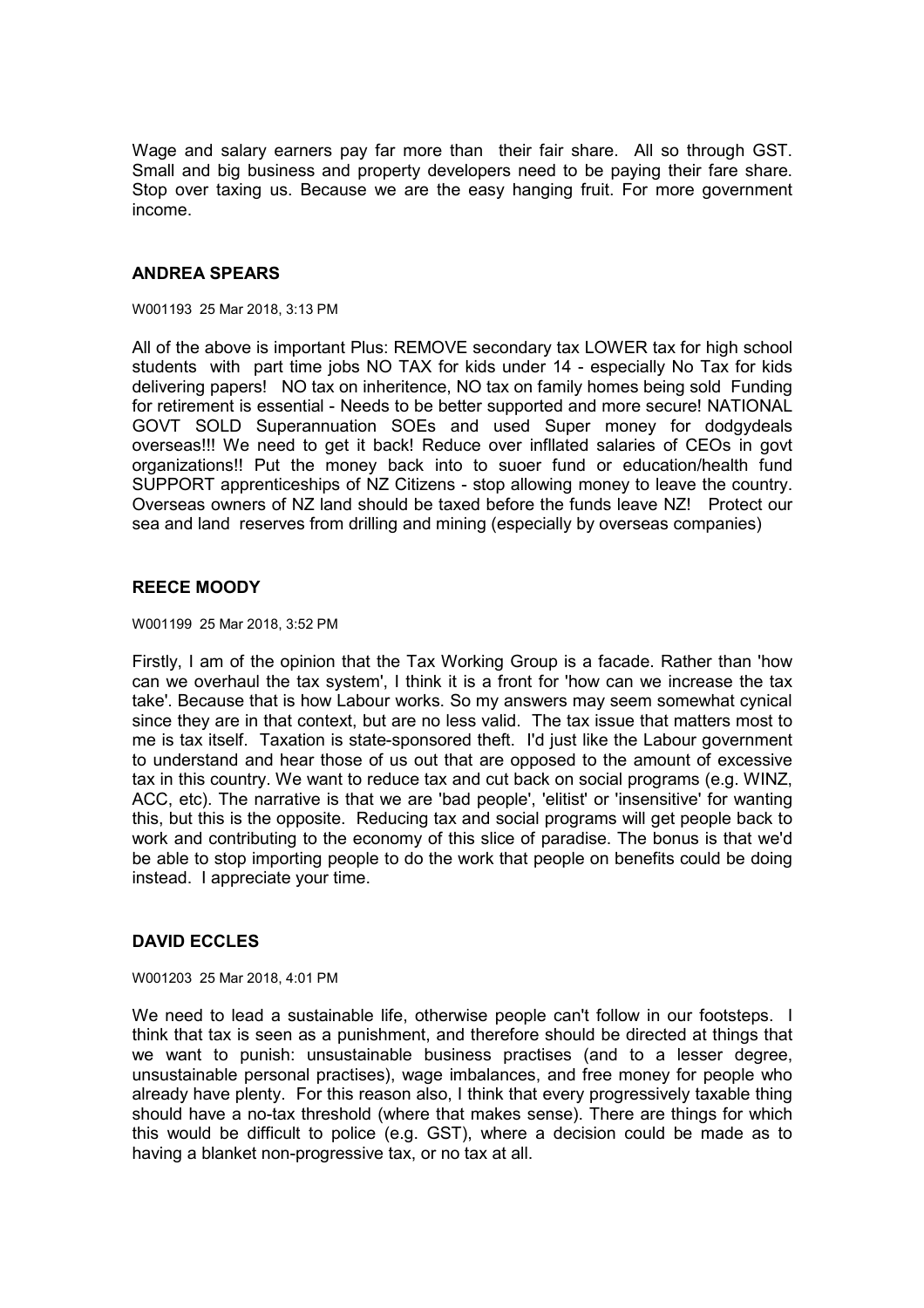Wage and salary earners pay far more than their fair share. All so through GST. Small and big business and property developers need to be paying their fare share. Stop over taxing us. Because we are the easy hanging fruit. For more government income.

## **ANDREA SPEARS**

W001193 25 Mar 2018, 3:13 PM

All of the above is important Plus: REMOVE secondary tax LOWER tax for high school students with part time jobs NO TAX for kids under 14 - especially No Tax for kids delivering papers! NO tax on inheritence, NO tax on family homes being sold Funding for retirement is essential - Needs to be better supported and more secure! NATIONAL GOVT SOLD Superannuation SOEs and used Super money for dodgydeals overseas!!! We need to get it back! Reduce over infllated salaries of CEOs in govt organizations!! Put the money back into to suoer fund or education/health fund SUPPORT apprenticeships of NZ Citizens - stop allowing money to leave the country. Overseas owners of NZ land should be taxed before the funds leave NZ! Protect our sea and land reserves from drilling and mining (especially by overseas companies)

# **REECE MOODY**

W001199 25 Mar 2018, 3:52 PM

Firstly, I am of the opinion that the Tax Working Group is a facade. Rather than 'how can we overhaul the tax system', I think it is a front for 'how can we increase the tax take'. Because that is how Labour works. So my answers may seem somewhat cynical since they are in that context, but are no less valid. The tax issue that matters most to me is tax itself. Taxation is state-sponsored theft. I'd just like the Labour government to understand and hear those of us out that are opposed to the amount of excessive tax in this country. We want to reduce tax and cut back on social programs (e.g. WINZ, ACC, etc). The narrative is that we are 'bad people', 'elitist' or 'insensitive' for wanting this, but this is the opposite. Reducing tax and social programs will get people back to work and contributing to the economy of this slice of paradise. The bonus is that we'd be able to stop importing people to do the work that people on benefits could be doing instead. I appreciate your time.

## **DAVID ECCLES**

W001203 25 Mar 2018, 4:01 PM

We need to lead a sustainable life, otherwise people can't follow in our footsteps. I think that tax is seen as a punishment, and therefore should be directed at things that we want to punish: unsustainable business practises (and to a lesser degree, unsustainable personal practises), wage imbalances, and free money for people who already have plenty. For this reason also, I think that every progressively taxable thing should have a no-tax threshold (where that makes sense). There are things for which this would be difficult to police (e.g. GST), where a decision could be made as to having a blanket non-progressive tax, or no tax at all.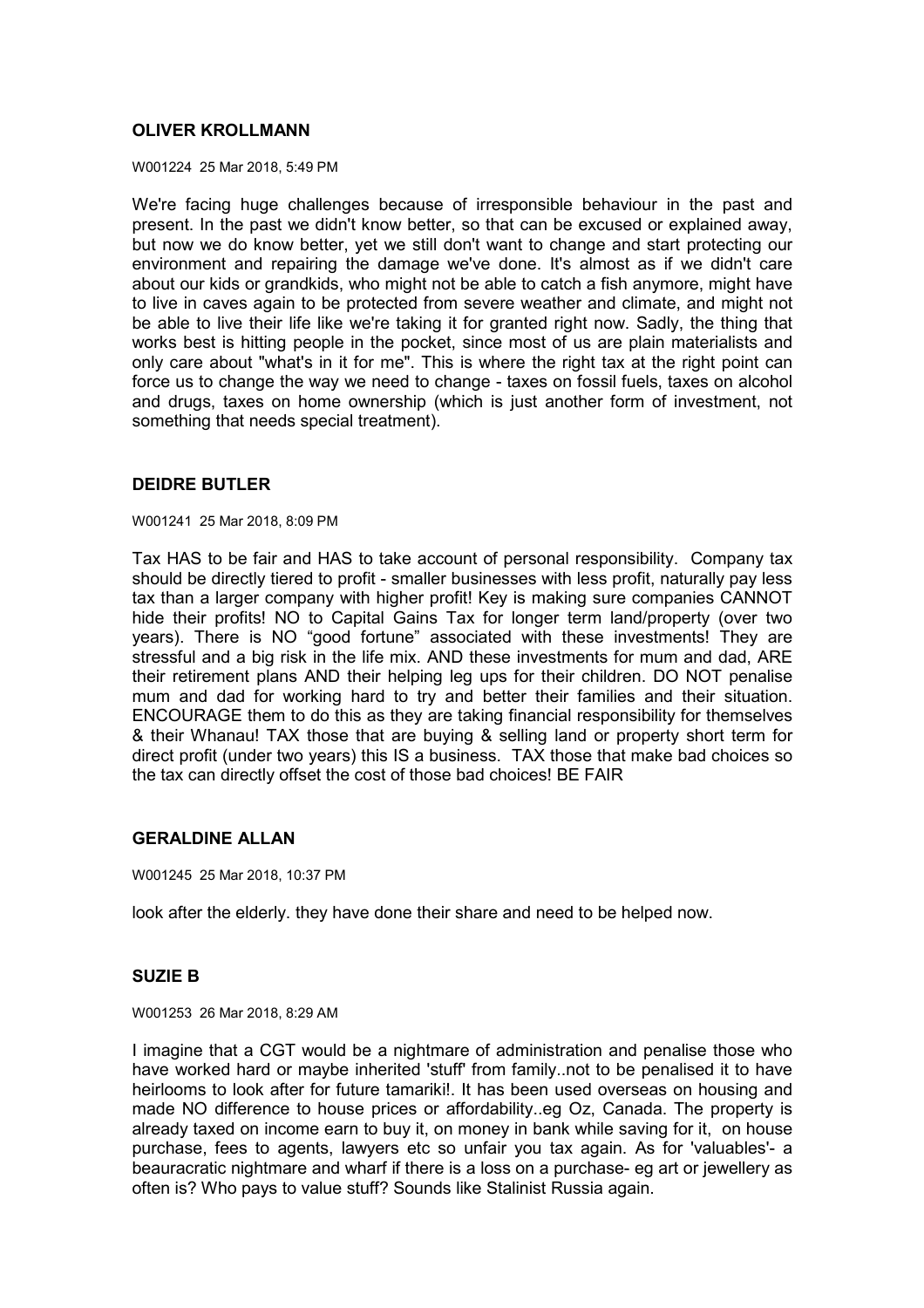## **OLIVER KROLLMANN**

W001224 25 Mar 2018, 5:49 PM

We're facing huge challenges because of irresponsible behaviour in the past and present. In the past we didn't know better, so that can be excused or explained away, but now we do know better, yet we still don't want to change and start protecting our environment and repairing the damage we've done. It's almost as if we didn't care about our kids or grandkids, who might not be able to catch a fish anymore, might have to live in caves again to be protected from severe weather and climate, and might not be able to live their life like we're taking it for granted right now. Sadly, the thing that works best is hitting people in the pocket, since most of us are plain materialists and only care about "what's in it for me". This is where the right tax at the right point can force us to change the way we need to change - taxes on fossil fuels, taxes on alcohol and drugs, taxes on home ownership (which is just another form of investment, not something that needs special treatment).

## **DEIDRE BUTLER**

W001241 25 Mar 2018, 8:09 PM

Tax HAS to be fair and HAS to take account of personal responsibility. Company tax should be directly tiered to profit - smaller businesses with less profit, naturally pay less tax than a larger company with higher profit! Key is making sure companies CANNOT hide their profits! NO to Capital Gains Tax for longer term land/property (over two years). There is NO "good fortune" associated with these investments! They are stressful and a big risk in the life mix. AND these investments for mum and dad, ARE their retirement plans AND their helping leg ups for their children. DO NOT penalise mum and dad for working hard to try and better their families and their situation. ENCOURAGE them to do this as they are taking financial responsibility for themselves & their Whanau! TAX those that are buying & selling land or property short term for direct profit (under two years) this IS a business. TAX those that make bad choices so the tax can directly offset the cost of those bad choices! BE FAIR

## **GERALDINE ALLAN**

W001245 25 Mar 2018, 10:37 PM

look after the elderly. they have done their share and need to be helped now.

## **SUZIE B**

W001253 26 Mar 2018, 8:29 AM

I imagine that a CGT would be a nightmare of administration and penalise those who have worked hard or maybe inherited 'stuff' from family..not to be penalised it to have heirlooms to look after for future tamariki!. It has been used overseas on housing and made NO difference to house prices or affordability..eg Oz, Canada. The property is already taxed on income earn to buy it, on money in bank while saving for it, on house purchase, fees to agents, lawyers etc so unfair you tax again. As for 'valuables'- a beauracratic nightmare and wharf if there is a loss on a purchase- eg art or jewellery as often is? Who pays to value stuff? Sounds like Stalinist Russia again.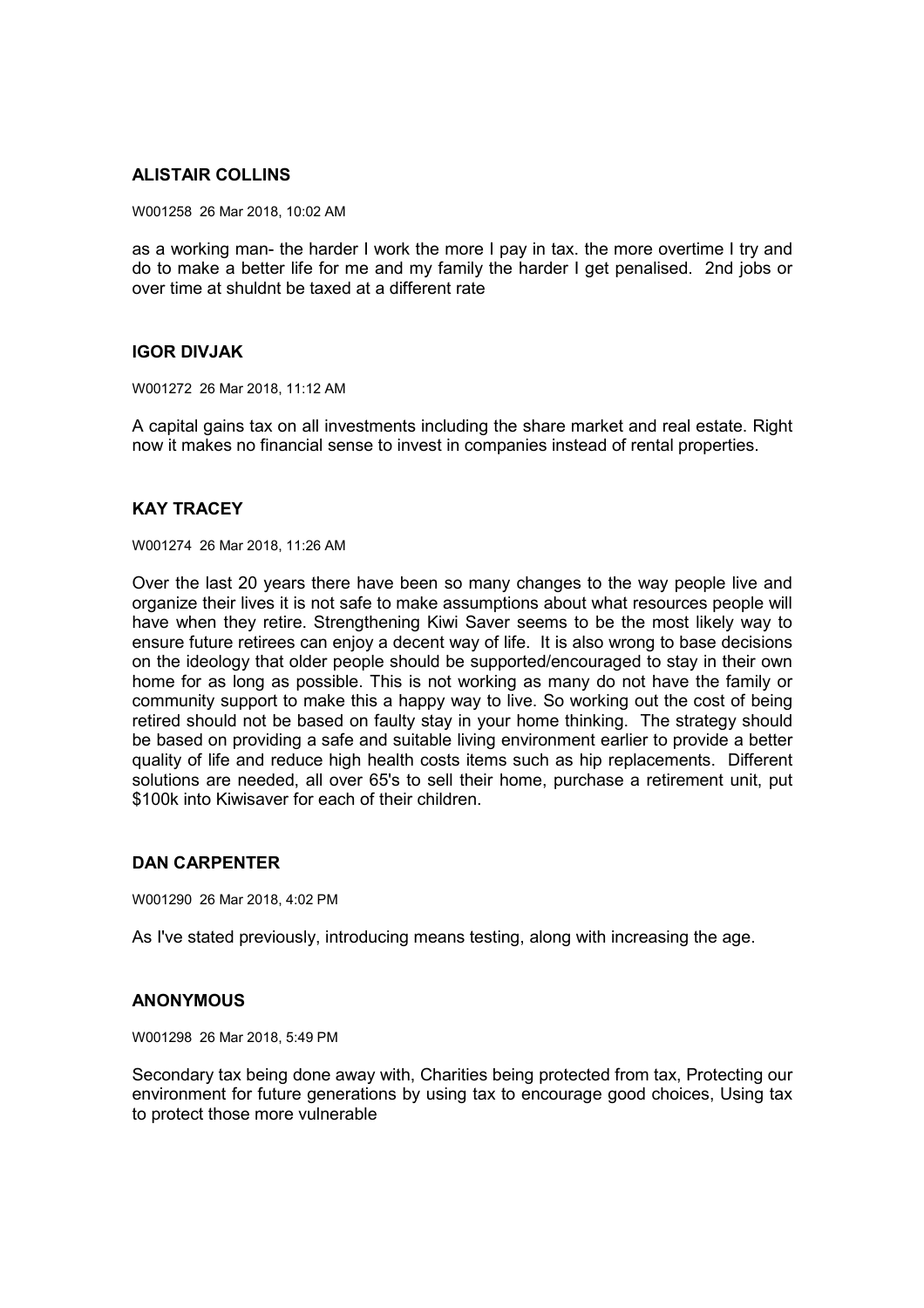# **ALISTAIR COLLINS**

W001258 26 Mar 2018, 10:02 AM

as a working man- the harder I work the more I pay in tax. the more overtime I try and do to make a better life for me and my family the harder I get penalised. 2nd jobs or over time at shuldnt be taxed at a different rate

## **IGOR DIVJAK**

W001272 26 Mar 2018, 11:12 AM

A capital gains tax on all investments including the share market and real estate. Right now it makes no financial sense to invest in companies instead of rental properties.

## **KAY TRACEY**

W001274 26 Mar 2018, 11:26 AM

Over the last 20 years there have been so many changes to the way people live and organize their lives it is not safe to make assumptions about what resources people will have when they retire. Strengthening Kiwi Saver seems to be the most likely way to ensure future retirees can enjoy a decent way of life. It is also wrong to base decisions on the ideology that older people should be supported/encouraged to stay in their own home for as long as possible. This is not working as many do not have the family or community support to make this a happy way to live. So working out the cost of being retired should not be based on faulty stay in your home thinking. The strategy should be based on providing a safe and suitable living environment earlier to provide a better quality of life and reduce high health costs items such as hip replacements. Different solutions are needed, all over 65's to sell their home, purchase a retirement unit, put \$100k into Kiwisaver for each of their children.

## **DAN CARPENTER**

W001290 26 Mar 2018, 4:02 PM

As I've stated previously, introducing means testing, along with increasing the age.

## **ANONYMOUS**

W001298 26 Mar 2018, 5:49 PM

Secondary tax being done away with, Charities being protected from tax, Protecting our environment for future generations by using tax to encourage good choices, Using tax to protect those more vulnerable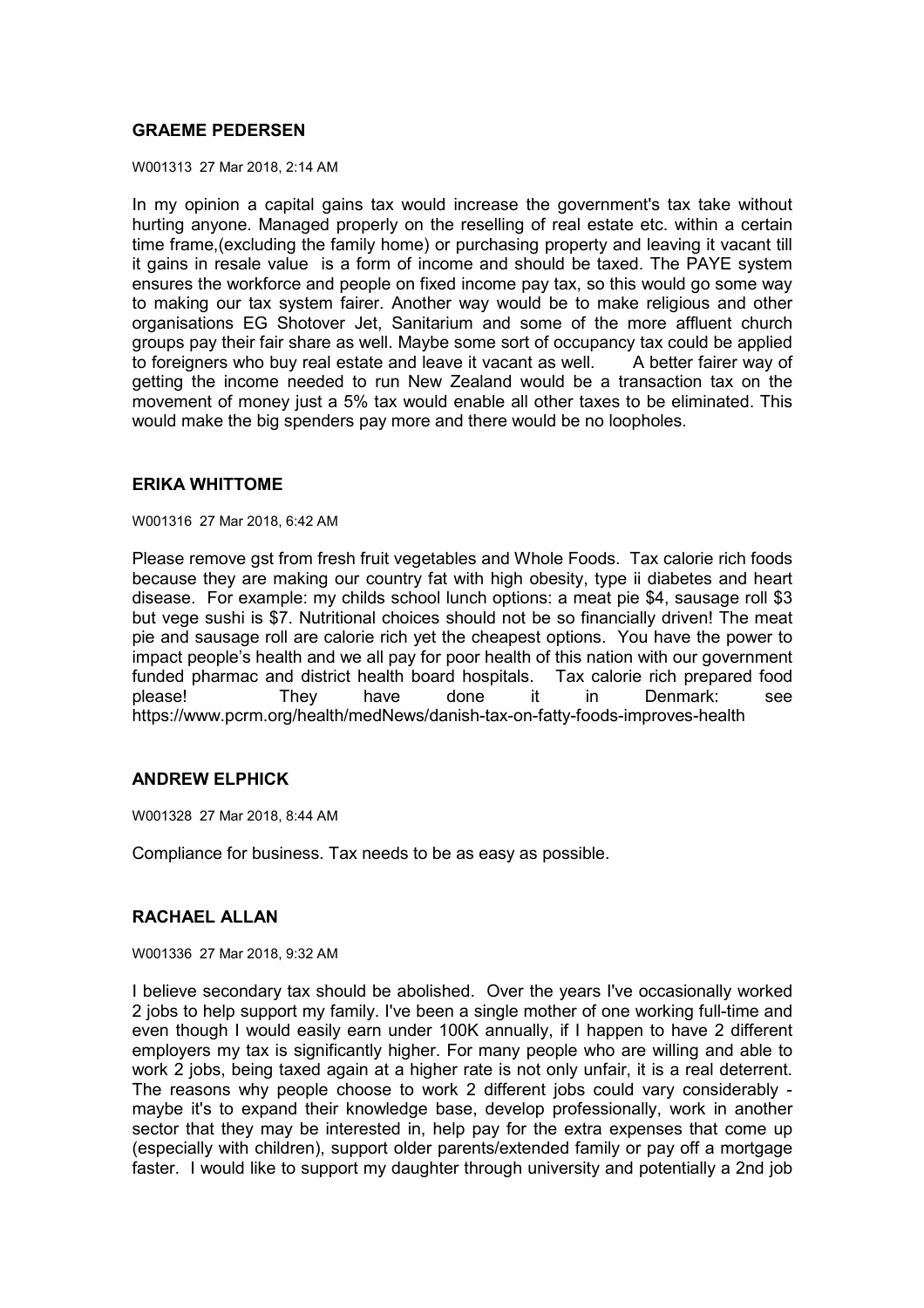## **GRAEME PEDERSEN**

W001313 27 Mar 2018, 2:14 AM

In my opinion a capital gains tax would increase the government's tax take without hurting anyone. Managed properly on the reselling of real estate etc. within a certain time frame,(excluding the family home) or purchasing property and leaving it vacant till it gains in resale value is a form of income and should be taxed. The PAYE system ensures the workforce and people on fixed income pay tax, so this would go some way to making our tax system fairer. Another way would be to make religious and other organisations EG Shotover Jet, Sanitarium and some of the more affluent church groups pay their fair share as well. Maybe some sort of occupancy tax could be applied to foreigners who buy real estate and leave it vacant as well. A better fairer way of getting the income needed to run New Zealand would be a transaction tax on the movement of money just a 5% tax would enable all other taxes to be eliminated. This would make the big spenders pay more and there would be no loopholes.

# **ERIKA WHITTOME**

W001316 27 Mar 2018, 6:42 AM

Please remove gst from fresh fruit vegetables and Whole Foods. Tax calorie rich foods because they are making our country fat with high obesity, type ii diabetes and heart disease. For example: my childs school lunch options: a meat pie \$4, sausage roll \$3 but vege sushi is \$7. Nutritional choices should not be so financially driven! The meat pie and sausage roll are calorie rich yet the cheapest options. You have the power to impact people's health and we all pay for poor health of this nation with our government funded pharmac and district health board hospitals. Tax calorie rich prepared food please! They have done it in Denmark: see https://www.pcrm.org/health/medNews/danish-tax-on-fatty-foods-improves-health

## **ANDREW ELPHICK**

W001328 27 Mar 2018, 8:44 AM

Compliance for business. Tax needs to be as easy as possible.

## **RACHAEL ALLAN**

W001336 27 Mar 2018, 9:32 AM

I believe secondary tax should be abolished. Over the years I've occasionally worked 2 jobs to help support my family. I've been a single mother of one working full-time and even though I would easily earn under 100K annually, if I happen to have 2 different employers my tax is significantly higher. For many people who are willing and able to work 2 jobs, being taxed again at a higher rate is not only unfair, it is a real deterrent. The reasons why people choose to work 2 different jobs could vary considerably maybe it's to expand their knowledge base, develop professionally, work in another sector that they may be interested in, help pay for the extra expenses that come up (especially with children), support older parents/extended family or pay off a mortgage faster. I would like to support my daughter through university and potentially a 2nd job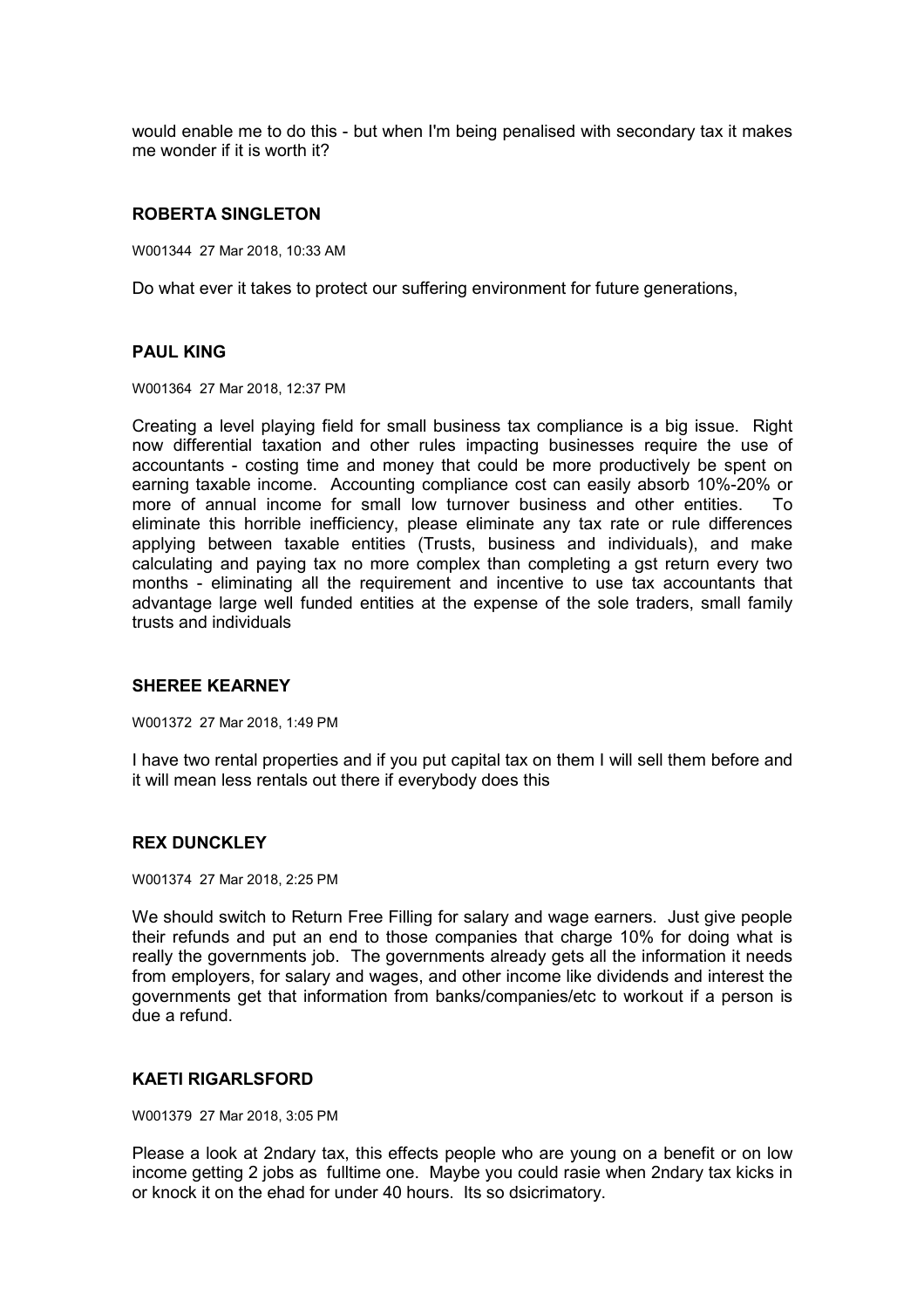would enable me to do this - but when I'm being penalised with secondary tax it makes me wonder if it is worth it?

### **ROBERTA SINGLETON**

W001344 27 Mar 2018, 10:33 AM

Do what ever it takes to protect our suffering environment for future generations,

### **PAUL KING**

W001364 27 Mar 2018, 12:37 PM

Creating a level playing field for small business tax compliance is a big issue. Right now differential taxation and other rules impacting businesses require the use of accountants - costing time and money that could be more productively be spent on earning taxable income. Accounting compliance cost can easily absorb 10%-20% or more of annual income for small low turnover business and other entities. To eliminate this horrible inefficiency, please eliminate any tax rate or rule differences applying between taxable entities (Trusts, business and individuals), and make calculating and paying tax no more complex than completing a gst return every two months - eliminating all the requirement and incentive to use tax accountants that advantage large well funded entities at the expense of the sole traders, small family trusts and individuals

### **SHEREE KEARNEY**

W001372 27 Mar 2018, 1:49 PM

I have two rental properties and if you put capital tax on them I will sell them before and it will mean less rentals out there if everybody does this

## **REX DUNCKLEY**

W001374 27 Mar 2018, 2:25 PM

We should switch to Return Free Filling for salary and wage earners. Just give people their refunds and put an end to those companies that charge 10% for doing what is really the governments job. The governments already gets all the information it needs from employers, for salary and wages, and other income like dividends and interest the governments get that information from banks/companies/etc to workout if a person is due a refund.

### **KAETI RIGARLSFORD**

W001379 27 Mar 2018, 3:05 PM

Please a look at 2ndary tax, this effects people who are young on a benefit or on low income getting 2 jobs as fulltime one. Maybe you could rasie when 2ndary tax kicks in or knock it on the ehad for under 40 hours. Its so dsicrimatory.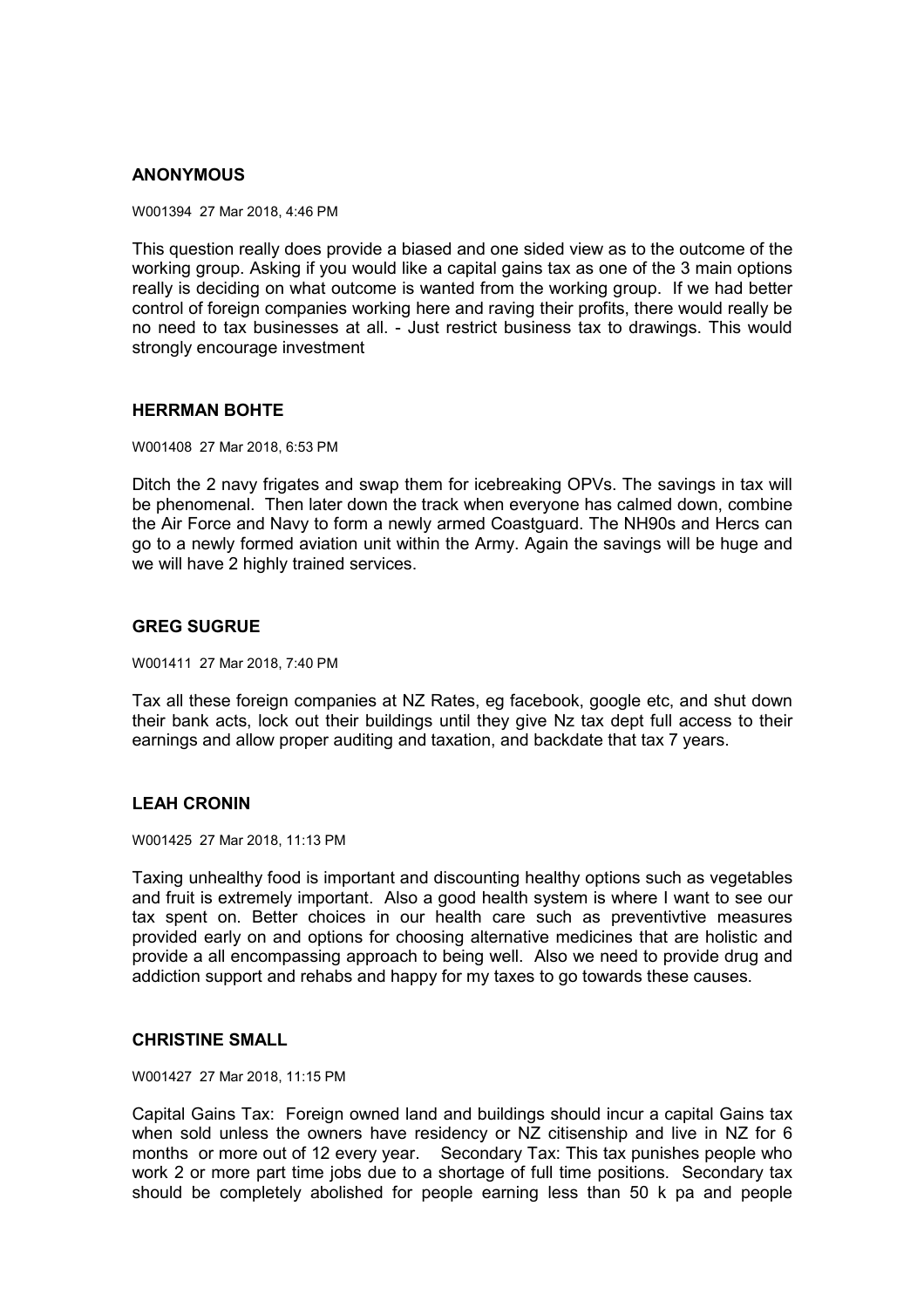# **ANONYMOUS**

W001394 27 Mar 2018, 4:46 PM

This question really does provide a biased and one sided view as to the outcome of the working group. Asking if you would like a capital gains tax as one of the 3 main options really is deciding on what outcome is wanted from the working group. If we had better control of foreign companies working here and raving their profits, there would really be no need to tax businesses at all. - Just restrict business tax to drawings. This would strongly encourage investment

## **HERRMAN BOHTE**

W001408 27 Mar 2018, 6:53 PM

Ditch the 2 navy frigates and swap them for icebreaking OPVs. The savings in tax will be phenomenal. Then later down the track when everyone has calmed down, combine the Air Force and Navy to form a newly armed Coastguard. The NH90s and Hercs can go to a newly formed aviation unit within the Army. Again the savings will be huge and we will have 2 highly trained services.

### **GREG SUGRUE**

W001411 27 Mar 2018, 7:40 PM

Tax all these foreign companies at NZ Rates, eg facebook, google etc, and shut down their bank acts, lock out their buildings until they give Nz tax dept full access to their earnings and allow proper auditing and taxation, and backdate that tax 7 years.

## **LEAH CRONIN**

W001425 27 Mar 2018, 11:13 PM

Taxing unhealthy food is important and discounting healthy options such as vegetables and fruit is extremely important. Also a good health system is where I want to see our tax spent on. Better choices in our health care such as preventivtive measures provided early on and options for choosing alternative medicines that are holistic and provide a all encompassing approach to being well. Also we need to provide drug and addiction support and rehabs and happy for my taxes to go towards these causes.

### **CHRISTINE SMALL**

W001427 27 Mar 2018, 11:15 PM

Capital Gains Tax: Foreign owned land and buildings should incur a capital Gains tax when sold unless the owners have residency or NZ citisenship and live in NZ for 6 months or more out of 12 every year. Secondary Tax: This tax punishes people who work 2 or more part time jobs due to a shortage of full time positions. Secondary tax should be completely abolished for people earning less than 50 k pa and people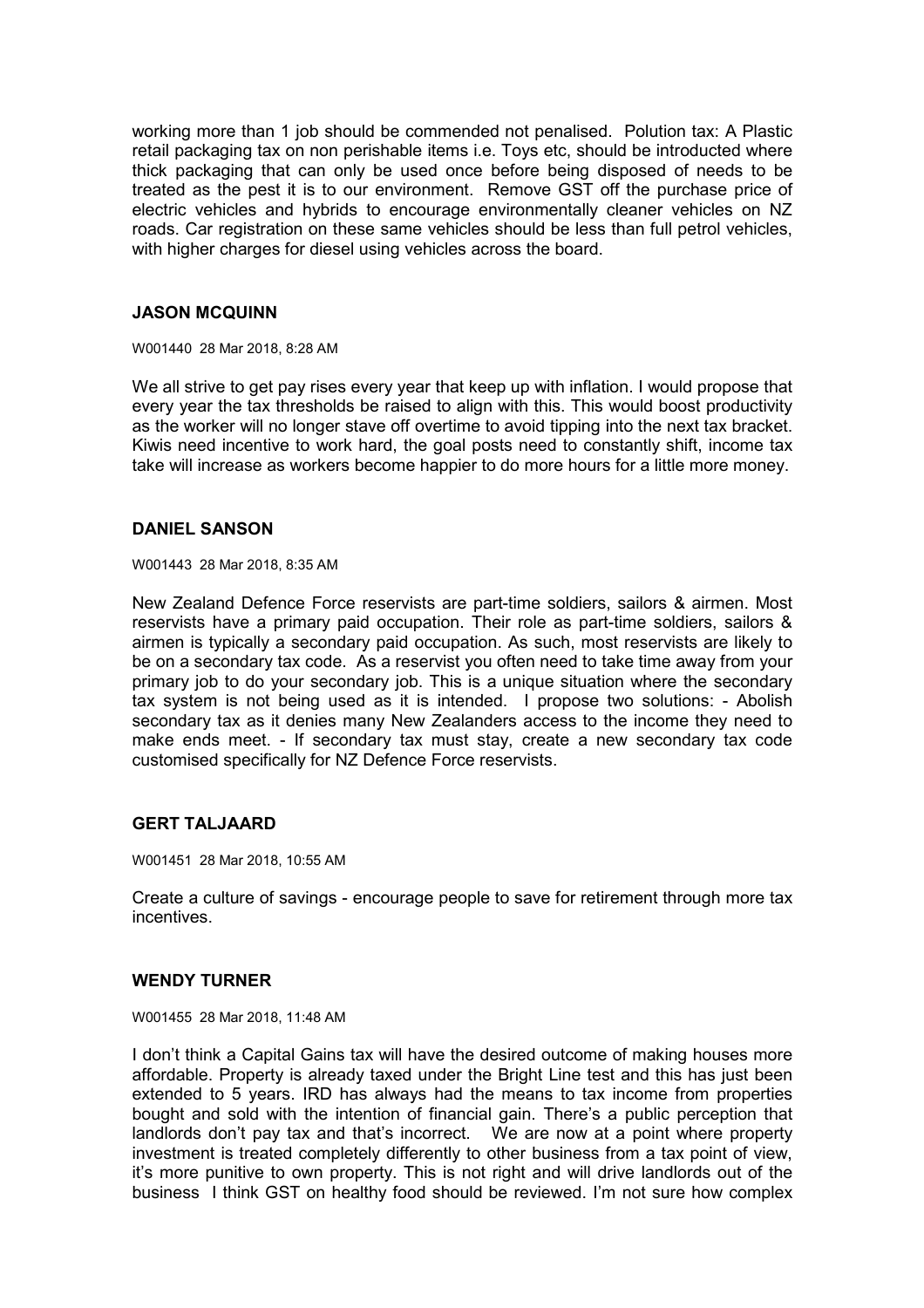working more than 1 job should be commended not penalised. Polution tax: A Plastic retail packaging tax on non perishable items i.e. Toys etc, should be introducted where thick packaging that can only be used once before being disposed of needs to be treated as the pest it is to our environment. Remove GST off the purchase price of electric vehicles and hybrids to encourage environmentally cleaner vehicles on NZ roads. Car registration on these same vehicles should be less than full petrol vehicles, with higher charges for diesel using vehicles across the board.

## **JASON MCQUINN**

W001440 28 Mar 2018, 8:28 AM

We all strive to get pay rises every year that keep up with inflation. I would propose that every year the tax thresholds be raised to align with this. This would boost productivity as the worker will no longer stave off overtime to avoid tipping into the next tax bracket. Kiwis need incentive to work hard, the goal posts need to constantly shift, income tax take will increase as workers become happier to do more hours for a little more money.

## **DANIEL SANSON**

W001443 28 Mar 2018, 8:35 AM

New Zealand Defence Force reservists are part-time soldiers, sailors & airmen. Most reservists have a primary paid occupation. Their role as part-time soldiers, sailors & airmen is typically a secondary paid occupation. As such, most reservists are likely to be on a secondary tax code. As a reservist you often need to take time away from your primary job to do your secondary job. This is a unique situation where the secondary tax system is not being used as it is intended. I propose two solutions: - Abolish secondary tax as it denies many New Zealanders access to the income they need to make ends meet. - If secondary tax must stay, create a new secondary tax code customised specifically for NZ Defence Force reservists.

## **GERT TALJAARD**

W001451 28 Mar 2018, 10:55 AM

Create a culture of savings - encourage people to save for retirement through more tax incentives.

## **WENDY TURNER**

W001455 28 Mar 2018, 11:48 AM

I don't think a Capital Gains tax will have the desired outcome of making houses more affordable. Property is already taxed under the Bright Line test and this has just been extended to 5 years. IRD has always had the means to tax income from properties bought and sold with the intention of financial gain. There's a public perception that landlords don't pay tax and that's incorrect. We are now at a point where property investment is treated completely differently to other business from a tax point of view, it's more punitive to own property. This is not right and will drive landlords out of the business I think GST on healthy food should be reviewed. I'm not sure how complex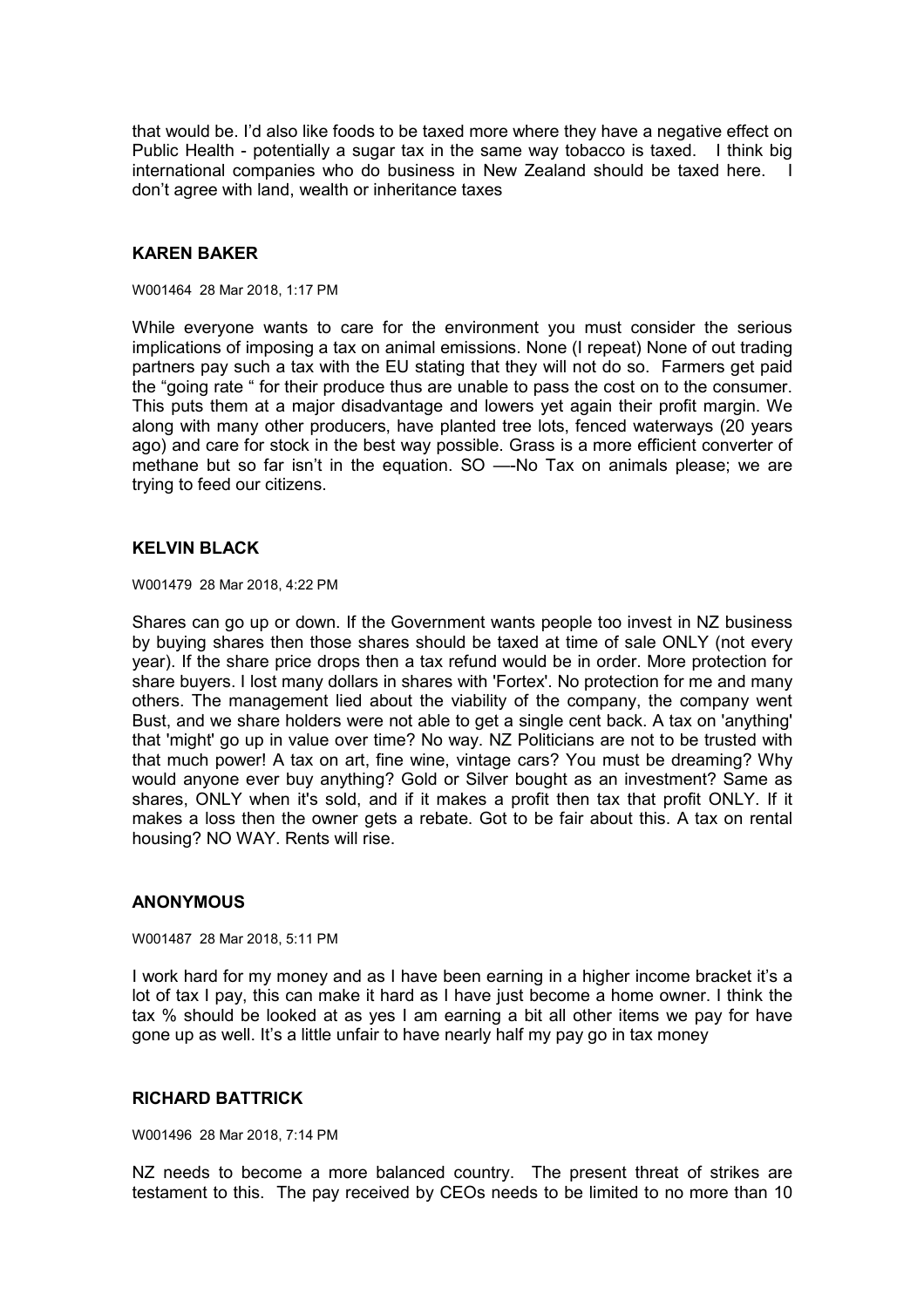that would be. I'd also like foods to be taxed more where they have a negative effect on Public Health - potentially a sugar tax in the same way tobacco is taxed. I think big international companies who do business in New Zealand should be taxed here. I don't agree with land, wealth or inheritance taxes

### **KAREN BAKER**

W001464 28 Mar 2018, 1:17 PM

While everyone wants to care for the environment you must consider the serious implications of imposing a tax on animal emissions. None (I repeat) None of out trading partners pay such a tax with the EU stating that they will not do so. Farmers get paid the "going rate " for their produce thus are unable to pass the cost on to the consumer. This puts them at a major disadvantage and lowers yet again their profit margin. We along with many other producers, have planted tree lots, fenced waterways (20 years ago) and care for stock in the best way possible. Grass is a more efficient converter of methane but so far isn't in the equation. SO —-No Tax on animals please; we are trying to feed our citizens.

## **KELVIN BLACK**

W001479 28 Mar 2018, 4:22 PM

Shares can go up or down. If the Government wants people too invest in NZ business by buying shares then those shares should be taxed at time of sale ONLY (not every year). If the share price drops then a tax refund would be in order. More protection for share buyers. I lost many dollars in shares with 'Fortex'. No protection for me and many others. The management lied about the viability of the company, the company went Bust, and we share holders were not able to get a single cent back. A tax on 'anything' that 'might' go up in value over time? No way. NZ Politicians are not to be trusted with that much power! A tax on art, fine wine, vintage cars? You must be dreaming? Why would anyone ever buy anything? Gold or Silver bought as an investment? Same as shares, ONLY when it's sold, and if it makes a profit then tax that profit ONLY. If it makes a loss then the owner gets a rebate. Got to be fair about this. A tax on rental housing? NO WAY. Rents will rise.

### **ANONYMOUS**

W001487 28 Mar 2018, 5:11 PM

I work hard for my money and as I have been earning in a higher income bracket it's a lot of tax I pay, this can make it hard as I have just become a home owner. I think the tax % should be looked at as yes I am earning a bit all other items we pay for have gone up as well. It's a little unfair to have nearly half my pay go in tax money

## **RICHARD BATTRICK**

W001496 28 Mar 2018, 7:14 PM

NZ needs to become a more balanced country. The present threat of strikes are testament to this. The pay received by CEOs needs to be limited to no more than 10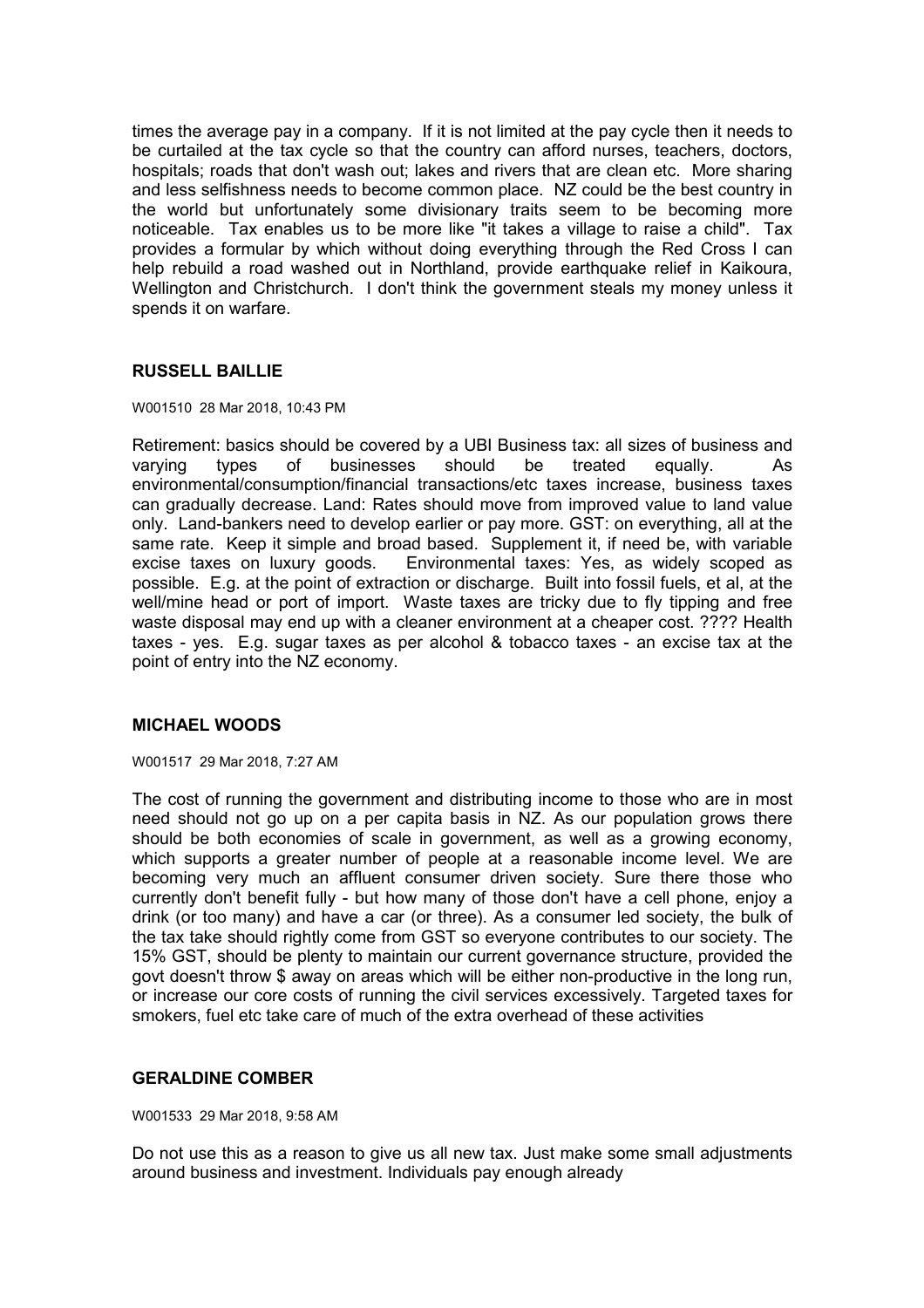times the average pay in a company. If it is not limited at the pay cycle then it needs to be curtailed at the tax cycle so that the country can afford nurses, teachers, doctors, hospitals; roads that don't wash out; lakes and rivers that are clean etc. More sharing and less selfishness needs to become common place. NZ could be the best country in the world but unfortunately some divisionary traits seem to be becoming more noticeable. Tax enables us to be more like "it takes a village to raise a child". Tax provides a formular by which without doing everything through the Red Cross I can help rebuild a road washed out in Northland, provide earthquake relief in Kaikoura, Wellington and Christchurch. I don't think the government steals my money unless it spends it on warfare.

# **RUSSELL BAILLIE**

### W001510 28 Mar 2018, 10:43 PM

Retirement: basics should be covered by a UBI Business tax: all sizes of business and varying types of businesses should be treated equally. As environmental/consumption/financial transactions/etc taxes increase, business taxes can gradually decrease. Land: Rates should move from improved value to land value only. Land-bankers need to develop earlier or pay more. GST: on everything, all at the same rate. Keep it simple and broad based. Supplement it, if need be, with variable excise taxes on luxury goods. Environmental taxes: Yes, as widely scoped as possible. E.g. at the point of extraction or discharge. Built into fossil fuels, et al, at the well/mine head or port of import. Waste taxes are tricky due to fly tipping and free waste disposal may end up with a cleaner environment at a cheaper cost. ???? Health taxes - yes. E.g. sugar taxes as per alcohol & tobacco taxes - an excise tax at the point of entry into the NZ economy.

# **MICHAEL WOODS**

W001517 29 Mar 2018, 7:27 AM

The cost of running the government and distributing income to those who are in most need should not go up on a per capita basis in NZ. As our population grows there should be both economies of scale in government, as well as a growing economy, which supports a greater number of people at a reasonable income level. We are becoming very much an affluent consumer driven society. Sure there those who currently don't benefit fully - but how many of those don't have a cell phone, enjoy a drink (or too many) and have a car (or three). As a consumer led society, the bulk of the tax take should rightly come from GST so everyone contributes to our society. The 15% GST, should be plenty to maintain our current governance structure, provided the govt doesn't throw \$ away on areas which will be either non-productive in the long run, or increase our core costs of running the civil services excessively. Targeted taxes for smokers, fuel etc take care of much of the extra overhead of these activities

## **GERALDINE COMBER**

W001533 29 Mar 2018, 9:58 AM

Do not use this as a reason to give us all new tax. Just make some small adjustments around business and investment. Individuals pay enough already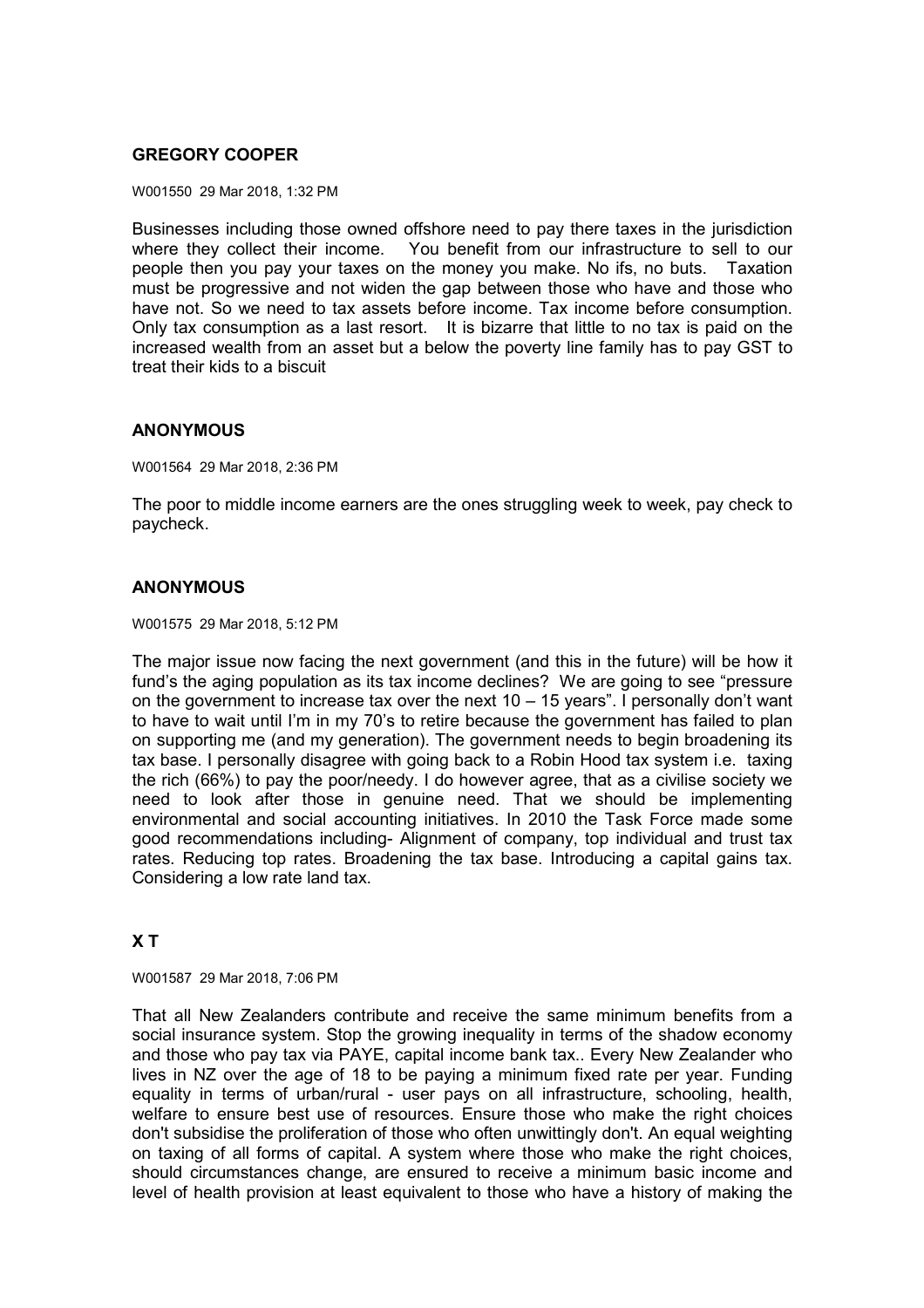# **GREGORY COOPER**

W001550 29 Mar 2018, 1:32 PM

Businesses including those owned offshore need to pay there taxes in the jurisdiction where they collect their income. You benefit from our infrastructure to sell to our people then you pay your taxes on the money you make. No ifs, no buts. Taxation must be progressive and not widen the gap between those who have and those who have not. So we need to tax assets before income. Tax income before consumption. Only tax consumption as a last resort. It is bizarre that little to no tax is paid on the increased wealth from an asset but a below the poverty line family has to pay GST to treat their kids to a biscuit

## **ANONYMOUS**

W001564 29 Mar 2018, 2:36 PM

The poor to middle income earners are the ones struggling week to week, pay check to paycheck.

## **ANONYMOUS**

W001575 29 Mar 2018, 5:12 PM

The major issue now facing the next government (and this in the future) will be how it fund's the aging population as its tax income declines? We are going to see "pressure on the government to increase tax over the next  $10 - 15$  years". I personally don't want to have to wait until I'm in my 70's to retire because the government has failed to plan on supporting me (and my generation). The government needs to begin broadening its tax base. I personally disagree with going back to a Robin Hood tax system i.e. taxing the rich (66%) to pay the poor/needy. I do however agree, that as a civilise society we need to look after those in genuine need. That we should be implementing environmental and social accounting initiatives. In 2010 the Task Force made some good recommendations including- Alignment of company, top individual and trust tax rates. Reducing top rates. Broadening the tax base. Introducing a capital gains tax. Considering a low rate land tax.

# **X T**

W001587 29 Mar 2018, 7:06 PM

That all New Zealanders contribute and receive the same minimum benefits from a social insurance system. Stop the growing inequality in terms of the shadow economy and those who pay tax via PAYE, capital income bank tax.. Every New Zealander who lives in NZ over the age of 18 to be paying a minimum fixed rate per year. Funding equality in terms of urban/rural - user pays on all infrastructure, schooling, health, welfare to ensure best use of resources. Ensure those who make the right choices don't subsidise the proliferation of those who often unwittingly don't. An equal weighting on taxing of all forms of capital. A system where those who make the right choices, should circumstances change, are ensured to receive a minimum basic income and level of health provision at least equivalent to those who have a history of making the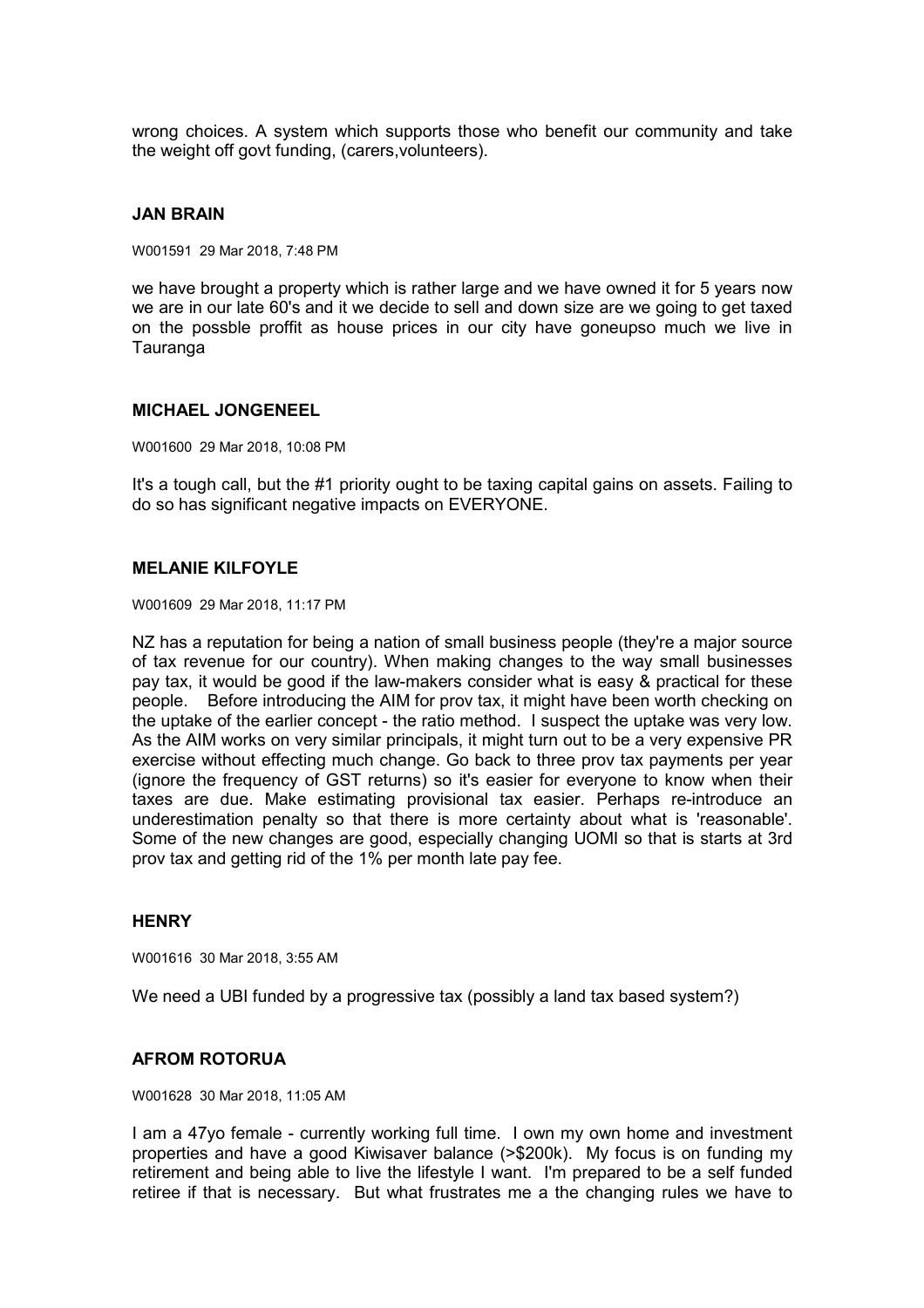wrong choices. A system which supports those who benefit our community and take the weight off govt funding, (carers,volunteers).

### **JAN BRAIN**

W001591 29 Mar 2018, 7:48 PM

we have brought a property which is rather large and we have owned it for 5 years now we are in our late 60's and it we decide to sell and down size are we going to get taxed on the possble proffit as house prices in our city have goneupso much we live in **Tauranga** 

### **MICHAEL JONGENEEL**

W001600 29 Mar 2018, 10:08 PM

It's a tough call, but the #1 priority ought to be taxing capital gains on assets. Failing to do so has significant negative impacts on EVERYONE.

### **MELANIE KILFOYLE**

W001609 29 Mar 2018, 11:17 PM

NZ has a reputation for being a nation of small business people (they're a major source of tax revenue for our country). When making changes to the way small businesses pay tax, it would be good if the law-makers consider what is easy & practical for these people. Before introducing the AIM for prov tax, it might have been worth checking on the uptake of the earlier concept - the ratio method. I suspect the uptake was very low. As the AIM works on very similar principals, it might turn out to be a very expensive PR exercise without effecting much change. Go back to three prov tax payments per year (ignore the frequency of GST returns) so it's easier for everyone to know when their taxes are due. Make estimating provisional tax easier. Perhaps re-introduce an underestimation penalty so that there is more certainty about what is 'reasonable'. Some of the new changes are good, especially changing UOMI so that is starts at 3rd prov tax and getting rid of the 1% per month late pay fee.

## **HENRY**

W001616 30 Mar 2018, 3:55 AM

We need a UBI funded by a progressive tax (possibly a land tax based system?)

## **AFROM ROTORUA**

W001628 30 Mar 2018, 11:05 AM

I am a 47yo female - currently working full time. I own my own home and investment properties and have a good Kiwisaver balance (>\$200k). My focus is on funding my retirement and being able to live the lifestyle I want. I'm prepared to be a self funded retiree if that is necessary. But what frustrates me a the changing rules we have to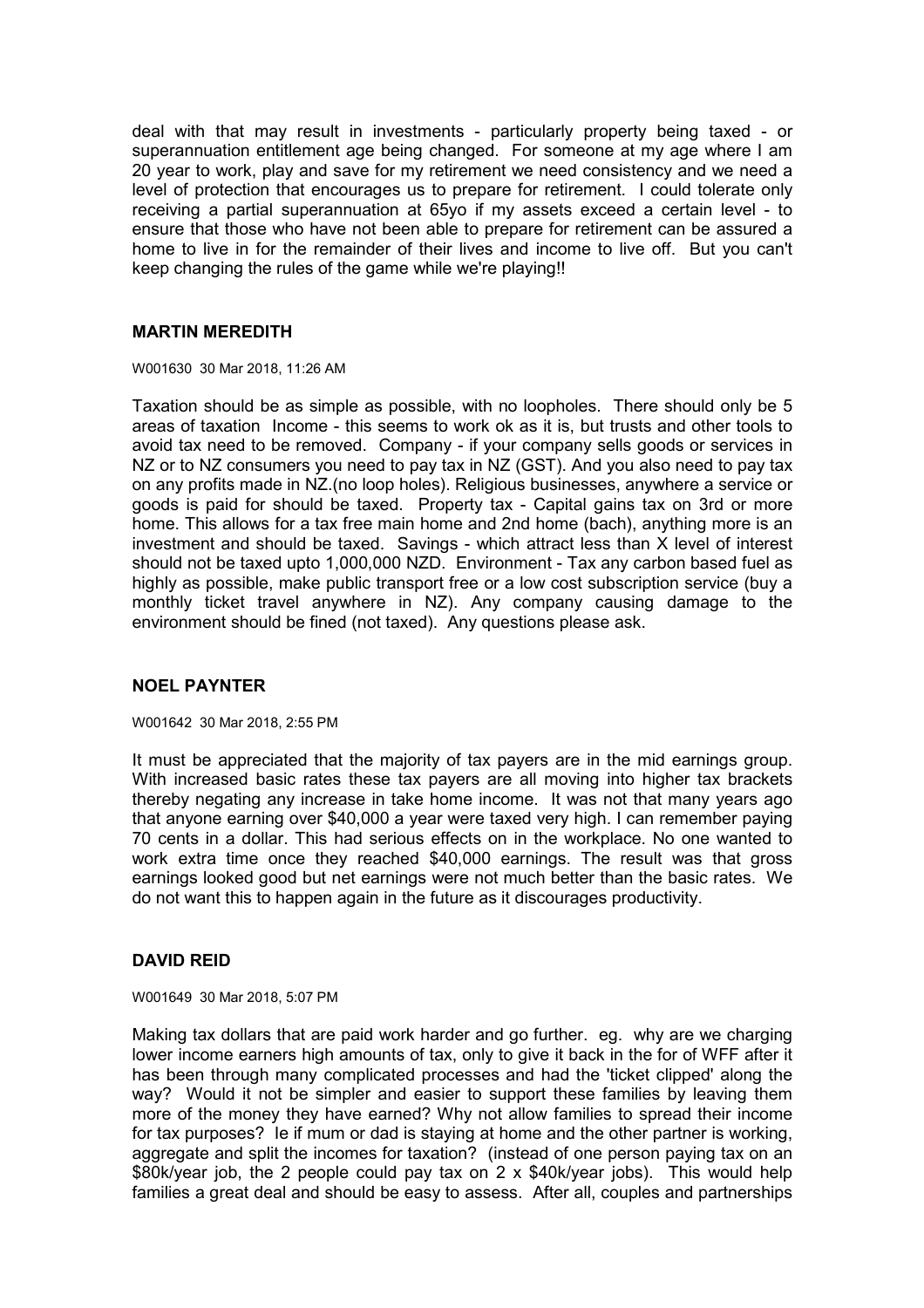deal with that may result in investments - particularly property being taxed - or superannuation entitlement age being changed. For someone at my age where I am 20 year to work, play and save for my retirement we need consistency and we need a level of protection that encourages us to prepare for retirement. I could tolerate only receiving a partial superannuation at 65yo if my assets exceed a certain level - to ensure that those who have not been able to prepare for retirement can be assured a home to live in for the remainder of their lives and income to live off. But you can't keep changing the rules of the game while we're playing!!

### **MARTIN MEREDITH**

W001630 30 Mar 2018, 11:26 AM

Taxation should be as simple as possible, with no loopholes. There should only be 5 areas of taxation Income - this seems to work ok as it is, but trusts and other tools to avoid tax need to be removed. Company - if your company sells goods or services in NZ or to NZ consumers you need to pay tax in NZ (GST). And you also need to pay tax on any profits made in NZ.(no loop holes). Religious businesses, anywhere a service or goods is paid for should be taxed. Property tax - Capital gains tax on 3rd or more home. This allows for a tax free main home and 2nd home (bach), anything more is an investment and should be taxed. Savings - which attract less than X level of interest should not be taxed upto 1,000,000 NZD. Environment - Tax any carbon based fuel as highly as possible, make public transport free or a low cost subscription service (buy a monthly ticket travel anywhere in NZ). Any company causing damage to the environment should be fined (not taxed). Any questions please ask.

## **NOEL PAYNTER**

#### W001642 30 Mar 2018, 2:55 PM

It must be appreciated that the majority of tax payers are in the mid earnings group. With increased basic rates these tax payers are all moving into higher tax brackets thereby negating any increase in take home income. It was not that many years ago that anyone earning over \$40,000 a year were taxed very high. I can remember paying 70 cents in a dollar. This had serious effects on in the workplace. No one wanted to work extra time once they reached \$40,000 earnings. The result was that gross earnings looked good but net earnings were not much better than the basic rates. We do not want this to happen again in the future as it discourages productivity.

## **DAVID REID**

W001649 30 Mar 2018, 5:07 PM

Making tax dollars that are paid work harder and go further. eg. why are we charging lower income earners high amounts of tax, only to give it back in the for of WFF after it has been through many complicated processes and had the 'ticket clipped' along the way? Would it not be simpler and easier to support these families by leaving them more of the money they have earned? Why not allow families to spread their income for tax purposes? Ie if mum or dad is staying at home and the other partner is working, aggregate and split the incomes for taxation? (instead of one person paying tax on an \$80k/year job, the 2 people could pay tax on 2 x \$40k/year jobs). This would help families a great deal and should be easy to assess. After all, couples and partnerships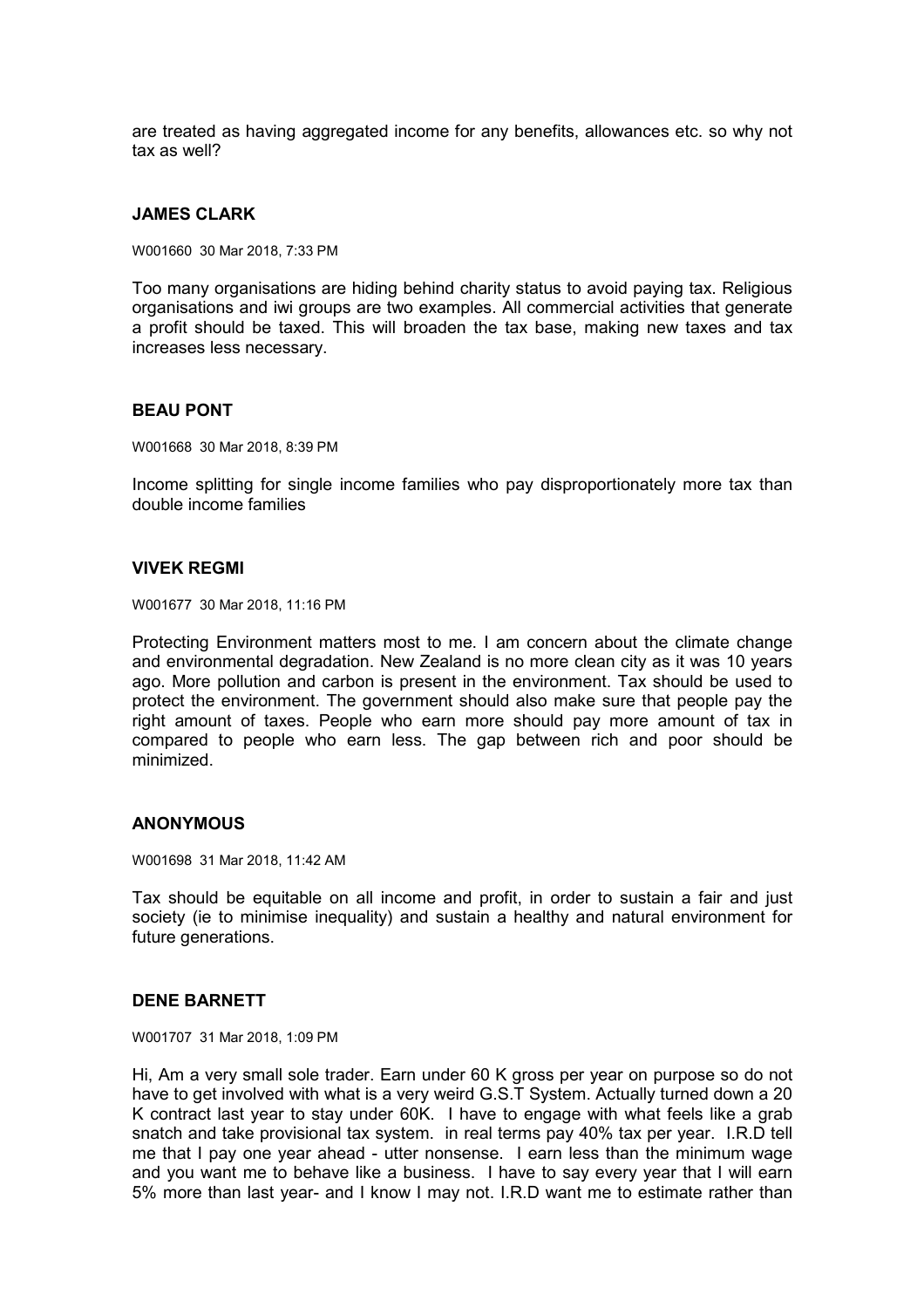are treated as having aggregated income for any benefits, allowances etc. so why not tax as well?

### **JAMES CLARK**

W001660 30 Mar 2018, 7:33 PM

Too many organisations are hiding behind charity status to avoid paying tax. Religious organisations and iwi groups are two examples. All commercial activities that generate a profit should be taxed. This will broaden the tax base, making new taxes and tax increases less necessary.

### **BEAU PONT**

W001668 30 Mar 2018, 8:39 PM

Income splitting for single income families who pay disproportionately more tax than double income families

### **VIVEK REGMI**

W001677 30 Mar 2018, 11:16 PM

Protecting Environment matters most to me. I am concern about the climate change and environmental degradation. New Zealand is no more clean city as it was 10 years ago. More pollution and carbon is present in the environment. Tax should be used to protect the environment. The government should also make sure that people pay the right amount of taxes. People who earn more should pay more amount of tax in compared to people who earn less. The gap between rich and poor should be minimized.

### **ANONYMOUS**

W001698 31 Mar 2018, 11:42 AM

Tax should be equitable on all income and profit, in order to sustain a fair and just society (ie to minimise inequality) and sustain a healthy and natural environment for future generations.

### **DENE BARNETT**

W001707 31 Mar 2018, 1:09 PM

Hi, Am a very small sole trader. Earn under 60 K gross per year on purpose so do not have to get involved with what is a very weird G.S.T System. Actually turned down a 20 K contract last year to stay under 60K. I have to engage with what feels like a grab snatch and take provisional tax system. in real terms pay 40% tax per year. I.R.D tell me that I pay one year ahead - utter nonsense. I earn less than the minimum wage and you want me to behave like a business. I have to say every year that I will earn 5% more than last year- and I know I may not. I.R.D want me to estimate rather than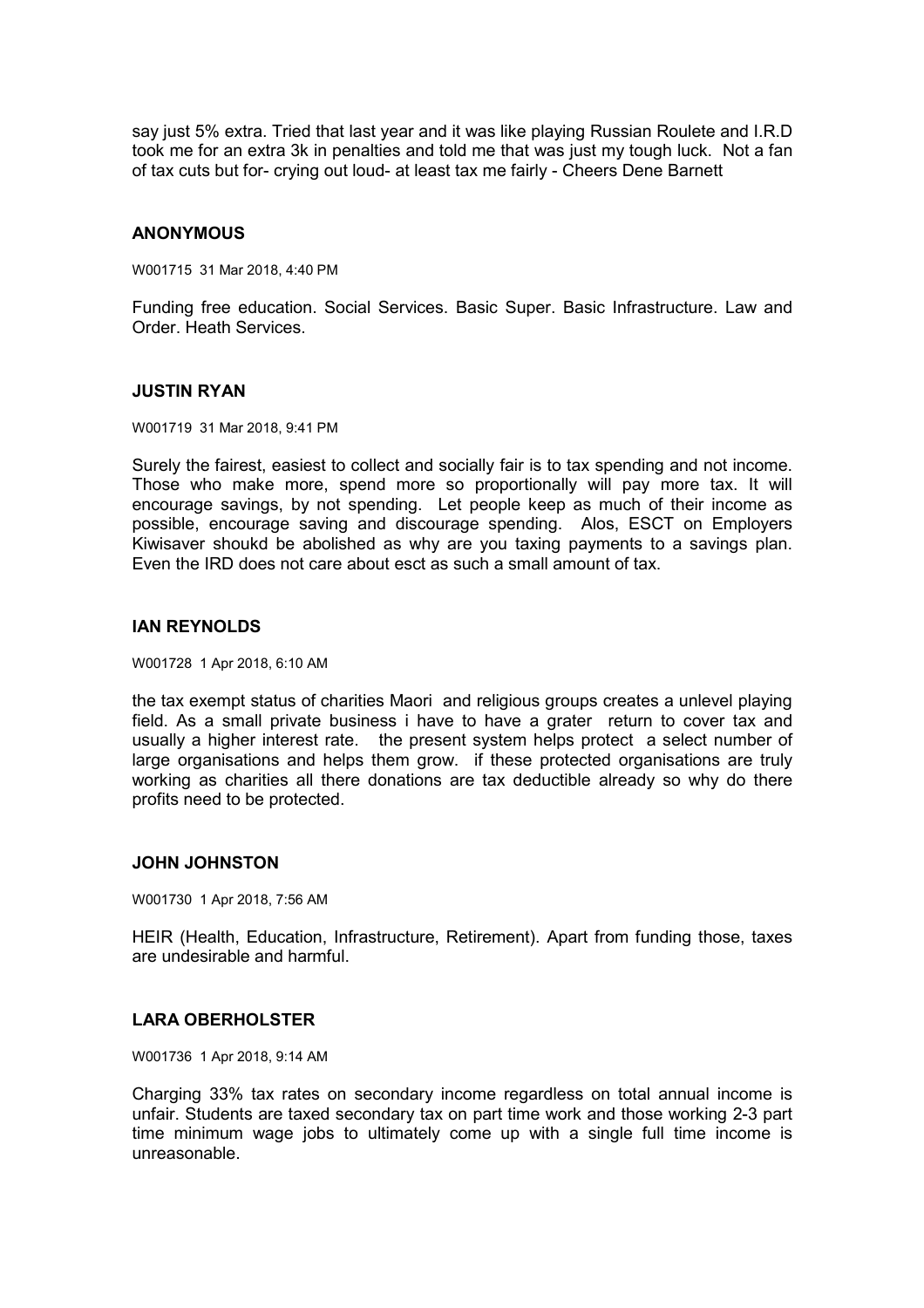say just 5% extra. Tried that last year and it was like playing Russian Roulete and I.R.D took me for an extra 3k in penalties and told me that was just my tough luck. Not a fan of tax cuts but for- crying out loud- at least tax me fairly - Cheers Dene Barnett

## **ANONYMOUS**

W001715 31 Mar 2018, 4:40 PM

Funding free education. Social Services. Basic Super. Basic Infrastructure. Law and Order. Heath Services.

### **JUSTIN RYAN**

W001719 31 Mar 2018, 9:41 PM

Surely the fairest, easiest to collect and socially fair is to tax spending and not income. Those who make more, spend more so proportionally will pay more tax. It will encourage savings, by not spending. Let people keep as much of their income as possible, encourage saving and discourage spending. Alos, ESCT on Employers Kiwisaver shoukd be abolished as why are you taxing payments to a savings plan. Even the IRD does not care about esct as such a small amount of tax.

### **IAN REYNOLDS**

W001728 1 Apr 2018, 6:10 AM

the tax exempt status of charities Maori and religious groups creates a unlevel playing field. As a small private business i have to have a grater return to cover tax and usually a higher interest rate. the present system helps protect a select number of large organisations and helps them grow. if these protected organisations are truly working as charities all there donations are tax deductible already so why do there profits need to be protected.

### **JOHN JOHNSTON**

W001730 1 Apr 2018, 7:56 AM

HEIR (Health, Education, Infrastructure, Retirement). Apart from funding those, taxes are undesirable and harmful.

## **LARA OBERHOLSTER**

W001736 1 Apr 2018, 9:14 AM

Charging 33% tax rates on secondary income regardless on total annual income is unfair. Students are taxed secondary tax on part time work and those working 2-3 part time minimum wage jobs to ultimately come up with a single full time income is unreasonable.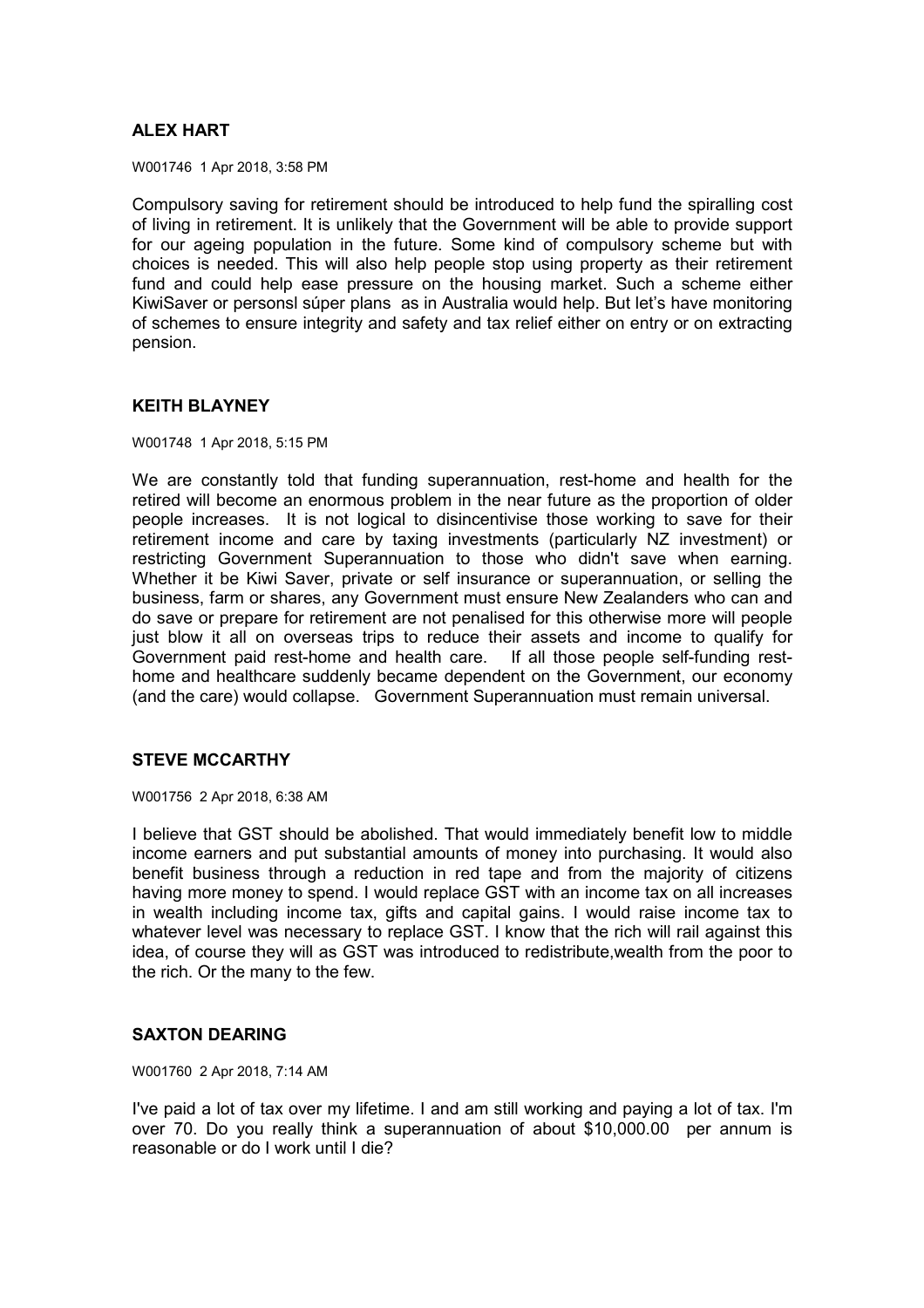# **ALEX HART**

W001746 1 Apr 2018, 3:58 PM

Compulsory saving for retirement should be introduced to help fund the spiralling cost of living in retirement. It is unlikely that the Government will be able to provide support for our ageing population in the future. Some kind of compulsory scheme but with choices is needed. This will also help people stop using property as their retirement fund and could help ease pressure on the housing market. Such a scheme either KiwiSaver or personsl súper plans as in Australia would help. But let's have monitoring of schemes to ensure integrity and safety and tax relief either on entry or on extracting pension.

## **KEITH BLAYNEY**

W001748 1 Apr 2018, 5:15 PM

We are constantly told that funding superannuation, rest-home and health for the retired will become an enormous problem in the near future as the proportion of older people increases. It is not logical to disincentivise those working to save for their retirement income and care by taxing investments (particularly NZ investment) or restricting Government Superannuation to those who didn't save when earning. Whether it be Kiwi Saver, private or self insurance or superannuation, or selling the business, farm or shares, any Government must ensure New Zealanders who can and do save or prepare for retirement are not penalised for this otherwise more will people just blow it all on overseas trips to reduce their assets and income to qualify for Government paid rest-home and health care. If all those people self-funding resthome and healthcare suddenly became dependent on the Government, our economy (and the care) would collapse. Government Superannuation must remain universal.

## **STEVE MCCARTHY**

W001756 2 Apr 2018, 6:38 AM

I believe that GST should be abolished. That would immediately benefit low to middle income earners and put substantial amounts of money into purchasing. It would also benefit business through a reduction in red tape and from the majority of citizens having more money to spend. I would replace GST with an income tax on all increases in wealth including income tax, gifts and capital gains. I would raise income tax to whatever level was necessary to replace GST. I know that the rich will rail against this idea, of course they will as GST was introduced to redistribute,wealth from the poor to the rich. Or the many to the few.

## **SAXTON DEARING**

W001760 2 Apr 2018, 7:14 AM

I've paid a lot of tax over my lifetime. I and am still working and paying a lot of tax. I'm over 70. Do you really think a superannuation of about \$10,000.00 per annum is reasonable or do I work until I die?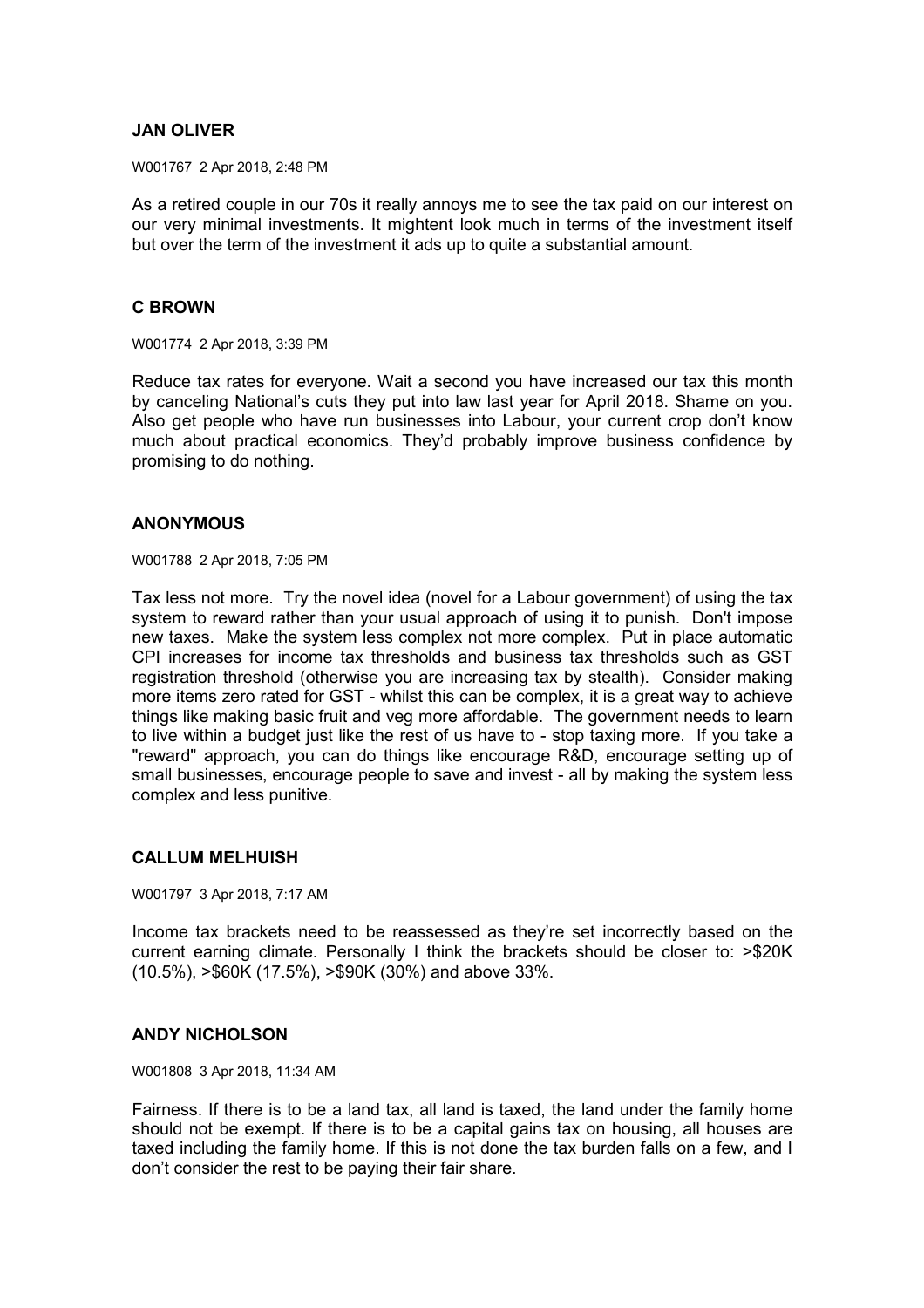## **JAN OLIVER**

W001767 2 Apr 2018, 2:48 PM

As a retired couple in our 70s it really annoys me to see the tax paid on our interest on our very minimal investments. It mightent look much in terms of the investment itself but over the term of the investment it ads up to quite a substantial amount.

## **C BROWN**

W001774 2 Apr 2018, 3:39 PM

Reduce tax rates for everyone. Wait a second you have increased our tax this month by canceling National's cuts they put into law last year for April 2018. Shame on you. Also get people who have run businesses into Labour, your current crop don't know much about practical economics. They'd probably improve business confidence by promising to do nothing.

## **ANONYMOUS**

W001788 2 Apr 2018, 7:05 PM

Tax less not more. Try the novel idea (novel for a Labour government) of using the tax system to reward rather than your usual approach of using it to punish. Don't impose new taxes. Make the system less complex not more complex. Put in place automatic CPI increases for income tax thresholds and business tax thresholds such as GST registration threshold (otherwise you are increasing tax by stealth). Consider making more items zero rated for GST - whilst this can be complex, it is a great way to achieve things like making basic fruit and veg more affordable. The government needs to learn to live within a budget just like the rest of us have to - stop taxing more. If you take a "reward" approach, you can do things like encourage R&D, encourage setting up of small businesses, encourage people to save and invest - all by making the system less complex and less punitive.

## **CALLUM MELHUISH**

W001797 3 Apr 2018, 7:17 AM

Income tax brackets need to be reassessed as they're set incorrectly based on the current earning climate. Personally I think the brackets should be closer to: >\$20K (10.5%), >\$60K (17.5%), >\$90K (30%) and above 33%.

## **ANDY NICHOLSON**

W001808 3 Apr 2018, 11:34 AM

Fairness. If there is to be a land tax, all land is taxed, the land under the family home should not be exempt. If there is to be a capital gains tax on housing, all houses are taxed including the family home. If this is not done the tax burden falls on a few, and I don't consider the rest to be paying their fair share.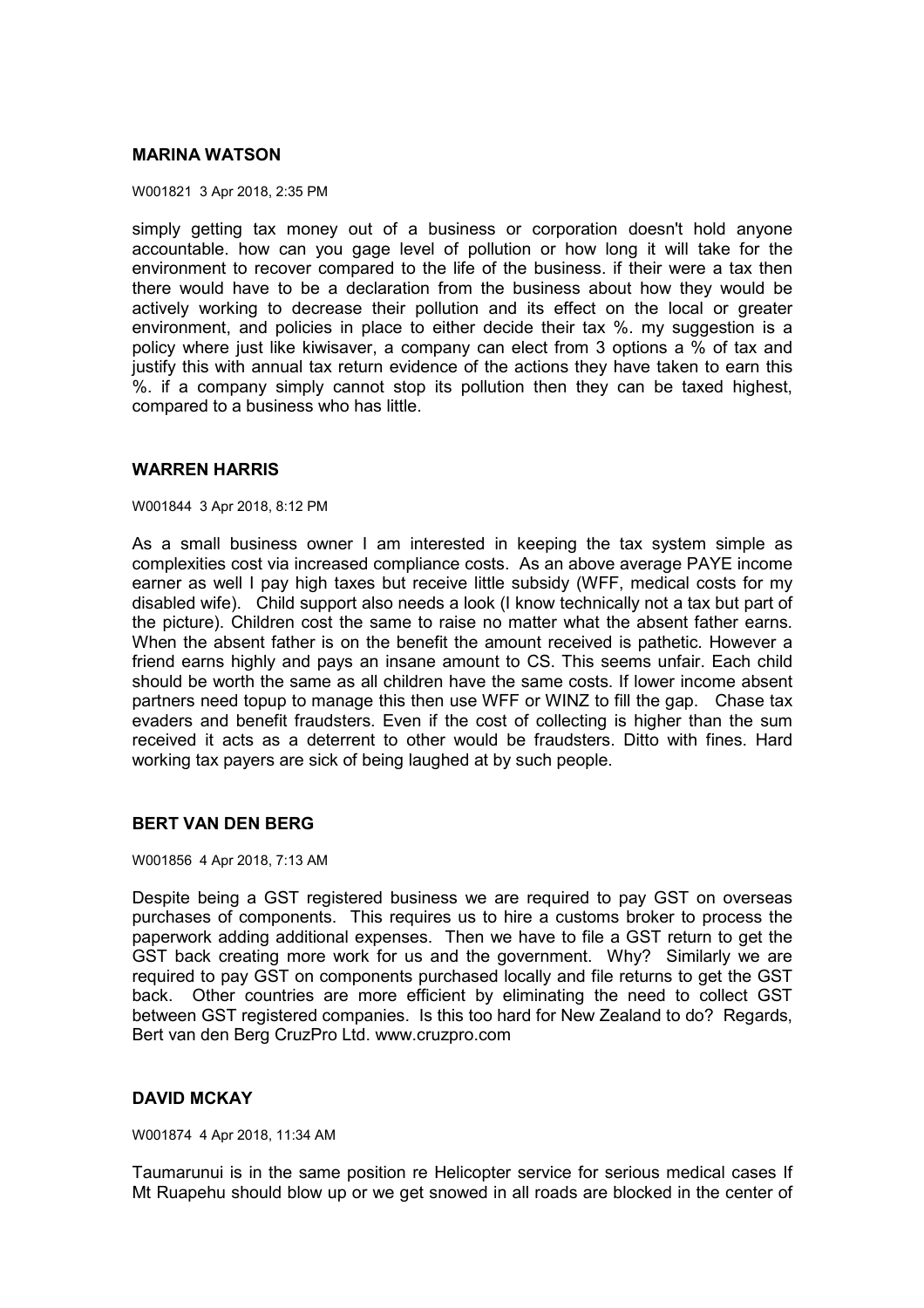### **MARINA WATSON**

W001821 3 Apr 2018, 2:35 PM

simply getting tax money out of a business or corporation doesn't hold anyone accountable. how can you gage level of pollution or how long it will take for the environment to recover compared to the life of the business. if their were a tax then there would have to be a declaration from the business about how they would be actively working to decrease their pollution and its effect on the local or greater environment, and policies in place to either decide their tax %. my suggestion is a policy where just like kiwisaver, a company can elect from 3 options a % of tax and justify this with annual tax return evidence of the actions they have taken to earn this %. if a company simply cannot stop its pollution then they can be taxed highest, compared to a business who has little.

## **WARREN HARRIS**

W001844 3 Apr 2018, 8:12 PM

As a small business owner I am interested in keeping the tax system simple as complexities cost via increased compliance costs. As an above average PAYE income earner as well I pay high taxes but receive little subsidy (WFF, medical costs for my disabled wife). Child support also needs a look (I know technically not a tax but part of the picture). Children cost the same to raise no matter what the absent father earns. When the absent father is on the benefit the amount received is pathetic. However a friend earns highly and pays an insane amount to CS. This seems unfair. Each child should be worth the same as all children have the same costs. If lower income absent partners need topup to manage this then use WFF or WINZ to fill the gap. Chase tax evaders and benefit fraudsters. Even if the cost of collecting is higher than the sum received it acts as a deterrent to other would be fraudsters. Ditto with fines. Hard working tax payers are sick of being laughed at by such people.

## **BERT VAN DEN BERG**

W001856 4 Apr 2018, 7:13 AM

Despite being a GST registered business we are required to pay GST on overseas purchases of components. This requires us to hire a customs broker to process the paperwork adding additional expenses. Then we have to file a GST return to get the GST back creating more work for us and the government. Why? Similarly we are required to pay GST on components purchased locally and file returns to get the GST back. Other countries are more efficient by eliminating the need to collect GST between GST registered companies. Is this too hard for New Zealand to do? Regards, Bert van den Berg CruzPro Ltd. www.cruzpro.com

# **DAVID MCKAY**

W001874 4 Apr 2018, 11:34 AM

Taumarunui is in the same position re Helicopter service for serious medical cases If Mt Ruapehu should blow up or we get snowed in all roads are blocked in the center of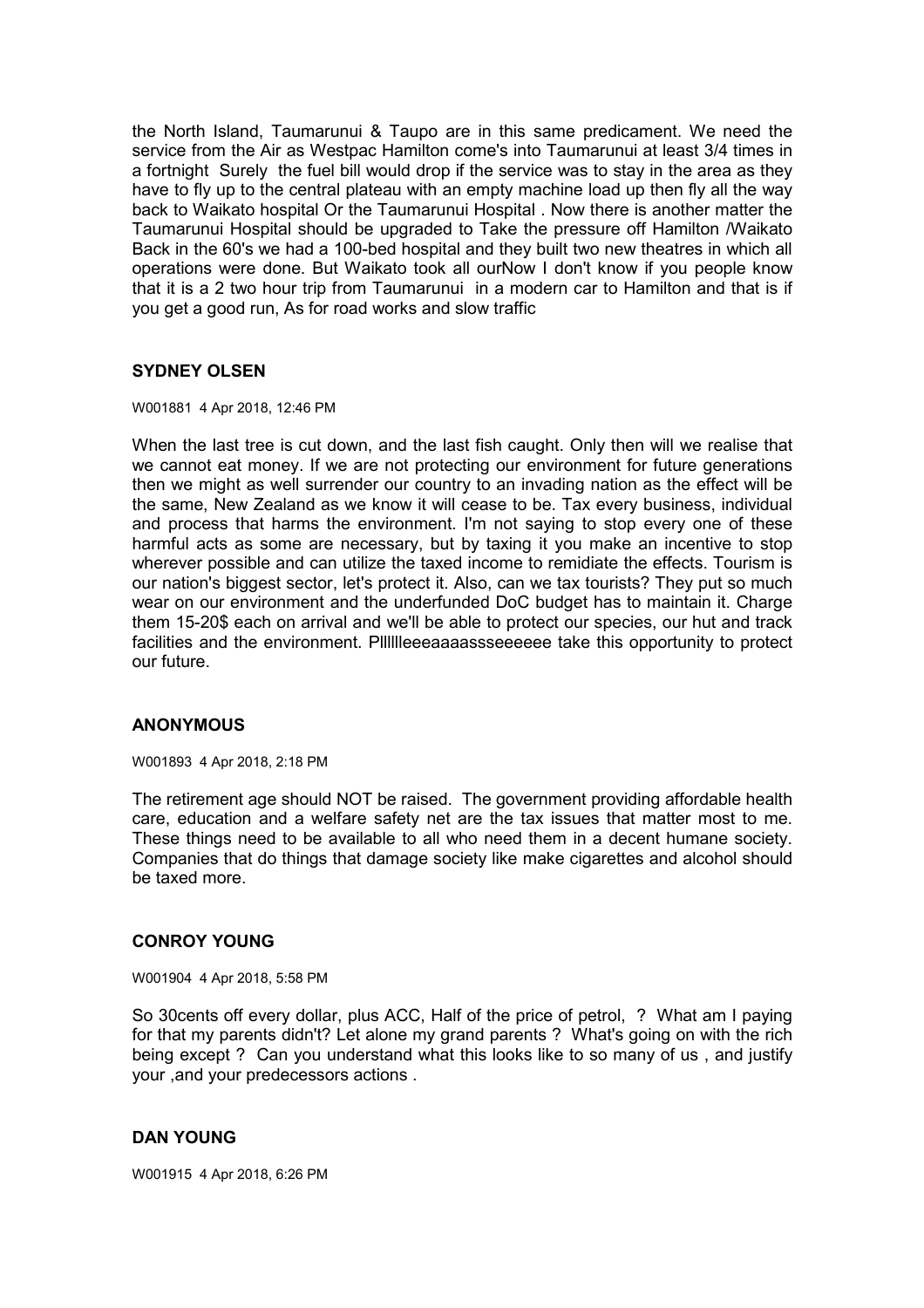the North Island, Taumarunui & Taupo are in this same predicament. We need the service from the Air as Westpac Hamilton come's into Taumarunui at least 3/4 times in a fortnight Surely the fuel bill would drop if the service was to stay in the area as they have to fly up to the central plateau with an empty machine load up then fly all the way back to Waikato hospital Or the Taumarunui Hospital . Now there is another matter the Taumarunui Hospital should be upgraded to Take the pressure off Hamilton /Waikato Back in the 60's we had a 100-bed hospital and they built two new theatres in which all operations were done. But Waikato took all ourNow I don't know if you people know that it is a 2 two hour trip from Taumarunui in a modern car to Hamilton and that is if you get a good run, As for road works and slow traffic

# **SYDNEY OLSEN**

#### W001881 4 Apr 2018, 12:46 PM

When the last tree is cut down, and the last fish caught. Only then will we realise that we cannot eat money. If we are not protecting our environment for future generations then we might as well surrender our country to an invading nation as the effect will be the same, New Zealand as we know it will cease to be. Tax every business, individual and process that harms the environment. I'm not saying to stop every one of these harmful acts as some are necessary, but by taxing it you make an incentive to stop wherever possible and can utilize the taxed income to remidiate the effects. Tourism is our nation's biggest sector, let's protect it. Also, can we tax tourists? They put so much wear on our environment and the underfunded DoC budget has to maintain it. Charge them 15-20\$ each on arrival and we'll be able to protect our species, our hut and track facilities and the environment. Plllllleeeaaaassseeeeee take this opportunity to protect our future.

## **ANONYMOUS**

#### W001893 4 Apr 2018, 2:18 PM

The retirement age should NOT be raised. The government providing affordable health care, education and a welfare safety net are the tax issues that matter most to me. These things need to be available to all who need them in a decent humane society. Companies that do things that damage society like make cigarettes and alcohol should be taxed more.

### **CONROY YOUNG**

W001904 4 Apr 2018, 5:58 PM

So 30cents off every dollar, plus ACC, Half of the price of petrol, ? What am I paying for that my parents didn't? Let alone my grand parents ? What's going on with the rich being except ? Can you understand what this looks like to so many of us , and justify your ,and your predecessors actions .

## **DAN YOUNG**

W001915 4 Apr 2018, 6:26 PM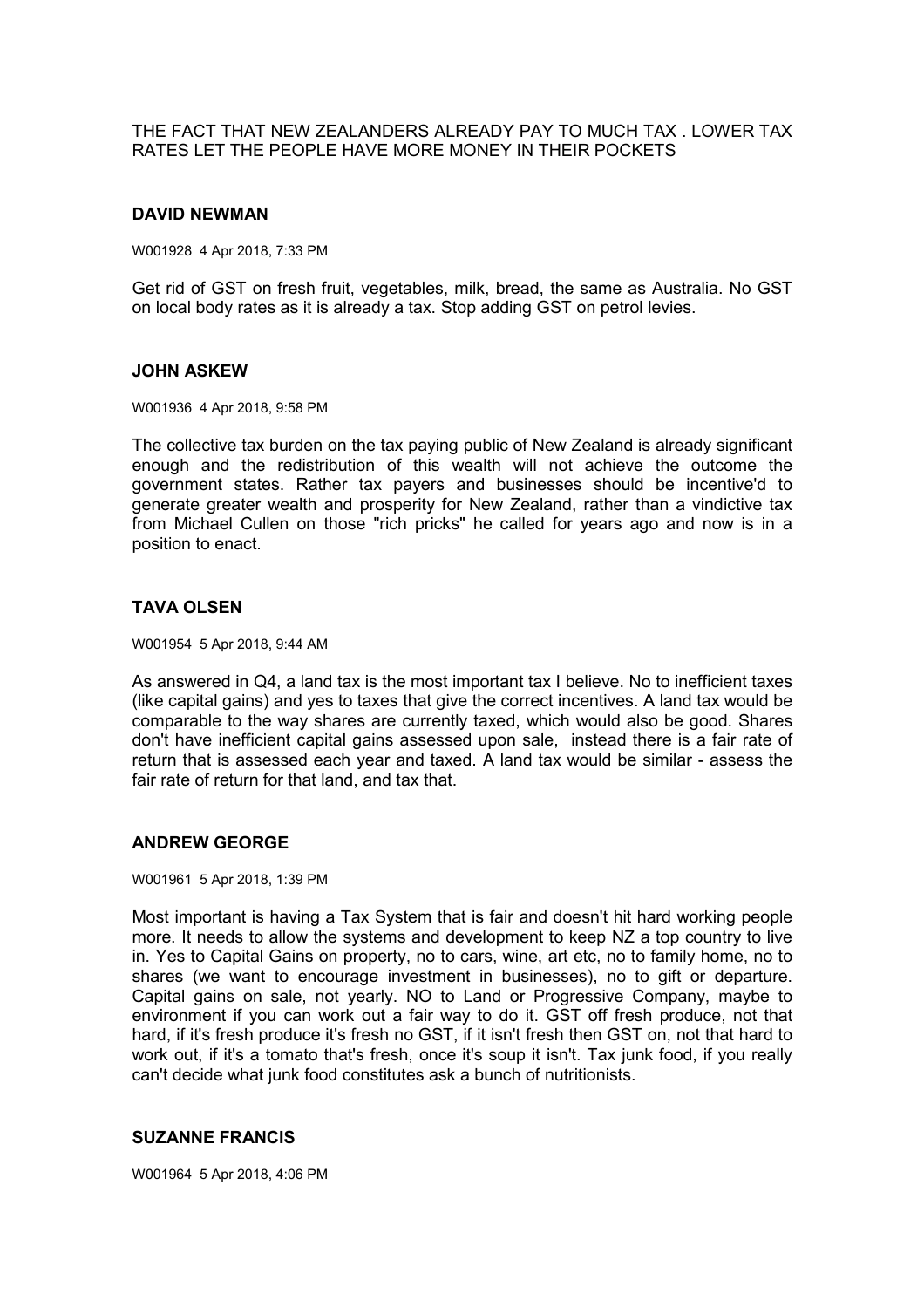THE FACT THAT NEW ZEALANDERS ALREADY PAY TO MUCH TAX . LOWER TAX RATES LET THE PEOPLE HAVE MORE MONEY IN THEIR POCKETS

### **DAVID NEWMAN**

W001928 4 Apr 2018, 7:33 PM

Get rid of GST on fresh fruit, vegetables, milk, bread, the same as Australia. No GST on local body rates as it is already a tax. Stop adding GST on petrol levies.

### **JOHN ASKEW**

W001936 4 Apr 2018, 9:58 PM

The collective tax burden on the tax paying public of New Zealand is already significant enough and the redistribution of this wealth will not achieve the outcome the government states. Rather tax payers and businesses should be incentive'd to generate greater wealth and prosperity for New Zealand, rather than a vindictive tax from Michael Cullen on those "rich pricks" he called for years ago and now is in a position to enact.

### **TAVA OLSEN**

W001954 5 Apr 2018, 9:44 AM

As answered in Q4, a land tax is the most important tax I believe. No to inefficient taxes (like capital gains) and yes to taxes that give the correct incentives. A land tax would be comparable to the way shares are currently taxed, which would also be good. Shares don't have inefficient capital gains assessed upon sale, instead there is a fair rate of return that is assessed each year and taxed. A land tax would be similar - assess the fair rate of return for that land, and tax that.

## **ANDREW GEORGE**

W001961 5 Apr 2018, 1:39 PM

Most important is having a Tax System that is fair and doesn't hit hard working people more. It needs to allow the systems and development to keep NZ a top country to live in. Yes to Capital Gains on property, no to cars, wine, art etc, no to family home, no to shares (we want to encourage investment in businesses), no to gift or departure. Capital gains on sale, not yearly. NO to Land or Progressive Company, maybe to environment if you can work out a fair way to do it. GST off fresh produce, not that hard, if it's fresh produce it's fresh no GST, if it isn't fresh then GST on, not that hard to work out, if it's a tomato that's fresh, once it's soup it isn't. Tax junk food, if you really can't decide what junk food constitutes ask a bunch of nutritionists.

### **SUZANNE FRANCIS**

W001964 5 Apr 2018, 4:06 PM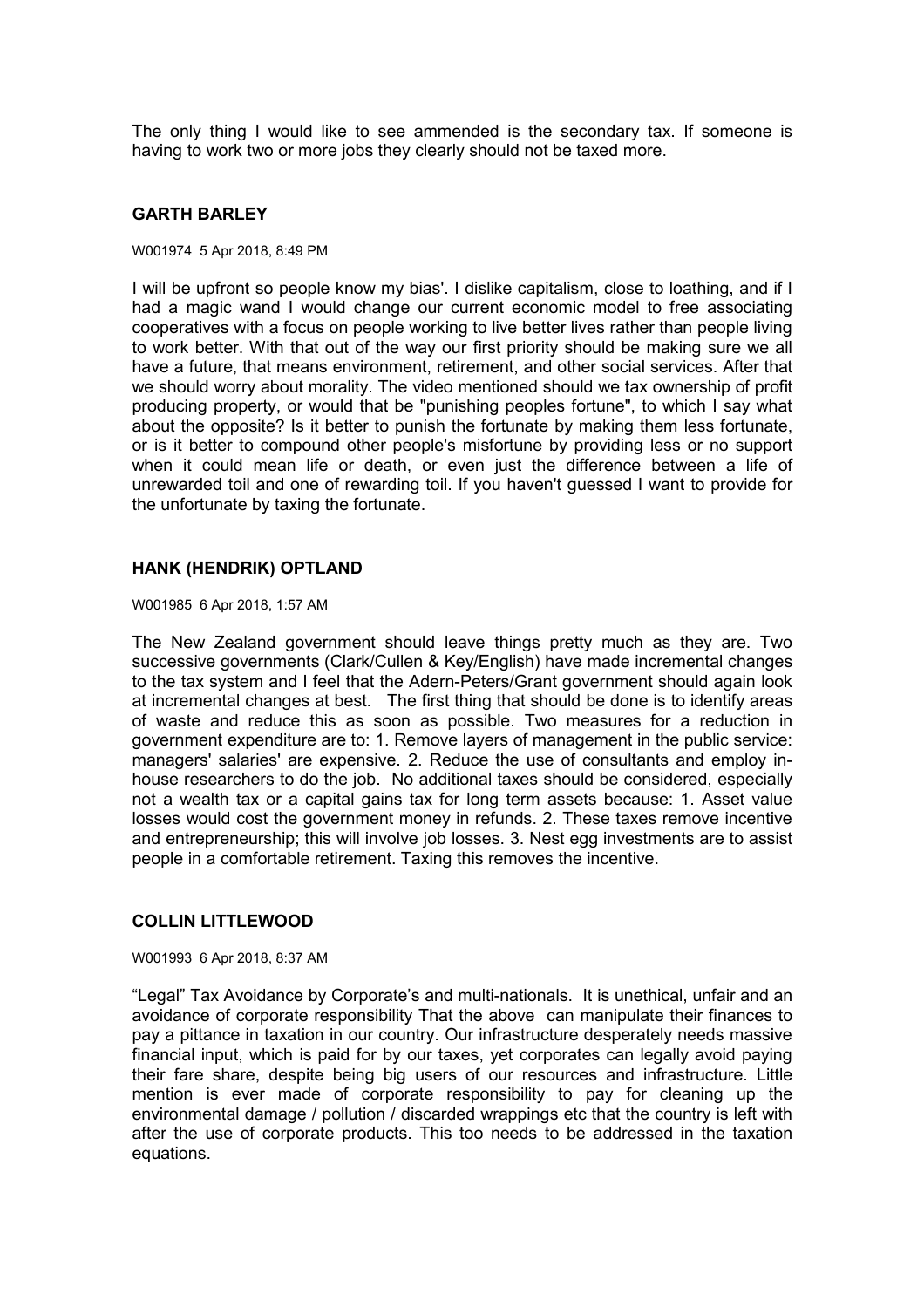The only thing I would like to see ammended is the secondary tax. If someone is having to work two or more jobs they clearly should not be taxed more.

### **GARTH BARLEY**

#### W001974 5 Apr 2018, 8:49 PM

I will be upfront so people know my bias'. I dislike capitalism, close to loathing, and if I had a magic wand I would change our current economic model to free associating cooperatives with a focus on people working to live better lives rather than people living to work better. With that out of the way our first priority should be making sure we all have a future, that means environment, retirement, and other social services. After that we should worry about morality. The video mentioned should we tax ownership of profit producing property, or would that be "punishing peoples fortune", to which I say what about the opposite? Is it better to punish the fortunate by making them less fortunate, or is it better to compound other people's misfortune by providing less or no support when it could mean life or death, or even just the difference between a life of unrewarded toil and one of rewarding toil. If you haven't guessed I want to provide for the unfortunate by taxing the fortunate.

### **HANK (HENDRIK) OPTLAND**

W001985 6 Apr 2018, 1:57 AM

The New Zealand government should leave things pretty much as they are. Two successive governments (Clark/Cullen & Key/English) have made incremental changes to the tax system and I feel that the Adern-Peters/Grant government should again look at incremental changes at best. The first thing that should be done is to identify areas of waste and reduce this as soon as possible. Two measures for a reduction in government expenditure are to: 1. Remove layers of management in the public service: managers' salaries' are expensive. 2. Reduce the use of consultants and employ inhouse researchers to do the job. No additional taxes should be considered, especially not a wealth tax or a capital gains tax for long term assets because: 1. Asset value losses would cost the government money in refunds. 2. These taxes remove incentive and entrepreneurship; this will involve job losses. 3. Nest egg investments are to assist people in a comfortable retirement. Taxing this removes the incentive.

## **COLLIN LITTLEWOOD**

W001993 6 Apr 2018, 8:37 AM

"Legal" Tax Avoidance by Corporate's and multi-nationals. It is unethical, unfair and an avoidance of corporate responsibility That the above can manipulate their finances to pay a pittance in taxation in our country. Our infrastructure desperately needs massive financial input, which is paid for by our taxes, yet corporates can legally avoid paying their fare share, despite being big users of our resources and infrastructure. Little mention is ever made of corporate responsibility to pay for cleaning up the environmental damage / pollution / discarded wrappings etc that the country is left with after the use of corporate products. This too needs to be addressed in the taxation equations.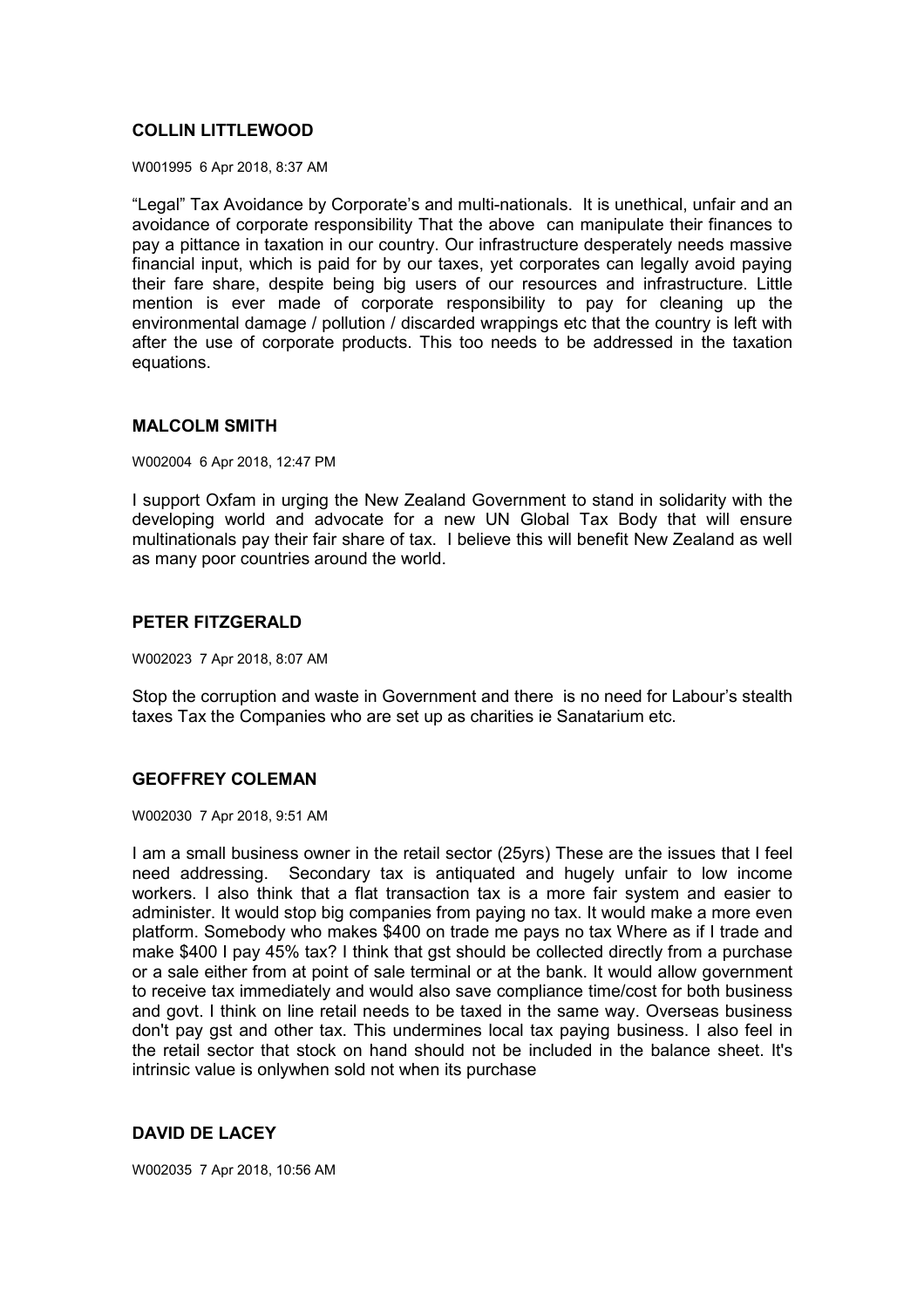## **COLLIN LITTLEWOOD**

W001995 6 Apr 2018, 8:37 AM

"Legal" Tax Avoidance by Corporate's and multi-nationals. It is unethical, unfair and an avoidance of corporate responsibility That the above can manipulate their finances to pay a pittance in taxation in our country. Our infrastructure desperately needs massive financial input, which is paid for by our taxes, yet corporates can legally avoid paying their fare share, despite being big users of our resources and infrastructure. Little mention is ever made of corporate responsibility to pay for cleaning up the environmental damage / pollution / discarded wrappings etc that the country is left with after the use of corporate products. This too needs to be addressed in the taxation equations.

### **MALCOLM SMITH**

W002004 6 Apr 2018, 12:47 PM

I support Oxfam in urging the New Zealand Government to stand in solidarity with the developing world and advocate for a new UN Global Tax Body that will ensure multinationals pay their fair share of tax. I believe this will benefit New Zealand as well as many poor countries around the world.

# **PETER FITZGERALD**

W002023 7 Apr 2018, 8:07 AM

Stop the corruption and waste in Government and there is no need for Labour's stealth taxes Tax the Companies who are set up as charities ie Sanatarium etc.

## **GEOFFREY COLEMAN**

W002030 7 Apr 2018, 9:51 AM

I am a small business owner in the retail sector (25yrs) These are the issues that I feel need addressing. Secondary tax is antiquated and hugely unfair to low income workers. I also think that a flat transaction tax is a more fair system and easier to administer. It would stop big companies from paying no tax. It would make a more even platform. Somebody who makes \$400 on trade me pays no tax Where as if I trade and make \$400 I pay 45% tax? I think that gst should be collected directly from a purchase or a sale either from at point of sale terminal or at the bank. It would allow government to receive tax immediately and would also save compliance time/cost for both business and govt. I think on line retail needs to be taxed in the same way. Overseas business don't pay gst and other tax. This undermines local tax paying business. I also feel in the retail sector that stock on hand should not be included in the balance sheet. It's intrinsic value is onlywhen sold not when its purchase

# **DAVID DE LACEY**

W002035 7 Apr 2018, 10:56 AM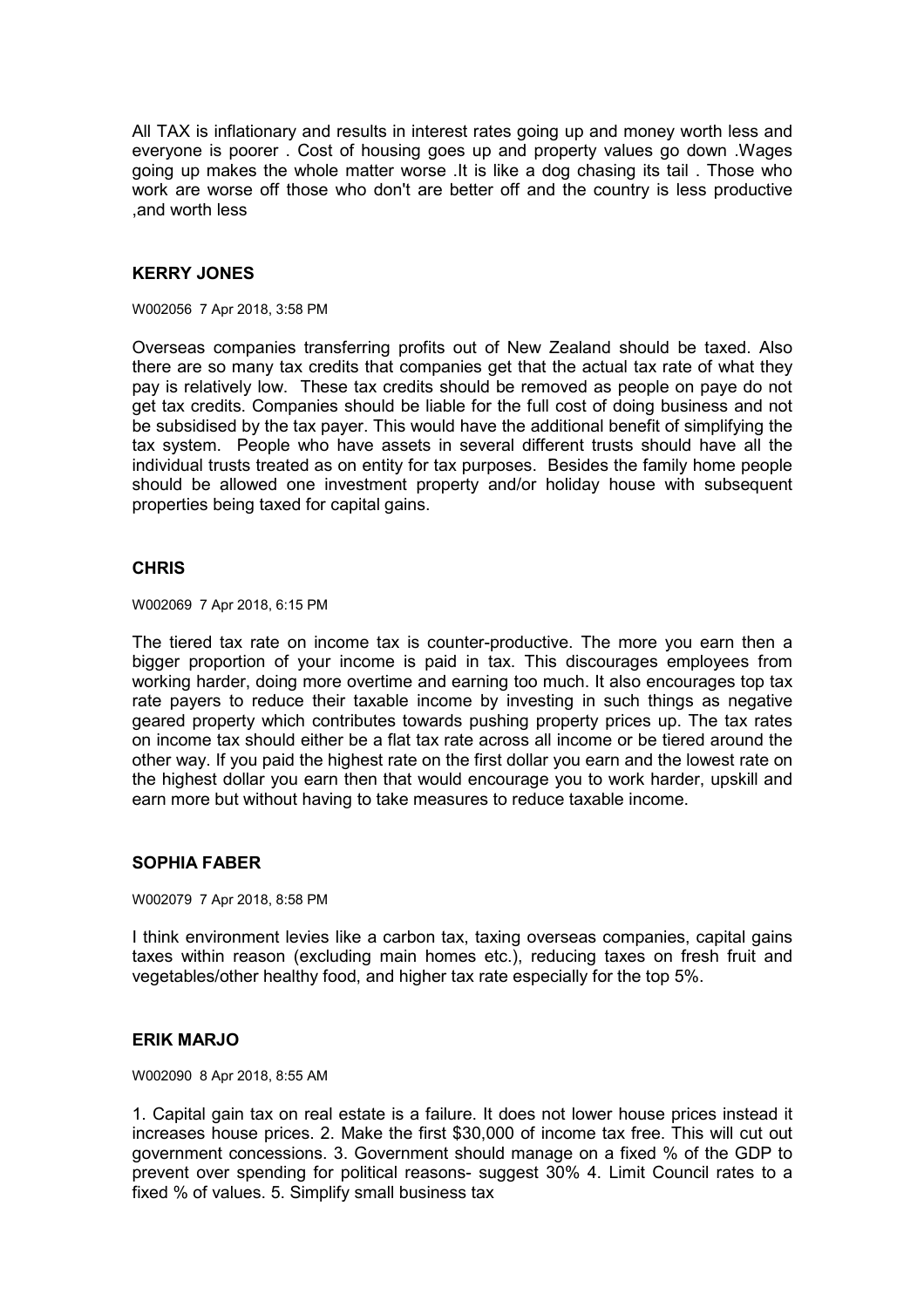All TAX is inflationary and results in interest rates going up and money worth less and everyone is poorer . Cost of housing goes up and property values go down .Wages going up makes the whole matter worse .It is like a dog chasing its tail . Those who work are worse off those who don't are better off and the country is less productive ,and worth less

# **KERRY JONES**

W002056 7 Apr 2018, 3:58 PM

Overseas companies transferring profits out of New Zealand should be taxed. Also there are so many tax credits that companies get that the actual tax rate of what they pay is relatively low. These tax credits should be removed as people on paye do not get tax credits. Companies should be liable for the full cost of doing business and not be subsidised by the tax payer. This would have the additional benefit of simplifying the tax system. People who have assets in several different trusts should have all the individual trusts treated as on entity for tax purposes. Besides the family home people should be allowed one investment property and/or holiday house with subsequent properties being taxed for capital gains.

## **CHRIS**

W002069 7 Apr 2018, 6:15 PM

The tiered tax rate on income tax is counter-productive. The more you earn then a bigger proportion of your income is paid in tax. This discourages employees from working harder, doing more overtime and earning too much. It also encourages top tax rate payers to reduce their taxable income by investing in such things as negative geared property which contributes towards pushing property prices up. The tax rates on income tax should either be a flat tax rate across all income or be tiered around the other way. If you paid the highest rate on the first dollar you earn and the lowest rate on the highest dollar you earn then that would encourage you to work harder, upskill and earn more but without having to take measures to reduce taxable income.

## **SOPHIA FABER**

W002079 7 Apr 2018, 8:58 PM

I think environment levies like a carbon tax, taxing overseas companies, capital gains taxes within reason (excluding main homes etc.), reducing taxes on fresh fruit and vegetables/other healthy food, and higher tax rate especially for the top 5%.

## **ERIK MARJO**

W002090 8 Apr 2018, 8:55 AM

1. Capital gain tax on real estate is a failure. It does not lower house prices instead it increases house prices. 2. Make the first \$30,000 of income tax free. This will cut out government concessions. 3. Government should manage on a fixed % of the GDP to prevent over spending for political reasons- suggest 30% 4. Limit Council rates to a fixed % of values. 5. Simplify small business tax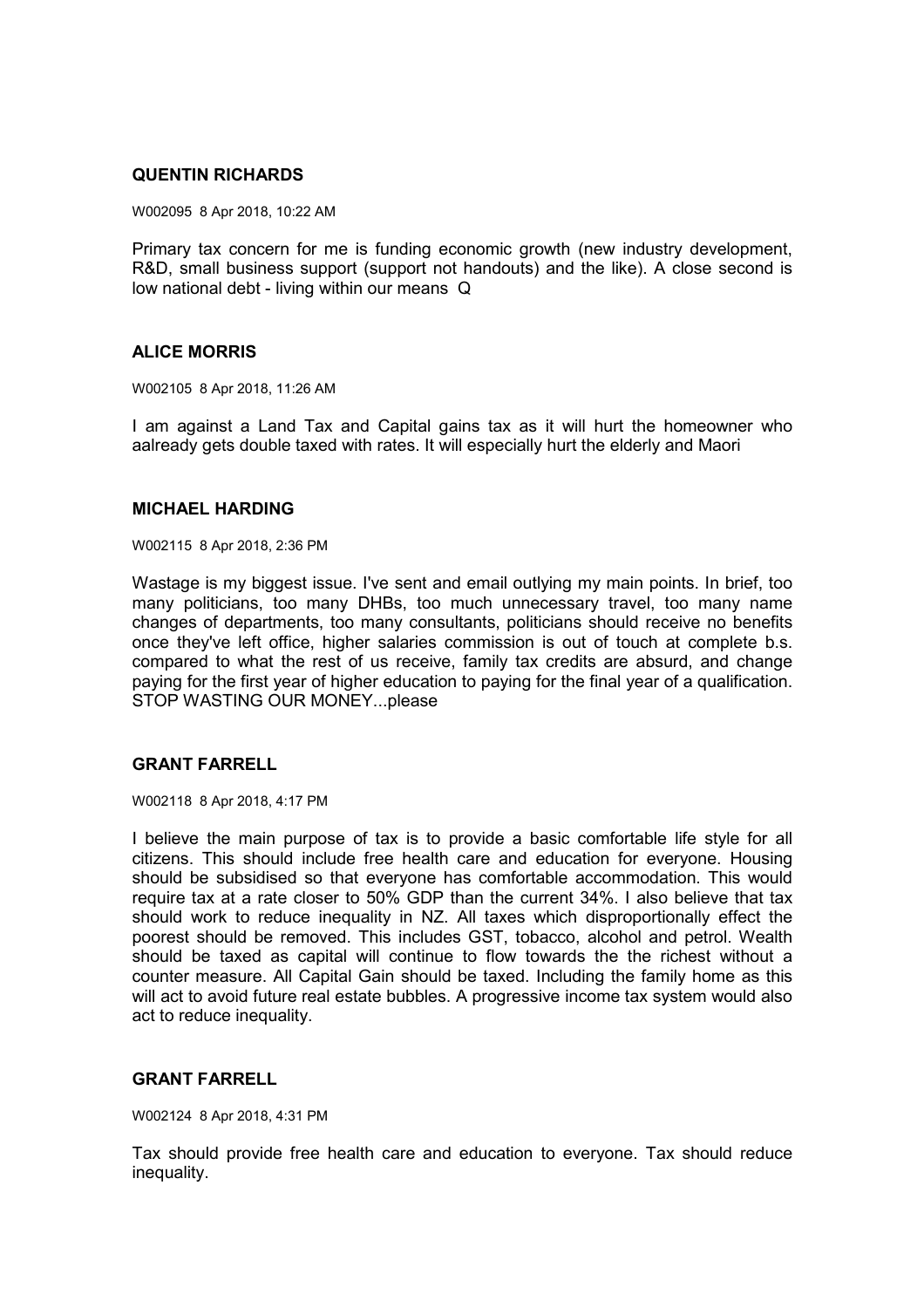## **QUENTIN RICHARDS**

W002095 8 Apr 2018, 10:22 AM

Primary tax concern for me is funding economic growth (new industry development, R&D, small business support (support not handouts) and the like). A close second is low national debt - living within our means Q

## **ALICE MORRIS**

W002105 8 Apr 2018, 11:26 AM

I am against a Land Tax and Capital gains tax as it will hurt the homeowner who aalready gets double taxed with rates. It will especially hurt the elderly and Maori

### **MICHAEL HARDING**

W002115 8 Apr 2018, 2:36 PM

Wastage is my biggest issue. I've sent and email outlying my main points. In brief, too many politicians, too many DHBs, too much unnecessary travel, too many name changes of departments, too many consultants, politicians should receive no benefits once they've left office, higher salaries commission is out of touch at complete b.s. compared to what the rest of us receive, family tax credits are absurd, and change paying for the first year of higher education to paying for the final year of a qualification. STOP WASTING OUR MONEY...please

## **GRANT FARRELL**

W002118 8 Apr 2018, 4:17 PM

I believe the main purpose of tax is to provide a basic comfortable life style for all citizens. This should include free health care and education for everyone. Housing should be subsidised so that everyone has comfortable accommodation. This would require tax at a rate closer to 50% GDP than the current 34%. I also believe that tax should work to reduce inequality in NZ. All taxes which disproportionally effect the poorest should be removed. This includes GST, tobacco, alcohol and petrol. Wealth should be taxed as capital will continue to flow towards the the richest without a counter measure. All Capital Gain should be taxed. Including the family home as this will act to avoid future real estate bubbles. A progressive income tax system would also act to reduce inequality.

# **GRANT FARRELL**

W002124 8 Apr 2018, 4:31 PM

Tax should provide free health care and education to everyone. Tax should reduce inequality.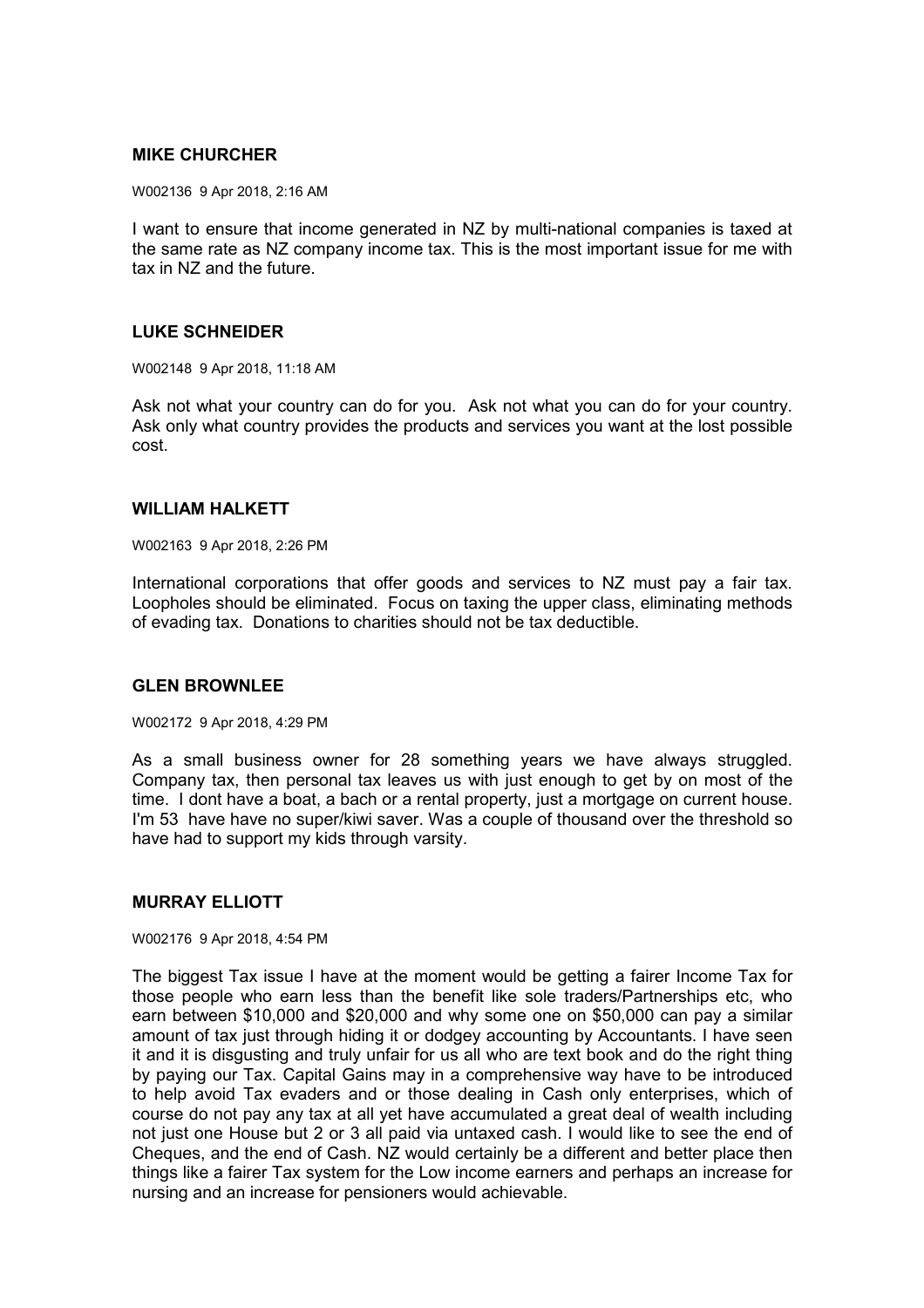## **MIKE CHURCHER**

W002136 9 Apr 2018, 2:16 AM

I want to ensure that income generated in NZ by multi-national companies is taxed at the same rate as NZ company income tax. This is the most important issue for me with tax in NZ and the future.

## **LUKE SCHNEIDER**

W002148 9 Apr 2018, 11:18 AM

Ask not what your country can do for you. Ask not what you can do for your country. Ask only what country provides the products and services you want at the lost possible cost.

### **WILLIAM HALKETT**

W002163 9 Apr 2018, 2:26 PM

International corporations that offer goods and services to NZ must pay a fair tax. Loopholes should be eliminated. Focus on taxing the upper class, eliminating methods of evading tax. Donations to charities should not be tax deductible.

## **GLEN BROWNLEE**

W002172 9 Apr 2018, 4:29 PM

As a small business owner for 28 something years we have always struggled. Company tax, then personal tax leaves us with just enough to get by on most of the time. I dont have a boat, a bach or a rental property, just a mortgage on current house. I'm 53 have have no super/kiwi saver. Was a couple of thousand over the threshold so have had to support my kids through varsity.

## **MURRAY ELLIOTT**

### W002176 9 Apr 2018, 4:54 PM

The biggest Tax issue I have at the moment would be getting a fairer Income Tax for those people who earn less than the benefit like sole traders/Partnerships etc, who earn between \$10,000 and \$20,000 and why some one on \$50,000 can pay a similar amount of tax just through hiding it or dodgey accounting by Accountants. I have seen it and it is disgusting and truly unfair for us all who are text book and do the right thing by paying our Tax. Capital Gains may in a comprehensive way have to be introduced to help avoid Tax evaders and or those dealing in Cash only enterprises, which of course do not pay any tax at all yet have accumulated a great deal of wealth including not just one House but 2 or 3 all paid via untaxed cash. I would like to see the end of Cheques, and the end of Cash. NZ would certainly be a different and better place then things like a fairer Tax system for the Low income earners and perhaps an increase for nursing and an increase for pensioners would achievable.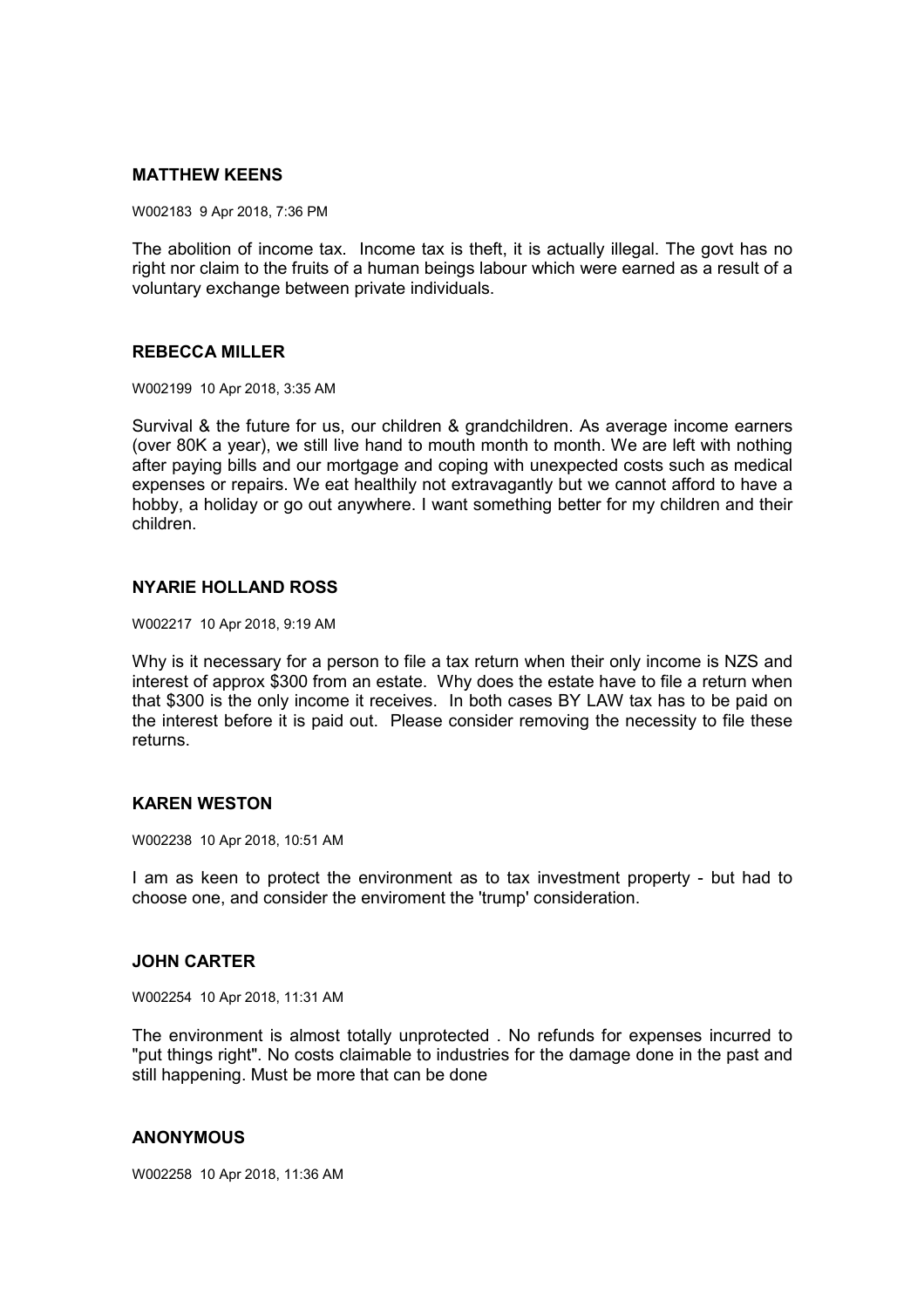## **MATTHEW KEENS**

W002183 9 Apr 2018, 7:36 PM

The abolition of income tax. Income tax is theft, it is actually illegal. The govt has no right nor claim to the fruits of a human beings labour which were earned as a result of a voluntary exchange between private individuals.

## **REBECCA MILLER**

W002199 10 Apr 2018, 3:35 AM

Survival & the future for us, our children & grandchildren. As average income earners (over 80K a year), we still live hand to mouth month to month. We are left with nothing after paying bills and our mortgage and coping with unexpected costs such as medical expenses or repairs. We eat healthily not extravagantly but we cannot afford to have a hobby, a holiday or go out anywhere. I want something better for my children and their children.

## **NYARIE HOLLAND ROSS**

W002217 10 Apr 2018, 9:19 AM

Why is it necessary for a person to file a tax return when their only income is NZS and interest of approx \$300 from an estate. Why does the estate have to file a return when that \$300 is the only income it receives. In both cases BY LAW tax has to be paid on the interest before it is paid out. Please consider removing the necessity to file these returns.

## **KAREN WESTON**

W002238 10 Apr 2018, 10:51 AM

I am as keen to protect the environment as to tax investment property - but had to choose one, and consider the enviroment the 'trump' consideration.

## **JOHN CARTER**

W002254 10 Apr 2018, 11:31 AM

The environment is almost totally unprotected . No refunds for expenses incurred to "put things right". No costs claimable to industries for the damage done in the past and still happening. Must be more that can be done

## **ANONYMOUS**

W002258 10 Apr 2018, 11:36 AM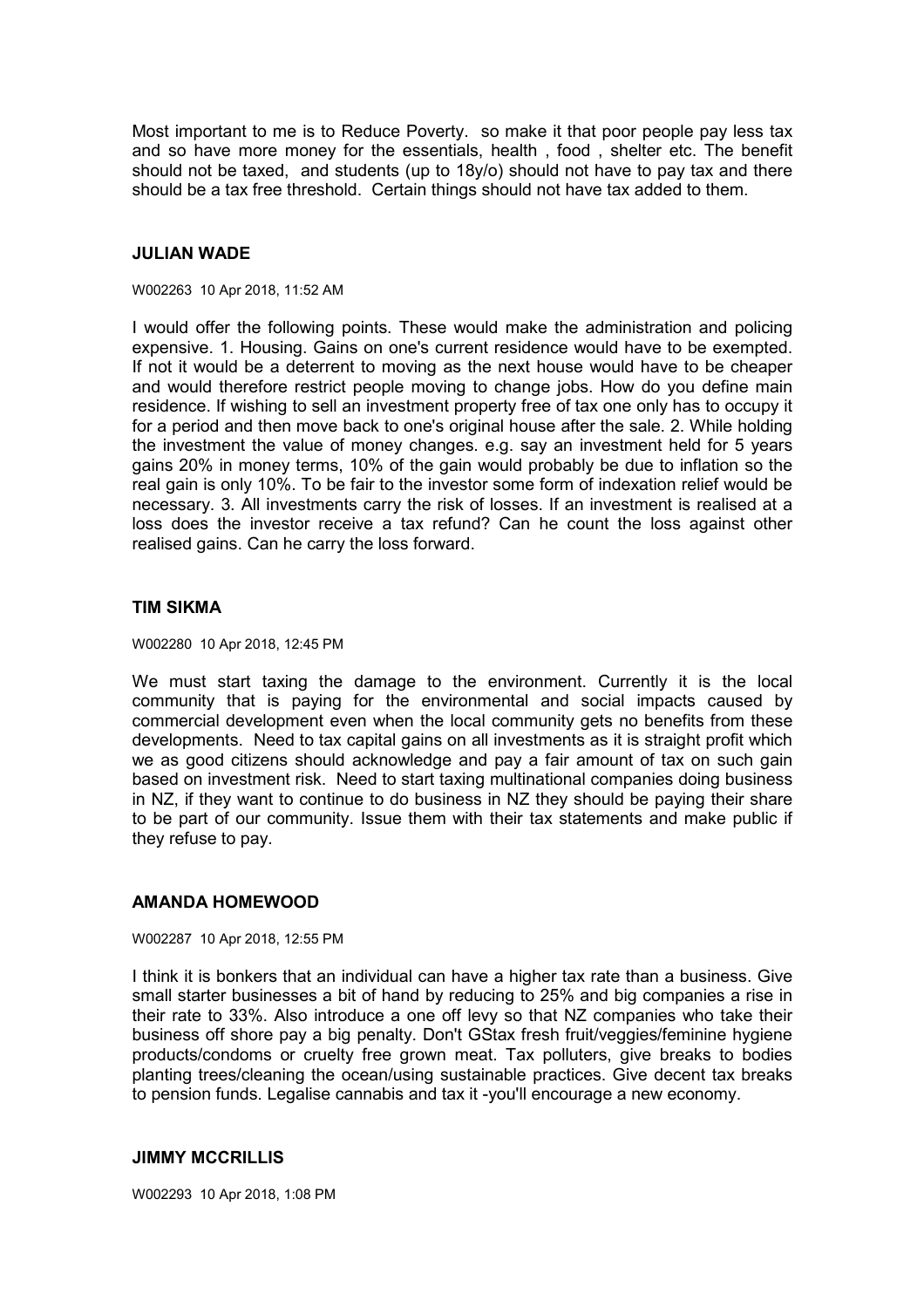Most important to me is to Reduce Poverty. so make it that poor people pay less tax and so have more money for the essentials, health , food , shelter etc. The benefit should not be taxed, and students (up to 18y/o) should not have to pay tax and there should be a tax free threshold. Certain things should not have tax added to them.

### **JULIAN WADE**

#### W002263 10 Apr 2018, 11:52 AM

I would offer the following points. These would make the administration and policing expensive. 1. Housing. Gains on one's current residence would have to be exempted. If not it would be a deterrent to moving as the next house would have to be cheaper and would therefore restrict people moving to change jobs. How do you define main residence. If wishing to sell an investment property free of tax one only has to occupy it for a period and then move back to one's original house after the sale. 2. While holding the investment the value of money changes. e.g. say an investment held for 5 years gains 20% in money terms, 10% of the gain would probably be due to inflation so the real gain is only 10%. To be fair to the investor some form of indexation relief would be necessary. 3. All investments carry the risk of losses. If an investment is realised at a loss does the investor receive a tax refund? Can he count the loss against other realised gains. Can he carry the loss forward.

### **TIM SIKMA**

W002280 10 Apr 2018, 12:45 PM

We must start taxing the damage to the environment. Currently it is the local community that is paying for the environmental and social impacts caused by commercial development even when the local community gets no benefits from these developments. Need to tax capital gains on all investments as it is straight profit which we as good citizens should acknowledge and pay a fair amount of tax on such gain based on investment risk. Need to start taxing multinational companies doing business in NZ, if they want to continue to do business in NZ they should be paying their share to be part of our community. Issue them with their tax statements and make public if they refuse to pay.

### **AMANDA HOMEWOOD**

#### W002287 10 Apr 2018, 12:55 PM

I think it is bonkers that an individual can have a higher tax rate than a business. Give small starter businesses a bit of hand by reducing to 25% and big companies a rise in their rate to 33%. Also introduce a one off levy so that NZ companies who take their business off shore pay a big penalty. Don't GStax fresh fruit/veggies/feminine hygiene products/condoms or cruelty free grown meat. Tax polluters, give breaks to bodies planting trees/cleaning the ocean/using sustainable practices. Give decent tax breaks to pension funds. Legalise cannabis and tax it -you'll encourage a new economy.

### **JIMMY MCCRILLIS**

W002293 10 Apr 2018, 1:08 PM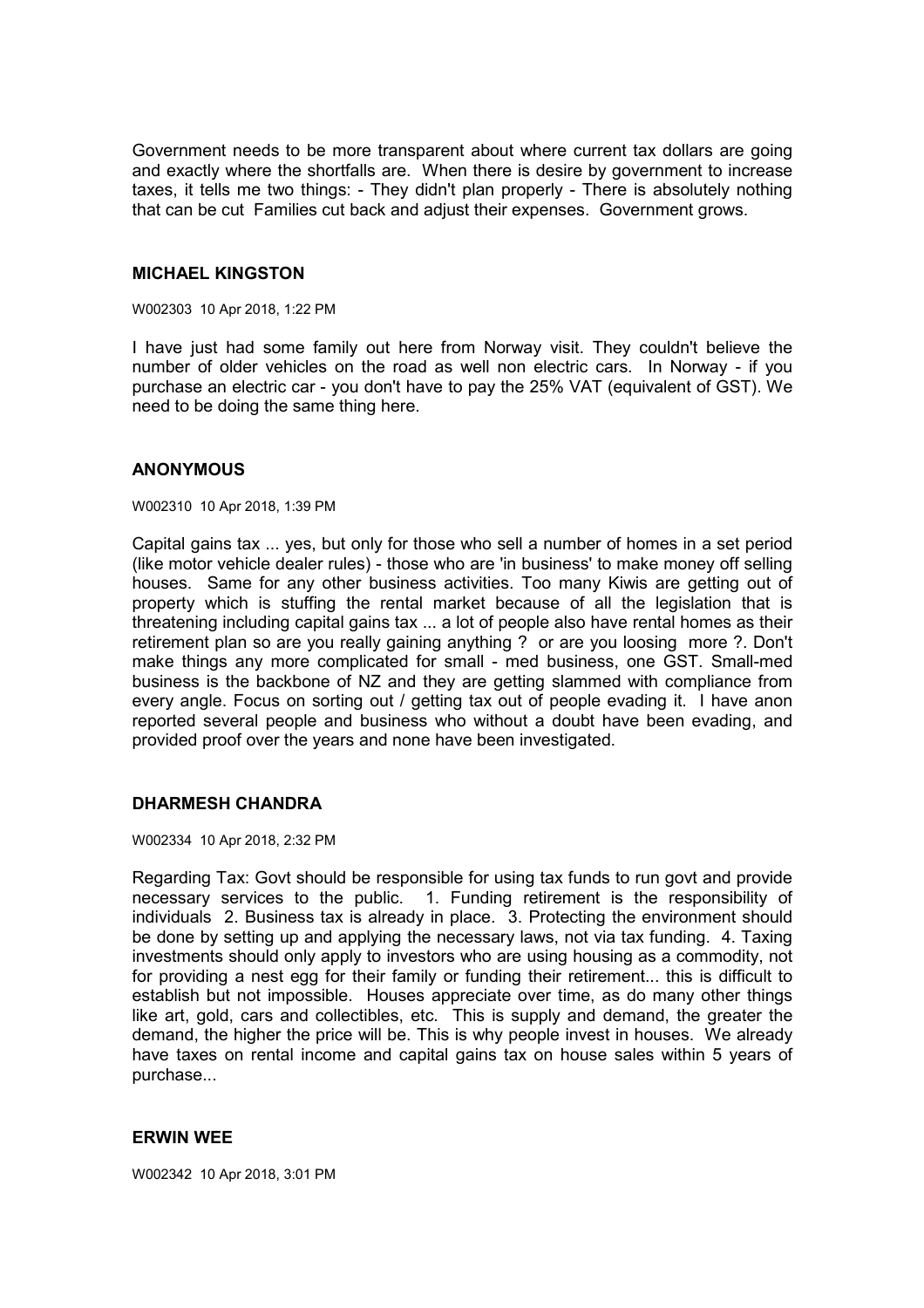Government needs to be more transparent about where current tax dollars are going and exactly where the shortfalls are. When there is desire by government to increase taxes, it tells me two things: - They didn't plan properly - There is absolutely nothing that can be cut Families cut back and adjust their expenses. Government grows.

### **MICHAEL KINGSTON**

W002303 10 Apr 2018, 1:22 PM

I have just had some family out here from Norway visit. They couldn't believe the number of older vehicles on the road as well non electric cars. In Norway - if you purchase an electric car - you don't have to pay the 25% VAT (equivalent of GST). We need to be doing the same thing here.

### **ANONYMOUS**

W002310 10 Apr 2018, 1:39 PM

Capital gains tax ... yes, but only for those who sell a number of homes in a set period (like motor vehicle dealer rules) - those who are 'in business' to make money off selling houses. Same for any other business activities. Too many Kiwis are getting out of property which is stuffing the rental market because of all the legislation that is threatening including capital gains tax ... a lot of people also have rental homes as their retirement plan so are you really gaining anything ? or are you loosing more ?. Don't make things any more complicated for small - med business, one GST. Small-med business is the backbone of NZ and they are getting slammed with compliance from every angle. Focus on sorting out / getting tax out of people evading it. I have anon reported several people and business who without a doubt have been evading, and provided proof over the years and none have been investigated.

## **DHARMESH CHANDRA**

W002334 10 Apr 2018, 2:32 PM

Regarding Tax: Govt should be responsible for using tax funds to run govt and provide necessary services to the public. 1. Funding retirement is the responsibility of individuals 2. Business tax is already in place. 3. Protecting the environment should be done by setting up and applying the necessary laws, not via tax funding. 4. Taxing investments should only apply to investors who are using housing as a commodity, not for providing a nest egg for their family or funding their retirement... this is difficult to establish but not impossible. Houses appreciate over time, as do many other things like art, gold, cars and collectibles, etc. This is supply and demand, the greater the demand, the higher the price will be. This is why people invest in houses. We already have taxes on rental income and capital gains tax on house sales within 5 years of purchase...

## **ERWIN WEE**

W002342 10 Apr 2018, 3:01 PM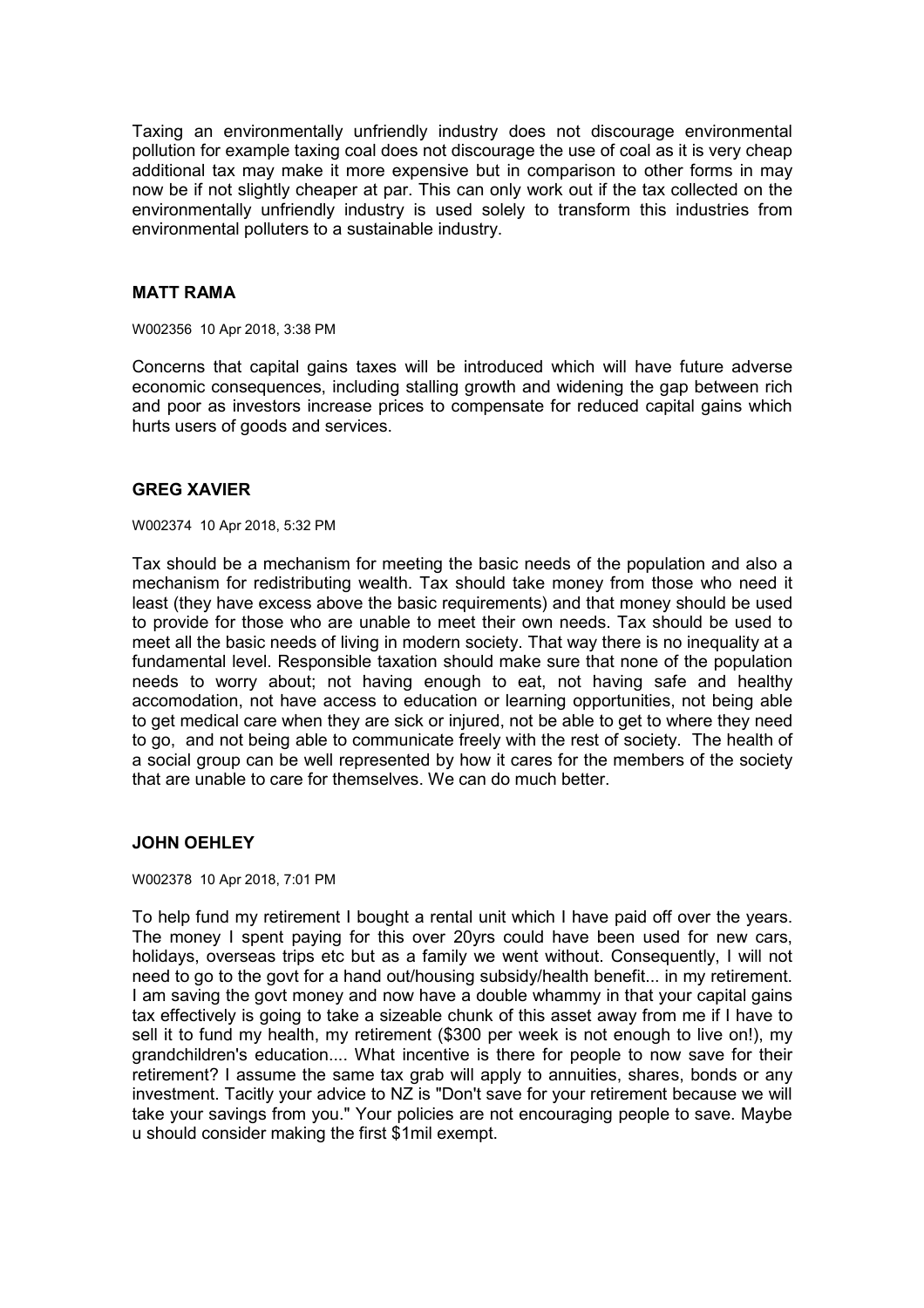Taxing an environmentally unfriendly industry does not discourage environmental pollution for example taxing coal does not discourage the use of coal as it is very cheap additional tax may make it more expensive but in comparison to other forms in may now be if not slightly cheaper at par. This can only work out if the tax collected on the environmentally unfriendly industry is used solely to transform this industries from environmental polluters to a sustainable industry.

## **MATT RAMA**

W002356 10 Apr 2018, 3:38 PM

Concerns that capital gains taxes will be introduced which will have future adverse economic consequences, including stalling growth and widening the gap between rich and poor as investors increase prices to compensate for reduced capital gains which hurts users of goods and services.

# **GREG XAVIER**

W002374 10 Apr 2018, 5:32 PM

Tax should be a mechanism for meeting the basic needs of the population and also a mechanism for redistributing wealth. Tax should take money from those who need it least (they have excess above the basic requirements) and that money should be used to provide for those who are unable to meet their own needs. Tax should be used to meet all the basic needs of living in modern society. That way there is no inequality at a fundamental level. Responsible taxation should make sure that none of the population needs to worry about; not having enough to eat, not having safe and healthy accomodation, not have access to education or learning opportunities, not being able to get medical care when they are sick or injured, not be able to get to where they need to go, and not being able to communicate freely with the rest of society. The health of a social group can be well represented by how it cares for the members of the society that are unable to care for themselves. We can do much better.

# **JOHN OEHLEY**

W002378 10 Apr 2018, 7:01 PM

To help fund my retirement I bought a rental unit which I have paid off over the years. The money I spent paying for this over 20yrs could have been used for new cars, holidays, overseas trips etc but as a family we went without. Consequently, I will not need to go to the govt for a hand out/housing subsidy/health benefit... in my retirement. I am saving the govt money and now have a double whammy in that your capital gains tax effectively is going to take a sizeable chunk of this asset away from me if I have to sell it to fund my health, my retirement (\$300 per week is not enough to live on!), my grandchildren's education.... What incentive is there for people to now save for their retirement? I assume the same tax grab will apply to annuities, shares, bonds or any investment. Tacitly your advice to NZ is "Don't save for your retirement because we will take your savings from you." Your policies are not encouraging people to save. Maybe u should consider making the first \$1mil exempt.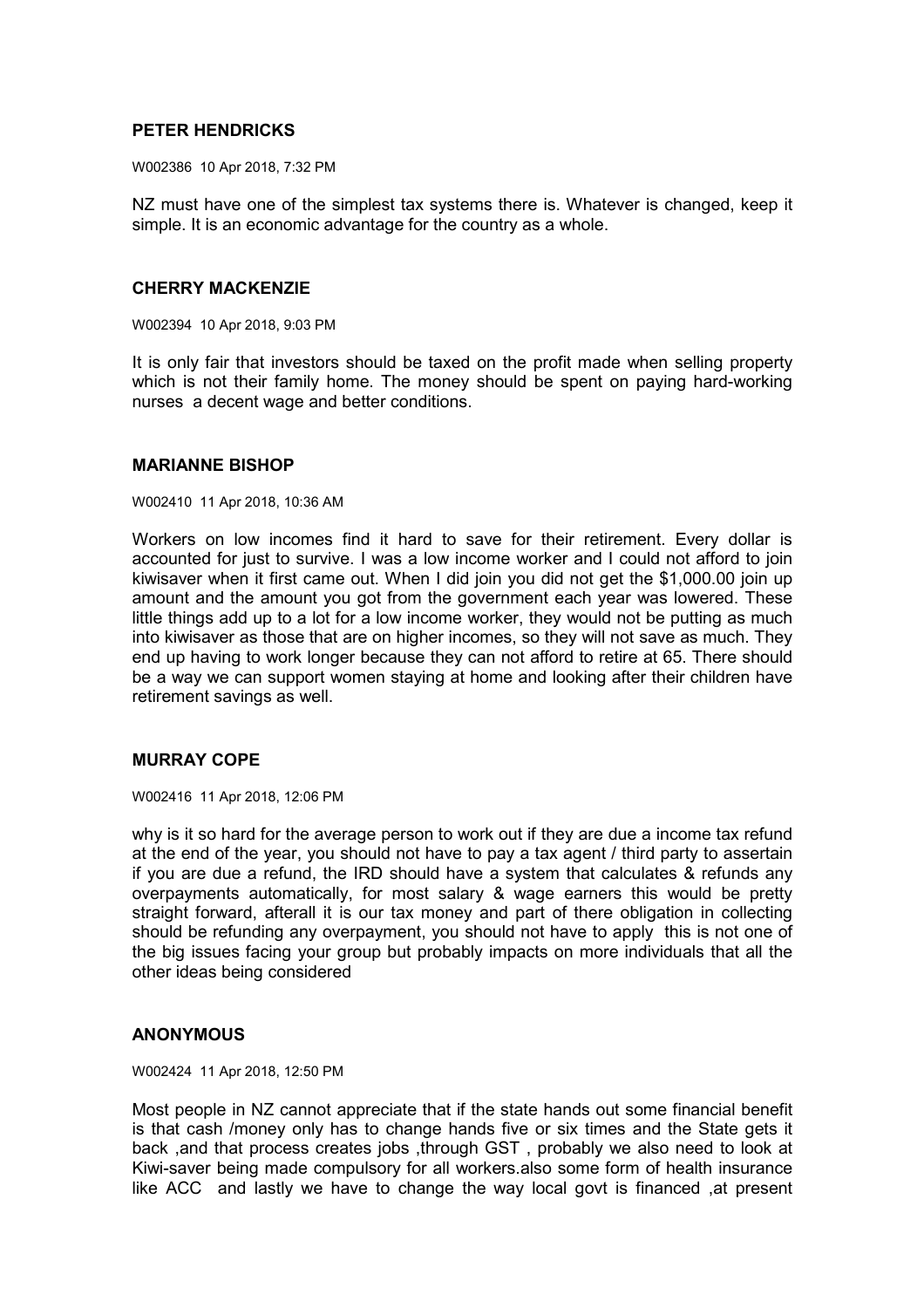## **PETER HENDRICKS**

W002386 10 Apr 2018, 7:32 PM

NZ must have one of the simplest tax systems there is. Whatever is changed, keep it simple. It is an economic advantage for the country as a whole.

## **CHERRY MACKENZIE**

W002394 10 Apr 2018, 9:03 PM

It is only fair that investors should be taxed on the profit made when selling property which is not their family home. The money should be spent on paying hard-working nurses a decent wage and better conditions.

### **MARIANNE BISHOP**

W002410 11 Apr 2018, 10:36 AM

Workers on low incomes find it hard to save for their retirement. Every dollar is accounted for just to survive. I was a low income worker and I could not afford to join kiwisaver when it first came out. When I did join you did not get the \$1,000.00 join up amount and the amount you got from the government each year was lowered. These little things add up to a lot for a low income worker, they would not be putting as much into kiwisaver as those that are on higher incomes, so they will not save as much. They end up having to work longer because they can not afford to retire at 65. There should be a way we can support women staying at home and looking after their children have retirement savings as well.

## **MURRAY COPE**

W002416 11 Apr 2018, 12:06 PM

why is it so hard for the average person to work out if they are due a income tax refund at the end of the year, you should not have to pay a tax agent / third party to assertain if you are due a refund, the IRD should have a system that calculates & refunds any overpayments automatically, for most salary & wage earners this would be pretty straight forward, afterall it is our tax money and part of there obligation in collecting should be refunding any overpayment, you should not have to apply this is not one of the big issues facing your group but probably impacts on more individuals that all the other ideas being considered

## **ANONYMOUS**

W002424 11 Apr 2018, 12:50 PM

Most people in NZ cannot appreciate that if the state hands out some financial benefit is that cash /money only has to change hands five or six times and the State gets it back ,and that process creates jobs ,through GST , probably we also need to look at Kiwi-saver being made compulsory for all workers.also some form of health insurance like ACC and lastly we have to change the way local govt is financed ,at present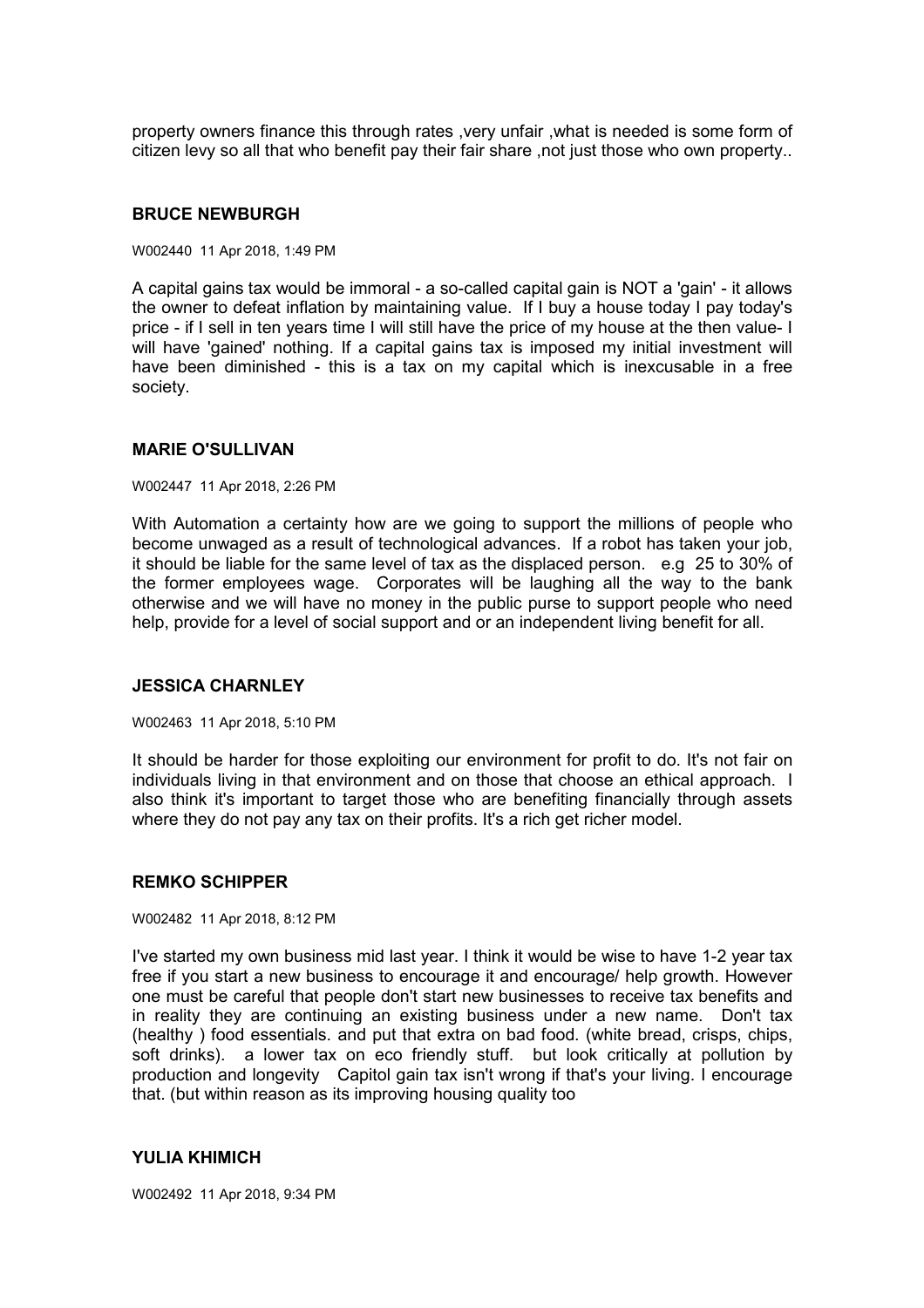property owners finance this through rates ,very unfair ,what is needed is some form of citizen levy so all that who benefit pay their fair share ,not just those who own property..

### **BRUCE NEWBURGH**

W002440 11 Apr 2018, 1:49 PM

A capital gains tax would be immoral - a so-called capital gain is NOT a 'gain' - it allows the owner to defeat inflation by maintaining value. If I buy a house today I pay today's price - if I sell in ten years time I will still have the price of my house at the then value- I will have 'gained' nothing. If a capital gains tax is imposed my initial investment will have been diminished - this is a tax on my capital which is inexcusable in a free society.

### **MARIE O'SULLIVAN**

#### W002447 11 Apr 2018, 2:26 PM

With Automation a certainty how are we going to support the millions of people who become unwaged as a result of technological advances. If a robot has taken your job, it should be liable for the same level of tax as the displaced person. e.g 25 to 30% of the former employees wage. Corporates will be laughing all the way to the bank otherwise and we will have no money in the public purse to support people who need help, provide for a level of social support and or an independent living benefit for all.

#### **JESSICA CHARNLEY**

W002463 11 Apr 2018, 5:10 PM

It should be harder for those exploiting our environment for profit to do. It's not fair on individuals living in that environment and on those that choose an ethical approach. I also think it's important to target those who are benefiting financially through assets where they do not pay any tax on their profits. It's a rich get richer model.

### **REMKO SCHIPPER**

W002482 11 Apr 2018, 8:12 PM

I've started my own business mid last year. I think it would be wise to have 1-2 year tax free if you start a new business to encourage it and encourage/ help growth. However one must be careful that people don't start new businesses to receive tax benefits and in reality they are continuing an existing business under a new name. Don't tax (healthy ) food essentials. and put that extra on bad food. (white bread, crisps, chips, soft drinks). a lower tax on eco friendly stuff. but look critically at pollution by production and longevity Capitol gain tax isn't wrong if that's your living. I encourage that. (but within reason as its improving housing quality too

## **YULIA KHIMICH**

W002492 11 Apr 2018, 9:34 PM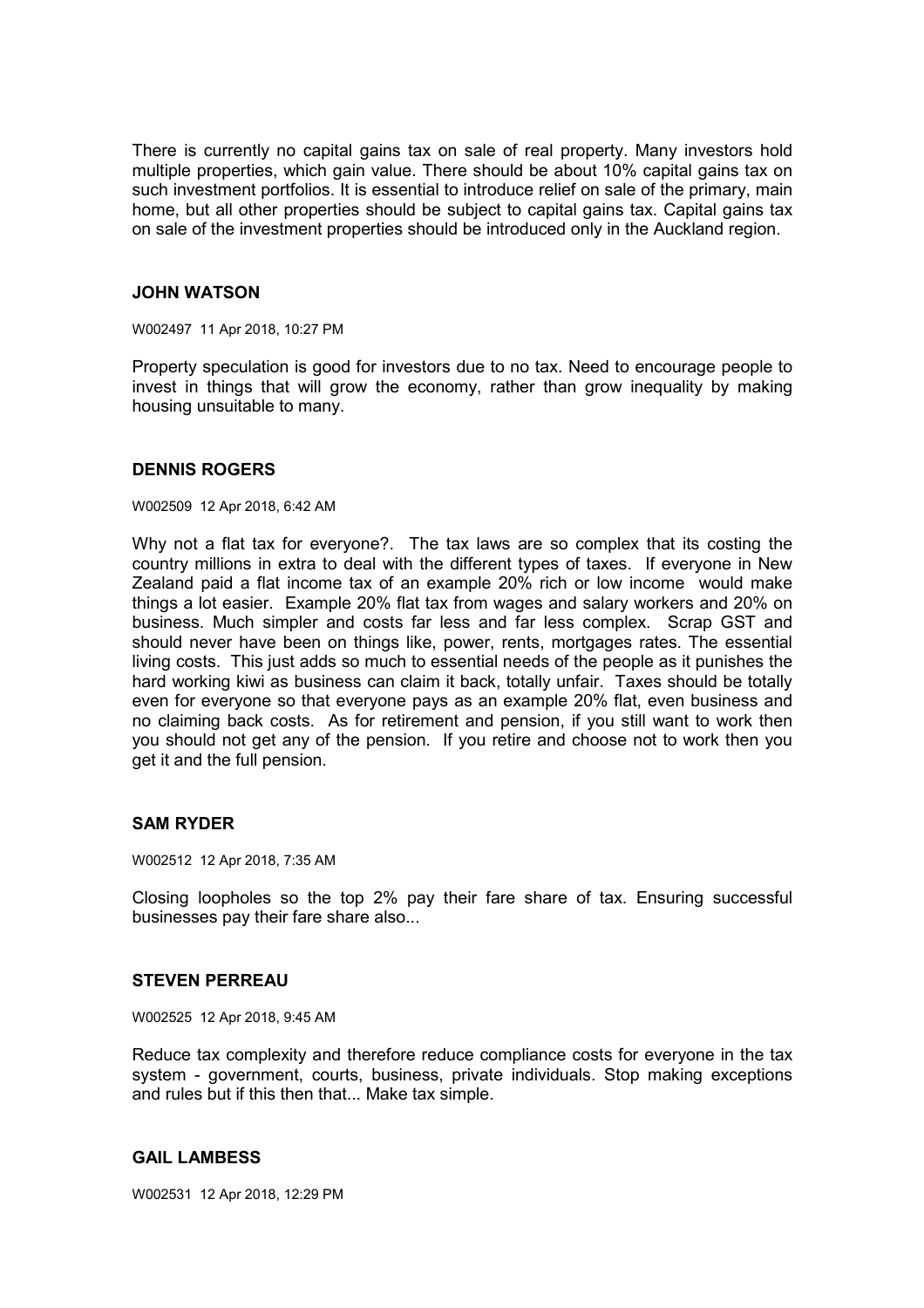There is currently no capital gains tax on sale of real property. Many investors hold multiple properties, which gain value. There should be about 10% capital gains tax on such investment portfolios. It is essential to introduce relief on sale of the primary, main home, but all other properties should be subject to capital gains tax. Capital gains tax on sale of the investment properties should be introduced only in the Auckland region.

### **JOHN WATSON**

W002497 11 Apr 2018, 10:27 PM

Property speculation is good for investors due to no tax. Need to encourage people to invest in things that will grow the economy, rather than grow inequality by making housing unsuitable to many.

### **DENNIS ROGERS**

#### W002509 12 Apr 2018, 6:42 AM

Why not a flat tax for everyone?. The tax laws are so complex that its costing the country millions in extra to deal with the different types of taxes. If everyone in New Zealand paid a flat income tax of an example 20% rich or low income would make things a lot easier. Example 20% flat tax from wages and salary workers and 20% on business. Much simpler and costs far less and far less complex. Scrap GST and should never have been on things like, power, rents, mortgages rates. The essential living costs. This just adds so much to essential needs of the people as it punishes the hard working kiwi as business can claim it back, totally unfair. Taxes should be totally even for everyone so that everyone pays as an example 20% flat, even business and no claiming back costs. As for retirement and pension, if you still want to work then you should not get any of the pension. If you retire and choose not to work then you get it and the full pension.

## **SAM RYDER**

W002512 12 Apr 2018, 7:35 AM

Closing loopholes so the top 2% pay their fare share of tax. Ensuring successful businesses pay their fare share also...

### **STEVEN PERREAU**

W002525 12 Apr 2018, 9:45 AM

Reduce tax complexity and therefore reduce compliance costs for everyone in the tax system - government, courts, business, private individuals. Stop making exceptions and rules but if this then that... Make tax simple.

### **GAIL LAMBESS**

W002531 12 Apr 2018, 12:29 PM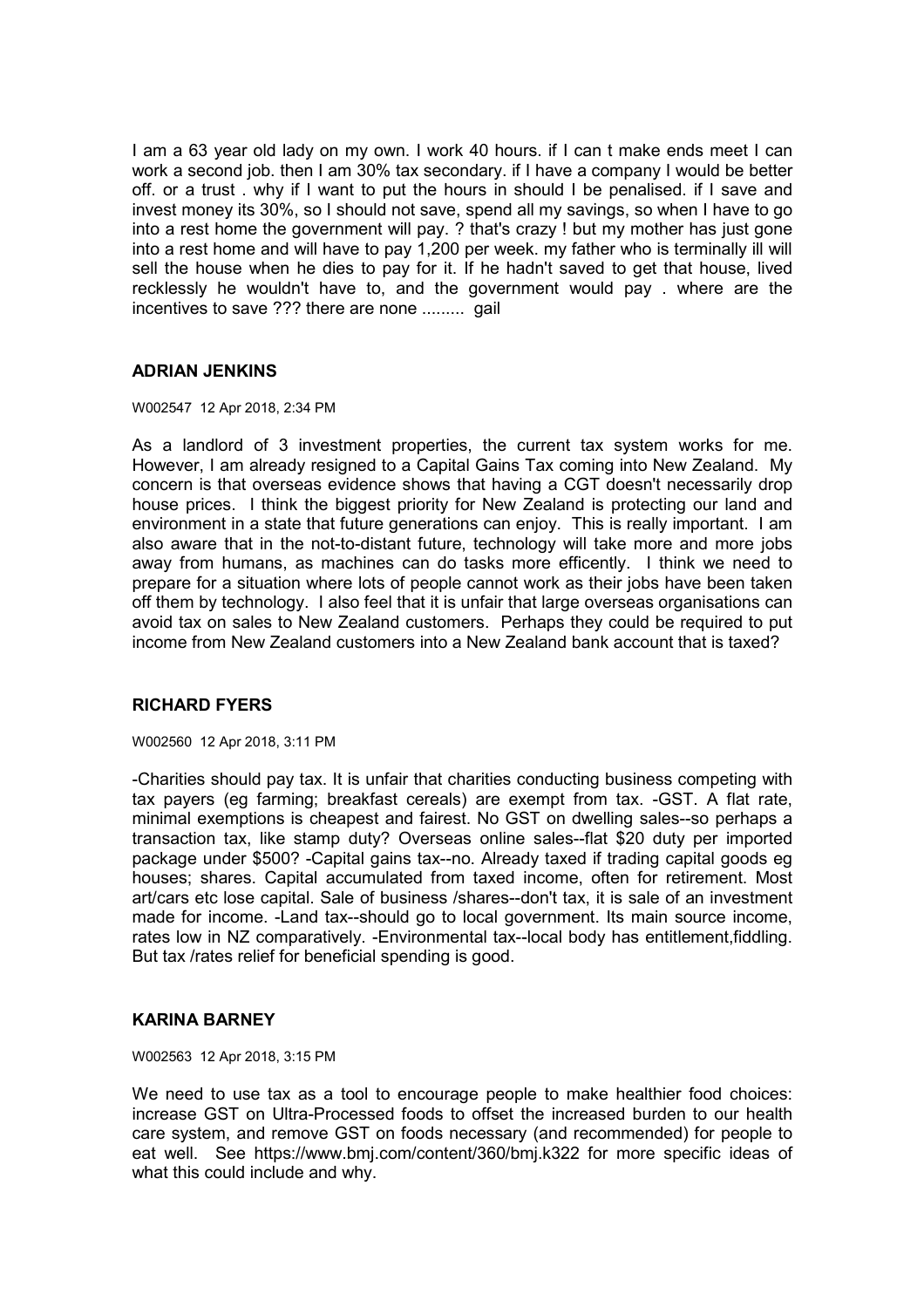I am a 63 year old lady on my own. I work 40 hours. if I can t make ends meet I can work a second job. then I am 30% tax secondary. if I have a company I would be better off. or a trust . why if I want to put the hours in should I be penalised. if I save and invest money its 30%, so I should not save, spend all my savings, so when I have to go into a rest home the government will pay. ? that's crazy ! but my mother has just gone into a rest home and will have to pay 1,200 per week. my father who is terminally ill will sell the house when he dies to pay for it. If he hadn't saved to get that house, lived recklessly he wouldn't have to, and the government would pay . where are the incentives to save ??? there are none ......... gail

# **ADRIAN JENKINS**

### W002547 12 Apr 2018, 2:34 PM

As a landlord of 3 investment properties, the current tax system works for me. However, I am already resigned to a Capital Gains Tax coming into New Zealand. My concern is that overseas evidence shows that having a CGT doesn't necessarily drop house prices. I think the biggest priority for New Zealand is protecting our land and environment in a state that future generations can enjoy. This is really important. I am also aware that in the not-to-distant future, technology will take more and more jobs away from humans, as machines can do tasks more efficently. I think we need to prepare for a situation where lots of people cannot work as their jobs have been taken off them by technology. I also feel that it is unfair that large overseas organisations can avoid tax on sales to New Zealand customers. Perhaps they could be required to put income from New Zealand customers into a New Zealand bank account that is taxed?

## **RICHARD FYERS**

### W002560 12 Apr 2018, 3:11 PM

-Charities should pay tax. It is unfair that charities conducting business competing with tax payers (eg farming; breakfast cereals) are exempt from tax. -GST. A flat rate, minimal exemptions is cheapest and fairest. No GST on dwelling sales--so perhaps a transaction tax, like stamp duty? Overseas online sales--flat \$20 duty per imported package under \$500? -Capital gains tax--no. Already taxed if trading capital goods eg houses; shares. Capital accumulated from taxed income, often for retirement. Most art/cars etc lose capital. Sale of business /shares--don't tax, it is sale of an investment made for income. -Land tax--should go to local government. Its main source income, rates low in NZ comparatively. -Environmental tax--local body has entitlement,fiddling. But tax /rates relief for beneficial spending is good.

## **KARINA BARNEY**

W002563 12 Apr 2018, 3:15 PM

We need to use tax as a tool to encourage people to make healthier food choices: increase GST on Ultra-Processed foods to offset the increased burden to our health care system, and remove GST on foods necessary (and recommended) for people to eat well. See https://www.bmj.com/content/360/bmj.k322 for more specific ideas of what this could include and why.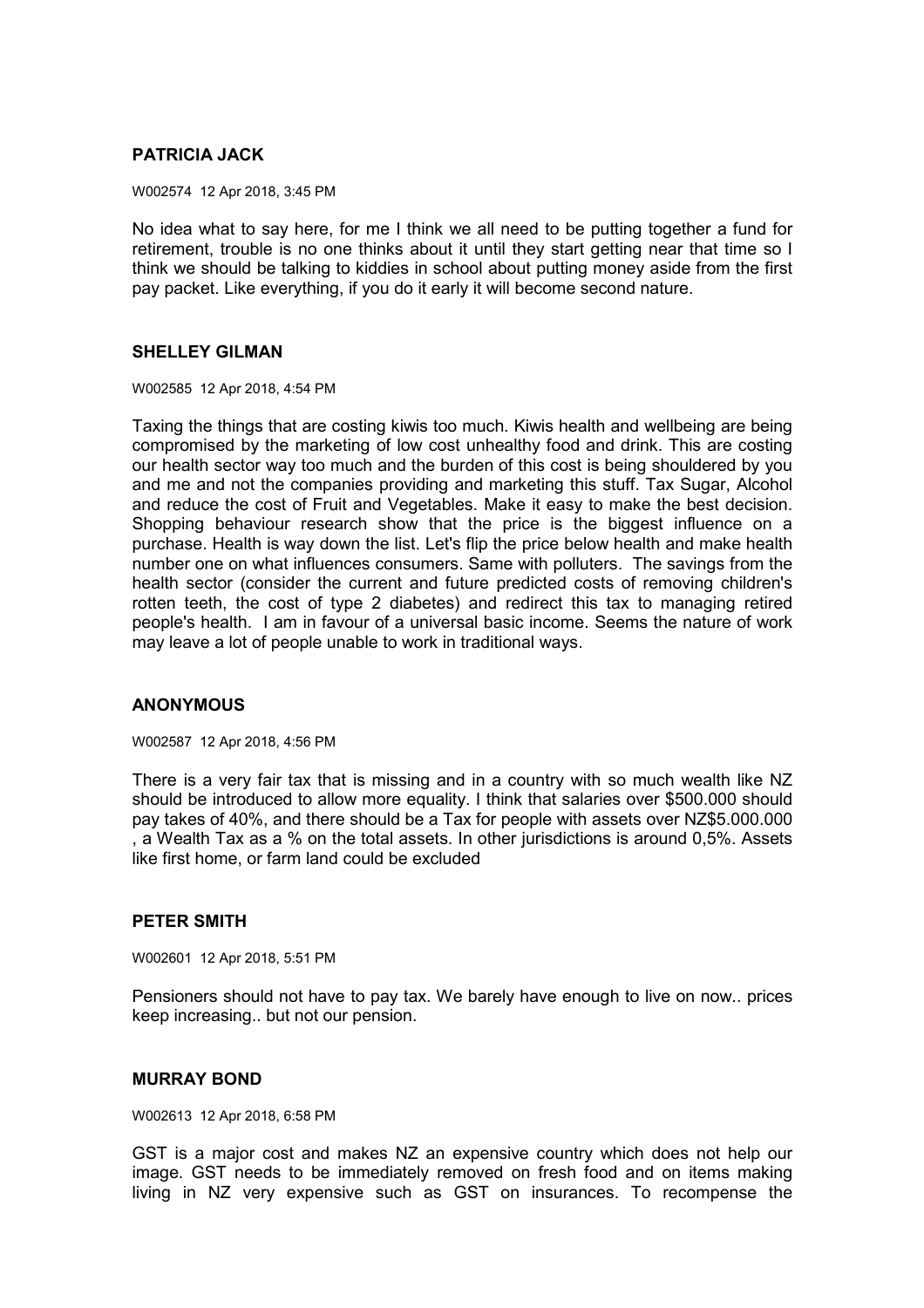# **PATRICIA JACK**

W002574 12 Apr 2018, 3:45 PM

No idea what to say here, for me I think we all need to be putting together a fund for retirement, trouble is no one thinks about it until they start getting near that time so I think we should be talking to kiddies in school about putting money aside from the first pay packet. Like everything, if you do it early it will become second nature.

### **SHELLEY GILMAN**

W002585 12 Apr 2018, 4:54 PM

Taxing the things that are costing kiwis too much. Kiwis health and wellbeing are being compromised by the marketing of low cost unhealthy food and drink. This are costing our health sector way too much and the burden of this cost is being shouldered by you and me and not the companies providing and marketing this stuff. Tax Sugar, Alcohol and reduce the cost of Fruit and Vegetables. Make it easy to make the best decision. Shopping behaviour research show that the price is the biggest influence on a purchase. Health is way down the list. Let's flip the price below health and make health number one on what influences consumers. Same with polluters. The savings from the health sector (consider the current and future predicted costs of removing children's rotten teeth, the cost of type 2 diabetes) and redirect this tax to managing retired people's health. I am in favour of a universal basic income. Seems the nature of work may leave a lot of people unable to work in traditional ways.

## **ANONYMOUS**

W002587 12 Apr 2018, 4:56 PM

There is a very fair tax that is missing and in a country with so much wealth like NZ should be introduced to allow more equality. I think that salaries over \$500.000 should pay takes of 40%, and there should be a Tax for people with assets over NZ\$5.000.000 , a Wealth Tax as a % on the total assets. In other jurisdictions is around 0,5%. Assets like first home, or farm land could be excluded

## **PETER SMITH**

W002601 12 Apr 2018, 5:51 PM

Pensioners should not have to pay tax. We barely have enough to live on now.. prices keep increasing.. but not our pension.

## **MURRAY BOND**

W002613 12 Apr 2018, 6:58 PM

GST is a major cost and makes NZ an expensive country which does not help our image. GST needs to be immediately removed on fresh food and on items making living in NZ very expensive such as GST on insurances. To recompense the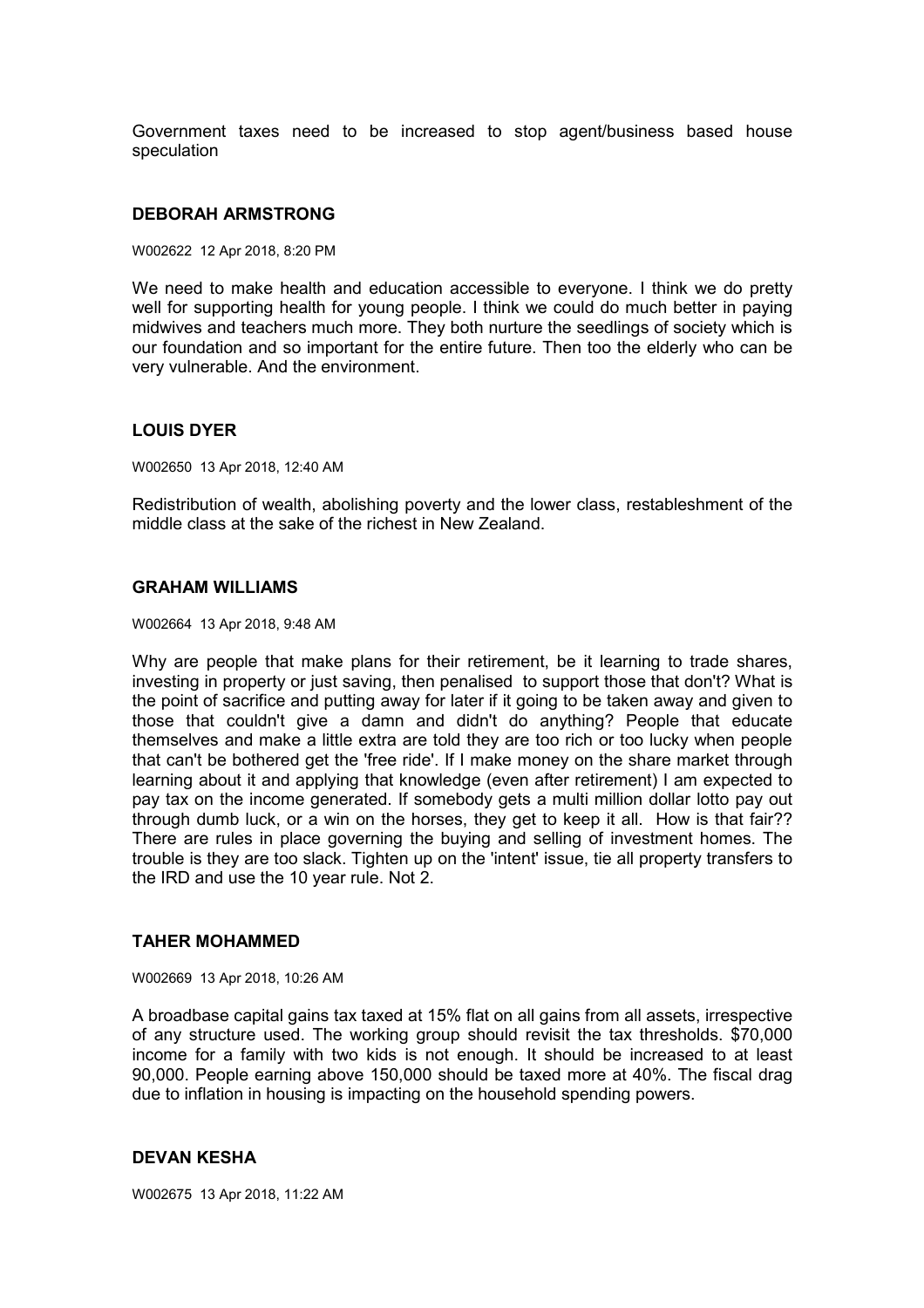Government taxes need to be increased to stop agent/business based house speculation

#### **DEBORAH ARMSTRONG**

W002622 12 Apr 2018, 8:20 PM

We need to make health and education accessible to everyone. I think we do pretty well for supporting health for young people. I think we could do much better in paying midwives and teachers much more. They both nurture the seedlings of society which is our foundation and so important for the entire future. Then too the elderly who can be very vulnerable. And the environment.

#### **LOUIS DYER**

W002650 13 Apr 2018, 12:40 AM

Redistribution of wealth, abolishing poverty and the lower class, restableshment of the middle class at the sake of the richest in New Zealand.

# **GRAHAM WILLIAMS**

W002664 13 Apr 2018, 9:48 AM

Why are people that make plans for their retirement, be it learning to trade shares, investing in property or just saving, then penalised to support those that don't? What is the point of sacrifice and putting away for later if it going to be taken away and given to those that couldn't give a damn and didn't do anything? People that educate themselves and make a little extra are told they are too rich or too lucky when people that can't be bothered get the 'free ride'. If I make money on the share market through learning about it and applying that knowledge (even after retirement) I am expected to pay tax on the income generated. If somebody gets a multi million dollar lotto pay out through dumb luck, or a win on the horses, they get to keep it all. How is that fair?? There are rules in place governing the buying and selling of investment homes. The trouble is they are too slack. Tighten up on the 'intent' issue, tie all property transfers to the IRD and use the 10 year rule. Not 2.

#### **TAHER MOHAMMED**

W002669 13 Apr 2018, 10:26 AM

A broadbase capital gains tax taxed at 15% flat on all gains from all assets, irrespective of any structure used. The working group should revisit the tax thresholds. \$70,000 income for a family with two kids is not enough. It should be increased to at least 90,000. People earning above 150,000 should be taxed more at 40%. The fiscal drag due to inflation in housing is impacting on the household spending powers.

#### **DEVAN KESHA**

W002675 13 Apr 2018, 11:22 AM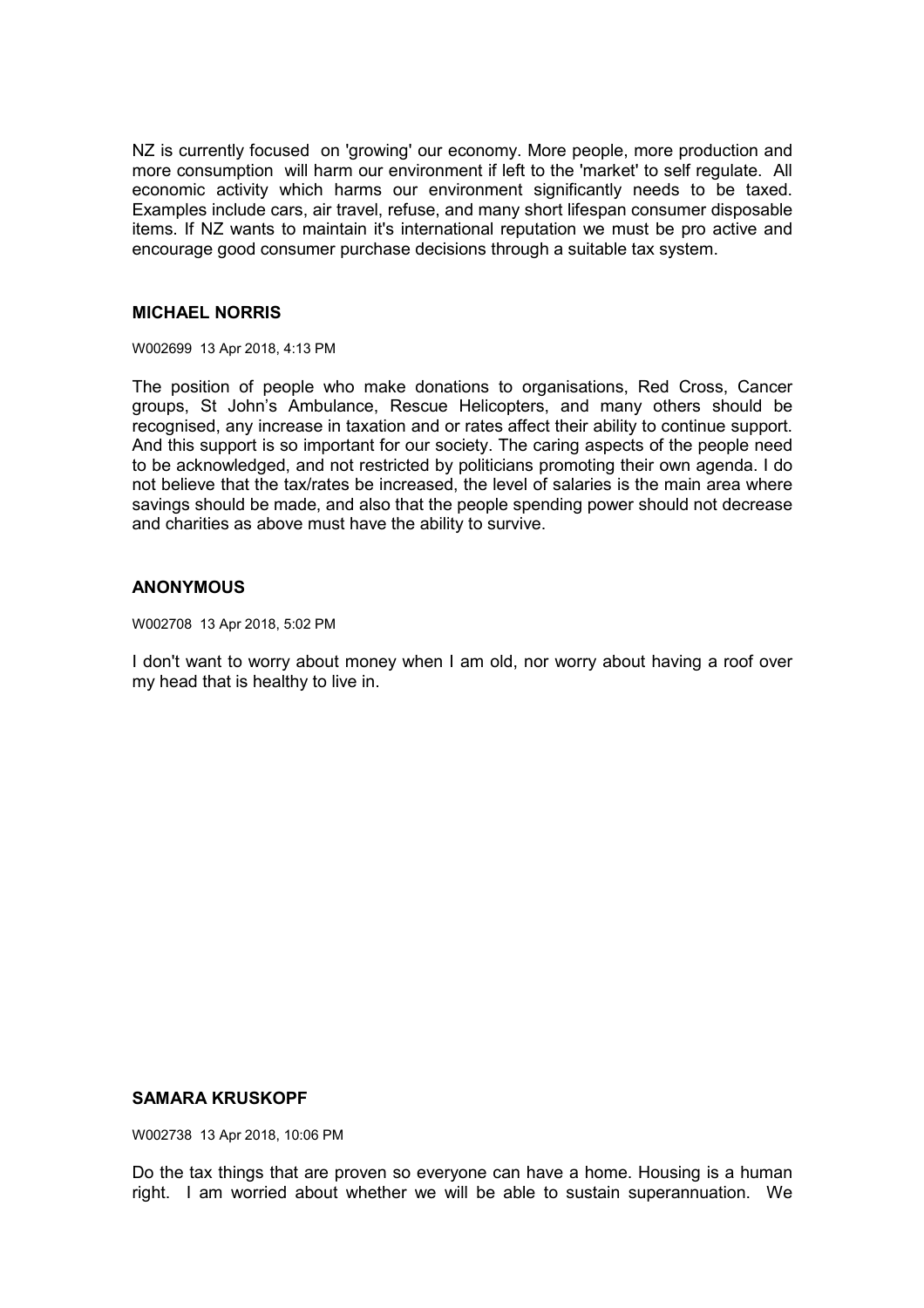NZ is currently focused on 'growing' our economy. More people, more production and more consumption will harm our environment if left to the 'market' to self regulate. All economic activity which harms our environment significantly needs to be taxed. Examples include cars, air travel, refuse, and many short lifespan consumer disposable items. If NZ wants to maintain it's international reputation we must be pro active and encourage good consumer purchase decisions through a suitable tax system.

# **MICHAEL NORRIS**

W002699 13 Apr 2018, 4:13 PM

The position of people who make donations to organisations, Red Cross, Cancer groups, St John's Ambulance, Rescue Helicopters, and many others should be recognised, any increase in taxation and or rates affect their ability to continue support. And this support is so important for our society. The caring aspects of the people need to be acknowledged, and not restricted by politicians promoting their own agenda. I do not believe that the tax/rates be increased, the level of salaries is the main area where savings should be made, and also that the people spending power should not decrease and charities as above must have the ability to survive.

# **ANONYMOUS**

W002708 13 Apr 2018, 5:02 PM

I don't want to worry about money when I am old, nor worry about having a roof over my head that is healthy to live in.

# **SAMARA KRUSKOPF**

W002738 13 Apr 2018, 10:06 PM

Do the tax things that are proven so everyone can have a home. Housing is a human right. I am worried about whether we will be able to sustain superannuation. We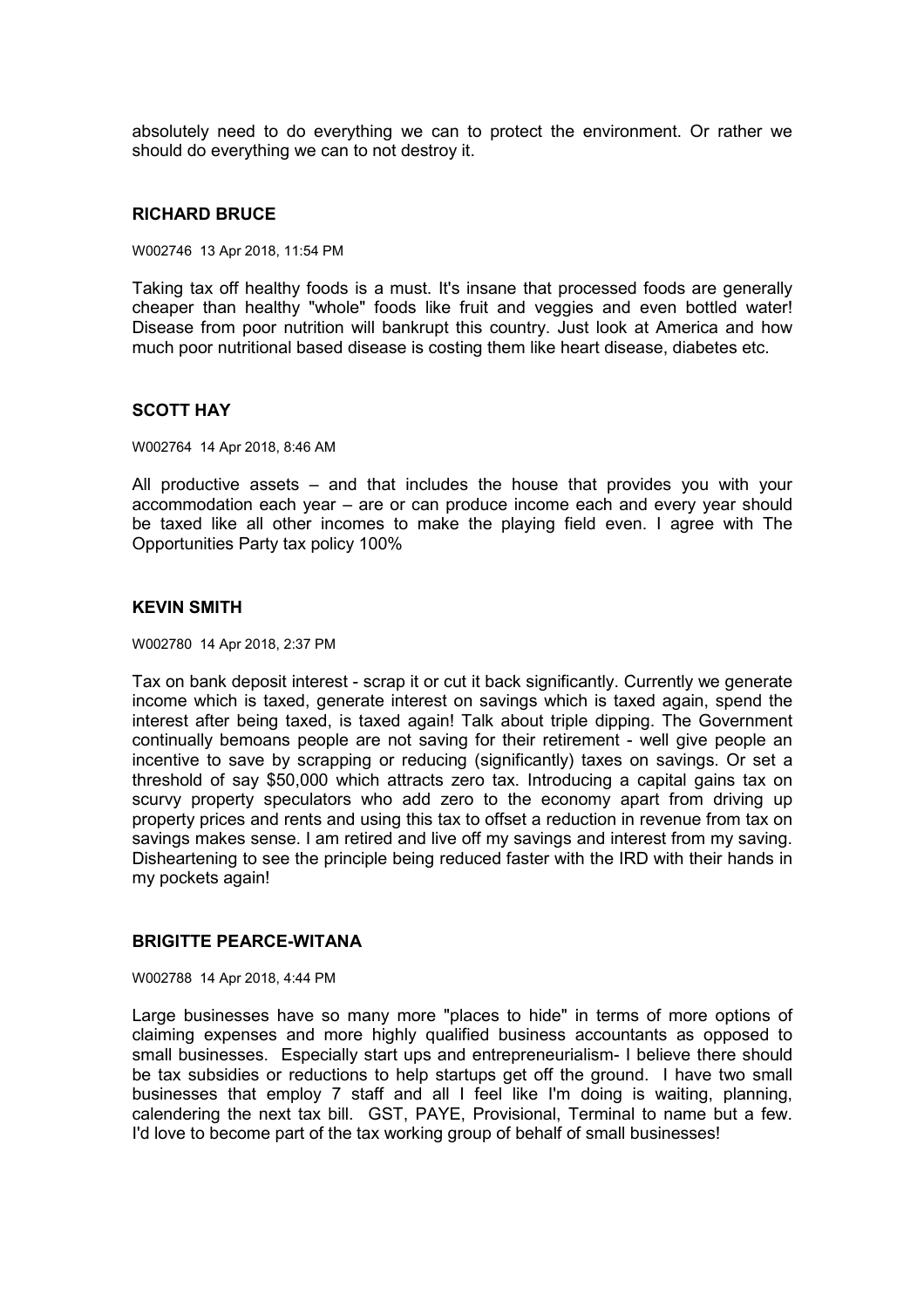absolutely need to do everything we can to protect the environment. Or rather we should do everything we can to not destroy it.

#### **RICHARD BRUCE**

W002746 13 Apr 2018, 11:54 PM

Taking tax off healthy foods is a must. It's insane that processed foods are generally cheaper than healthy "whole" foods like fruit and veggies and even bottled water! Disease from poor nutrition will bankrupt this country. Just look at America and how much poor nutritional based disease is costing them like heart disease, diabetes etc.

## **SCOTT HAY**

W002764 14 Apr 2018, 8:46 AM

All productive assets – and that includes the house that provides you with your accommodation each year – are or can produce income each and every year should be taxed like all other incomes to make the playing field even. I agree with The Opportunities Party tax policy 100%

#### **KEVIN SMITH**

W002780 14 Apr 2018, 2:37 PM

Tax on bank deposit interest - scrap it or cut it back significantly. Currently we generate income which is taxed, generate interest on savings which is taxed again, spend the interest after being taxed, is taxed again! Talk about triple dipping. The Government continually bemoans people are not saving for their retirement - well give people an incentive to save by scrapping or reducing (significantly) taxes on savings. Or set a threshold of say \$50,000 which attracts zero tax. Introducing a capital gains tax on scurvy property speculators who add zero to the economy apart from driving up property prices and rents and using this tax to offset a reduction in revenue from tax on savings makes sense. I am retired and live off my savings and interest from my saving. Disheartening to see the principle being reduced faster with the IRD with their hands in my pockets again!

#### **BRIGITTE PEARCE-WITANA**

W002788 14 Apr 2018, 4:44 PM

Large businesses have so many more "places to hide" in terms of more options of claiming expenses and more highly qualified business accountants as opposed to small businesses. Especially start ups and entrepreneurialism- I believe there should be tax subsidies or reductions to help startups get off the ground. I have two small businesses that employ 7 staff and all I feel like I'm doing is waiting, planning, calendering the next tax bill. GST, PAYE, Provisional, Terminal to name but a few. I'd love to become part of the tax working group of behalf of small businesses!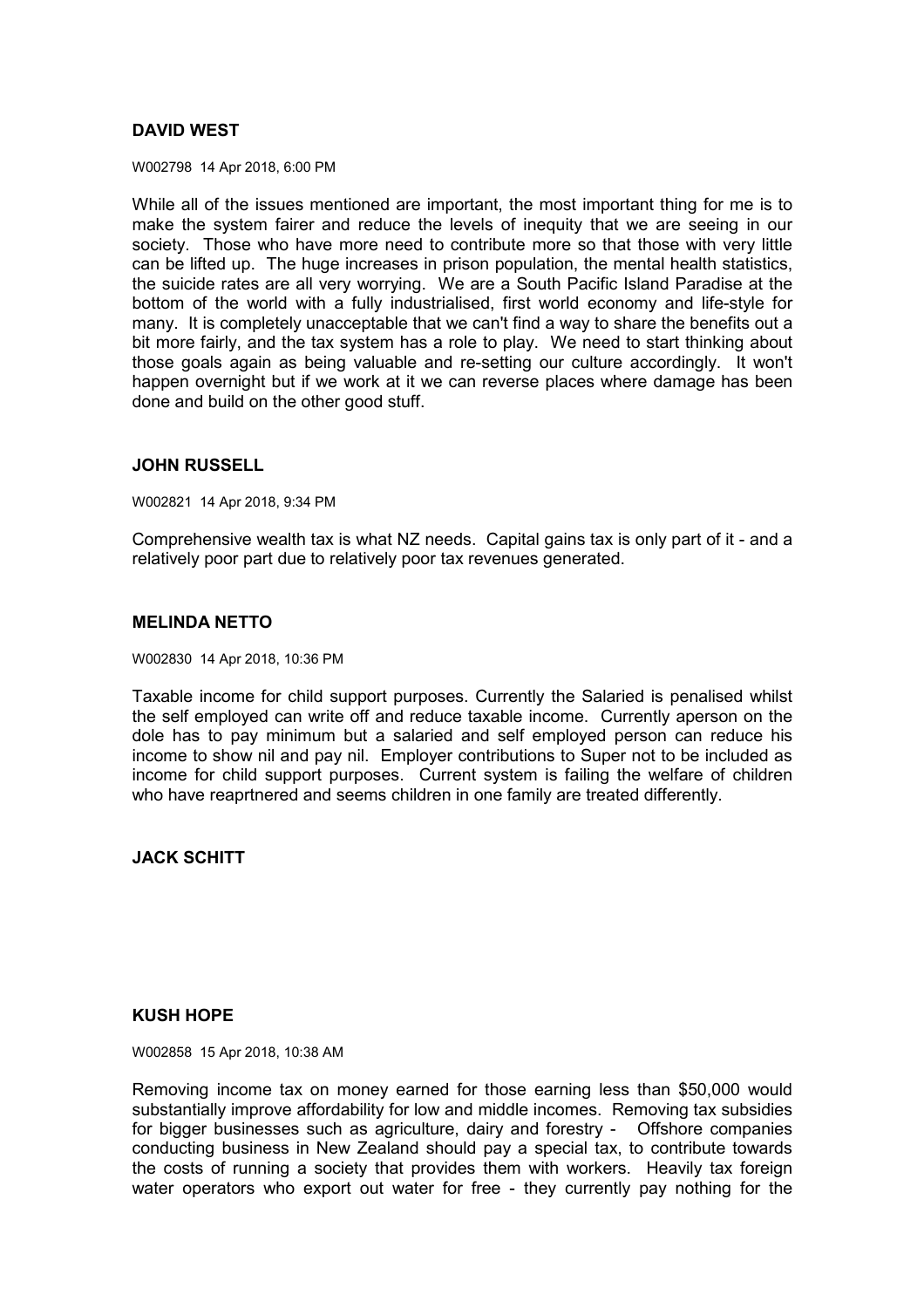# **DAVID WEST**

W002798 14 Apr 2018, 6:00 PM

While all of the issues mentioned are important, the most important thing for me is to make the system fairer and reduce the levels of inequity that we are seeing in our society. Those who have more need to contribute more so that those with very little can be lifted up. The huge increases in prison population, the mental health statistics, the suicide rates are all very worrying. We are a South Pacific Island Paradise at the bottom of the world with a fully industrialised, first world economy and life-style for many. It is completely unacceptable that we can't find a way to share the benefits out a bit more fairly, and the tax system has a role to play. We need to start thinking about those goals again as being valuable and re-setting our culture accordingly. It won't happen overnight but if we work at it we can reverse places where damage has been done and build on the other good stuff.

#### **JOHN RUSSELL**

W002821 14 Apr 2018, 9:34 PM

Comprehensive wealth tax is what NZ needs. Capital gains tax is only part of it - and a relatively poor part due to relatively poor tax revenues generated.

# **MELINDA NETTO**

W002830 14 Apr 2018, 10:36 PM

Taxable income for child support purposes. Currently the Salaried is penalised whilst the self employed can write off and reduce taxable income. Currently aperson on the dole has to pay minimum but a salaried and self employed person can reduce his income to show nil and pay nil. Employer contributions to Super not to be included as income for child support purposes. Current system is failing the welfare of children who have reaprtnered and seems children in one family are treated differently.

**JACK SCHITT** 

## **KUSH HOPE**

W002858 15 Apr 2018, 10:38 AM

Removing income tax on money earned for those earning less than \$50,000 would substantially improve affordability for low and middle incomes. Removing tax subsidies for bigger businesses such as agriculture, dairy and forestry - Offshore companies conducting business in New Zealand should pay a special tax, to contribute towards the costs of running a society that provides them with workers. Heavily tax foreign water operators who export out water for free - they currently pay nothing for the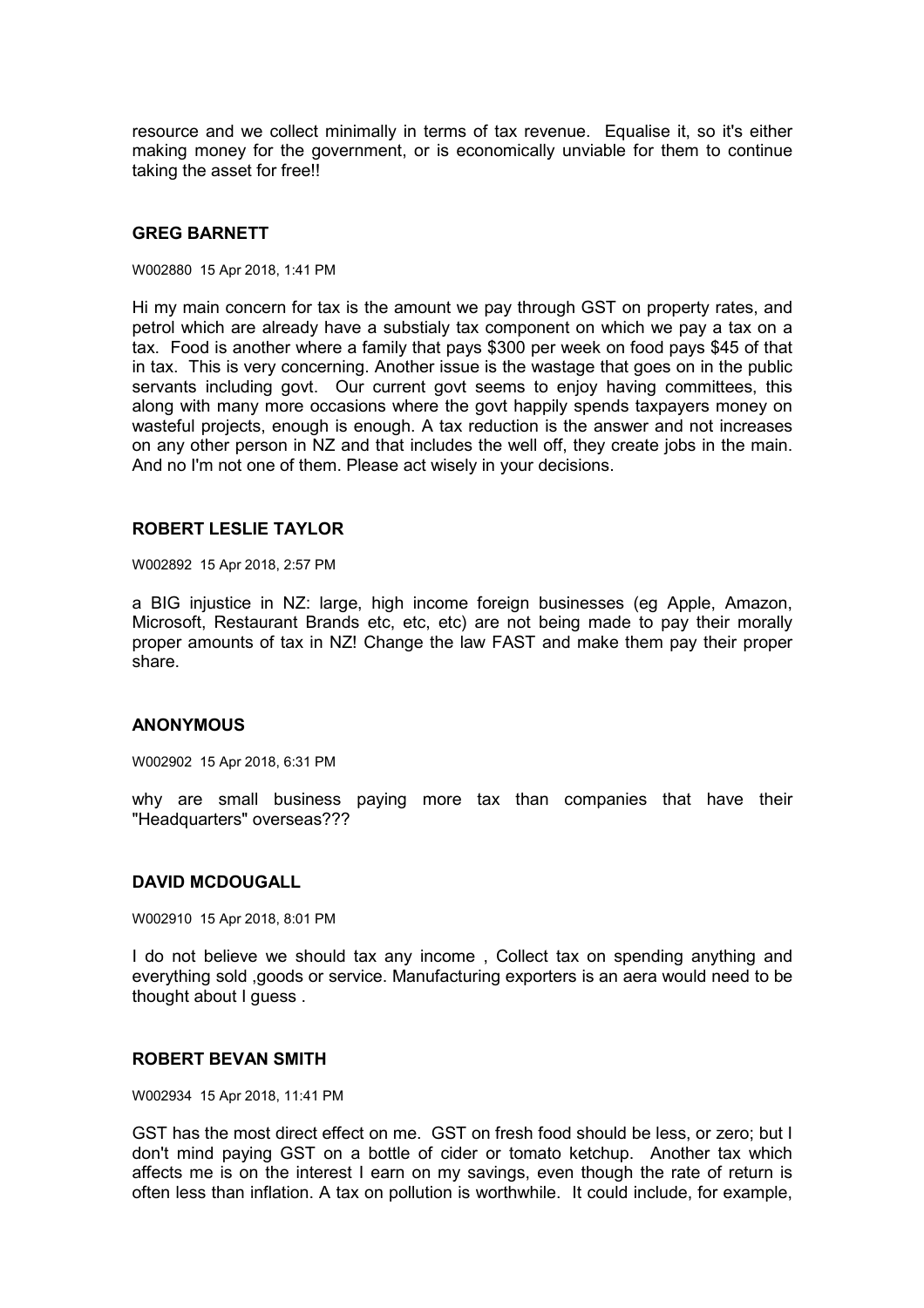resource and we collect minimally in terms of tax revenue. Equalise it, so it's either making money for the government, or is economically unviable for them to continue taking the asset for free!!

#### **GREG BARNETT**

W002880 15 Apr 2018, 1:41 PM

Hi my main concern for tax is the amount we pay through GST on property rates, and petrol which are already have a substialy tax component on which we pay a tax on a tax. Food is another where a family that pays \$300 per week on food pays \$45 of that in tax. This is very concerning. Another issue is the wastage that goes on in the public servants including govt. Our current govt seems to enjoy having committees, this along with many more occasions where the govt happily spends taxpayers money on wasteful projects, enough is enough. A tax reduction is the answer and not increases on any other person in NZ and that includes the well off, they create jobs in the main. And no I'm not one of them. Please act wisely in your decisions.

#### **ROBERT LESLIE TAYLOR**

W002892 15 Apr 2018, 2:57 PM

a BIG injustice in NZ: large, high income foreign businesses (eg Apple, Amazon, Microsoft, Restaurant Brands etc, etc, etc) are not being made to pay their morally proper amounts of tax in NZ! Change the law FAST and make them pay their proper share.

#### **ANONYMOUS**

W002902 15 Apr 2018, 6:31 PM

why are small business paying more tax than companies that have their "Headquarters" overseas???

#### **DAVID MCDOUGALL**

W002910 15 Apr 2018, 8:01 PM

I do not believe we should tax any income , Collect tax on spending anything and everything sold ,goods or service. Manufacturing exporters is an aera would need to be thought about I guess.

#### **ROBERT BEVAN SMITH**

W002934 15 Apr 2018, 11:41 PM

GST has the most direct effect on me. GST on fresh food should be less, or zero; but I don't mind paying GST on a bottle of cider or tomato ketchup. Another tax which affects me is on the interest I earn on my savings, even though the rate of return is often less than inflation. A tax on pollution is worthwhile. It could include, for example,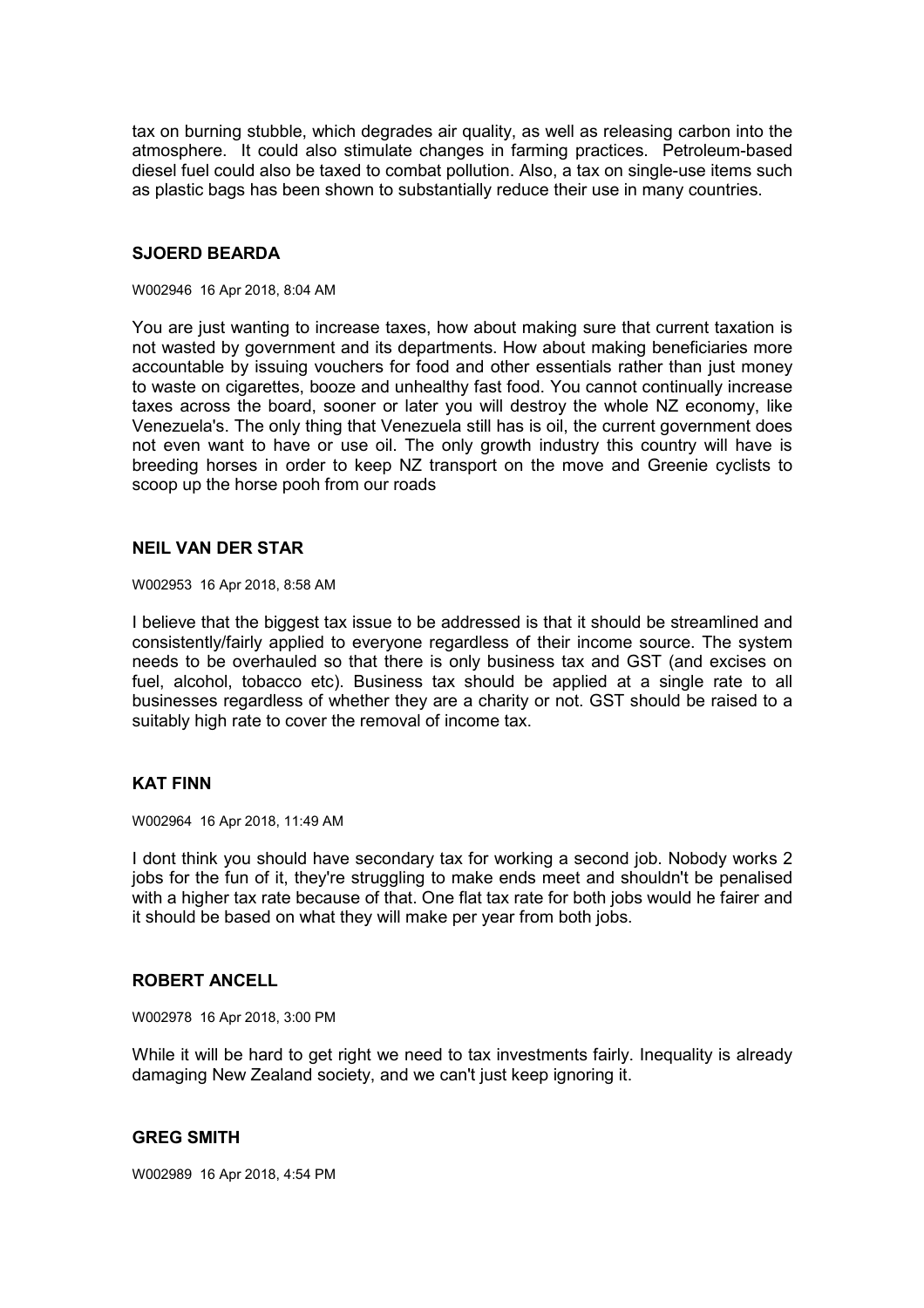tax on burning stubble, which degrades air quality, as well as releasing carbon into the atmosphere. It could also stimulate changes in farming practices. Petroleum-based diesel fuel could also be taxed to combat pollution. Also, a tax on single-use items such as plastic bags has been shown to substantially reduce their use in many countries.

# **SJOERD BEARDA**

#### W002946 16 Apr 2018, 8:04 AM

You are just wanting to increase taxes, how about making sure that current taxation is not wasted by government and its departments. How about making beneficiaries more accountable by issuing vouchers for food and other essentials rather than just money to waste on cigarettes, booze and unhealthy fast food. You cannot continually increase taxes across the board, sooner or later you will destroy the whole NZ economy, like Venezuela's. The only thing that Venezuela still has is oil, the current government does not even want to have or use oil. The only growth industry this country will have is breeding horses in order to keep NZ transport on the move and Greenie cyclists to scoop up the horse pooh from our roads

## **NEIL VAN DER STAR**

W002953 16 Apr 2018, 8:58 AM

I believe that the biggest tax issue to be addressed is that it should be streamlined and consistently/fairly applied to everyone regardless of their income source. The system needs to be overhauled so that there is only business tax and GST (and excises on fuel, alcohol, tobacco etc). Business tax should be applied at a single rate to all businesses regardless of whether they are a charity or not. GST should be raised to a suitably high rate to cover the removal of income tax.

## **KAT FINN**

W002964 16 Apr 2018, 11:49 AM

I dont think you should have secondary tax for working a second job. Nobody works 2 jobs for the fun of it, they're struggling to make ends meet and shouldn't be penalised with a higher tax rate because of that. One flat tax rate for both jobs would he fairer and it should be based on what they will make per year from both jobs.

## **ROBERT ANCELL**

W002978 16 Apr 2018, 3:00 PM

While it will be hard to get right we need to tax investments fairly. Inequality is already damaging New Zealand society, and we can't just keep ignoring it.

## **GREG SMITH**

W002989 16 Apr 2018, 4:54 PM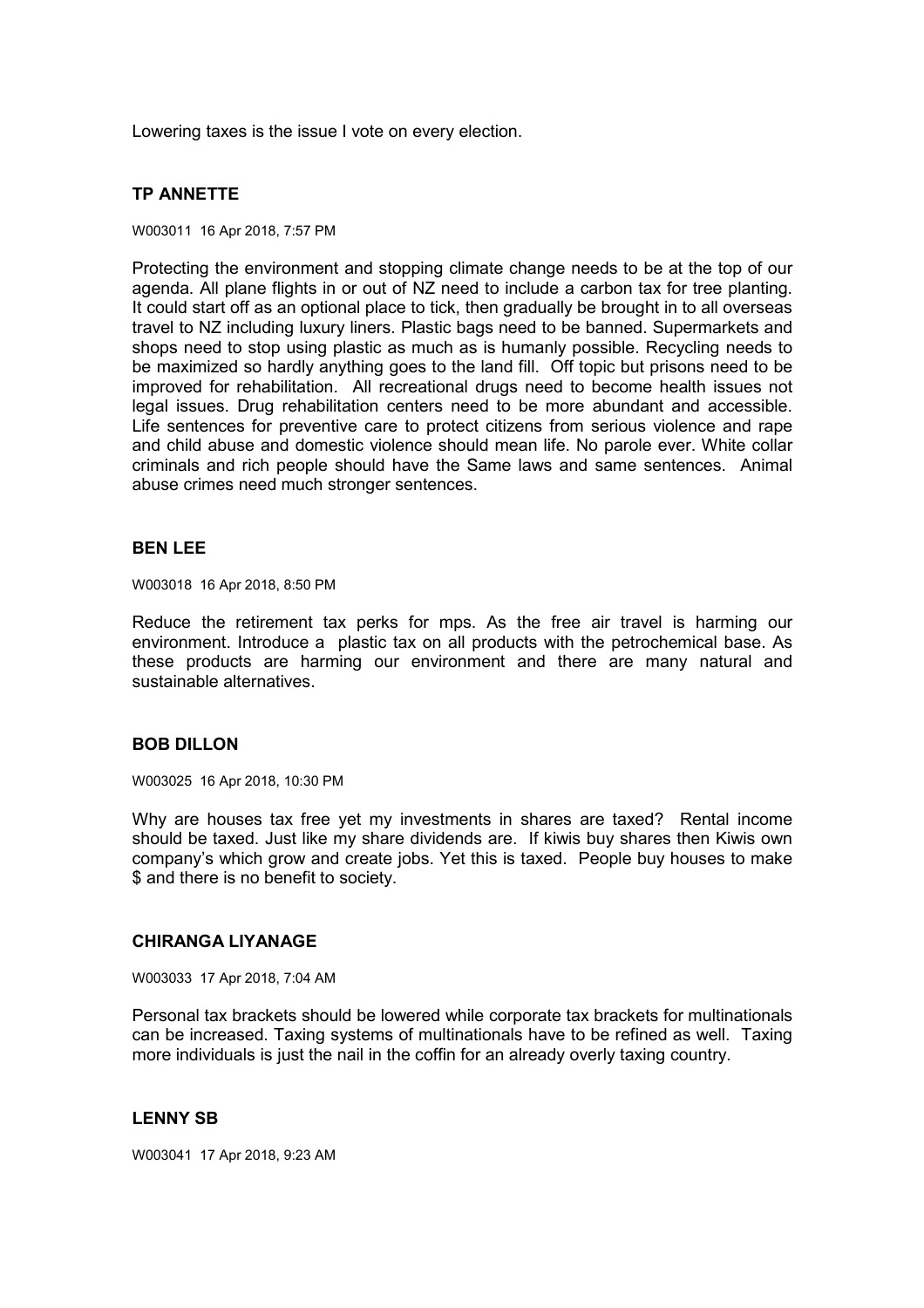Lowering taxes is the issue I vote on every election.

# **TP ANNETTE**

#### W003011 16 Apr 2018, 7:57 PM

Protecting the environment and stopping climate change needs to be at the top of our agenda. All plane flights in or out of NZ need to include a carbon tax for tree planting. It could start off as an optional place to tick, then gradually be brought in to all overseas travel to NZ including luxury liners. Plastic bags need to be banned. Supermarkets and shops need to stop using plastic as much as is humanly possible. Recycling needs to be maximized so hardly anything goes to the land fill. Off topic but prisons need to be improved for rehabilitation. All recreational drugs need to become health issues not legal issues. Drug rehabilitation centers need to be more abundant and accessible. Life sentences for preventive care to protect citizens from serious violence and rape and child abuse and domestic violence should mean life. No parole ever. White collar criminals and rich people should have the Same laws and same sentences. Animal abuse crimes need much stronger sentences.

#### **BEN LEE**

W003018 16 Apr 2018, 8:50 PM

Reduce the retirement tax perks for mps. As the free air travel is harming our environment. Introduce a plastic tax on all products with the petrochemical base. As these products are harming our environment and there are many natural and sustainable alternatives.

## **BOB DILLON**

W003025 16 Apr 2018, 10:30 PM

Why are houses tax free yet my investments in shares are taxed? Rental income should be taxed. Just like my share dividends are. If kiwis buy shares then Kiwis own company's which grow and create jobs. Yet this is taxed. People buy houses to make \$ and there is no benefit to society.

#### **CHIRANGA LIYANAGE**

W003033 17 Apr 2018, 7:04 AM

Personal tax brackets should be lowered while corporate tax brackets for multinationals can be increased. Taxing systems of multinationals have to be refined as well. Taxing more individuals is just the nail in the coffin for an already overly taxing country.

## **LENNY SB**

W003041 17 Apr 2018, 9:23 AM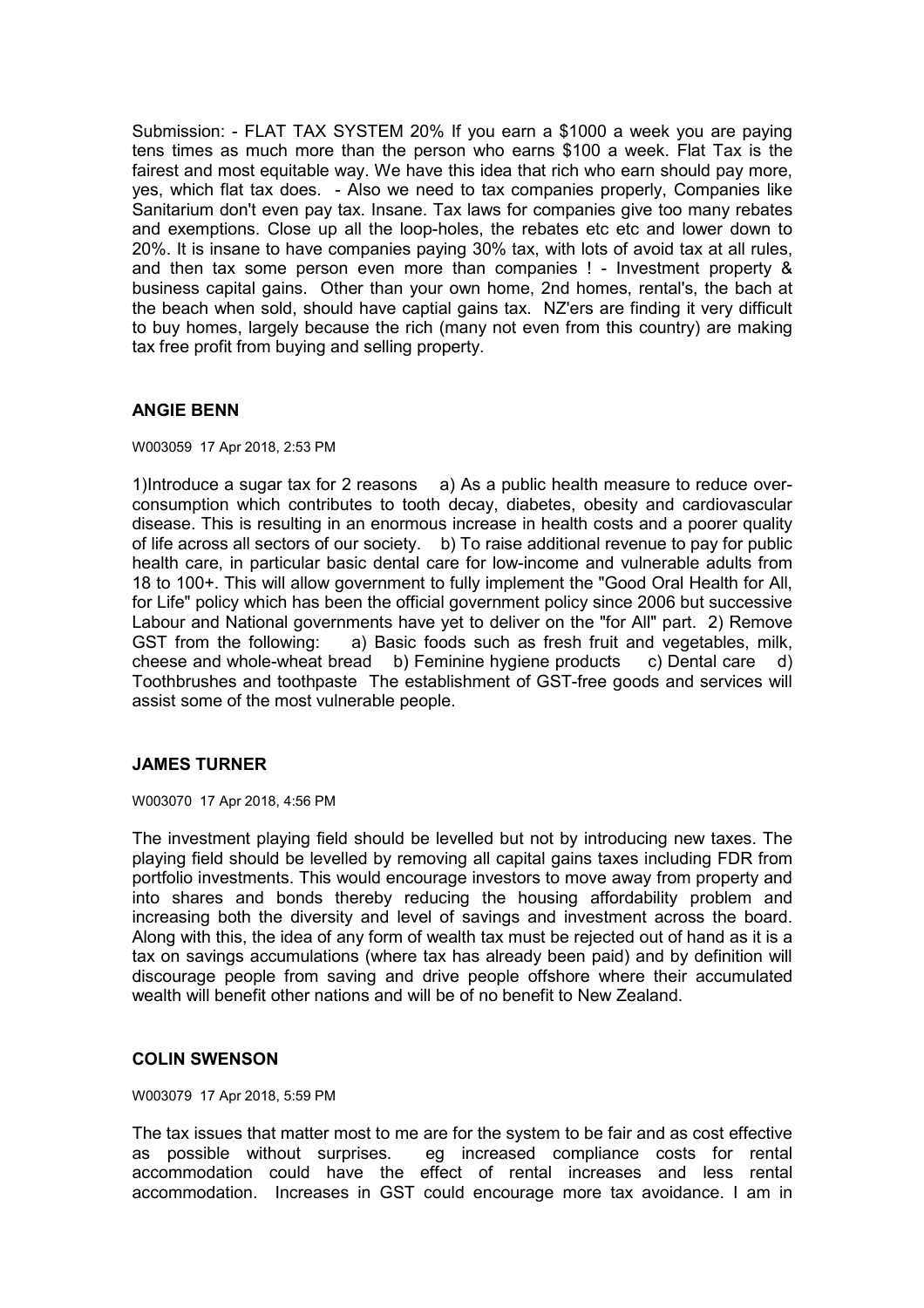Submission: - FLAT TAX SYSTEM 20% If you earn a \$1000 a week you are paying tens times as much more than the person who earns \$100 a week. Flat Tax is the fairest and most equitable way. We have this idea that rich who earn should pay more, yes, which flat tax does. - Also we need to tax companies properly, Companies like Sanitarium don't even pay tax. Insane. Tax laws for companies give too many rebates and exemptions. Close up all the loop-holes, the rebates etc etc and lower down to 20%. It is insane to have companies paying 30% tax, with lots of avoid tax at all rules, and then tax some person even more than companies ! - Investment property & business capital gains. Other than your own home, 2nd homes, rental's, the bach at the beach when sold, should have captial gains tax. NZ'ers are finding it very difficult to buy homes, largely because the rich (many not even from this country) are making tax free profit from buying and selling property.

# **ANGIE BENN**

W003059 17 Apr 2018, 2:53 PM

1)Introduce a sugar tax for 2 reasons a) As a public health measure to reduce overconsumption which contributes to tooth decay, diabetes, obesity and cardiovascular disease. This is resulting in an enormous increase in health costs and a poorer quality of life across all sectors of our society. b) To raise additional revenue to pay for public health care, in particular basic dental care for low-income and vulnerable adults from 18 to 100+. This will allow government to fully implement the "Good Oral Health for All, for Life" policy which has been the official government policy since 2006 but successive Labour and National governments have yet to deliver on the "for All" part. 2) Remove<br>GST from the following: a) Basic foods such as fresh fruit and vegetables, milk, a) Basic foods such as fresh fruit and vegetables, milk, cheese and whole-wheat bread b) Feminine hygiene products c) Dental care d) Toothbrushes and toothpaste The establishment of GST-free goods and services will assist some of the most vulnerable people.

## **JAMES TURNER**

W003070 17 Apr 2018, 4:56 PM

The investment playing field should be levelled but not by introducing new taxes. The playing field should be levelled by removing all capital gains taxes including FDR from portfolio investments. This would encourage investors to move away from property and into shares and bonds thereby reducing the housing affordability problem and increasing both the diversity and level of savings and investment across the board. Along with this, the idea of any form of wealth tax must be rejected out of hand as it is a tax on savings accumulations (where tax has already been paid) and by definition will discourage people from saving and drive people offshore where their accumulated wealth will benefit other nations and will be of no benefit to New Zealand.

## **COLIN SWENSON**

W003079 17 Apr 2018, 5:59 PM

The tax issues that matter most to me are for the system to be fair and as cost effective as possible without surprises. eg increased compliance costs for rental accommodation could have the effect of rental increases and less rental accommodation. Increases in GST could encourage more tax avoidance. I am in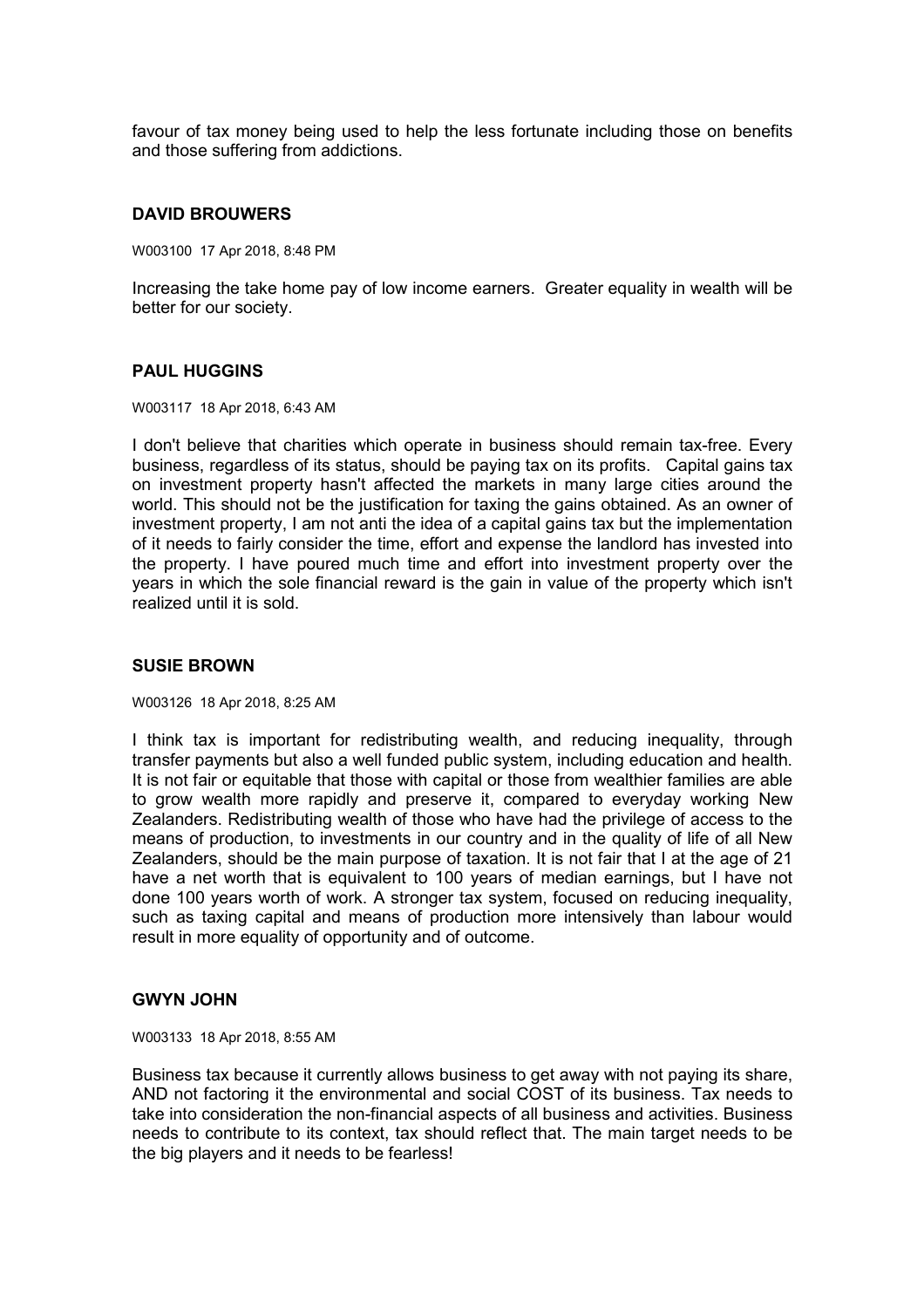favour of tax money being used to help the less fortunate including those on benefits and those suffering from addictions.

## **DAVID BROUWERS**

W003100 17 Apr 2018, 8:48 PM

Increasing the take home pay of low income earners. Greater equality in wealth will be better for our society.

## **PAUL HUGGINS**

W003117 18 Apr 2018, 6:43 AM

I don't believe that charities which operate in business should remain tax-free. Every business, regardless of its status, should be paying tax on its profits. Capital gains tax on investment property hasn't affected the markets in many large cities around the world. This should not be the justification for taxing the gains obtained. As an owner of investment property, I am not anti the idea of a capital gains tax but the implementation of it needs to fairly consider the time, effort and expense the landlord has invested into the property. I have poured much time and effort into investment property over the years in which the sole financial reward is the gain in value of the property which isn't realized until it is sold.

## **SUSIE BROWN**

W003126 18 Apr 2018, 8:25 AM

I think tax is important for redistributing wealth, and reducing inequality, through transfer payments but also a well funded public system, including education and health. It is not fair or equitable that those with capital or those from wealthier families are able to grow wealth more rapidly and preserve it, compared to everyday working New Zealanders. Redistributing wealth of those who have had the privilege of access to the means of production, to investments in our country and in the quality of life of all New Zealanders, should be the main purpose of taxation. It is not fair that I at the age of 21 have a net worth that is equivalent to 100 years of median earnings, but I have not done 100 years worth of work. A stronger tax system, focused on reducing inequality, such as taxing capital and means of production more intensively than labour would result in more equality of opportunity and of outcome.

#### **GWYN JOHN**

W003133 18 Apr 2018, 8:55 AM

Business tax because it currently allows business to get away with not paying its share, AND not factoring it the environmental and social COST of its business. Tax needs to take into consideration the non-financial aspects of all business and activities. Business needs to contribute to its context, tax should reflect that. The main target needs to be the big players and it needs to be fearless!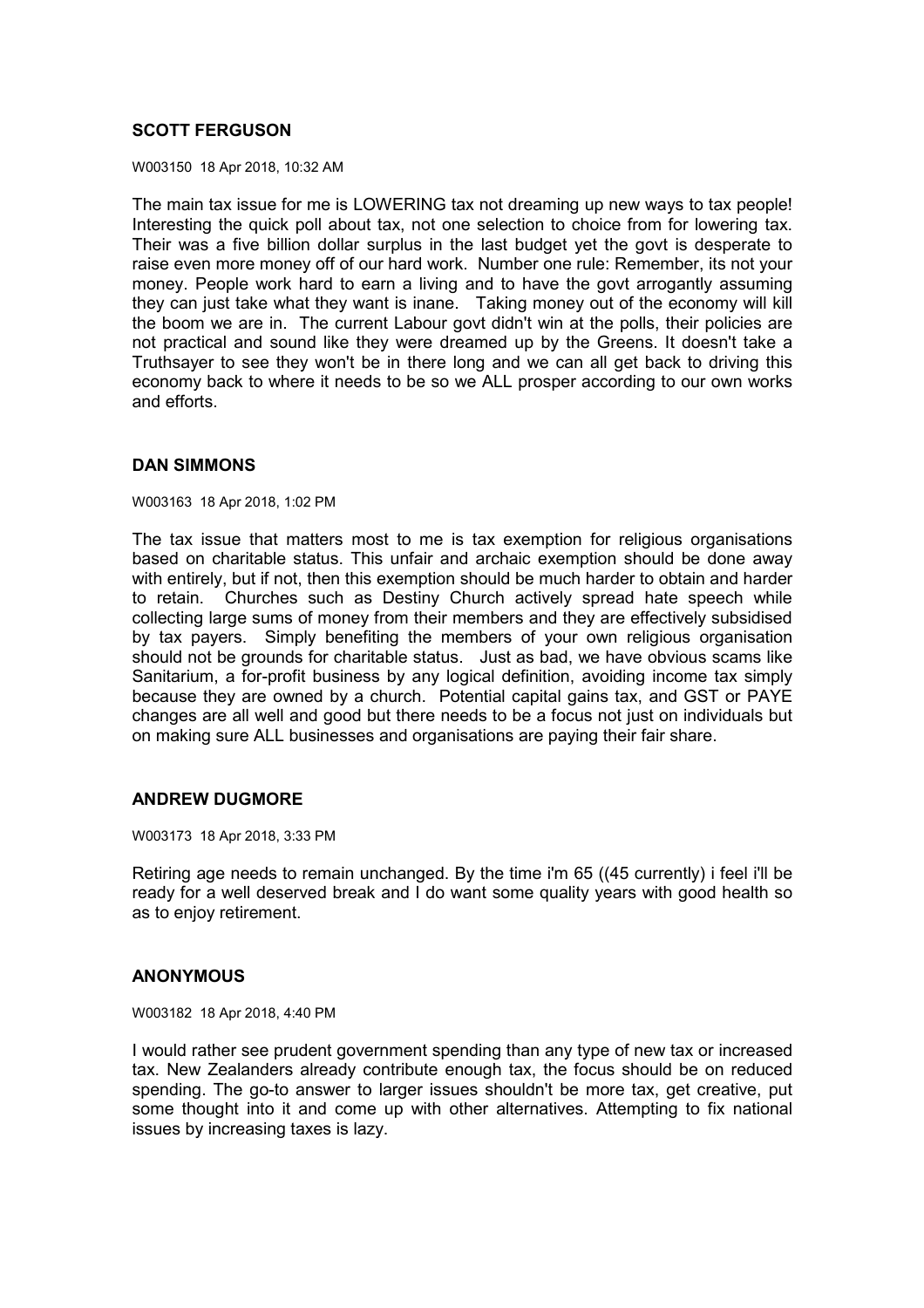# **SCOTT FERGUSON**

W003150 18 Apr 2018, 10:32 AM

The main tax issue for me is LOWERING tax not dreaming up new ways to tax people! Interesting the quick poll about tax, not one selection to choice from for lowering tax. Their was a five billion dollar surplus in the last budget yet the govt is desperate to raise even more money off of our hard work. Number one rule: Remember, its not your money. People work hard to earn a living and to have the govt arrogantly assuming they can just take what they want is inane. Taking money out of the economy will kill the boom we are in. The current Labour govt didn't win at the polls, their policies are not practical and sound like they were dreamed up by the Greens. It doesn't take a Truthsayer to see they won't be in there long and we can all get back to driving this economy back to where it needs to be so we ALL prosper according to our own works and efforts.

## **DAN SIMMONS**

W003163 18 Apr 2018, 1:02 PM

The tax issue that matters most to me is tax exemption for religious organisations based on charitable status. This unfair and archaic exemption should be done away with entirely, but if not, then this exemption should be much harder to obtain and harder to retain. Churches such as Destiny Church actively spread hate speech while collecting large sums of money from their members and they are effectively subsidised by tax payers. Simply benefiting the members of your own religious organisation should not be grounds for charitable status. Just as bad, we have obvious scams like Sanitarium, a for-profit business by any logical definition, avoiding income tax simply because they are owned by a church. Potential capital gains tax, and GST or PAYE changes are all well and good but there needs to be a focus not just on individuals but on making sure ALL businesses and organisations are paying their fair share.

## **ANDREW DUGMORE**

W003173 18 Apr 2018, 3:33 PM

Retiring age needs to remain unchanged. By the time i'm 65 ((45 currently) i feel i'll be ready for a well deserved break and I do want some quality years with good health so as to enjoy retirement.

## **ANONYMOUS**

W003182 18 Apr 2018, 4:40 PM

I would rather see prudent government spending than any type of new tax or increased tax. New Zealanders already contribute enough tax, the focus should be on reduced spending. The go-to answer to larger issues shouldn't be more tax, get creative, put some thought into it and come up with other alternatives. Attempting to fix national issues by increasing taxes is lazy.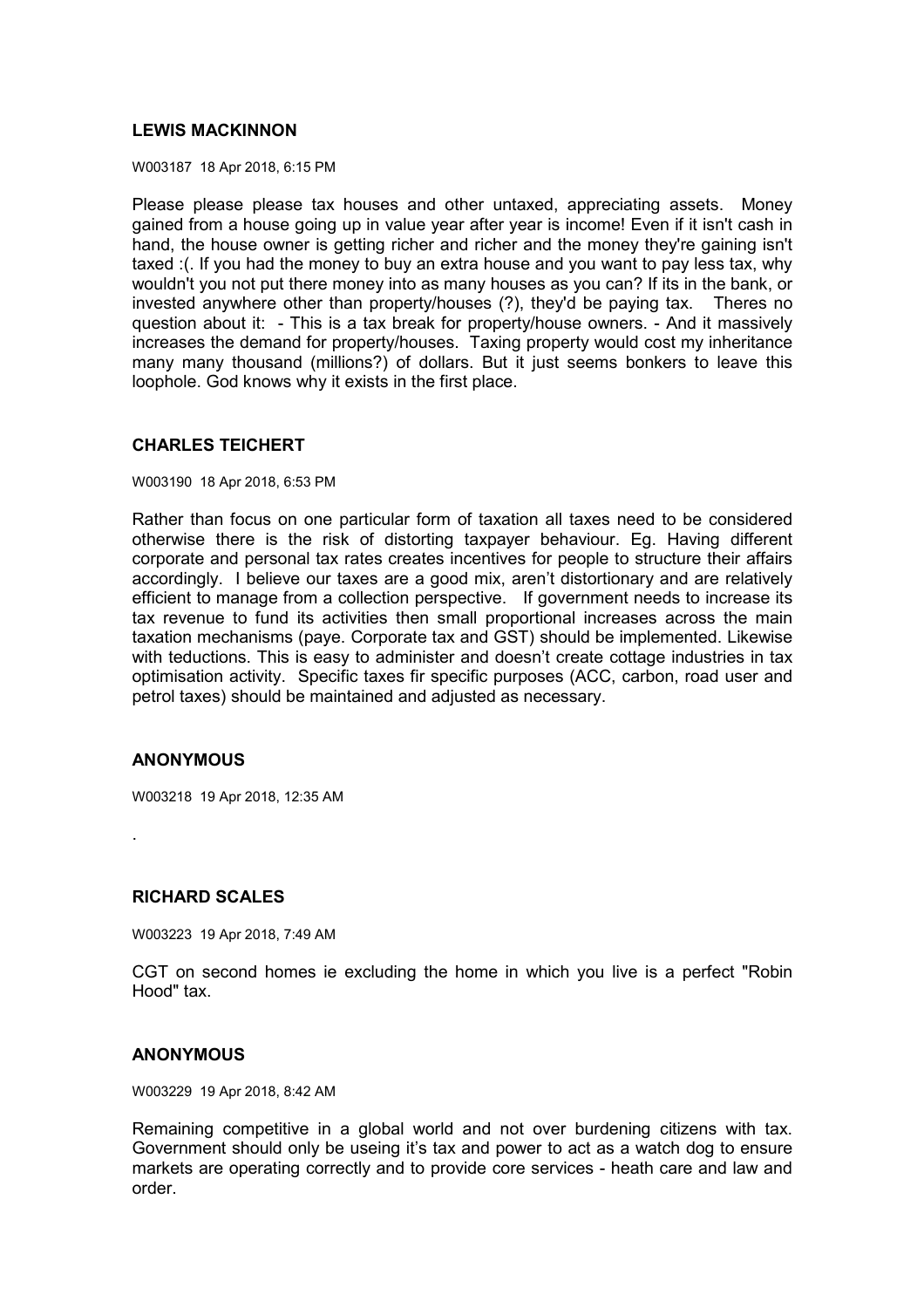# **LEWIS MACKINNON**

W003187 18 Apr 2018, 6:15 PM

Please please please tax houses and other untaxed, appreciating assets. Money gained from a house going up in value year after year is income! Even if it isn't cash in hand, the house owner is getting richer and richer and the money they're gaining isn't taxed :(. If you had the money to buy an extra house and you want to pay less tax, why wouldn't you not put there money into as many houses as you can? If its in the bank, or invested anywhere other than property/houses (?), they'd be paying tax. Theres no question about it: - This is a tax break for property/house owners. - And it massively increases the demand for property/houses. Taxing property would cost my inheritance many many thousand (millions?) of dollars. But it just seems bonkers to leave this loophole. God knows why it exists in the first place.

# **CHARLES TEICHERT**

W003190 18 Apr 2018, 6:53 PM

Rather than focus on one particular form of taxation all taxes need to be considered otherwise there is the risk of distorting taxpayer behaviour. Eg. Having different corporate and personal tax rates creates incentives for people to structure their affairs accordingly. I believe our taxes are a good mix, aren't distortionary and are relatively efficient to manage from a collection perspective. If government needs to increase its tax revenue to fund its activities then small proportional increases across the main taxation mechanisms (paye. Corporate tax and GST) should be implemented. Likewise with teductions. This is easy to administer and doesn't create cottage industries in tax optimisation activity. Specific taxes fir specific purposes (ACC, carbon, road user and petrol taxes) should be maintained and adjusted as necessary.

## **ANONYMOUS**

W003218 19 Apr 2018, 12:35 AM

.

## **RICHARD SCALES**

W003223 19 Apr 2018, 7:49 AM

CGT on second homes ie excluding the home in which you live is a perfect "Robin Hood" tax.

## **ANONYMOUS**

W003229 19 Apr 2018, 8:42 AM

Remaining competitive in a global world and not over burdening citizens with tax. Government should only be useing it's tax and power to act as a watch dog to ensure markets are operating correctly and to provide core services - heath care and law and order.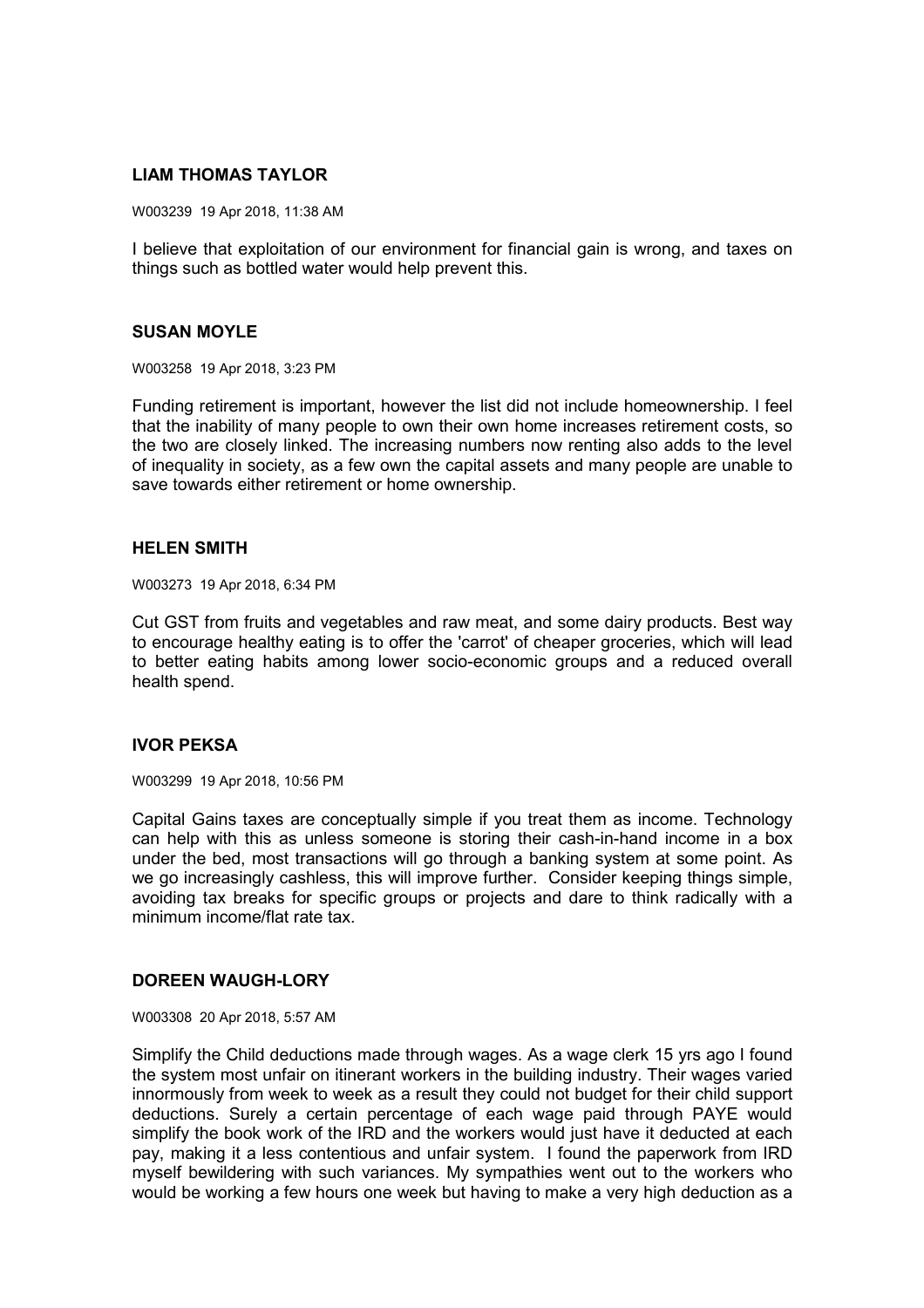## **LIAM THOMAS TAYLOR**

W003239 19 Apr 2018, 11:38 AM

I believe that exploitation of our environment for financial gain is wrong, and taxes on things such as bottled water would help prevent this.

## **SUSAN MOYLE**

W003258 19 Apr 2018, 3:23 PM

Funding retirement is important, however the list did not include homeownership. I feel that the inability of many people to own their own home increases retirement costs, so the two are closely linked. The increasing numbers now renting also adds to the level of inequality in society, as a few own the capital assets and many people are unable to save towards either retirement or home ownership.

#### **HELEN SMITH**

W003273 19 Apr 2018, 6:34 PM

Cut GST from fruits and vegetables and raw meat, and some dairy products. Best way to encourage healthy eating is to offer the 'carrot' of cheaper groceries, which will lead to better eating habits among lower socio-economic groups and a reduced overall health spend.

## **IVOR PEKSA**

W003299 19 Apr 2018, 10:56 PM

Capital Gains taxes are conceptually simple if you treat them as income. Technology can help with this as unless someone is storing their cash-in-hand income in a box under the bed, most transactions will go through a banking system at some point. As we go increasingly cashless, this will improve further. Consider keeping things simple, avoiding tax breaks for specific groups or projects and dare to think radically with a minimum income/flat rate tax.

#### **DOREEN WAUGH-LORY**

W003308 20 Apr 2018, 5:57 AM

Simplify the Child deductions made through wages. As a wage clerk 15 yrs ago I found the system most unfair on itinerant workers in the building industry. Their wages varied innormously from week to week as a result they could not budget for their child support deductions. Surely a certain percentage of each wage paid through PAYE would simplify the book work of the IRD and the workers would just have it deducted at each pay, making it a less contentious and unfair system. I found the paperwork from IRD myself bewildering with such variances. My sympathies went out to the workers who would be working a few hours one week but having to make a very high deduction as a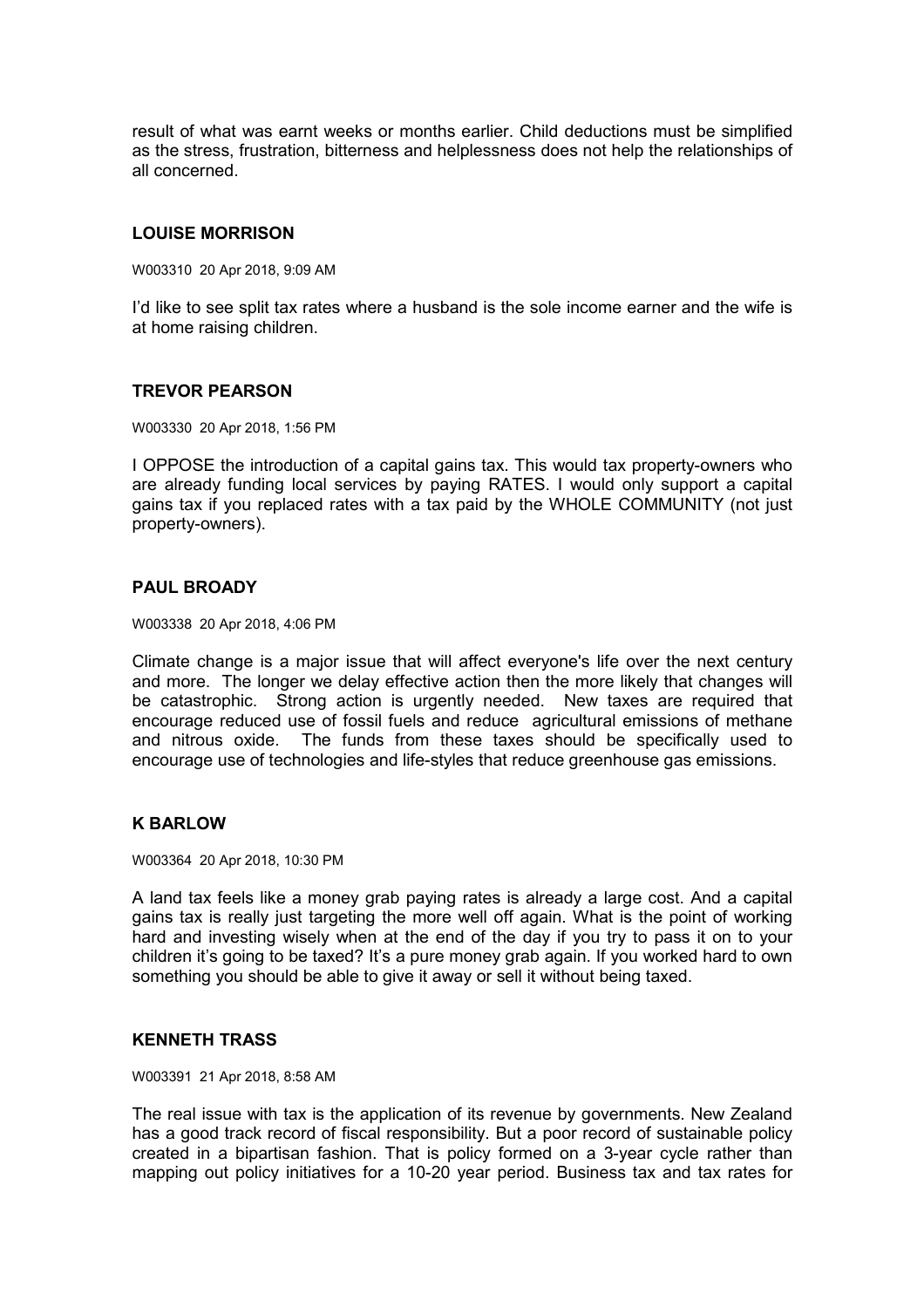result of what was earnt weeks or months earlier. Child deductions must be simplified as the stress, frustration, bitterness and helplessness does not help the relationships of all concerned.

# **LOUISE MORRISON**

W003310 20 Apr 2018, 9:09 AM

I'd like to see split tax rates where a husband is the sole income earner and the wife is at home raising children.

## **TREVOR PEARSON**

W003330 20 Apr 2018, 1:56 PM

I OPPOSE the introduction of a capital gains tax. This would tax property-owners who are already funding local services by paying RATES. I would only support a capital gains tax if you replaced rates with a tax paid by the WHOLE COMMUNITY (not just property-owners).

## **PAUL BROADY**

W003338 20 Apr 2018, 4:06 PM

Climate change is a major issue that will affect everyone's life over the next century and more. The longer we delay effective action then the more likely that changes will be catastrophic. Strong action is urgently needed. New taxes are required that encourage reduced use of fossil fuels and reduce agricultural emissions of methane and nitrous oxide. The funds from these taxes should be specifically used to encourage use of technologies and life-styles that reduce greenhouse gas emissions.

## **K BARLOW**

W003364 20 Apr 2018, 10:30 PM

A land tax feels like a money grab paying rates is already a large cost. And a capital gains tax is really just targeting the more well off again. What is the point of working hard and investing wisely when at the end of the day if you try to pass it on to your children it's going to be taxed? It's a pure money grab again. If you worked hard to own something you should be able to give it away or sell it without being taxed.

## **KENNETH TRASS**

W003391 21 Apr 2018, 8:58 AM

The real issue with tax is the application of its revenue by governments. New Zealand has a good track record of fiscal responsibility. But a poor record of sustainable policy created in a bipartisan fashion. That is policy formed on a 3-year cycle rather than mapping out policy initiatives for a 10-20 year period. Business tax and tax rates for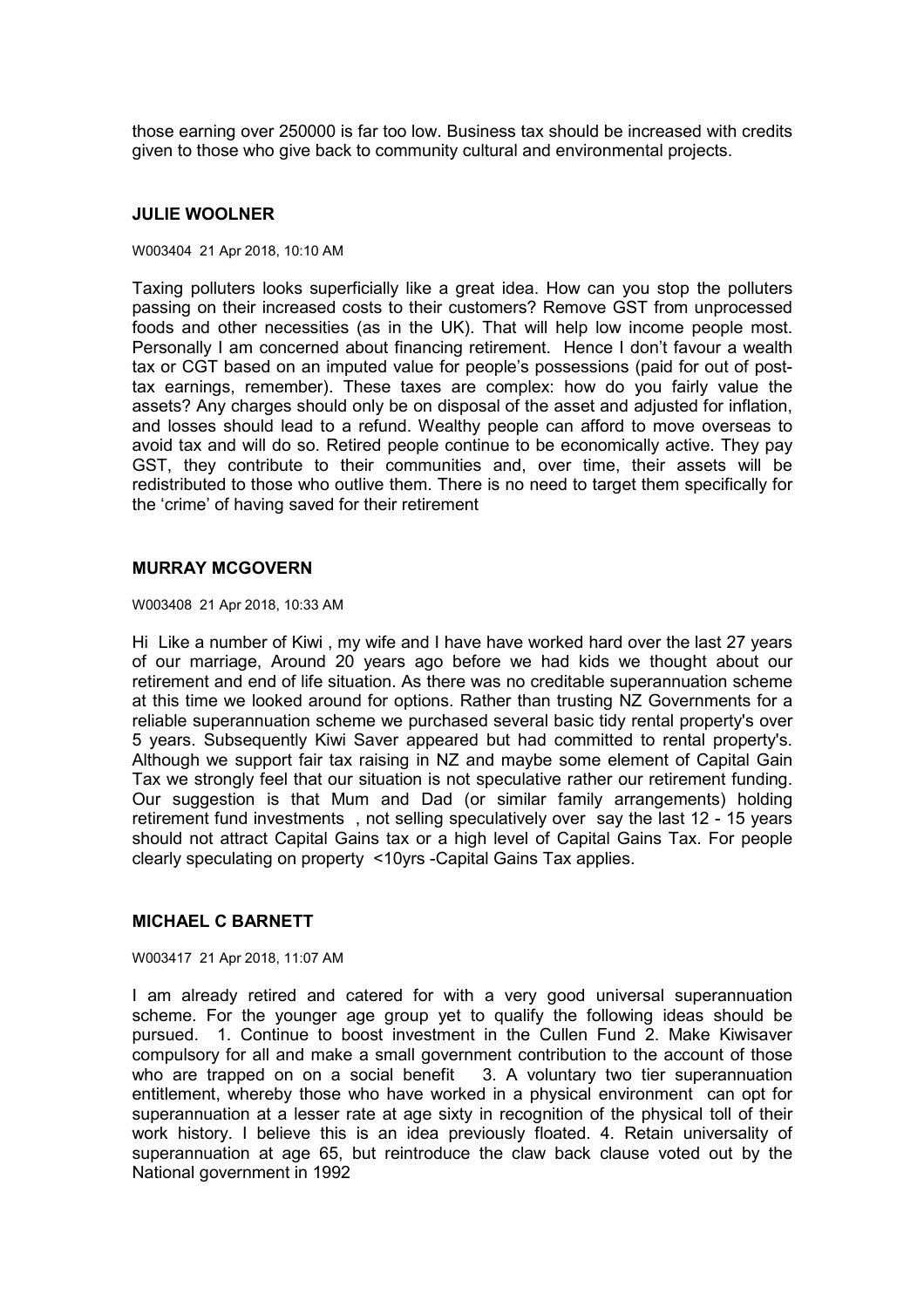those earning over 250000 is far too low. Business tax should be increased with credits given to those who give back to community cultural and environmental projects.

#### **JULIE WOOLNER**

#### W003404 21 Apr 2018, 10:10 AM

Taxing polluters looks superficially like a great idea. How can you stop the polluters passing on their increased costs to their customers? Remove GST from unprocessed foods and other necessities (as in the UK). That will help low income people most. Personally I am concerned about financing retirement. Hence I don't favour a wealth tax or CGT based on an imputed value for people's possessions (paid for out of posttax earnings, remember). These taxes are complex: how do you fairly value the assets? Any charges should only be on disposal of the asset and adjusted for inflation, and losses should lead to a refund. Wealthy people can afford to move overseas to avoid tax and will do so. Retired people continue to be economically active. They pay GST, they contribute to their communities and, over time, their assets will be redistributed to those who outlive them. There is no need to target them specifically for the 'crime' of having saved for their retirement

#### **MURRAY MCGOVERN**

W003408 21 Apr 2018, 10:33 AM

Hi Like a number of Kiwi , my wife and I have have worked hard over the last 27 years of our marriage, Around 20 years ago before we had kids we thought about our retirement and end of life situation. As there was no creditable superannuation scheme at this time we looked around for options. Rather than trusting NZ Governments for a reliable superannuation scheme we purchased several basic tidy rental property's over 5 years. Subsequently Kiwi Saver appeared but had committed to rental property's. Although we support fair tax raising in NZ and maybe some element of Capital Gain Tax we strongly feel that our situation is not speculative rather our retirement funding. Our suggestion is that Mum and Dad (or similar family arrangements) holding retirement fund investments , not selling speculatively over say the last 12 - 15 years should not attract Capital Gains tax or a high level of Capital Gains Tax. For people clearly speculating on property <10yrs -Capital Gains Tax applies.

## **MICHAEL C BARNETT**

W003417 21 Apr 2018, 11:07 AM

I am already retired and catered for with a very good universal superannuation scheme. For the younger age group yet to qualify the following ideas should be pursued. 1. Continue to boost investment in the Cullen Fund 2. Make Kiwisaver compulsory for all and make a small government contribution to the account of those who are trapped on on a social benefit 3. A voluntary two tier superannuation entitlement, whereby those who have worked in a physical environment can opt for superannuation at a lesser rate at age sixty in recognition of the physical toll of their work history. I believe this is an idea previously floated. 4. Retain universality of superannuation at age 65, but reintroduce the claw back clause voted out by the National government in 1992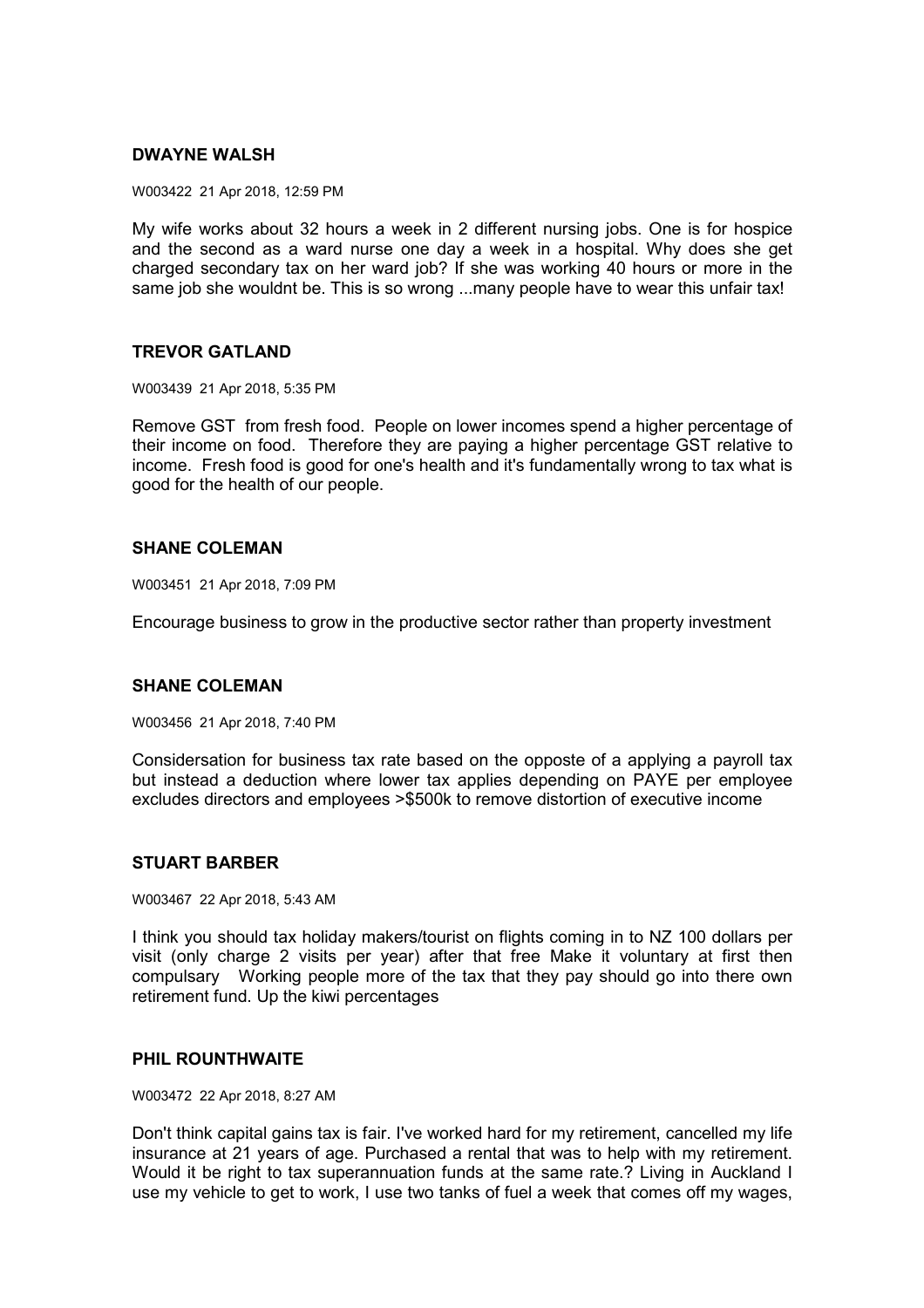## **DWAYNE WALSH**

W003422 21 Apr 2018, 12:59 PM

My wife works about 32 hours a week in 2 different nursing jobs. One is for hospice and the second as a ward nurse one day a week in a hospital. Why does she get charged secondary tax on her ward job? If she was working 40 hours or more in the same job she wouldnt be. This is so wrong ...many people have to wear this unfair tax!

# **TREVOR GATLAND**

W003439 21 Apr 2018, 5:35 PM

Remove GST from fresh food. People on lower incomes spend a higher percentage of their income on food. Therefore they are paying a higher percentage GST relative to income. Fresh food is good for one's health and it's fundamentally wrong to tax what is good for the health of our people.

## **SHANE COLEMAN**

W003451 21 Apr 2018, 7:09 PM

Encourage business to grow in the productive sector rather than property investment

## **SHANE COLEMAN**

W003456 21 Apr 2018, 7:40 PM

Considersation for business tax rate based on the opposte of a applying a payroll tax but instead a deduction where lower tax applies depending on PAYE per employee excludes directors and employees >\$500k to remove distortion of executive income

## **STUART BARBER**

W003467 22 Apr 2018, 5:43 AM

I think you should tax holiday makers/tourist on flights coming in to NZ 100 dollars per visit (only charge 2 visits per year) after that free Make it voluntary at first then compulsary Working people more of the tax that they pay should go into there own retirement fund. Up the kiwi percentages

## **PHIL ROUNTHWAITE**

W003472 22 Apr 2018, 8:27 AM

Don't think capital gains tax is fair. I've worked hard for my retirement, cancelled my life insurance at 21 years of age. Purchased a rental that was to help with my retirement. Would it be right to tax superannuation funds at the same rate.? Living in Auckland I use my vehicle to get to work, I use two tanks of fuel a week that comes off my wages,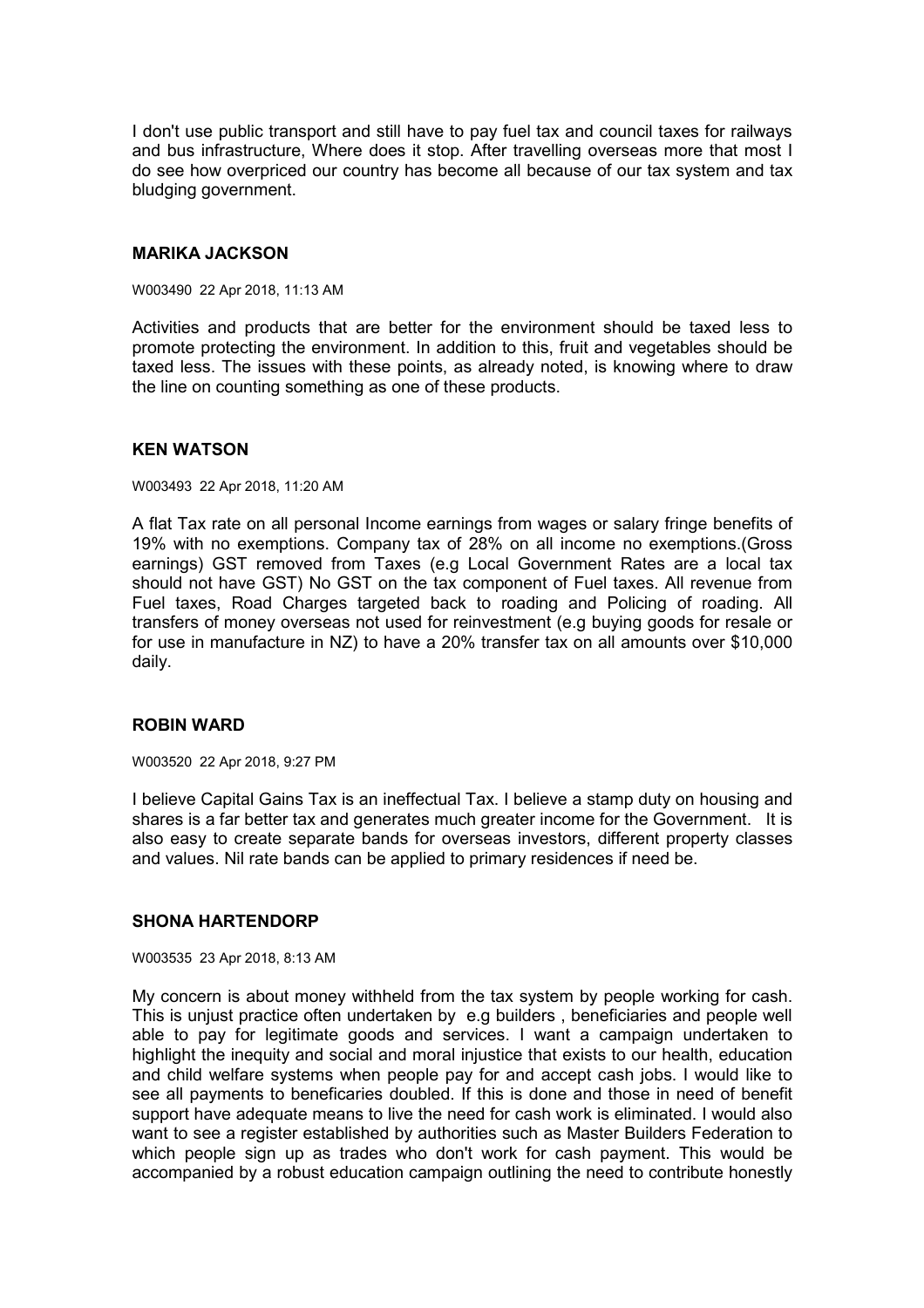I don't use public transport and still have to pay fuel tax and council taxes for railways and bus infrastructure, Where does it stop. After travelling overseas more that most I do see how overpriced our country has become all because of our tax system and tax bludging government.

#### **MARIKA JACKSON**

W003490 22 Apr 2018, 11:13 AM

Activities and products that are better for the environment should be taxed less to promote protecting the environment. In addition to this, fruit and vegetables should be taxed less. The issues with these points, as already noted, is knowing where to draw the line on counting something as one of these products.

#### **KEN WATSON**

W003493 22 Apr 2018, 11:20 AM

A flat Tax rate on all personal Income earnings from wages or salary fringe benefits of 19% with no exemptions. Company tax of 28% on all income no exemptions.(Gross earnings) GST removed from Taxes (e.g Local Government Rates are a local tax should not have GST) No GST on the tax component of Fuel taxes. All revenue from Fuel taxes, Road Charges targeted back to roading and Policing of roading. All transfers of money overseas not used for reinvestment (e.g buying goods for resale or for use in manufacture in NZ) to have a 20% transfer tax on all amounts over \$10,000 daily.

## **ROBIN WARD**

W003520 22 Apr 2018, 9:27 PM

I believe Capital Gains Tax is an ineffectual Tax. I believe a stamp duty on housing and shares is a far better tax and generates much greater income for the Government. It is also easy to create separate bands for overseas investors, different property classes and values. Nil rate bands can be applied to primary residences if need be.

## **SHONA HARTENDORP**

W003535 23 Apr 2018, 8:13 AM

My concern is about money withheld from the tax system by people working for cash. This is unjust practice often undertaken by e.g builders , beneficiaries and people well able to pay for legitimate goods and services. I want a campaign undertaken to highlight the inequity and social and moral injustice that exists to our health, education and child welfare systems when people pay for and accept cash jobs. I would like to see all payments to beneficaries doubled. If this is done and those in need of benefit support have adequate means to live the need for cash work is eliminated. I would also want to see a register established by authorities such as Master Builders Federation to which people sign up as trades who don't work for cash payment. This would be accompanied by a robust education campaign outlining the need to contribute honestly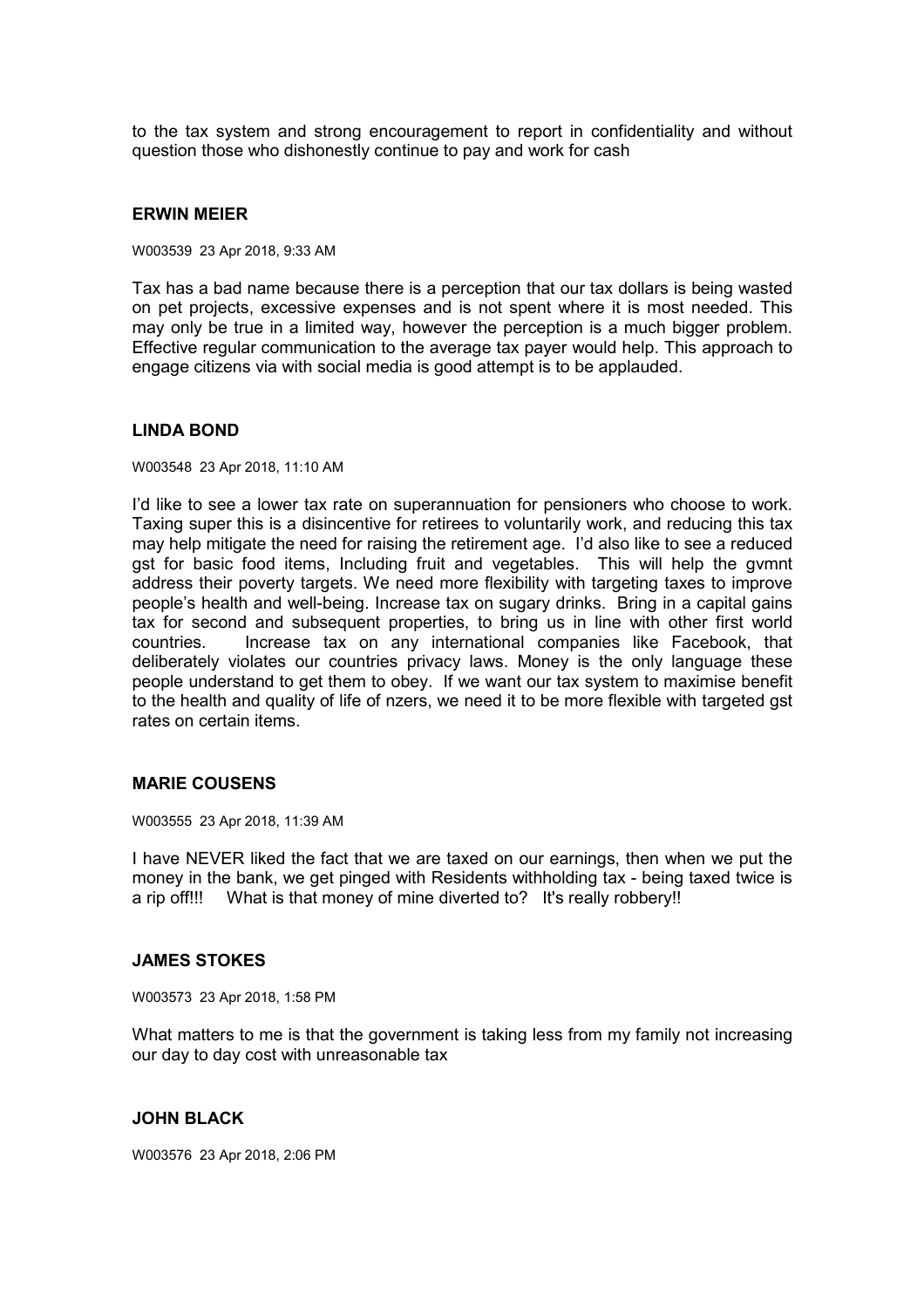to the tax system and strong encouragement to report in confidentiality and without question those who dishonestly continue to pay and work for cash

#### **ERWIN MEIER**

W003539 23 Apr 2018, 9:33 AM

Tax has a bad name because there is a perception that our tax dollars is being wasted on pet projects, excessive expenses and is not spent where it is most needed. This may only be true in a limited way, however the perception is a much bigger problem. Effective regular communication to the average tax payer would help. This approach to engage citizens via with social media is good attempt is to be applauded.

#### **LINDA BOND**

W003548 23 Apr 2018, 11:10 AM

I'd like to see a lower tax rate on superannuation for pensioners who choose to work. Taxing super this is a disincentive for retirees to voluntarily work, and reducing this tax may help mitigate the need for raising the retirement age. I'd also like to see a reduced gst for basic food items, Including fruit and vegetables. This will help the gvmnt address their poverty targets. We need more flexibility with targeting taxes to improve people's health and well-being. Increase tax on sugary drinks. Bring in a capital gains tax for second and subsequent properties, to bring us in line with other first world countries. Increase tax on any international companies like Facebook, that deliberately violates our countries privacy laws. Money is the only language these people understand to get them to obey. If we want our tax system to maximise benefit to the health and quality of life of nzers, we need it to be more flexible with targeted gst rates on certain items.

## **MARIE COUSENS**

W003555 23 Apr 2018, 11:39 AM

I have NEVER liked the fact that we are taxed on our earnings, then when we put the money in the bank, we get pinged with Residents withholding tax - being taxed twice is a rip off!!! What is that money of mine diverted to? It's really robbery!!

#### **JAMES STOKES**

W003573 23 Apr 2018, 1:58 PM

What matters to me is that the government is taking less from my family not increasing our day to day cost with unreasonable tax

## **JOHN BLACK**

W003576 23 Apr 2018, 2:06 PM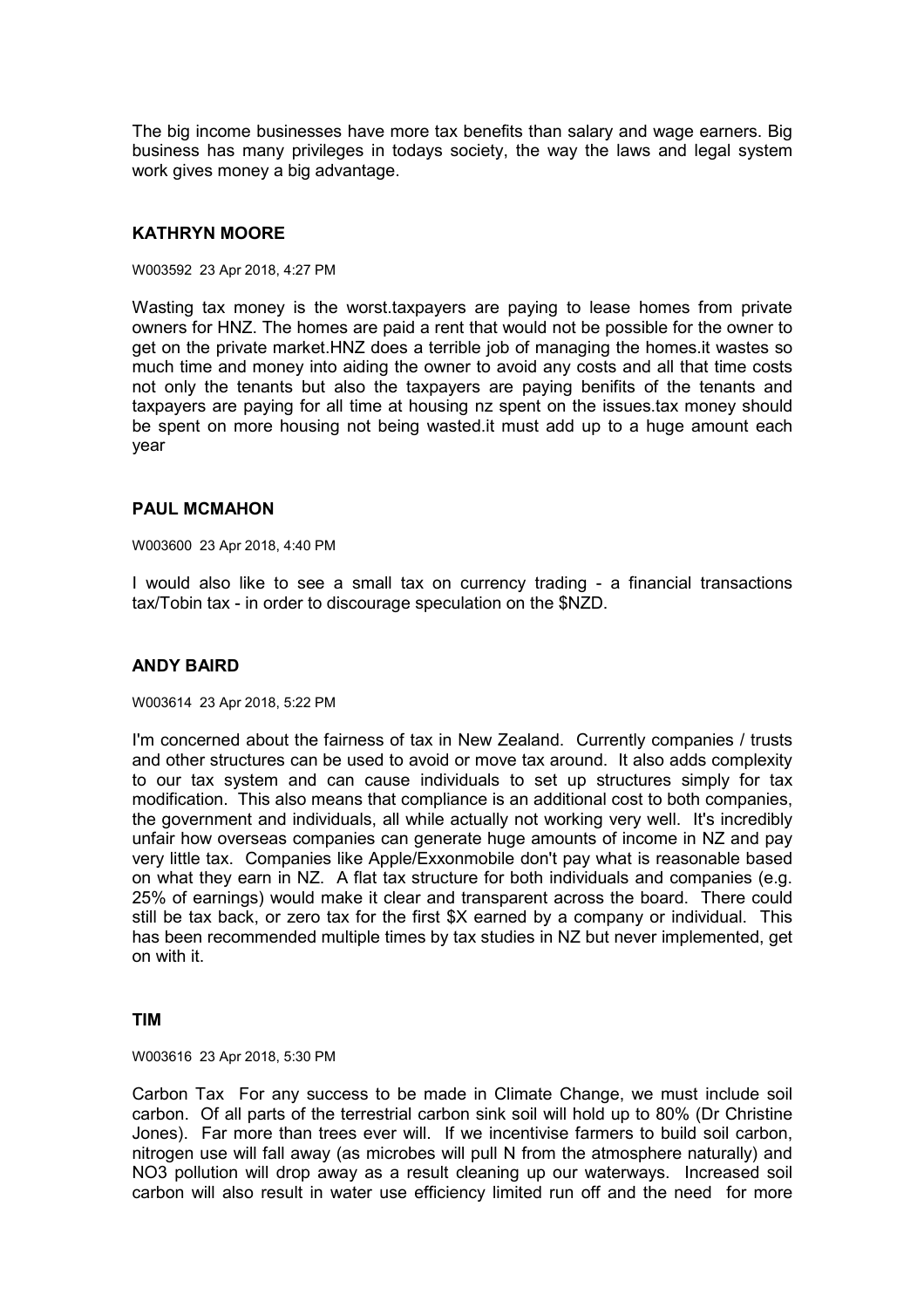The big income businesses have more tax benefits than salary and wage earners. Big business has many privileges in todays society, the way the laws and legal system work gives money a big advantage.

# **KATHRYN MOORE**

W003592 23 Apr 2018, 4:27 PM

Wasting tax money is the worst.taxpayers are paying to lease homes from private owners for HNZ. The homes are paid a rent that would not be possible for the owner to get on the private market.HNZ does a terrible job of managing the homes.it wastes so much time and money into aiding the owner to avoid any costs and all that time costs not only the tenants but also the taxpayers are paying benifits of the tenants and taxpayers are paying for all time at housing nz spent on the issues.tax money should be spent on more housing not being wasted.it must add up to a huge amount each year

#### **PAUL MCMAHON**

W003600 23 Apr 2018, 4:40 PM

I would also like to see a small tax on currency trading - a financial transactions tax/Tobin tax - in order to discourage speculation on the \$NZD.

## **ANDY BAIRD**

W003614 23 Apr 2018, 5:22 PM

I'm concerned about the fairness of tax in New Zealand. Currently companies / trusts and other structures can be used to avoid or move tax around. It also adds complexity to our tax system and can cause individuals to set up structures simply for tax modification. This also means that compliance is an additional cost to both companies, the government and individuals, all while actually not working very well. It's incredibly unfair how overseas companies can generate huge amounts of income in NZ and pay very little tax. Companies like Apple/Exxonmobile don't pay what is reasonable based on what they earn in NZ. A flat tax structure for both individuals and companies (e.g. 25% of earnings) would make it clear and transparent across the board. There could still be tax back, or zero tax for the first \$X earned by a company or individual. This has been recommended multiple times by tax studies in NZ but never implemented, get on with it.

## **TIM**

W003616 23 Apr 2018, 5:30 PM

Carbon Tax For any success to be made in Climate Change, we must include soil carbon. Of all parts of the terrestrial carbon sink soil will hold up to 80% (Dr Christine Jones). Far more than trees ever will. If we incentivise farmers to build soil carbon, nitrogen use will fall away (as microbes will pull N from the atmosphere naturally) and NO3 pollution will drop away as a result cleaning up our waterways. Increased soil carbon will also result in water use efficiency limited run off and the need for more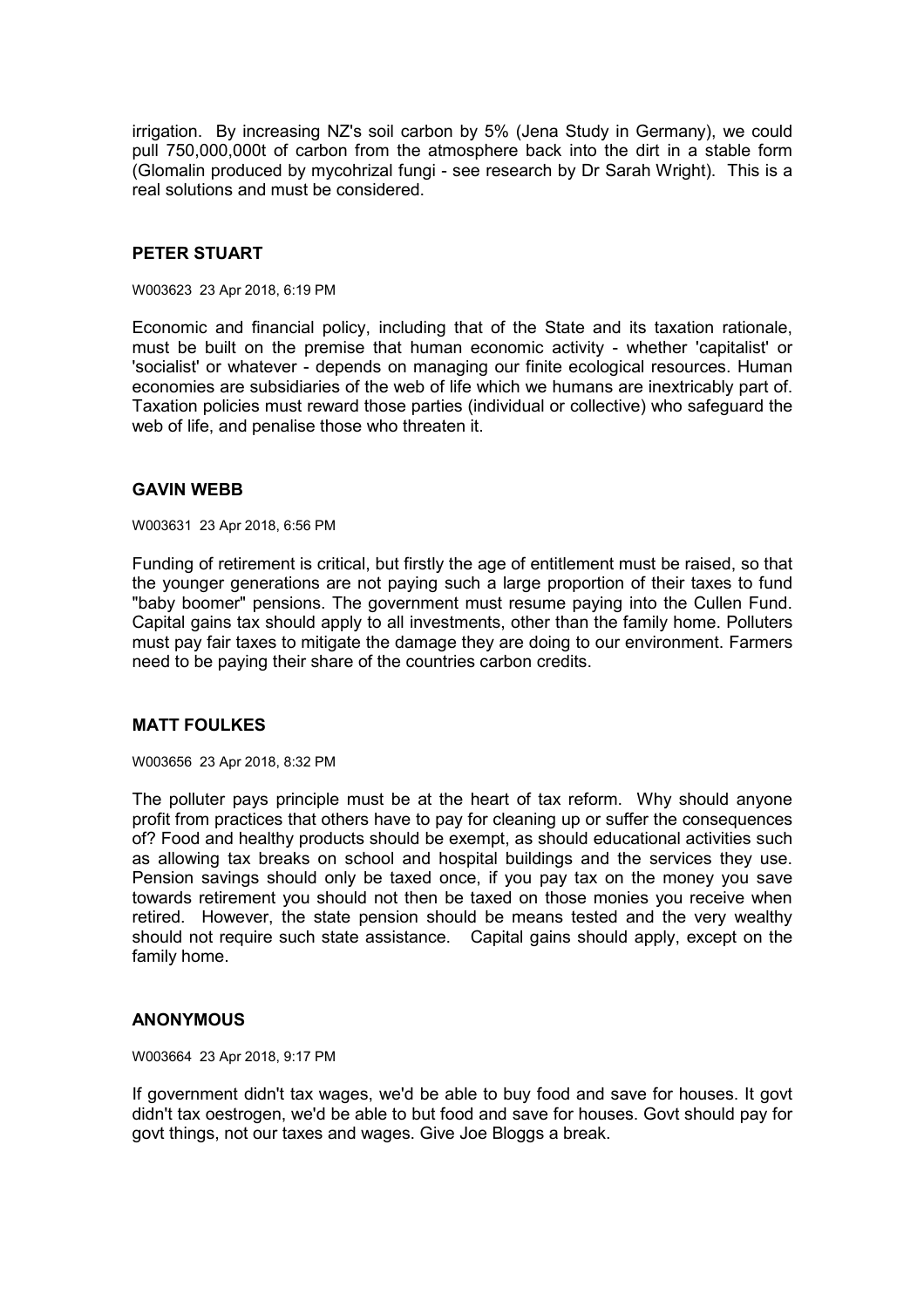irrigation. By increasing NZ's soil carbon by 5% (Jena Study in Germany), we could pull 750,000,000t of carbon from the atmosphere back into the dirt in a stable form (Glomalin produced by mycohrizal fungi - see research by Dr Sarah Wright). This is a real solutions and must be considered.

## **PETER STUART**

W003623 23 Apr 2018, 6:19 PM

Economic and financial policy, including that of the State and its taxation rationale, must be built on the premise that human economic activity - whether 'capitalist' or 'socialist' or whatever - depends on managing our finite ecological resources. Human economies are subsidiaries of the web of life which we humans are inextricably part of. Taxation policies must reward those parties (individual or collective) who safeguard the web of life, and penalise those who threaten it.

## **GAVIN WEBB**

W003631 23 Apr 2018, 6:56 PM

Funding of retirement is critical, but firstly the age of entitlement must be raised, so that the younger generations are not paying such a large proportion of their taxes to fund "baby boomer" pensions. The government must resume paying into the Cullen Fund. Capital gains tax should apply to all investments, other than the family home. Polluters must pay fair taxes to mitigate the damage they are doing to our environment. Farmers need to be paying their share of the countries carbon credits.

# **MATT FOULKES**

W003656 23 Apr 2018, 8:32 PM

The polluter pays principle must be at the heart of tax reform. Why should anyone profit from practices that others have to pay for cleaning up or suffer the consequences of? Food and healthy products should be exempt, as should educational activities such as allowing tax breaks on school and hospital buildings and the services they use. Pension savings should only be taxed once, if you pay tax on the money you save towards retirement you should not then be taxed on those monies you receive when retired. However, the state pension should be means tested and the very wealthy should not require such state assistance. Capital gains should apply, except on the family home.

## **ANONYMOUS**

W003664 23 Apr 2018, 9:17 PM

If government didn't tax wages, we'd be able to buy food and save for houses. It govt didn't tax oestrogen, we'd be able to but food and save for houses. Govt should pay for govt things, not our taxes and wages. Give Joe Bloggs a break.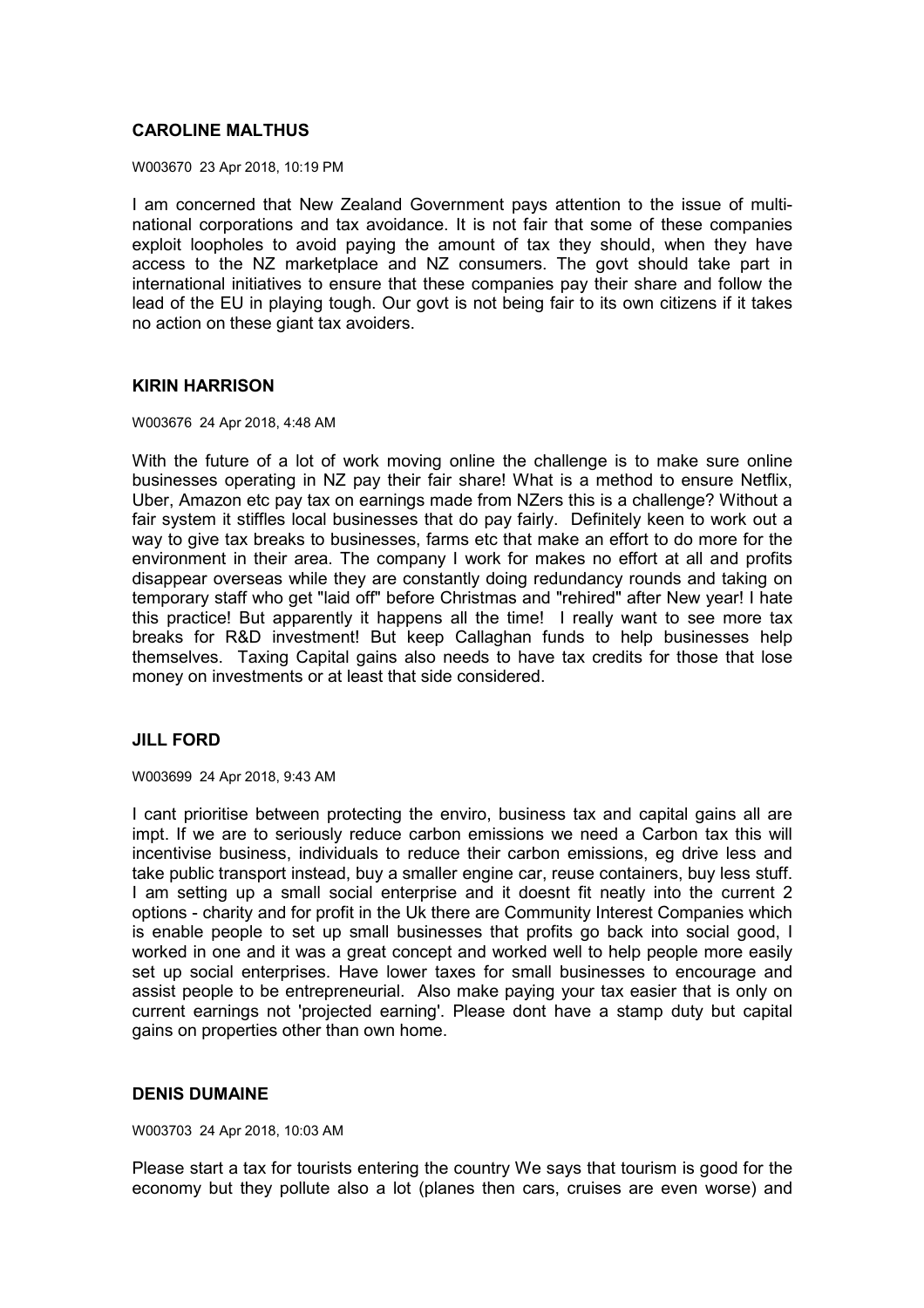# **CAROLINE MALTHUS**

W003670 23 Apr 2018, 10:19 PM

I am concerned that New Zealand Government pays attention to the issue of multinational corporations and tax avoidance. It is not fair that some of these companies exploit loopholes to avoid paying the amount of tax they should, when they have access to the NZ marketplace and NZ consumers. The govt should take part in international initiatives to ensure that these companies pay their share and follow the lead of the EU in playing tough. Our govt is not being fair to its own citizens if it takes no action on these giant tax avoiders.

#### **KIRIN HARRISON**

W003676 24 Apr 2018, 4:48 AM

With the future of a lot of work moving online the challenge is to make sure online businesses operating in NZ pay their fair share! What is a method to ensure Netflix, Uber, Amazon etc pay tax on earnings made from NZers this is a challenge? Without a fair system it stiffles local businesses that do pay fairly. Definitely keen to work out a way to give tax breaks to businesses, farms etc that make an effort to do more for the environment in their area. The company I work for makes no effort at all and profits disappear overseas while they are constantly doing redundancy rounds and taking on temporary staff who get "laid off" before Christmas and "rehired" after New year! I hate this practice! But apparently it happens all the time! I really want to see more tax breaks for R&D investment! But keep Callaghan funds to help businesses help themselves. Taxing Capital gains also needs to have tax credits for those that lose money on investments or at least that side considered.

## **JILL FORD**

W003699 24 Apr 2018, 9:43 AM

I cant prioritise between protecting the enviro, business tax and capital gains all are impt. If we are to seriously reduce carbon emissions we need a Carbon tax this will incentivise business, individuals to reduce their carbon emissions, eg drive less and take public transport instead, buy a smaller engine car, reuse containers, buy less stuff. I am setting up a small social enterprise and it doesnt fit neatly into the current 2 options - charity and for profit in the Uk there are Community Interest Companies which is enable people to set up small businesses that profits go back into social good, I worked in one and it was a great concept and worked well to help people more easily set up social enterprises. Have lower taxes for small businesses to encourage and assist people to be entrepreneurial. Also make paying your tax easier that is only on current earnings not 'projected earning'. Please dont have a stamp duty but capital gains on properties other than own home.

## **DENIS DUMAINE**

W003703 24 Apr 2018, 10:03 AM

Please start a tax for tourists entering the country We says that tourism is good for the economy but they pollute also a lot (planes then cars, cruises are even worse) and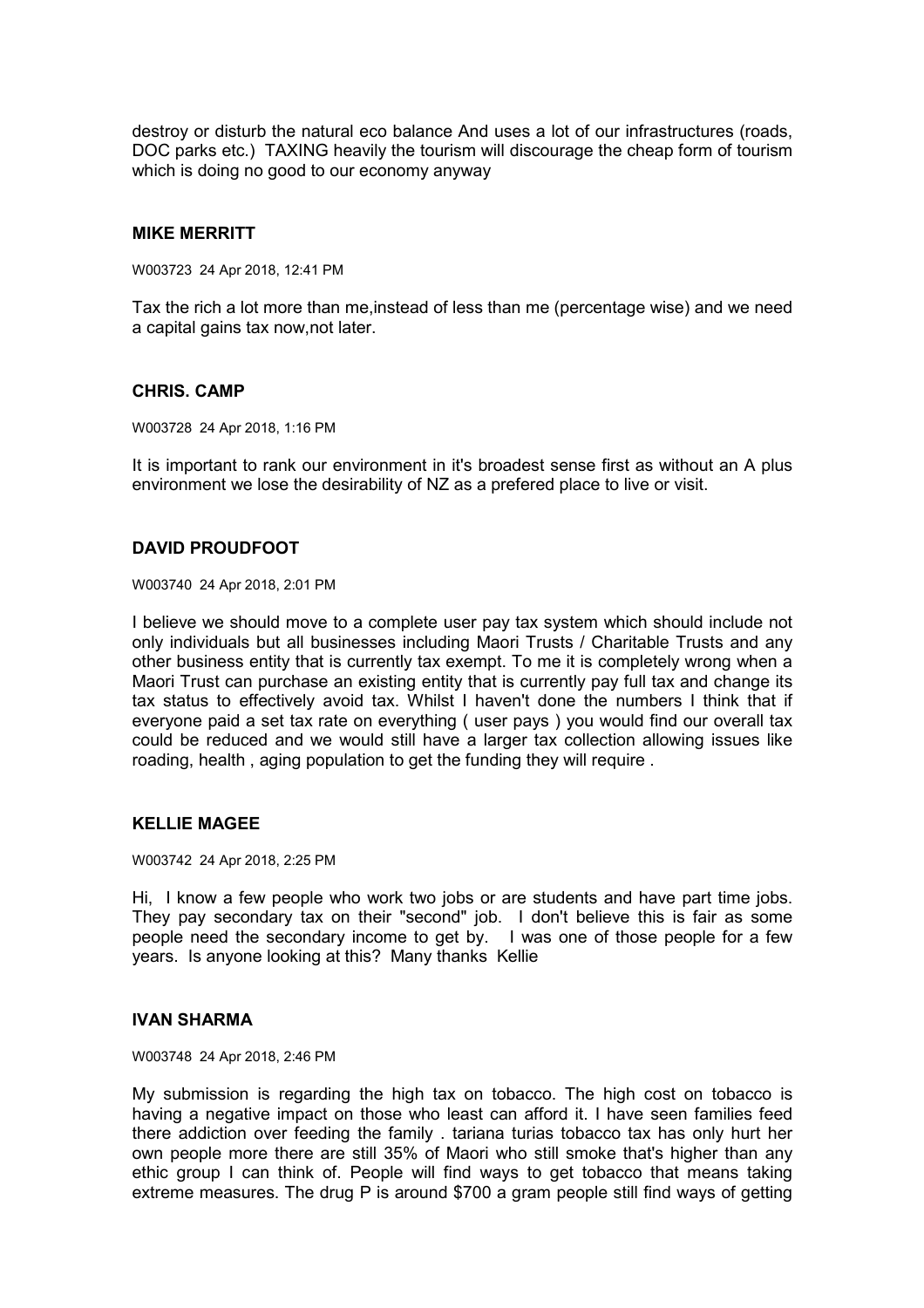destroy or disturb the natural eco balance And uses a lot of our infrastructures (roads, DOC parks etc.) TAXING heavily the tourism will discourage the cheap form of tourism which is doing no good to our economy anyway

## **MIKE MERRITT**

W003723 24 Apr 2018, 12:41 PM

Tax the rich a lot more than me,instead of less than me (percentage wise) and we need a capital gains tax now,not later.

#### **CHRIS. CAMP**

W003728 24 Apr 2018, 1:16 PM

It is important to rank our environment in it's broadest sense first as without an A plus environment we lose the desirability of NZ as a prefered place to live or visit.

# **DAVID PROUDFOOT**

W003740 24 Apr 2018, 2:01 PM

I believe we should move to a complete user pay tax system which should include not only individuals but all businesses including Maori Trusts / Charitable Trusts and any other business entity that is currently tax exempt. To me it is completely wrong when a Maori Trust can purchase an existing entity that is currently pay full tax and change its tax status to effectively avoid tax. Whilst I haven't done the numbers I think that if everyone paid a set tax rate on everything ( user pays ) you would find our overall tax could be reduced and we would still have a larger tax collection allowing issues like roading, health , aging population to get the funding they will require .

## **KELLIE MAGEE**

W003742 24 Apr 2018, 2:25 PM

Hi, I know a few people who work two jobs or are students and have part time jobs. They pay secondary tax on their "second" job. I don't believe this is fair as some people need the secondary income to get by. I was one of those people for a few years. Is anyone looking at this? Many thanks Kellie

#### **IVAN SHARMA**

W003748 24 Apr 2018, 2:46 PM

My submission is regarding the high tax on tobacco. The high cost on tobacco is having a negative impact on those who least can afford it. I have seen families feed there addiction over feeding the family . tariana turias tobacco tax has only hurt her own people more there are still 35% of Maori who still smoke that's higher than any ethic group I can think of. People will find ways to get tobacco that means taking extreme measures. The drug P is around \$700 a gram people still find ways of getting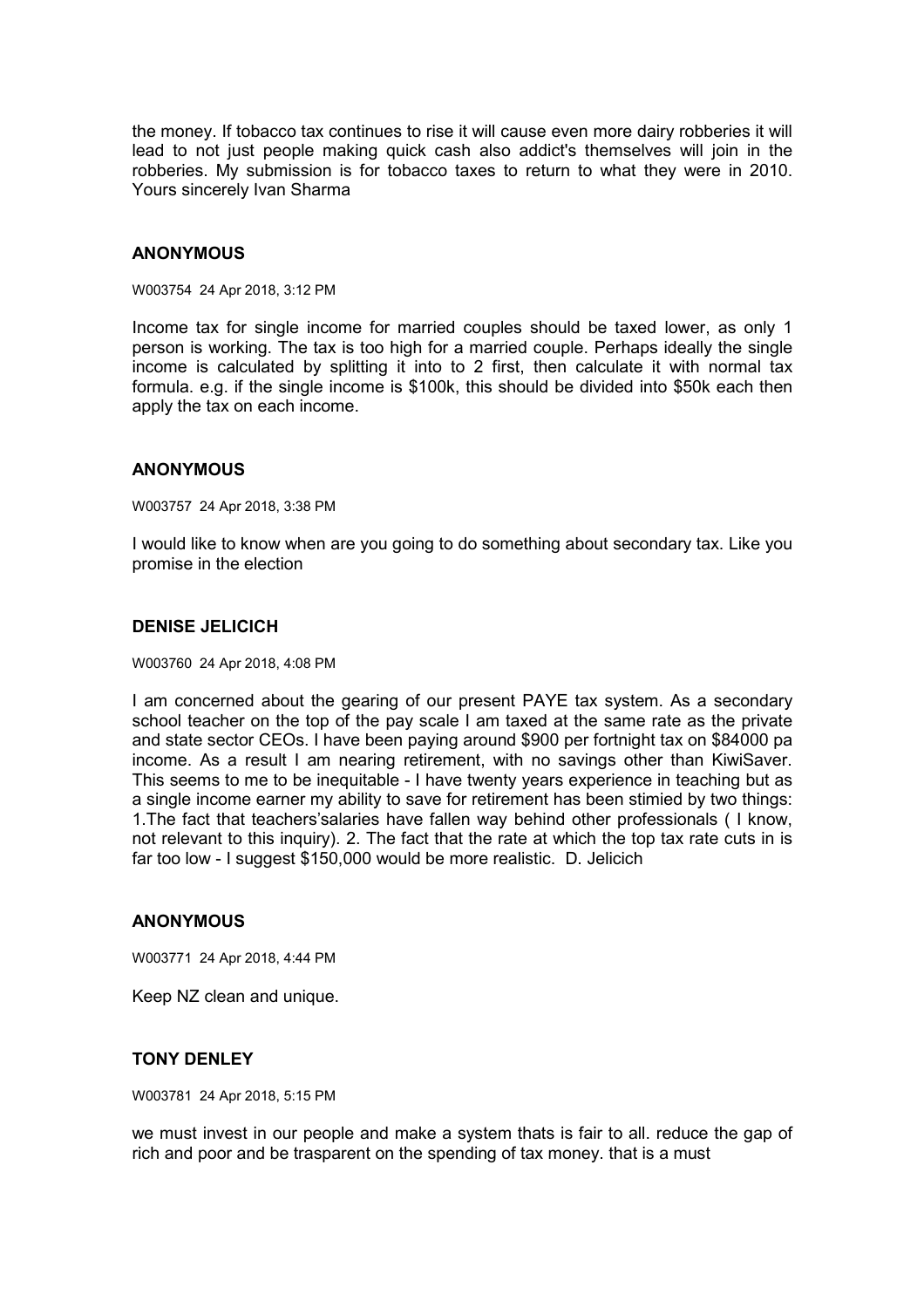the money. If tobacco tax continues to rise it will cause even more dairy robberies it will lead to not just people making quick cash also addict's themselves will join in the robberies. My submission is for tobacco taxes to return to what they were in 2010. Yours sincerely Ivan Sharma

#### **ANONYMOUS**

W003754 24 Apr 2018, 3:12 PM

Income tax for single income for married couples should be taxed lower, as only 1 person is working. The tax is too high for a married couple. Perhaps ideally the single income is calculated by splitting it into to 2 first, then calculate it with normal tax formula. e.g. if the single income is \$100k, this should be divided into \$50k each then apply the tax on each income.

#### **ANONYMOUS**

W003757 24 Apr 2018, 3:38 PM

I would like to know when are you going to do something about secondary tax. Like you promise in the election

## **DENISE JELICICH**

W003760 24 Apr 2018, 4:08 PM

I am concerned about the gearing of our present PAYE tax system. As a secondary school teacher on the top of the pay scale I am taxed at the same rate as the private and state sector CEOs. I have been paying around \$900 per fortnight tax on \$84000 pa income. As a result I am nearing retirement, with no savings other than KiwiSaver. This seems to me to be inequitable - I have twenty years experience in teaching but as a single income earner my ability to save for retirement has been stimied by two things: 1.The fact that teachers'salaries have fallen way behind other professionals ( I know, not relevant to this inquiry). 2. The fact that the rate at which the top tax rate cuts in is far too low - I suggest \$150,000 would be more realistic. D. Jelicich

## **ANONYMOUS**

W003771 24 Apr 2018, 4:44 PM

Keep NZ clean and unique.

## **TONY DENLEY**

W003781 24 Apr 2018, 5:15 PM

we must invest in our people and make a system thats is fair to all. reduce the gap of rich and poor and be trasparent on the spending of tax money. that is a must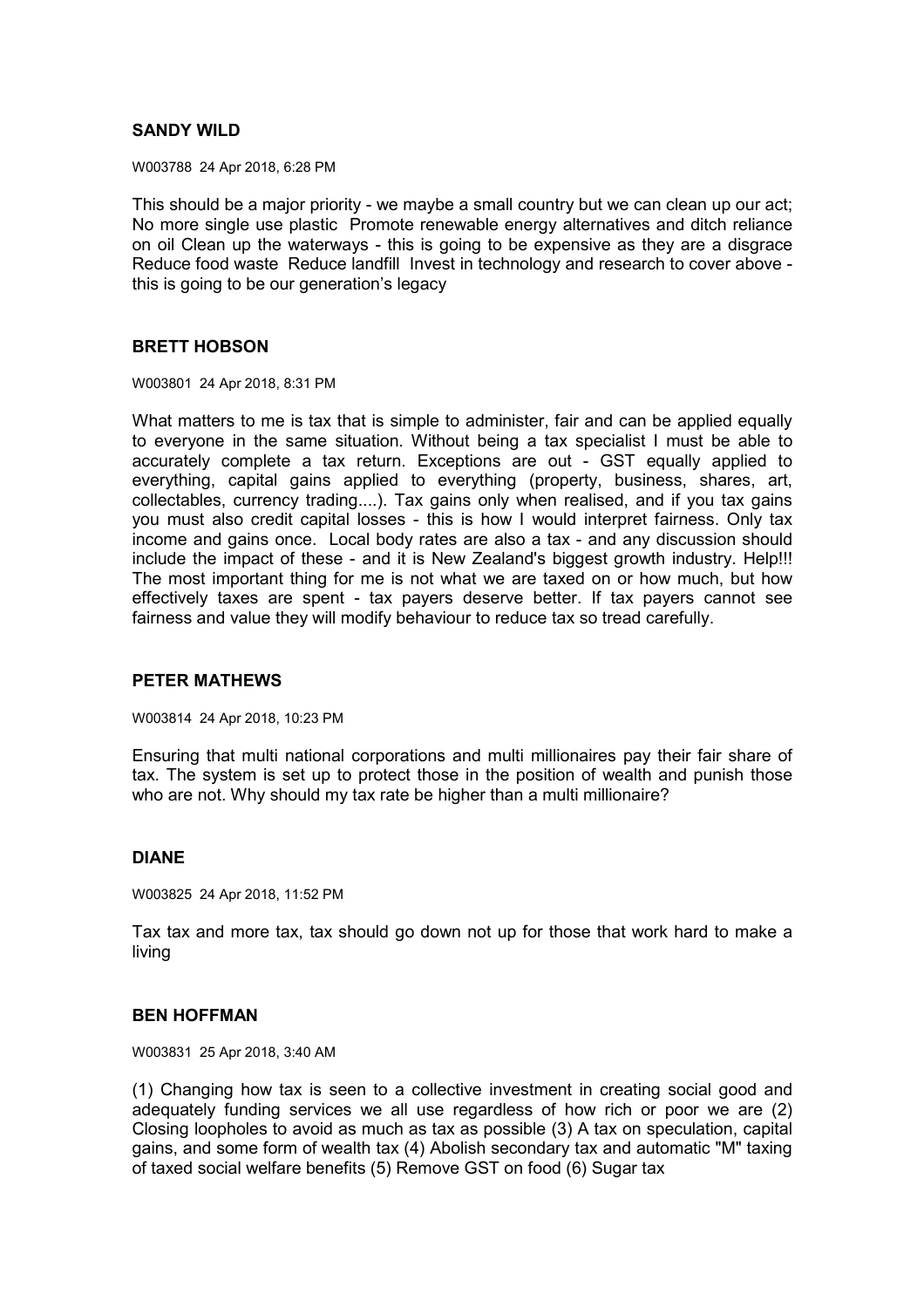# **SANDY WILD**

W003788 24 Apr 2018, 6:28 PM

This should be a major priority - we maybe a small country but we can clean up our act; No more single use plastic Promote renewable energy alternatives and ditch reliance on oil Clean up the waterways - this is going to be expensive as they are a disgrace Reduce food waste Reduce landfill Invest in technology and research to cover above this is going to be our generation's legacy

## **BRETT HOBSON**

W003801 24 Apr 2018, 8:31 PM

What matters to me is tax that is simple to administer, fair and can be applied equally to everyone in the same situation. Without being a tax specialist I must be able to accurately complete a tax return. Exceptions are out - GST equally applied to everything, capital gains applied to everything (property, business, shares, art, collectables, currency trading....). Tax gains only when realised, and if you tax gains you must also credit capital losses - this is how I would interpret fairness. Only tax income and gains once. Local body rates are also a tax - and any discussion should include the impact of these - and it is New Zealand's biggest growth industry. Help!!! The most important thing for me is not what we are taxed on or how much, but how effectively taxes are spent - tax payers deserve better. If tax payers cannot see fairness and value they will modify behaviour to reduce tax so tread carefully.

## **PETER MATHEWS**

W003814 24 Apr 2018, 10:23 PM

Ensuring that multi national corporations and multi millionaires pay their fair share of tax. The system is set up to protect those in the position of wealth and punish those who are not. Why should my tax rate be higher than a multi millionaire?

## **DIANE**

W003825 24 Apr 2018, 11:52 PM

Tax tax and more tax, tax should go down not up for those that work hard to make a living

## **BEN HOFFMAN**

W003831 25 Apr 2018, 3:40 AM

(1) Changing how tax is seen to a collective investment in creating social good and adequately funding services we all use regardless of how rich or poor we are (2) Closing loopholes to avoid as much as tax as possible (3) A tax on speculation, capital gains, and some form of wealth tax (4) Abolish secondary tax and automatic "M" taxing of taxed social welfare benefits (5) Remove GST on food (6) Sugar tax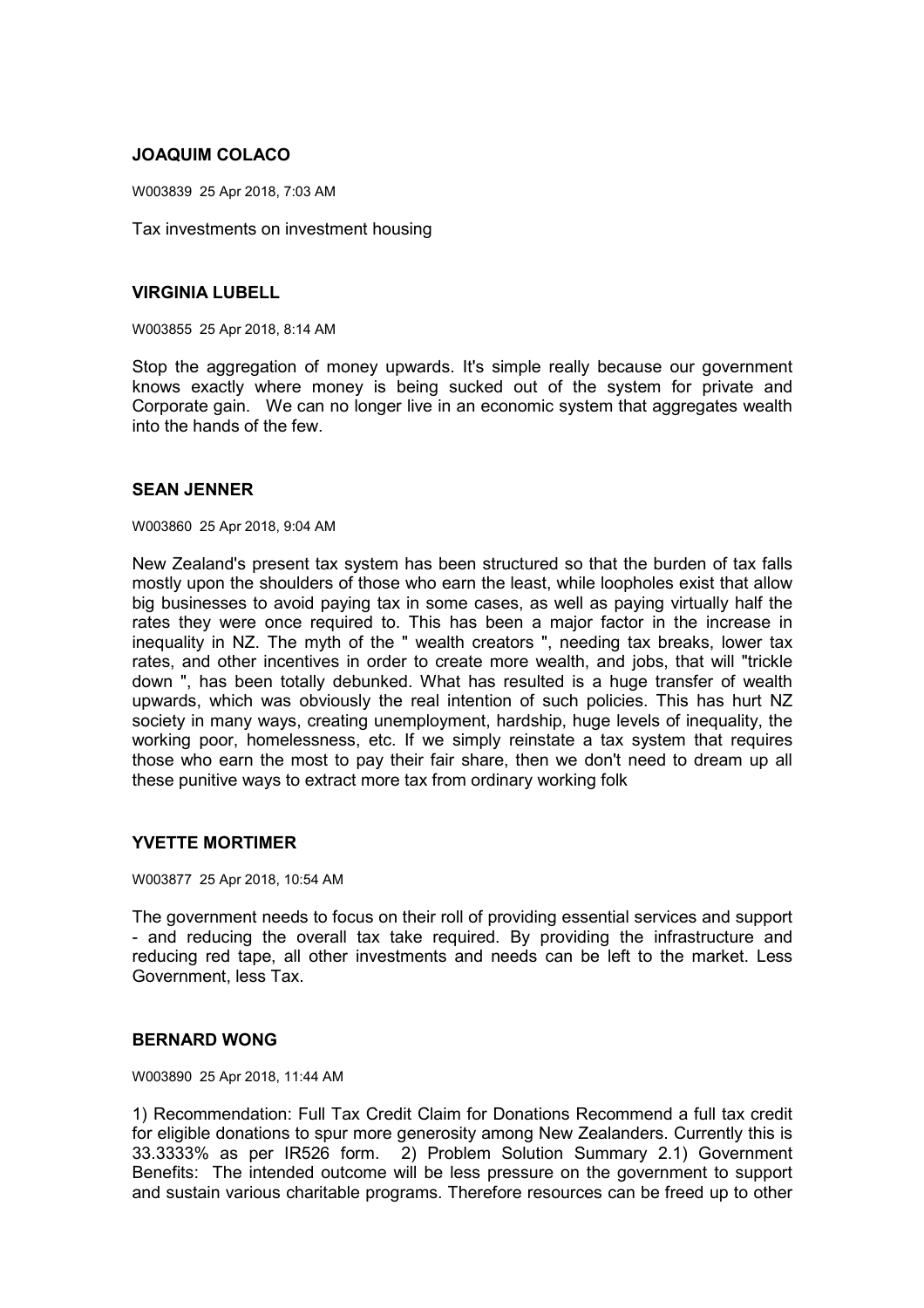# **JOAQUIM COLACO**

W003839 25 Apr 2018, 7:03 AM

Tax investments on investment housing

# **VIRGINIA LUBELL**

W003855 25 Apr 2018, 8:14 AM

Stop the aggregation of money upwards. It's simple really because our government knows exactly where money is being sucked out of the system for private and Corporate gain. We can no longer live in an economic system that aggregates wealth into the hands of the few.

# **SEAN JENNER**

W003860 25 Apr 2018, 9:04 AM

New Zealand's present tax system has been structured so that the burden of tax falls mostly upon the shoulders of those who earn the least, while loopholes exist that allow big businesses to avoid paying tax in some cases, as well as paying virtually half the rates they were once required to. This has been a major factor in the increase in inequality in NZ. The myth of the " wealth creators ", needing tax breaks, lower tax rates, and other incentives in order to create more wealth, and jobs, that will "trickle down ", has been totally debunked. What has resulted is a huge transfer of wealth upwards, which was obviously the real intention of such policies. This has hurt NZ society in many ways, creating unemployment, hardship, huge levels of inequality, the working poor, homelessness, etc. If we simply reinstate a tax system that requires those who earn the most to pay their fair share, then we don't need to dream up all these punitive ways to extract more tax from ordinary working folk

## **YVETTE MORTIMER**

W003877 25 Apr 2018, 10:54 AM

The government needs to focus on their roll of providing essential services and support - and reducing the overall tax take required. By providing the infrastructure and reducing red tape, all other investments and needs can be left to the market. Less Government, less Tax.

## **BERNARD WONG**

W003890 25 Apr 2018, 11:44 AM

1) Recommendation: Full Tax Credit Claim for Donations Recommend a full tax credit for eligible donations to spur more generosity among New Zealanders. Currently this is 33.3333% as per IR526 form. 2) Problem Solution Summary 2.1) Government Benefits: The intended outcome will be less pressure on the government to support and sustain various charitable programs. Therefore resources can be freed up to other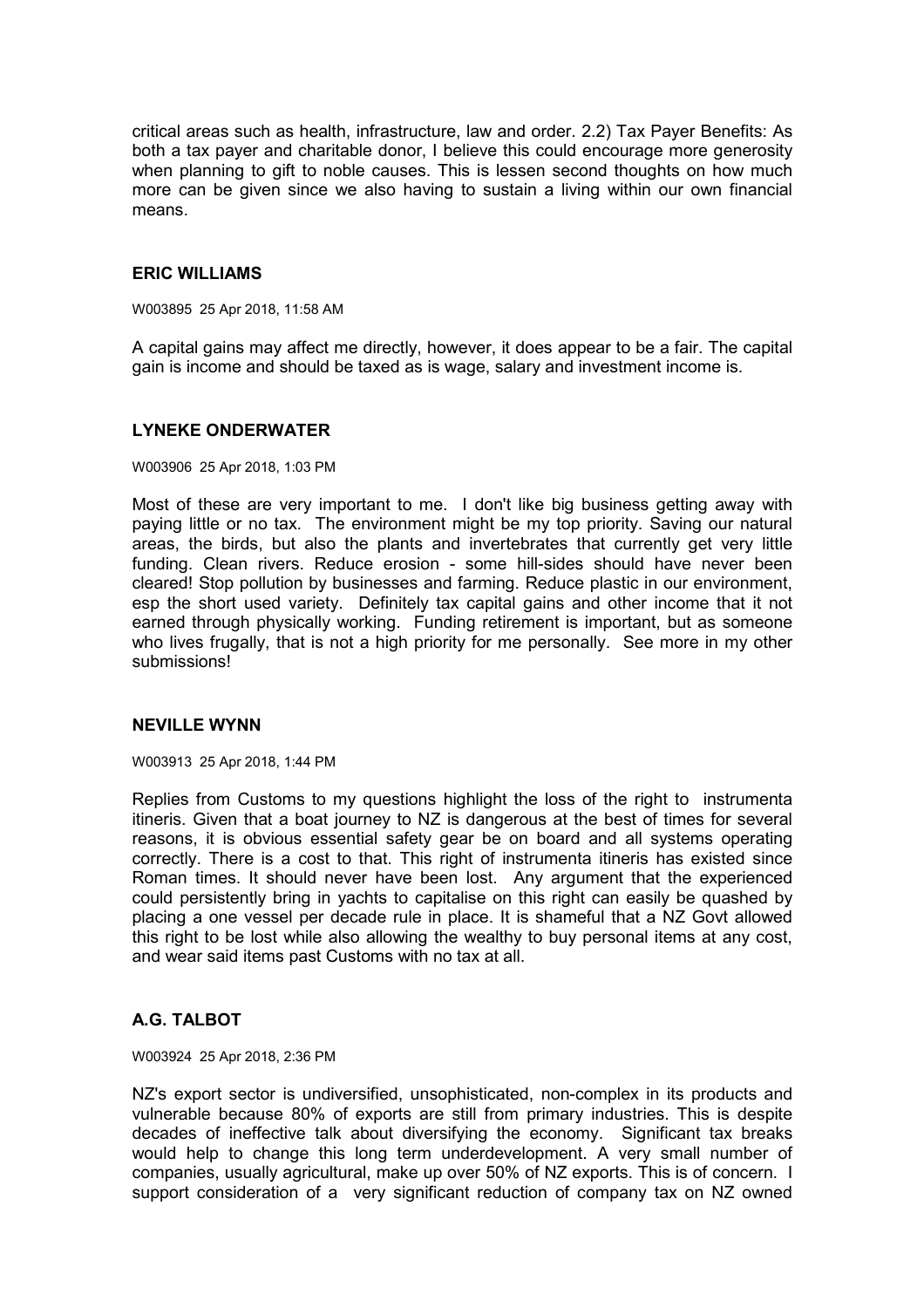critical areas such as health, infrastructure, law and order. 2.2) Tax Payer Benefits: As both a tax payer and charitable donor, I believe this could encourage more generosity when planning to gift to noble causes. This is lessen second thoughts on how much more can be given since we also having to sustain a living within our own financial means.

## **ERIC WILLIAMS**

W003895 25 Apr 2018, 11:58 AM

A capital gains may affect me directly, however, it does appear to be a fair. The capital gain is income and should be taxed as is wage, salary and investment income is.

## **LYNEKE ONDERWATER**

W003906 25 Apr 2018, 1:03 PM

Most of these are very important to me. I don't like big business getting away with paying little or no tax. The environment might be my top priority. Saving our natural areas, the birds, but also the plants and invertebrates that currently get very little funding. Clean rivers. Reduce erosion - some hill-sides should have never been cleared! Stop pollution by businesses and farming. Reduce plastic in our environment, esp the short used variety. Definitely tax capital gains and other income that it not earned through physically working. Funding retirement is important, but as someone who lives frugally, that is not a high priority for me personally. See more in my other submissions!

# **NEVILLE WYNN**

W003913 25 Apr 2018, 1:44 PM

Replies from Customs to my questions highlight the loss of the right to instrumenta itineris. Given that a boat journey to NZ is dangerous at the best of times for several reasons, it is obvious essential safety gear be on board and all systems operating correctly. There is a cost to that. This right of instrumenta itineris has existed since Roman times. It should never have been lost. Any argument that the experienced could persistently bring in yachts to capitalise on this right can easily be quashed by placing a one vessel per decade rule in place. It is shameful that a NZ Govt allowed this right to be lost while also allowing the wealthy to buy personal items at any cost, and wear said items past Customs with no tax at all.

# **A.G. TALBOT**

W003924 25 Apr 2018, 2:36 PM

NZ's export sector is undiversified, unsophisticated, non-complex in its products and vulnerable because 80% of exports are still from primary industries. This is despite decades of ineffective talk about diversifying the economy. Significant tax breaks would help to change this long term underdevelopment. A very small number of companies, usually agricultural, make up over 50% of NZ exports. This is of concern. I support consideration of a very significant reduction of company tax on NZ owned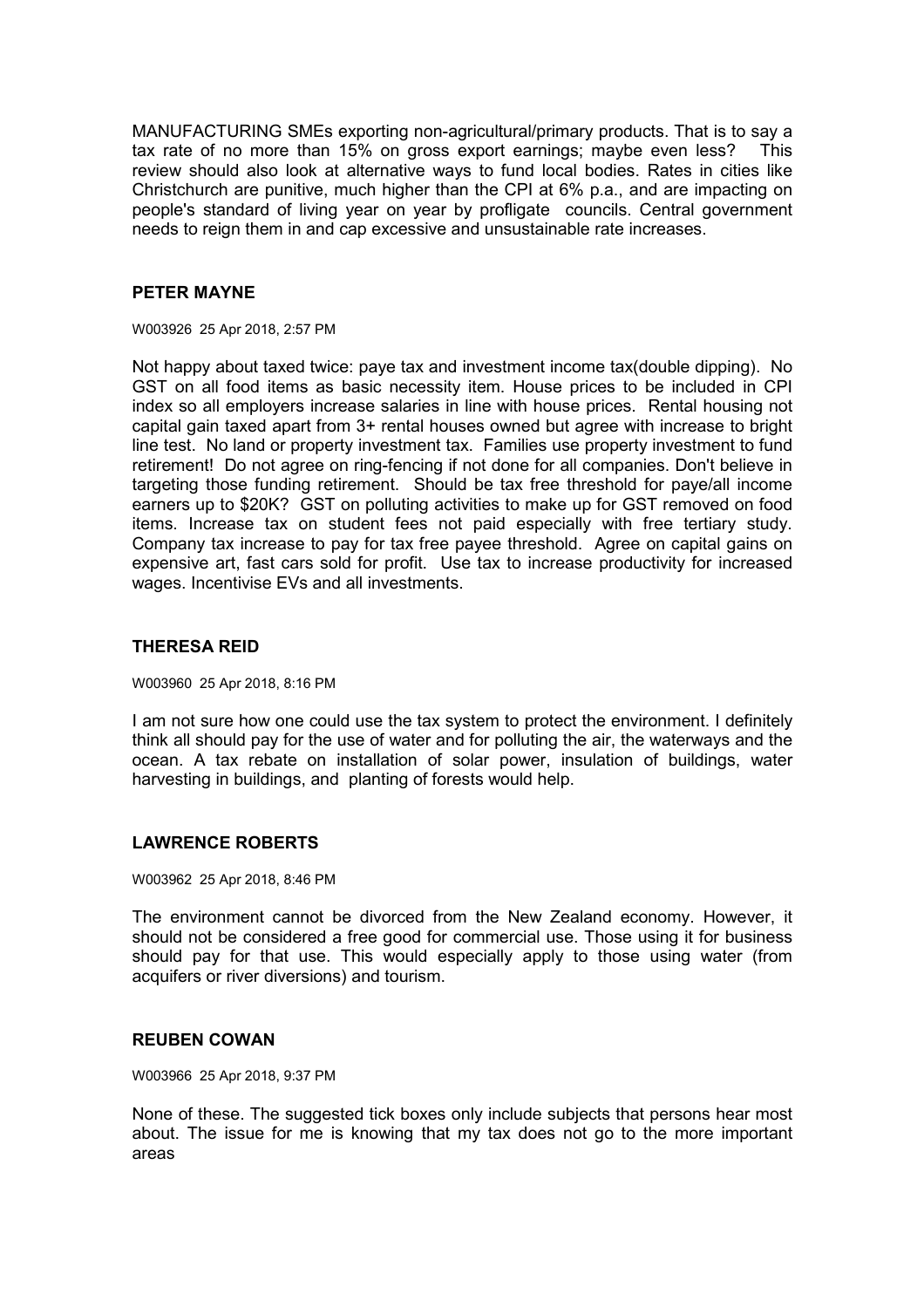MANUFACTURING SMEs exporting non-agricultural/primary products. That is to say a tax rate of no more than 15% on gross export earnings; maybe even less? This review should also look at alternative ways to fund local bodies. Rates in cities like Christchurch are punitive, much higher than the CPI at 6% p.a., and are impacting on people's standard of living year on year by profligate councils. Central government needs to reign them in and cap excessive and unsustainable rate increases.

## **PETER MAYNE**

W003926 25 Apr 2018, 2:57 PM

Not happy about taxed twice: paye tax and investment income tax(double dipping). No GST on all food items as basic necessity item. House prices to be included in CPI index so all employers increase salaries in line with house prices. Rental housing not capital gain taxed apart from 3+ rental houses owned but agree with increase to bright line test. No land or property investment tax. Families use property investment to fund retirement! Do not agree on ring-fencing if not done for all companies. Don't believe in targeting those funding retirement. Should be tax free threshold for paye/all income earners up to \$20K? GST on polluting activities to make up for GST removed on food items. Increase tax on student fees not paid especially with free tertiary study. Company tax increase to pay for tax free payee threshold. Agree on capital gains on expensive art, fast cars sold for profit. Use tax to increase productivity for increased wages. Incentivise EVs and all investments.

# **THERESA REID**

W003960 25 Apr 2018, 8:16 PM

I am not sure how one could use the tax system to protect the environment. I definitely think all should pay for the use of water and for polluting the air, the waterways and the ocean. A tax rebate on installation of solar power, insulation of buildings, water harvesting in buildings, and planting of forests would help.

# **LAWRENCE ROBERTS**

W003962 25 Apr 2018, 8:46 PM

The environment cannot be divorced from the New Zealand economy. However, it should not be considered a free good for commercial use. Those using it for business should pay for that use. This would especially apply to those using water (from acquifers or river diversions) and tourism.

## **REUBEN COWAN**

W003966 25 Apr 2018, 9:37 PM

None of these. The suggested tick boxes only include subjects that persons hear most about. The issue for me is knowing that my tax does not go to the more important areas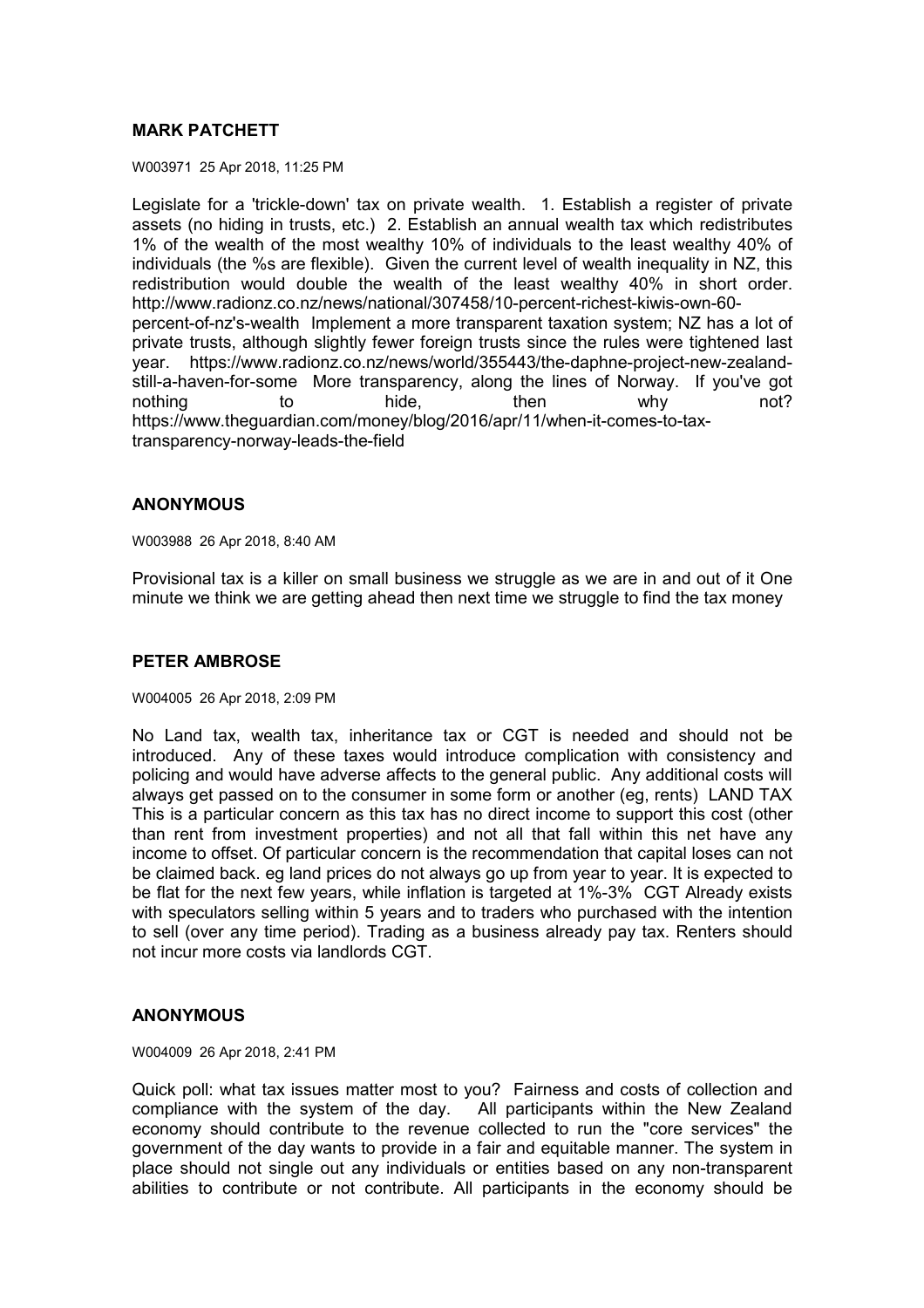# **MARK PATCHETT**

W003971 25 Apr 2018, 11:25 PM

Legislate for a 'trickle-down' tax on private wealth. 1. Establish a register of private assets (no hiding in trusts, etc.) 2. Establish an annual wealth tax which redistributes 1% of the wealth of the most wealthy 10% of individuals to the least wealthy 40% of individuals (the %s are flexible). Given the current level of wealth inequality in NZ, this redistribution would double the wealth of the least wealthy 40% in short order. http://www.radionz.co.nz/news/national/307458/10-percent-richest-kiwis-own-60 percent-of-nz's-wealth Implement a more transparent taxation system; NZ has a lot of private trusts, although slightly fewer foreign trusts since the rules were tightened last year. https://www.radionz.co.nz/news/world/355443/the-daphne-project-new-zealandstill-a-haven-for-some More transparency, along the lines of Norway. If you've got nothing to to hide, then why not? https://www.theguardian.com/money/blog/2016/apr/11/when-it-comes-to-taxtransparency-norway-leads-the-field

## **ANONYMOUS**

W003988 26 Apr 2018, 8:40 AM

Provisional tax is a killer on small business we struggle as we are in and out of it One minute we think we are getting ahead then next time we struggle to find the tax money

## **PETER AMBROSE**

#### W004005 26 Apr 2018, 2:09 PM

No Land tax, wealth tax, inheritance tax or CGT is needed and should not be introduced. Any of these taxes would introduce complication with consistency and policing and would have adverse affects to the general public. Any additional costs will always get passed on to the consumer in some form or another (eg, rents) LAND TAX This is a particular concern as this tax has no direct income to support this cost (other than rent from investment properties) and not all that fall within this net have any income to offset. Of particular concern is the recommendation that capital loses can not be claimed back. eg land prices do not always go up from year to year. It is expected to be flat for the next few years, while inflation is targeted at 1%-3% CGT Already exists with speculators selling within 5 years and to traders who purchased with the intention to sell (over any time period). Trading as a business already pay tax. Renters should not incur more costs via landlords CGT.

## **ANONYMOUS**

W004009 26 Apr 2018, 2:41 PM

Quick poll: what tax issues matter most to you? Fairness and costs of collection and compliance with the system of the day. All participants within the New Zealand economy should contribute to the revenue collected to run the "core services" the government of the day wants to provide in a fair and equitable manner. The system in place should not single out any individuals or entities based on any non-transparent abilities to contribute or not contribute. All participants in the economy should be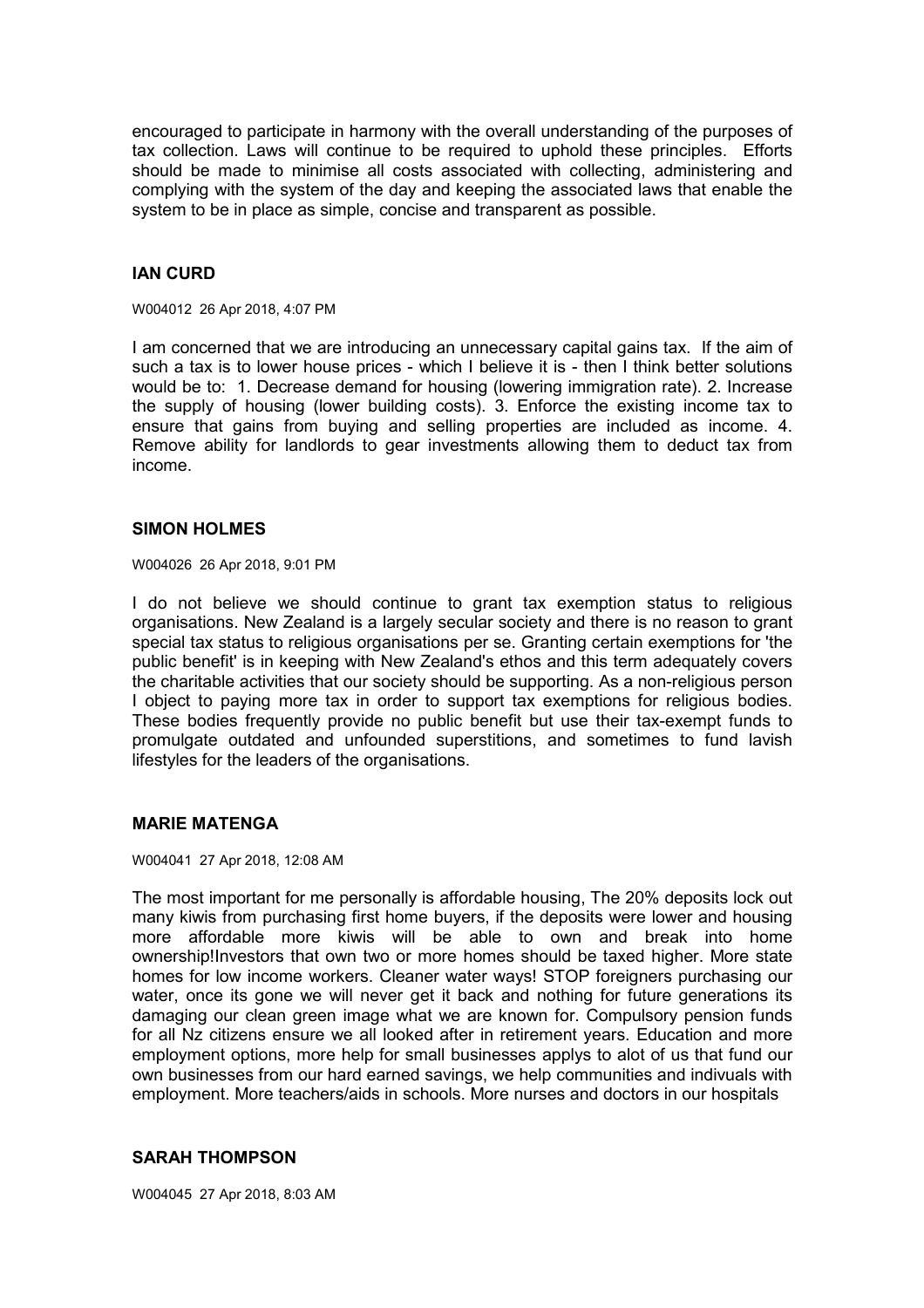encouraged to participate in harmony with the overall understanding of the purposes of tax collection. Laws will continue to be required to uphold these principles. Efforts should be made to minimise all costs associated with collecting, administering and complying with the system of the day and keeping the associated laws that enable the system to be in place as simple, concise and transparent as possible.

# **IAN CURD**

W004012 26 Apr 2018, 4:07 PM

I am concerned that we are introducing an unnecessary capital gains tax. If the aim of such a tax is to lower house prices - which I believe it is - then I think better solutions would be to: 1. Decrease demand for housing (lowering immigration rate). 2. Increase the supply of housing (lower building costs). 3. Enforce the existing income tax to ensure that gains from buying and selling properties are included as income. 4. Remove ability for landlords to gear investments allowing them to deduct tax from income.

#### **SIMON HOLMES**

W004026 26 Apr 2018, 9:01 PM

I do not believe we should continue to grant tax exemption status to religious organisations. New Zealand is a largely secular society and there is no reason to grant special tax status to religious organisations per se. Granting certain exemptions for 'the public benefit' is in keeping with New Zealand's ethos and this term adequately covers the charitable activities that our society should be supporting. As a non-religious person I object to paying more tax in order to support tax exemptions for religious bodies. These bodies frequently provide no public benefit but use their tax-exempt funds to promulgate outdated and unfounded superstitions, and sometimes to fund lavish lifestyles for the leaders of the organisations.

## **MARIE MATENGA**

W004041 27 Apr 2018, 12:08 AM

The most important for me personally is affordable housing, The 20% deposits lock out many kiwis from purchasing first home buyers, if the deposits were lower and housing more affordable more kiwis will be able to own and break into home ownership!Investors that own two or more homes should be taxed higher. More state homes for low income workers. Cleaner water ways! STOP foreigners purchasing our water, once its gone we will never get it back and nothing for future generations its damaging our clean green image what we are known for. Compulsory pension funds for all Nz citizens ensure we all looked after in retirement years. Education and more employment options, more help for small businesses applys to alot of us that fund our own businesses from our hard earned savings, we help communities and indivuals with employment. More teachers/aids in schools. More nurses and doctors in our hospitals

## **SARAH THOMPSON**

W004045 27 Apr 2018, 8:03 AM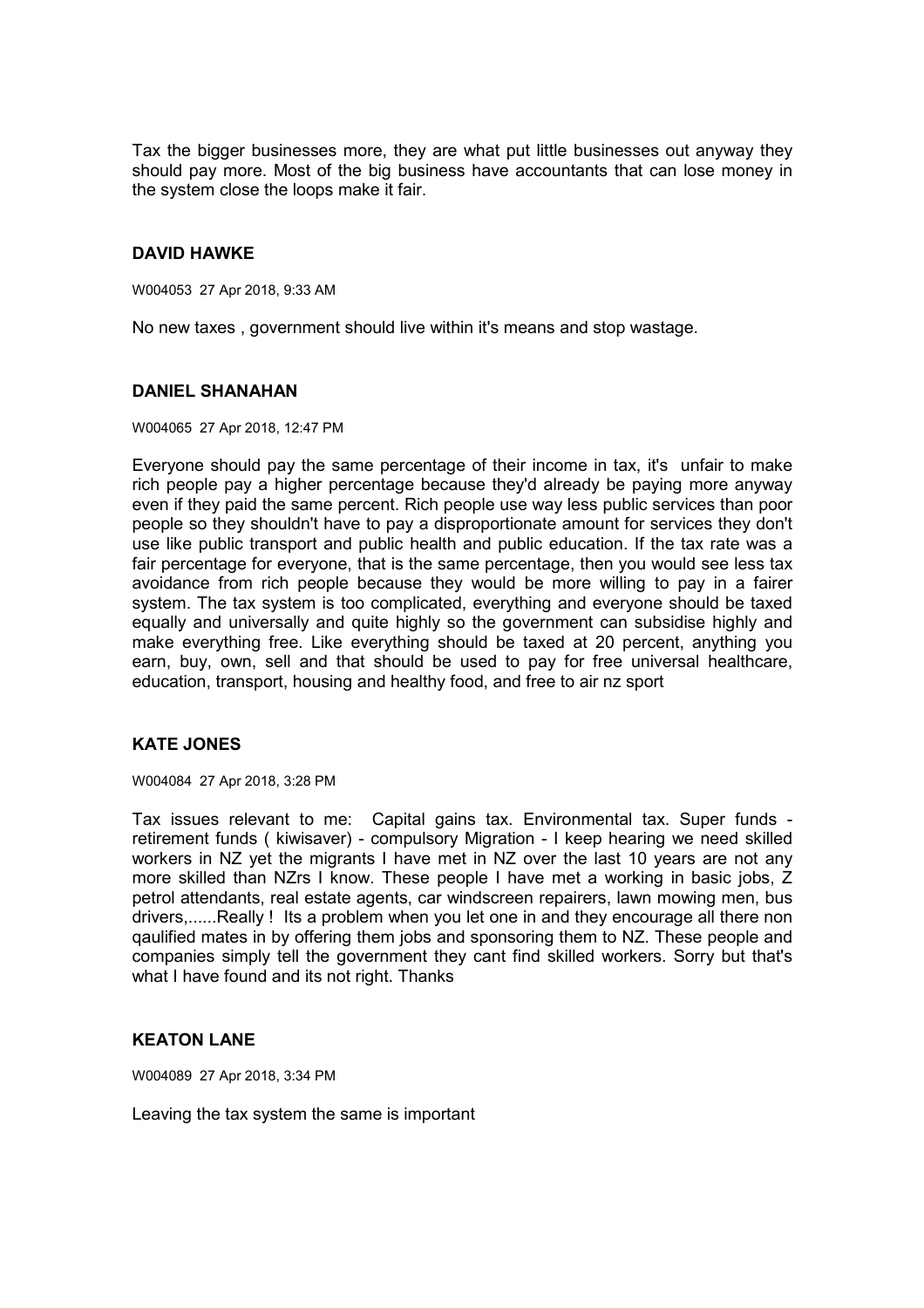Tax the bigger businesses more, they are what put little businesses out anyway they should pay more. Most of the big business have accountants that can lose money in the system close the loops make it fair.

# **DAVID HAWKE**

W004053 27 Apr 2018, 9:33 AM

No new taxes , government should live within it's means and stop wastage.

#### **DANIEL SHANAHAN**

W004065 27 Apr 2018, 12:47 PM

Everyone should pay the same percentage of their income in tax, it's unfair to make rich people pay a higher percentage because they'd already be paying more anyway even if they paid the same percent. Rich people use way less public services than poor people so they shouldn't have to pay a disproportionate amount for services they don't use like public transport and public health and public education. If the tax rate was a fair percentage for everyone, that is the same percentage, then you would see less tax avoidance from rich people because they would be more willing to pay in a fairer system. The tax system is too complicated, everything and everyone should be taxed equally and universally and quite highly so the government can subsidise highly and make everything free. Like everything should be taxed at 20 percent, anything you earn, buy, own, sell and that should be used to pay for free universal healthcare, education, transport, housing and healthy food, and free to air nz sport

# **KATE JONES**

W004084 27 Apr 2018, 3:28 PM

Tax issues relevant to me: Capital gains tax. Environmental tax. Super funds retirement funds ( kiwisaver) - compulsory Migration - I keep hearing we need skilled workers in NZ yet the migrants I have met in NZ over the last 10 years are not any more skilled than NZrs I know. These people I have met a working in basic jobs, Z petrol attendants, real estate agents, car windscreen repairers, lawn mowing men, bus drivers,......Really ! Its a problem when you let one in and they encourage all there non qaulified mates in by offering them jobs and sponsoring them to NZ. These people and companies simply tell the government they cant find skilled workers. Sorry but that's what I have found and its not right. Thanks

## **KEATON LANE**

W004089 27 Apr 2018, 3:34 PM

Leaving the tax system the same is important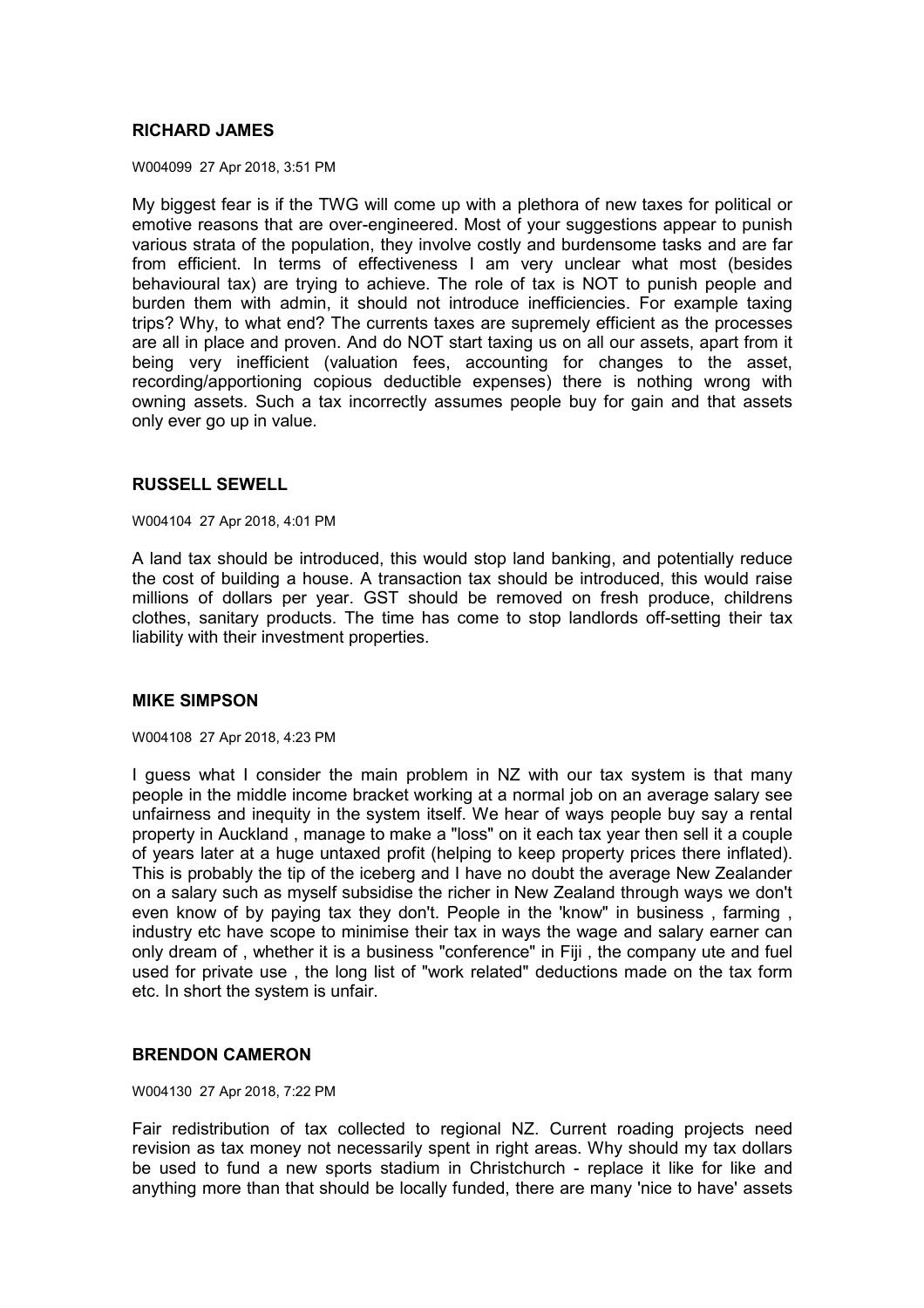# **RICHARD JAMES**

W004099 27 Apr 2018, 3:51 PM

My biggest fear is if the TWG will come up with a plethora of new taxes for political or emotive reasons that are over-engineered. Most of your suggestions appear to punish various strata of the population, they involve costly and burdensome tasks and are far from efficient. In terms of effectiveness I am very unclear what most (besides behavioural tax) are trying to achieve. The role of tax is NOT to punish people and burden them with admin, it should not introduce inefficiencies. For example taxing trips? Why, to what end? The currents taxes are supremely efficient as the processes are all in place and proven. And do NOT start taxing us on all our assets, apart from it being very inefficient (valuation fees, accounting for changes to the asset, recording/apportioning copious deductible expenses) there is nothing wrong with owning assets. Such a tax incorrectly assumes people buy for gain and that assets only ever go up in value.

#### **RUSSELL SEWELL**

W004104 27 Apr 2018, 4:01 PM

A land tax should be introduced, this would stop land banking, and potentially reduce the cost of building a house. A transaction tax should be introduced, this would raise millions of dollars per year. GST should be removed on fresh produce, childrens clothes, sanitary products. The time has come to stop landlords off-setting their tax liability with their investment properties.

#### **MIKE SIMPSON**

W004108 27 Apr 2018, 4:23 PM

I guess what I consider the main problem in NZ with our tax system is that many people in the middle income bracket working at a normal job on an average salary see unfairness and inequity in the system itself. We hear of ways people buy say a rental property in Auckland , manage to make a "loss" on it each tax year then sell it a couple of years later at a huge untaxed profit (helping to keep property prices there inflated). This is probably the tip of the iceberg and I have no doubt the average New Zealander on a salary such as myself subsidise the richer in New Zealand through ways we don't even know of by paying tax they don't. People in the 'know" in business , farming , industry etc have scope to minimise their tax in ways the wage and salary earner can only dream of , whether it is a business "conference" in Fiji , the company ute and fuel used for private use , the long list of "work related" deductions made on the tax form etc. In short the system is unfair.

## **BRENDON CAMERON**

W004130 27 Apr 2018, 7:22 PM

Fair redistribution of tax collected to regional NZ. Current roading projects need revision as tax money not necessarily spent in right areas. Why should my tax dollars be used to fund a new sports stadium in Christchurch - replace it like for like and anything more than that should be locally funded, there are many 'nice to have' assets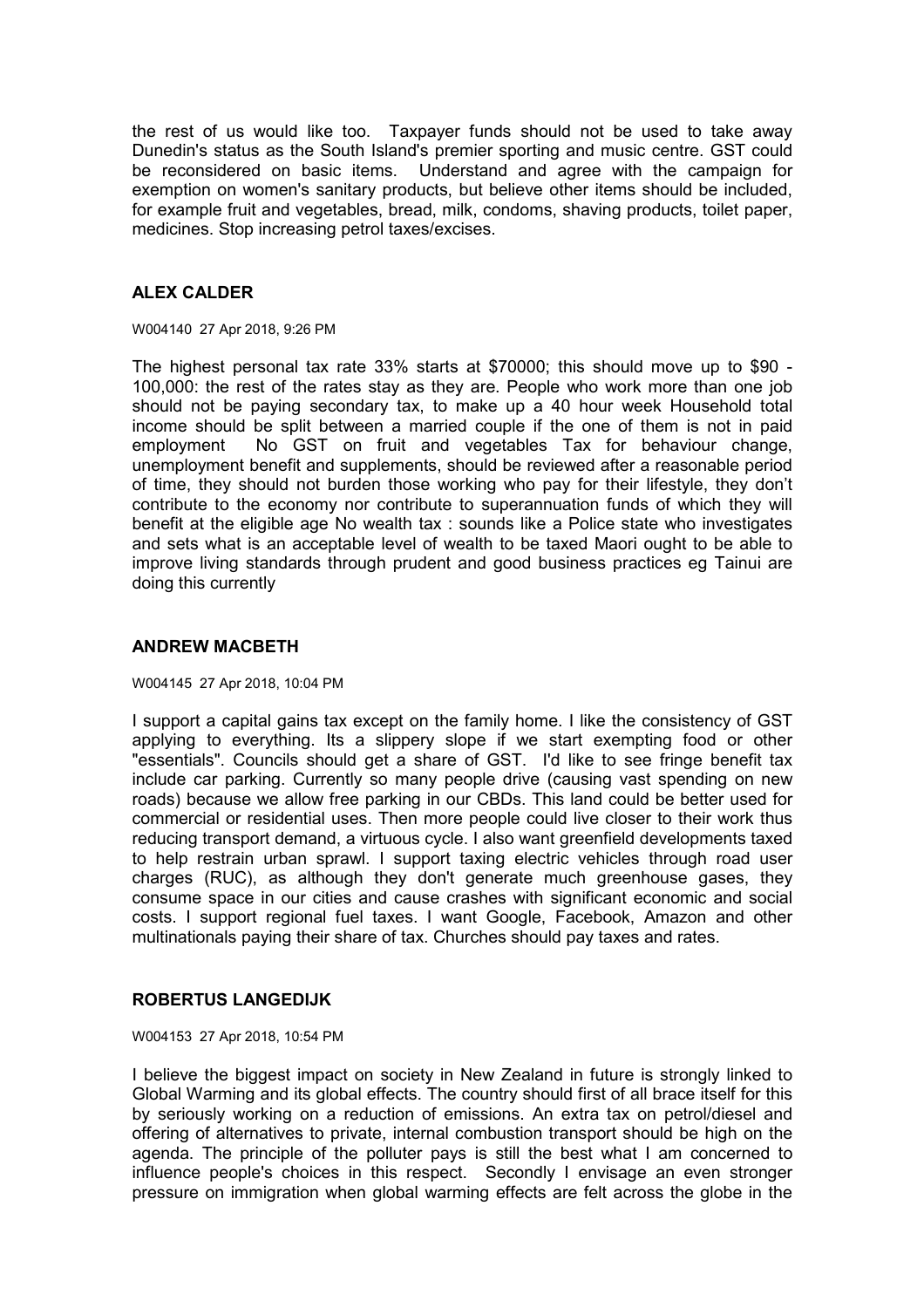the rest of us would like too. Taxpayer funds should not be used to take away Dunedin's status as the South Island's premier sporting and music centre. GST could be reconsidered on basic items. Understand and agree with the campaign for exemption on women's sanitary products, but believe other items should be included, for example fruit and vegetables, bread, milk, condoms, shaving products, toilet paper, medicines. Stop increasing petrol taxes/excises.

# **ALEX CALDER**

W004140 27 Apr 2018, 9:26 PM

The highest personal tax rate 33% starts at \$70000; this should move up to \$90 - 100,000: the rest of the rates stay as they are. People who work more than one job should not be paying secondary tax, to make up a 40 hour week Household total income should be split between a married couple if the one of them is not in paid employment No GST on fruit and vegetables Tax for behaviour change, unemployment benefit and supplements, should be reviewed after a reasonable period of time, they should not burden those working who pay for their lifestyle, they don't contribute to the economy nor contribute to superannuation funds of which they will benefit at the eligible age No wealth tax : sounds like a Police state who investigates and sets what is an acceptable level of wealth to be taxed Maori ought to be able to improve living standards through prudent and good business practices eg Tainui are doing this currently

#### **ANDREW MACBETH**

W004145 27 Apr 2018, 10:04 PM

I support a capital gains tax except on the family home. I like the consistency of GST applying to everything. Its a slippery slope if we start exempting food or other "essentials". Councils should get a share of GST. I'd like to see fringe benefit tax include car parking. Currently so many people drive (causing vast spending on new roads) because we allow free parking in our CBDs. This land could be better used for commercial or residential uses. Then more people could live closer to their work thus reducing transport demand, a virtuous cycle. I also want greenfield developments taxed to help restrain urban sprawl. I support taxing electric vehicles through road user charges (RUC), as although they don't generate much greenhouse gases, they consume space in our cities and cause crashes with significant economic and social costs. I support regional fuel taxes. I want Google, Facebook, Amazon and other multinationals paying their share of tax. Churches should pay taxes and rates.

## **ROBERTUS LANGEDIJK**

W004153 27 Apr 2018, 10:54 PM

I believe the biggest impact on society in New Zealand in future is strongly linked to Global Warming and its global effects. The country should first of all brace itself for this by seriously working on a reduction of emissions. An extra tax on petrol/diesel and offering of alternatives to private, internal combustion transport should be high on the agenda. The principle of the polluter pays is still the best what I am concerned to influence people's choices in this respect. Secondly I envisage an even stronger pressure on immigration when global warming effects are felt across the globe in the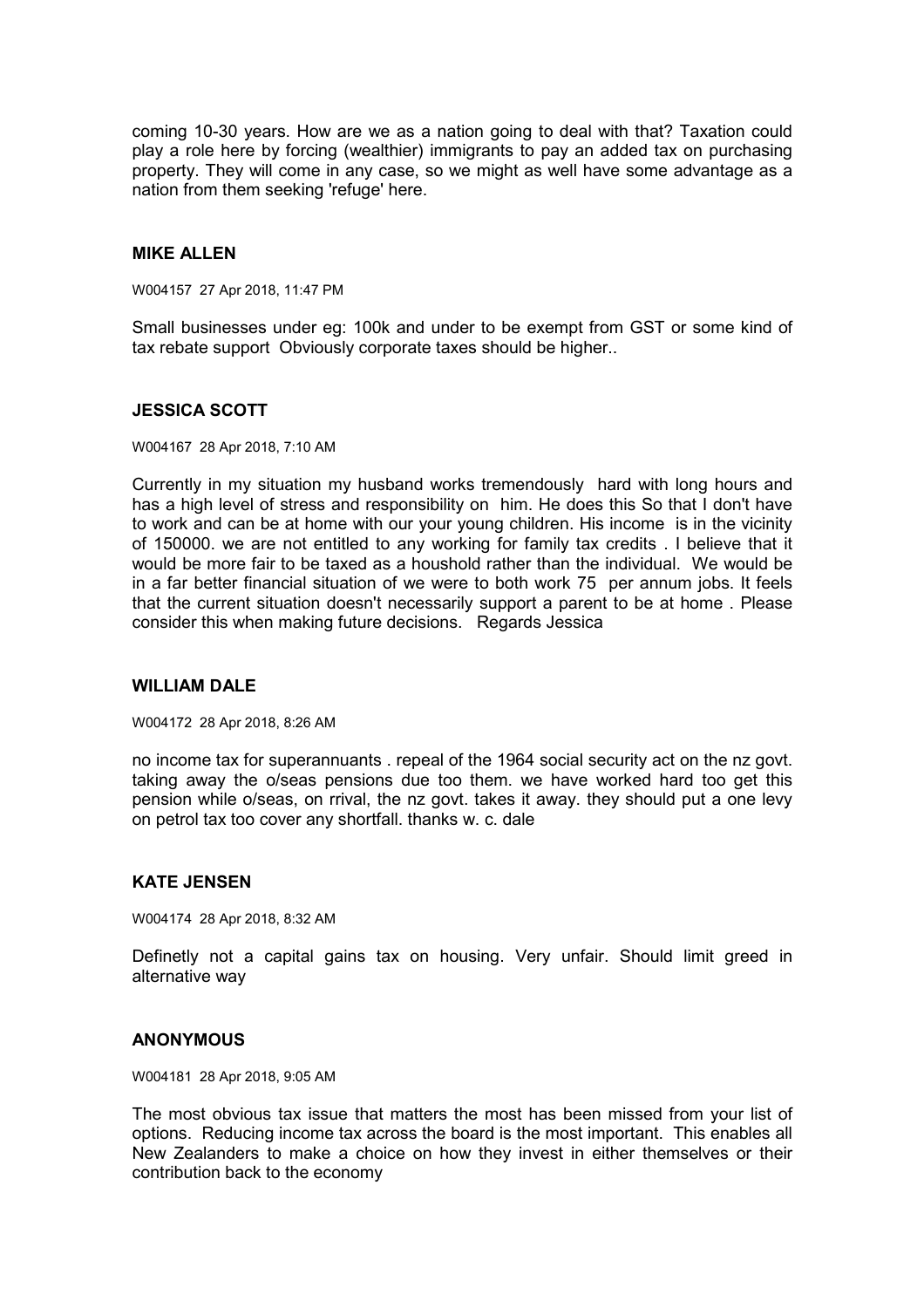coming 10-30 years. How are we as a nation going to deal with that? Taxation could play a role here by forcing (wealthier) immigrants to pay an added tax on purchasing property. They will come in any case, so we might as well have some advantage as a nation from them seeking 'refuge' here.

## **MIKE ALLEN**

W004157 27 Apr 2018, 11:47 PM

Small businesses under eg: 100k and under to be exempt from GST or some kind of tax rebate support Obviously corporate taxes should be higher..

#### **JESSICA SCOTT**

W004167 28 Apr 2018, 7:10 AM

Currently in my situation my husband works tremendously hard with long hours and has a high level of stress and responsibility on him. He does this So that I don't have to work and can be at home with our your young children. His income is in the vicinity of 150000. we are not entitled to any working for family tax credits . I believe that it would be more fair to be taxed as a houshold rather than the individual. We would be in a far better financial situation of we were to both work 75 per annum jobs. It feels that the current situation doesn't necessarily support a parent to be at home . Please consider this when making future decisions. Regards Jessica

#### **WILLIAM DALE**

W004172 28 Apr 2018, 8:26 AM

no income tax for superannuants . repeal of the 1964 social security act on the nz govt. taking away the o/seas pensions due too them. we have worked hard too get this pension while o/seas, on rrival, the nz govt. takes it away. they should put a one levy on petrol tax too cover any shortfall. thanks w. c. dale

## **KATE JENSEN**

W004174 28 Apr 2018, 8:32 AM

Definetly not a capital gains tax on housing. Very unfair. Should limit greed in alternative way

#### **ANONYMOUS**

W004181 28 Apr 2018, 9:05 AM

The most obvious tax issue that matters the most has been missed from your list of options. Reducing income tax across the board is the most important. This enables all New Zealanders to make a choice on how they invest in either themselves or their contribution back to the economy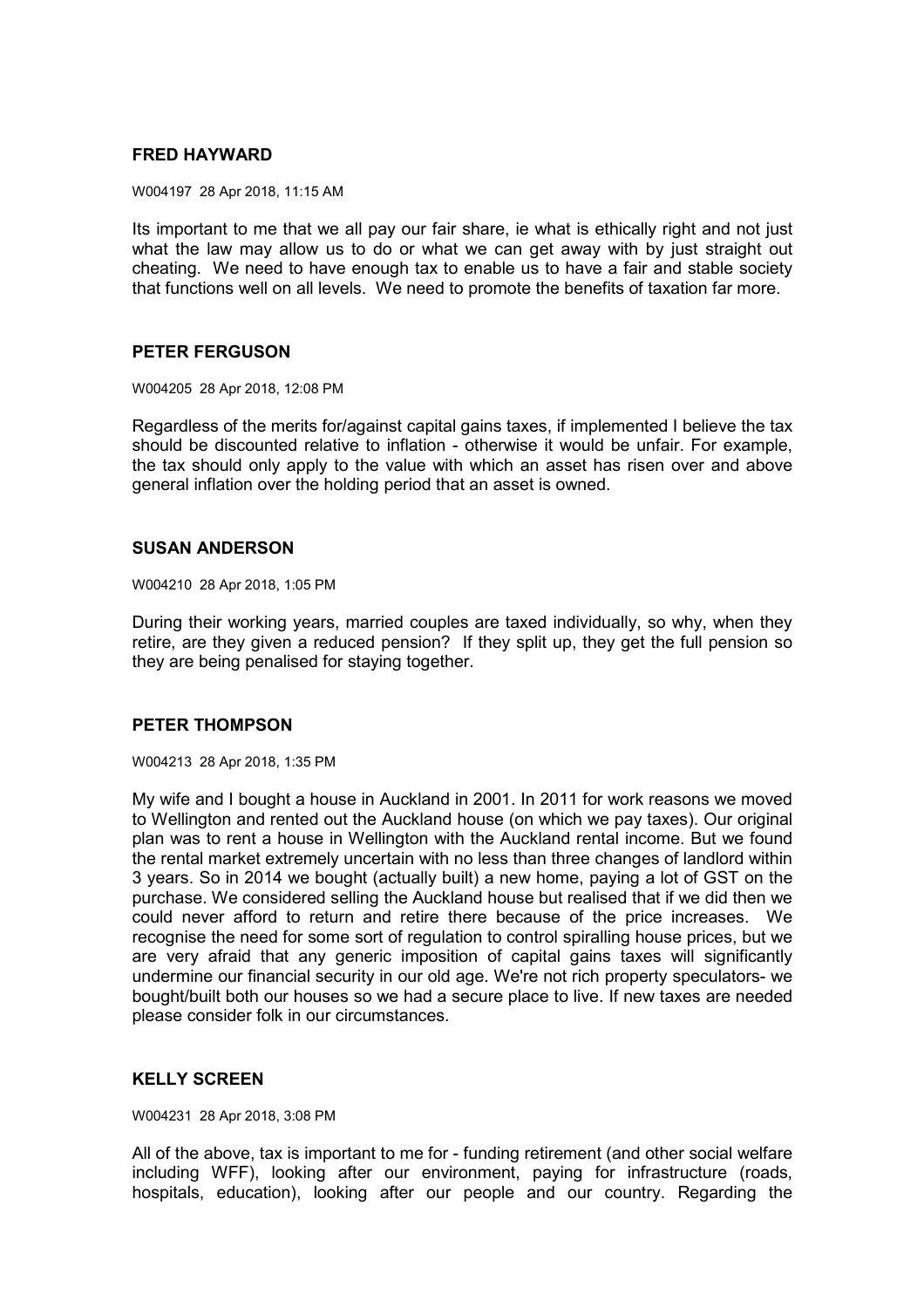# **FRED HAYWARD**

W004197 28 Apr 2018, 11:15 AM

Its important to me that we all pay our fair share, ie what is ethically right and not just what the law may allow us to do or what we can get away with by just straight out cheating. We need to have enough tax to enable us to have a fair and stable society that functions well on all levels. We need to promote the benefits of taxation far more.

## **PETER FERGUSON**

W004205 28 Apr 2018, 12:08 PM

Regardless of the merits for/against capital gains taxes, if implemented I believe the tax should be discounted relative to inflation - otherwise it would be unfair. For example, the tax should only apply to the value with which an asset has risen over and above general inflation over the holding period that an asset is owned.

# **SUSAN ANDERSON**

W004210 28 Apr 2018, 1:05 PM

During their working years, married couples are taxed individually, so why, when they retire, are they given a reduced pension? If they split up, they get the full pension so they are being penalised for staying together.

# **PETER THOMPSON**

W004213 28 Apr 2018, 1:35 PM

My wife and I bought a house in Auckland in 2001. In 2011 for work reasons we moved to Wellington and rented out the Auckland house (on which we pay taxes). Our original plan was to rent a house in Wellington with the Auckland rental income. But we found the rental market extremely uncertain with no less than three changes of landlord within 3 years. So in 2014 we bought (actually built) a new home, paying a lot of GST on the purchase. We considered selling the Auckland house but realised that if we did then we could never afford to return and retire there because of the price increases. We recognise the need for some sort of regulation to control spiralling house prices, but we are very afraid that any generic imposition of capital gains taxes will significantly undermine our financial security in our old age. We're not rich property speculators- we bought/built both our houses so we had a secure place to live. If new taxes are needed please consider folk in our circumstances.

# **KELLY SCREEN**

W004231 28 Apr 2018, 3:08 PM

All of the above, tax is important to me for - funding retirement (and other social welfare including WFF), looking after our environment, paying for infrastructure (roads, hospitals, education), looking after our people and our country. Regarding the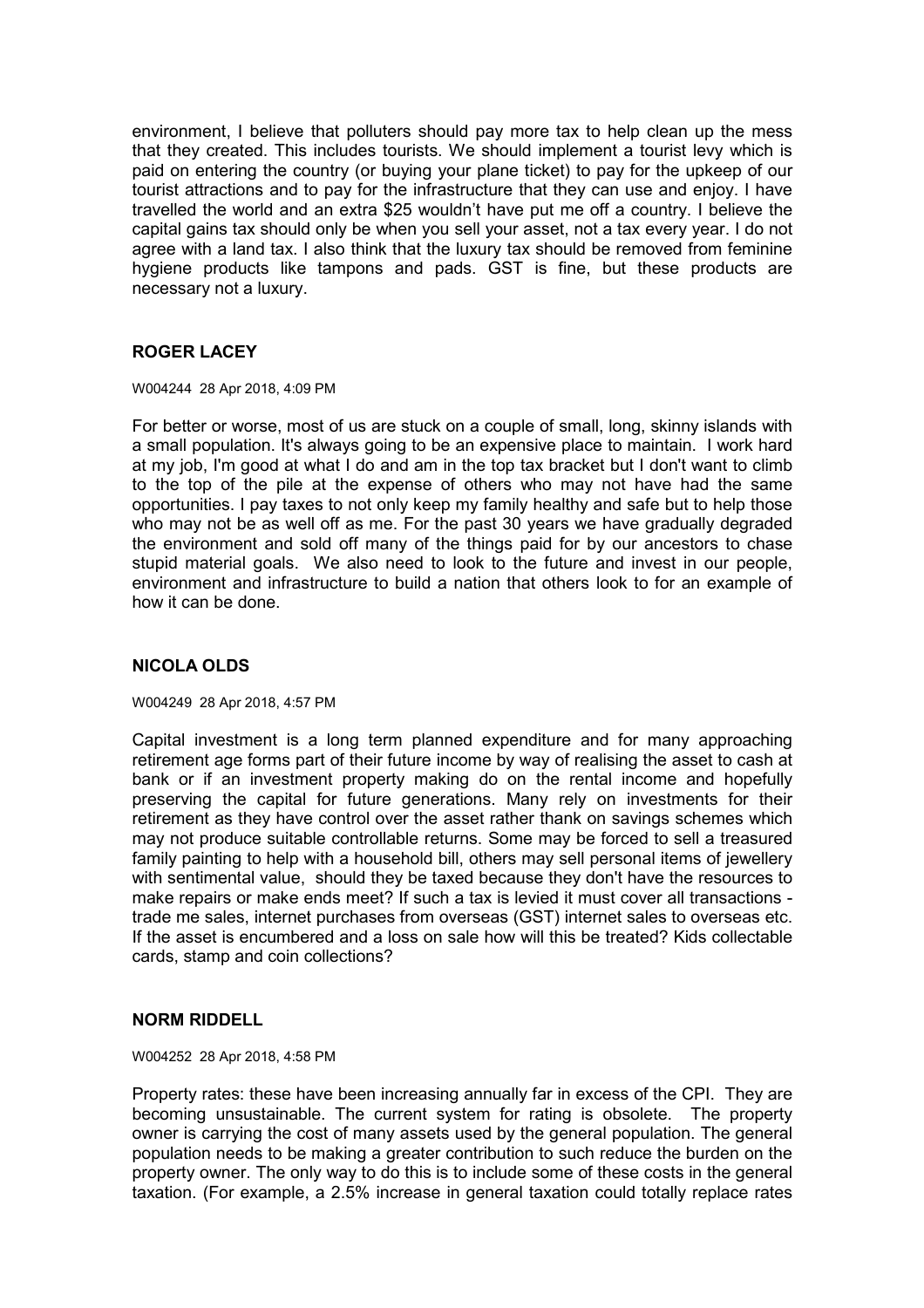environment, I believe that polluters should pay more tax to help clean up the mess that they created. This includes tourists. We should implement a tourist levy which is paid on entering the country (or buying your plane ticket) to pay for the upkeep of our tourist attractions and to pay for the infrastructure that they can use and enjoy. I have travelled the world and an extra \$25 wouldn't have put me off a country. I believe the capital gains tax should only be when you sell your asset, not a tax every year. I do not agree with a land tax. I also think that the luxury tax should be removed from feminine hygiene products like tampons and pads. GST is fine, but these products are necessary not a luxury.

# **ROGER LACEY**

W004244 28 Apr 2018, 4:09 PM

For better or worse, most of us are stuck on a couple of small, long, skinny islands with a small population. It's always going to be an expensive place to maintain. I work hard at my job, I'm good at what I do and am in the top tax bracket but I don't want to climb to the top of the pile at the expense of others who may not have had the same opportunities. I pay taxes to not only keep my family healthy and safe but to help those who may not be as well off as me. For the past 30 years we have gradually degraded the environment and sold off many of the things paid for by our ancestors to chase stupid material goals. We also need to look to the future and invest in our people, environment and infrastructure to build a nation that others look to for an example of how it can be done.

# **NICOLA OLDS**

W004249 28 Apr 2018, 4:57 PM

Capital investment is a long term planned expenditure and for many approaching retirement age forms part of their future income by way of realising the asset to cash at bank or if an investment property making do on the rental income and hopefully preserving the capital for future generations. Many rely on investments for their retirement as they have control over the asset rather thank on savings schemes which may not produce suitable controllable returns. Some may be forced to sell a treasured family painting to help with a household bill, others may sell personal items of jewellery with sentimental value, should they be taxed because they don't have the resources to make repairs or make ends meet? If such a tax is levied it must cover all transactions trade me sales, internet purchases from overseas (GST) internet sales to overseas etc. If the asset is encumbered and a loss on sale how will this be treated? Kids collectable cards, stamp and coin collections?

## **NORM RIDDELL**

W004252 28 Apr 2018, 4:58 PM

Property rates: these have been increasing annually far in excess of the CPI. They are becoming unsustainable. The current system for rating is obsolete. The property owner is carrying the cost of many assets used by the general population. The general population needs to be making a greater contribution to such reduce the burden on the property owner. The only way to do this is to include some of these costs in the general taxation. (For example, a 2.5% increase in general taxation could totally replace rates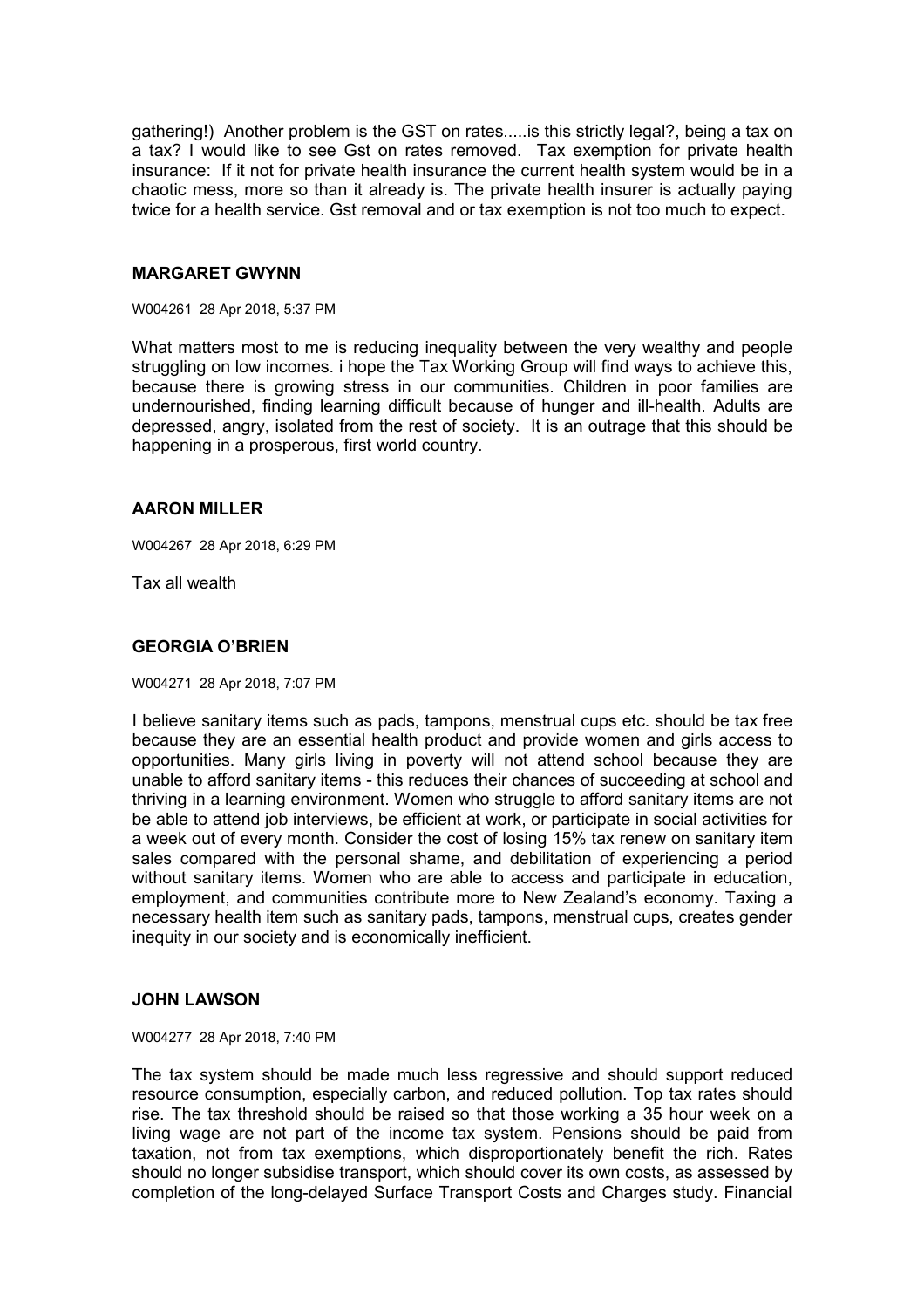gathering!) Another problem is the GST on rates.....is this strictly legal?, being a tax on a tax? I would like to see Gst on rates removed. Tax exemption for private health insurance: If it not for private health insurance the current health system would be in a chaotic mess, more so than it already is. The private health insurer is actually paying twice for a health service. Gst removal and or tax exemption is not too much to expect.

## **MARGARET GWYNN**

W004261 28 Apr 2018, 5:37 PM

What matters most to me is reducing inequality between the very wealthy and people struggling on low incomes. i hope the Tax Working Group will find ways to achieve this, because there is growing stress in our communities. Children in poor families are undernourished, finding learning difficult because of hunger and ill-health. Adults are depressed, angry, isolated from the rest of society. It is an outrage that this should be happening in a prosperous, first world country.

#### **AARON MILLER**

W004267 28 Apr 2018, 6:29 PM

Tax all wealth

#### **GEORGIA O'BRIEN**

W004271 28 Apr 2018, 7:07 PM

I believe sanitary items such as pads, tampons, menstrual cups etc. should be tax free because they are an essential health product and provide women and girls access to opportunities. Many girls living in poverty will not attend school because they are unable to afford sanitary items - this reduces their chances of succeeding at school and thriving in a learning environment. Women who struggle to afford sanitary items are not be able to attend job interviews, be efficient at work, or participate in social activities for a week out of every month. Consider the cost of losing 15% tax renew on sanitary item sales compared with the personal shame, and debilitation of experiencing a period without sanitary items. Women who are able to access and participate in education, employment, and communities contribute more to New Zealand's economy. Taxing a necessary health item such as sanitary pads, tampons, menstrual cups, creates gender inequity in our society and is economically inefficient.

#### **JOHN LAWSON**

W004277 28 Apr 2018, 7:40 PM

The tax system should be made much less regressive and should support reduced resource consumption, especially carbon, and reduced pollution. Top tax rates should rise. The tax threshold should be raised so that those working a 35 hour week on a living wage are not part of the income tax system. Pensions should be paid from taxation, not from tax exemptions, which disproportionately benefit the rich. Rates should no longer subsidise transport, which should cover its own costs, as assessed by completion of the long-delayed Surface Transport Costs and Charges study. Financial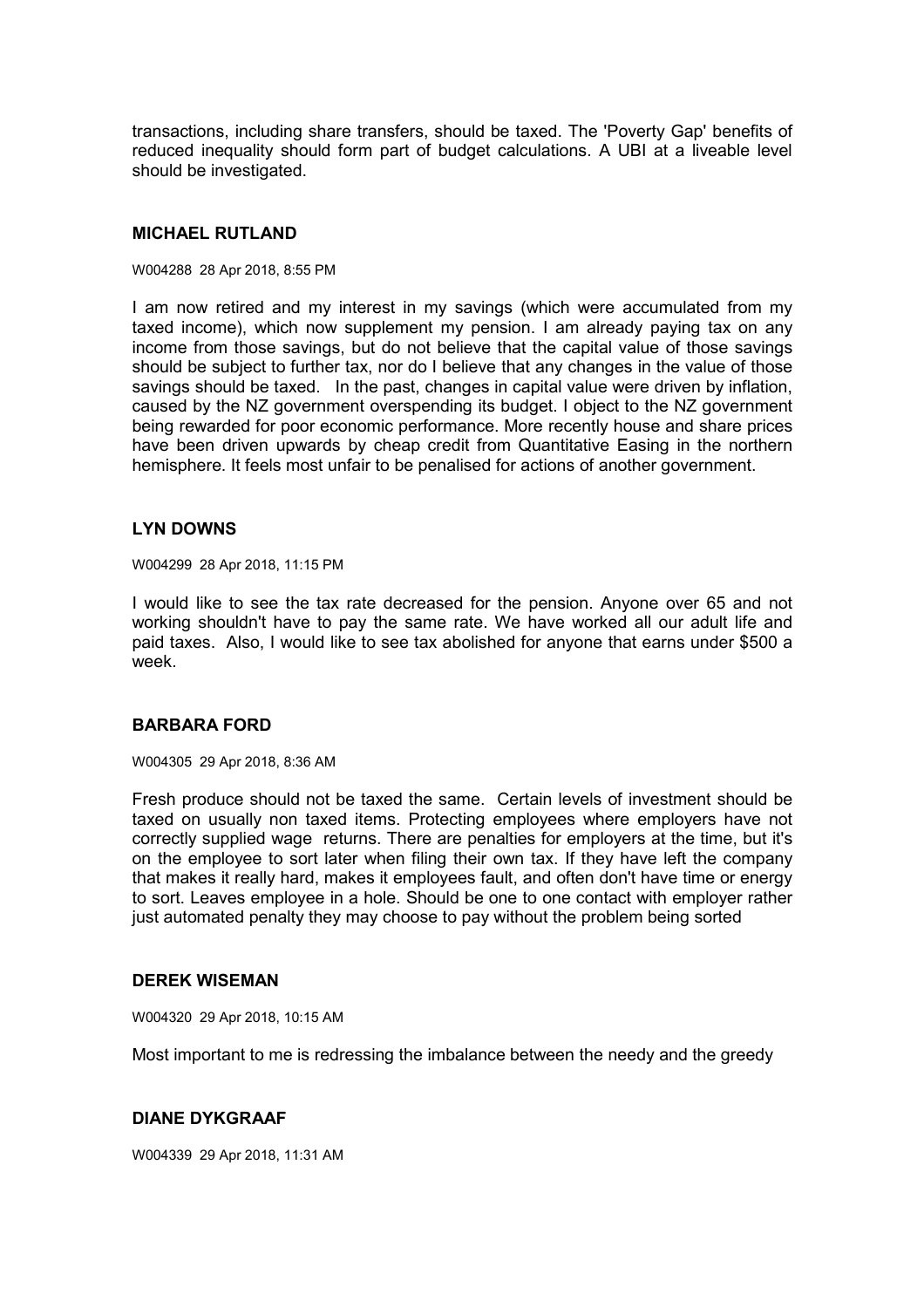transactions, including share transfers, should be taxed. The 'Poverty Gap' benefits of reduced inequality should form part of budget calculations. A UBI at a liveable level should be investigated.

# **MICHAEL RUTLAND**

#### W004288 28 Apr 2018, 8:55 PM

I am now retired and my interest in my savings (which were accumulated from my taxed income), which now supplement my pension. I am already paying tax on any income from those savings, but do not believe that the capital value of those savings should be subject to further tax, nor do I believe that any changes in the value of those savings should be taxed. In the past, changes in capital value were driven by inflation, caused by the NZ government overspending its budget. I object to the NZ government being rewarded for poor economic performance. More recently house and share prices have been driven upwards by cheap credit from Quantitative Easing in the northern hemisphere. It feels most unfair to be penalised for actions of another government.

## **LYN DOWNS**

W004299 28 Apr 2018, 11:15 PM

I would like to see the tax rate decreased for the pension. Anyone over 65 and not working shouldn't have to pay the same rate. We have worked all our adult life and paid taxes. Also, I would like to see tax abolished for anyone that earns under \$500 a week.

## **BARBARA FORD**

W004305 29 Apr 2018, 8:36 AM

Fresh produce should not be taxed the same. Certain levels of investment should be taxed on usually non taxed items. Protecting employees where employers have not correctly supplied wage returns. There are penalties for employers at the time, but it's on the employee to sort later when filing their own tax. If they have left the company that makes it really hard, makes it employees fault, and often don't have time or energy to sort. Leaves employee in a hole. Should be one to one contact with employer rather just automated penalty they may choose to pay without the problem being sorted

#### **DEREK WISEMAN**

W004320 29 Apr 2018, 10:15 AM

Most important to me is redressing the imbalance between the needy and the greedy

## **DIANE DYKGRAAF**

W004339 29 Apr 2018, 11:31 AM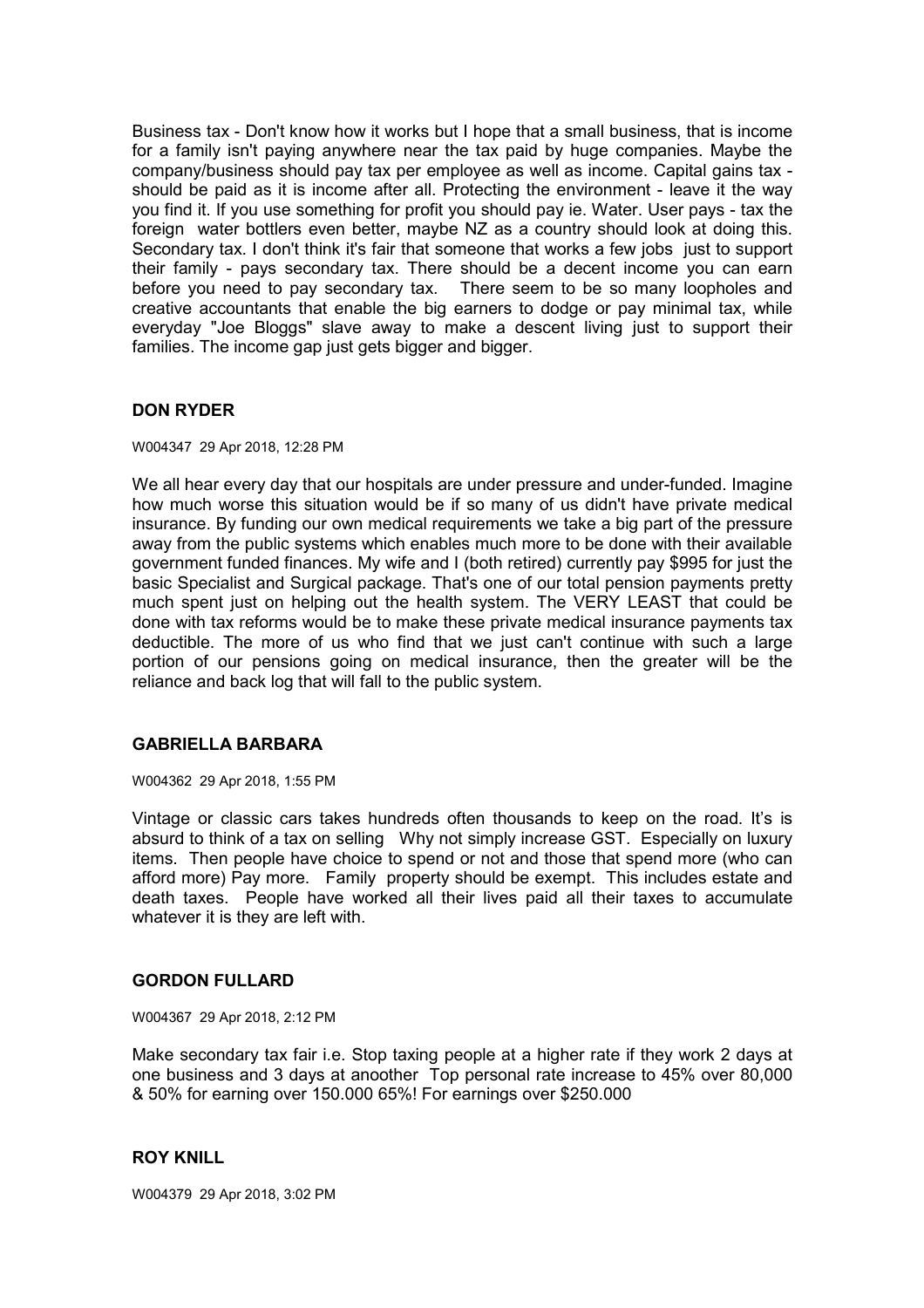Business tax - Don't know how it works but I hope that a small business, that is income for a family isn't paying anywhere near the tax paid by huge companies. Maybe the company/business should pay tax per employee as well as income. Capital gains tax should be paid as it is income after all. Protecting the environment - leave it the way you find it. If you use something for profit you should pay ie. Water. User pays - tax the foreign water bottlers even better, maybe NZ as a country should look at doing this. Secondary tax. I don't think it's fair that someone that works a few jobs just to support their family - pays secondary tax. There should be a decent income you can earn before you need to pay secondary tax. There seem to be so many loopholes and creative accountants that enable the big earners to dodge or pay minimal tax, while everyday "Joe Bloggs" slave away to make a descent living just to support their families. The income gap just gets bigger and bigger.

# **DON RYDER**

W004347 29 Apr 2018, 12:28 PM

We all hear every day that our hospitals are under pressure and under-funded. Imagine how much worse this situation would be if so many of us didn't have private medical insurance. By funding our own medical requirements we take a big part of the pressure away from the public systems which enables much more to be done with their available government funded finances. My wife and I (both retired) currently pay \$995 for just the basic Specialist and Surgical package. That's one of our total pension payments pretty much spent just on helping out the health system. The VERY LEAST that could be done with tax reforms would be to make these private medical insurance payments tax deductible. The more of us who find that we just can't continue with such a large portion of our pensions going on medical insurance, then the greater will be the reliance and back log that will fall to the public system.

### **GABRIELLA BARBARA**

W004362 29 Apr 2018, 1:55 PM

Vintage or classic cars takes hundreds often thousands to keep on the road. It's is absurd to think of a tax on selling Why not simply increase GST. Especially on luxury items. Then people have choice to spend or not and those that spend more (who can afford more) Pay more. Family property should be exempt. This includes estate and death taxes. People have worked all their lives paid all their taxes to accumulate whatever it is they are left with.

#### **GORDON FULLARD**

W004367 29 Apr 2018, 2:12 PM

Make secondary tax fair i.e. Stop taxing people at a higher rate if they work 2 days at one business and 3 days at anoother Top personal rate increase to 45% over 80,000 & 50% for earning over 150.000 65%! For earnings over \$250.000

### **ROY KNILL**

W004379 29 Apr 2018, 3:02 PM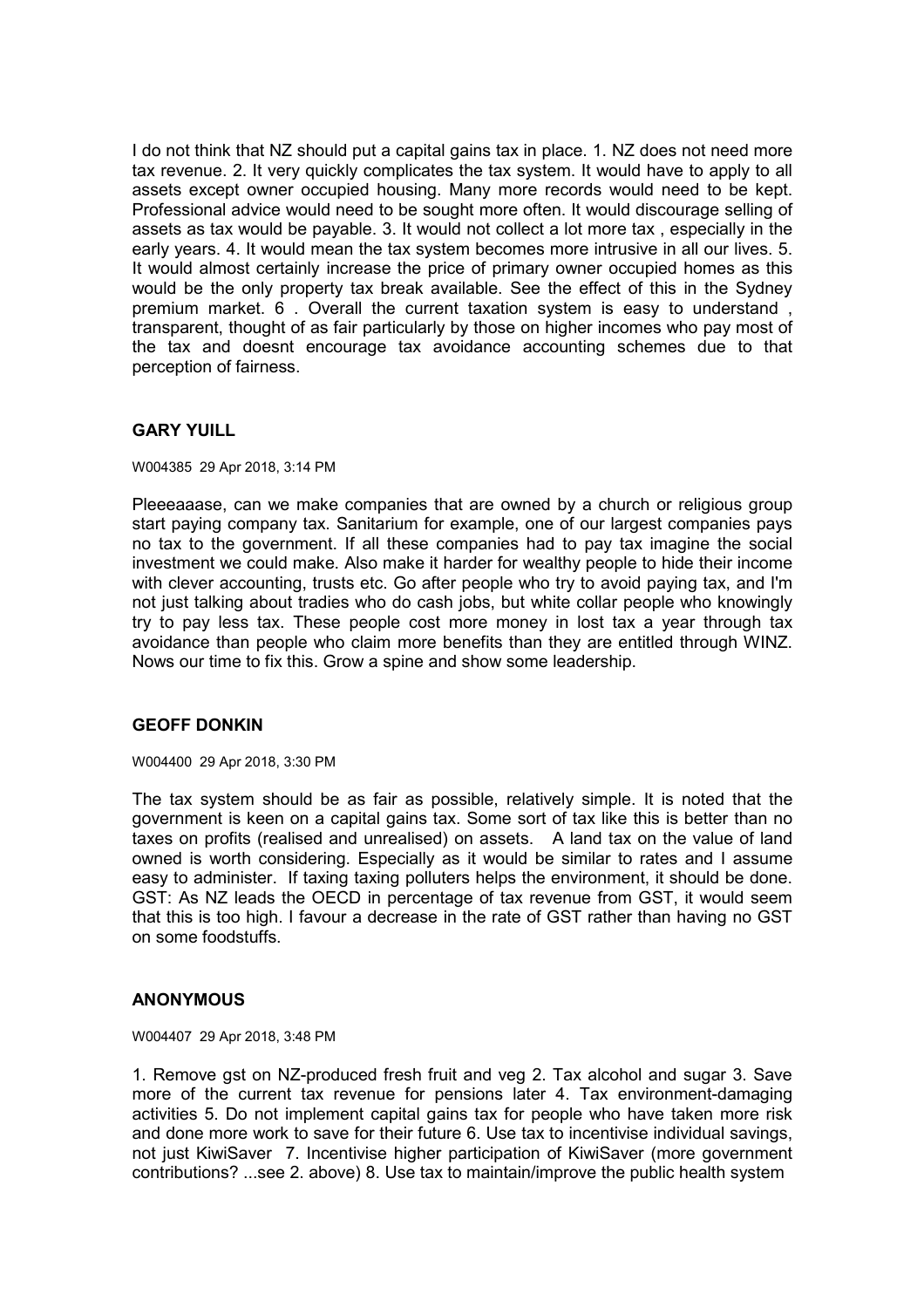I do not think that NZ should put a capital gains tax in place. 1. NZ does not need more tax revenue. 2. It very quickly complicates the tax system. It would have to apply to all assets except owner occupied housing. Many more records would need to be kept. Professional advice would need to be sought more often. It would discourage selling of assets as tax would be payable. 3. It would not collect a lot more tax , especially in the early years. 4. It would mean the tax system becomes more intrusive in all our lives. 5. It would almost certainly increase the price of primary owner occupied homes as this would be the only property tax break available. See the effect of this in the Sydney premium market. 6 . Overall the current taxation system is easy to understand , transparent, thought of as fair particularly by those on higher incomes who pay most of the tax and doesnt encourage tax avoidance accounting schemes due to that perception of fairness.

# **GARY YUILL**

W004385 29 Apr 2018, 3:14 PM

Pleeeaaase, can we make companies that are owned by a church or religious group start paying company tax. Sanitarium for example, one of our largest companies pays no tax to the government. If all these companies had to pay tax imagine the social investment we could make. Also make it harder for wealthy people to hide their income with clever accounting, trusts etc. Go after people who try to avoid paying tax, and I'm not just talking about tradies who do cash jobs, but white collar people who knowingly try to pay less tax. These people cost more money in lost tax a year through tax avoidance than people who claim more benefits than they are entitled through WINZ. Nows our time to fix this. Grow a spine and show some leadership.

# **GEOFF DONKIN**

W004400 29 Apr 2018, 3:30 PM

The tax system should be as fair as possible, relatively simple. It is noted that the government is keen on a capital gains tax. Some sort of tax like this is better than no taxes on profits (realised and unrealised) on assets. A land tax on the value of land owned is worth considering. Especially as it would be similar to rates and I assume easy to administer. If taxing taxing polluters helps the environment, it should be done. GST: As NZ leads the OECD in percentage of tax revenue from GST, it would seem that this is too high. I favour a decrease in the rate of GST rather than having no GST on some foodstuffs.

### **ANONYMOUS**

W004407 29 Apr 2018, 3:48 PM

1. Remove gst on NZ-produced fresh fruit and veg 2. Tax alcohol and sugar 3. Save more of the current tax revenue for pensions later 4. Tax environment-damaging activities 5. Do not implement capital gains tax for people who have taken more risk and done more work to save for their future 6. Use tax to incentivise individual savings, not just KiwiSaver 7. Incentivise higher participation of KiwiSaver (more government contributions? ...see 2. above) 8. Use tax to maintain/improve the public health system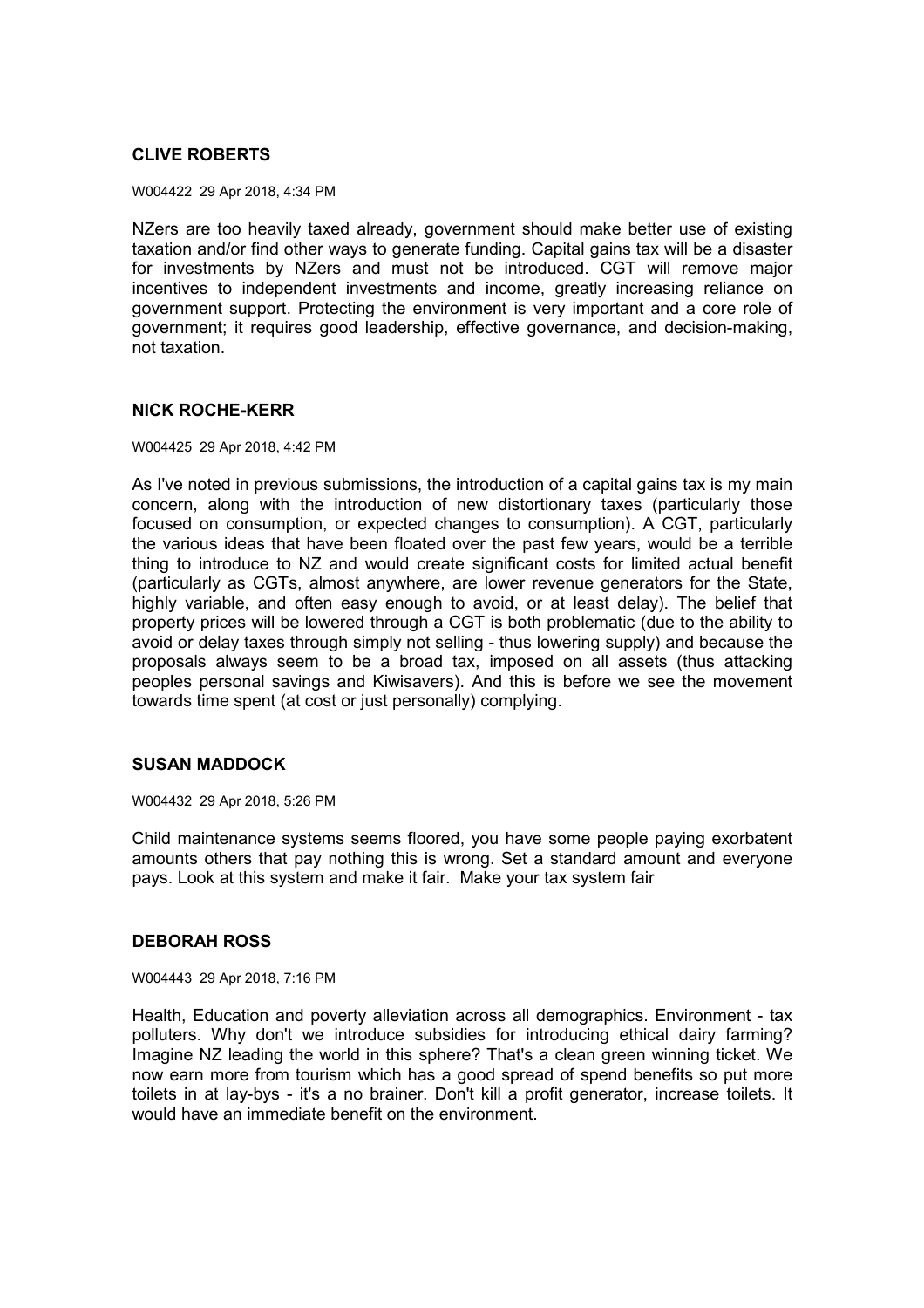# **CLIVE ROBERTS**

W004422 29 Apr 2018, 4:34 PM

NZers are too heavily taxed already, government should make better use of existing taxation and/or find other ways to generate funding. Capital gains tax will be a disaster for investments by NZers and must not be introduced. CGT will remove major incentives to independent investments and income, greatly increasing reliance on government support. Protecting the environment is very important and a core role of government; it requires good leadership, effective governance, and decision-making, not taxation.

### **NICK ROCHE-KERR**

W004425 29 Apr 2018, 4:42 PM

As I've noted in previous submissions, the introduction of a capital gains tax is my main concern, along with the introduction of new distortionary taxes (particularly those focused on consumption, or expected changes to consumption). A CGT, particularly the various ideas that have been floated over the past few years, would be a terrible thing to introduce to NZ and would create significant costs for limited actual benefit (particularly as CGTs, almost anywhere, are lower revenue generators for the State, highly variable, and often easy enough to avoid, or at least delay). The belief that property prices will be lowered through a CGT is both problematic (due to the ability to avoid or delay taxes through simply not selling - thus lowering supply) and because the proposals always seem to be a broad tax, imposed on all assets (thus attacking peoples personal savings and Kiwisavers). And this is before we see the movement towards time spent (at cost or just personally) complying.

### **SUSAN MADDOCK**

W004432 29 Apr 2018, 5:26 PM

Child maintenance systems seems floored, you have some people paying exorbatent amounts others that pay nothing this is wrong. Set a standard amount and everyone pays. Look at this system and make it fair. Make your tax system fair

#### **DEBORAH ROSS**

W004443 29 Apr 2018, 7:16 PM

Health, Education and poverty alleviation across all demographics. Environment - tax polluters. Why don't we introduce subsidies for introducing ethical dairy farming? Imagine NZ leading the world in this sphere? That's a clean green winning ticket. We now earn more from tourism which has a good spread of spend benefits so put more toilets in at lay-bys - it's a no brainer. Don't kill a profit generator, increase toilets. It would have an immediate benefit on the environment.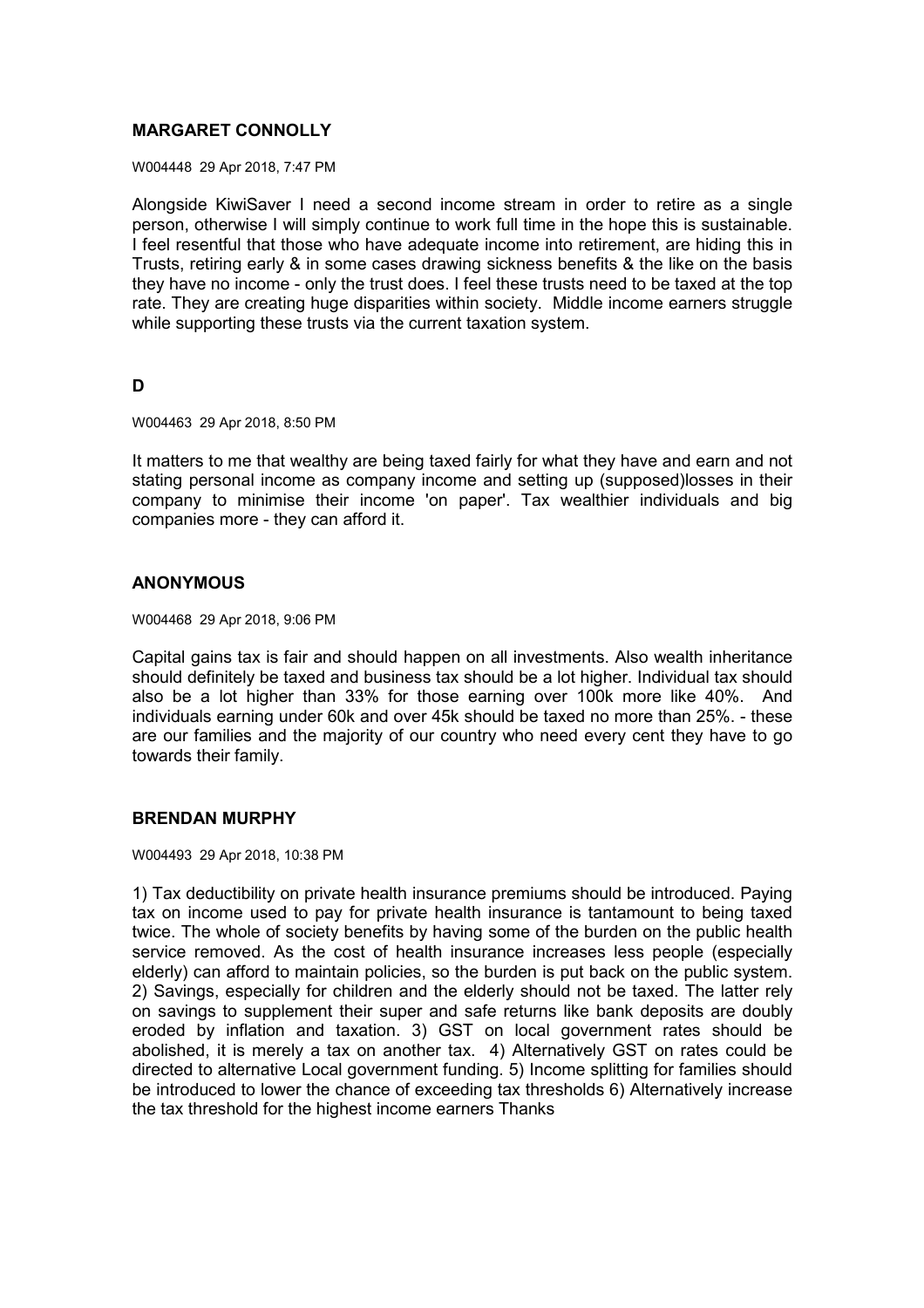# **MARGARET CONNOLLY**

W004448 29 Apr 2018, 7:47 PM

Alongside KiwiSaver I need a second income stream in order to retire as a single person, otherwise I will simply continue to work full time in the hope this is sustainable. I feel resentful that those who have adequate income into retirement, are hiding this in Trusts, retiring early & in some cases drawing sickness benefits & the like on the basis they have no income - only the trust does. I feel these trusts need to be taxed at the top rate. They are creating huge disparities within society. Middle income earners struggle while supporting these trusts via the current taxation system.

# **D**

W004463 29 Apr 2018, 8:50 PM

It matters to me that wealthy are being taxed fairly for what they have and earn and not stating personal income as company income and setting up (supposed)losses in their company to minimise their income 'on paper'. Tax wealthier individuals and big companies more - they can afford it.

### **ANONYMOUS**

W004468 29 Apr 2018, 9:06 PM

Capital gains tax is fair and should happen on all investments. Also wealth inheritance should definitely be taxed and business tax should be a lot higher. Individual tax should also be a lot higher than 33% for those earning over 100k more like 40%. And individuals earning under 60k and over 45k should be taxed no more than 25%. - these are our families and the majority of our country who need every cent they have to go towards their family.

### **BRENDAN MURPHY**

W004493 29 Apr 2018, 10:38 PM

1) Tax deductibility on private health insurance premiums should be introduced. Paying tax on income used to pay for private health insurance is tantamount to being taxed twice. The whole of society benefits by having some of the burden on the public health service removed. As the cost of health insurance increases less people (especially elderly) can afford to maintain policies, so the burden is put back on the public system. 2) Savings, especially for children and the elderly should not be taxed. The latter rely on savings to supplement their super and safe returns like bank deposits are doubly eroded by inflation and taxation. 3) GST on local government rates should be abolished, it is merely a tax on another tax. 4) Alternatively GST on rates could be directed to alternative Local government funding. 5) Income splitting for families should be introduced to lower the chance of exceeding tax thresholds 6) Alternatively increase the tax threshold for the highest income earners Thanks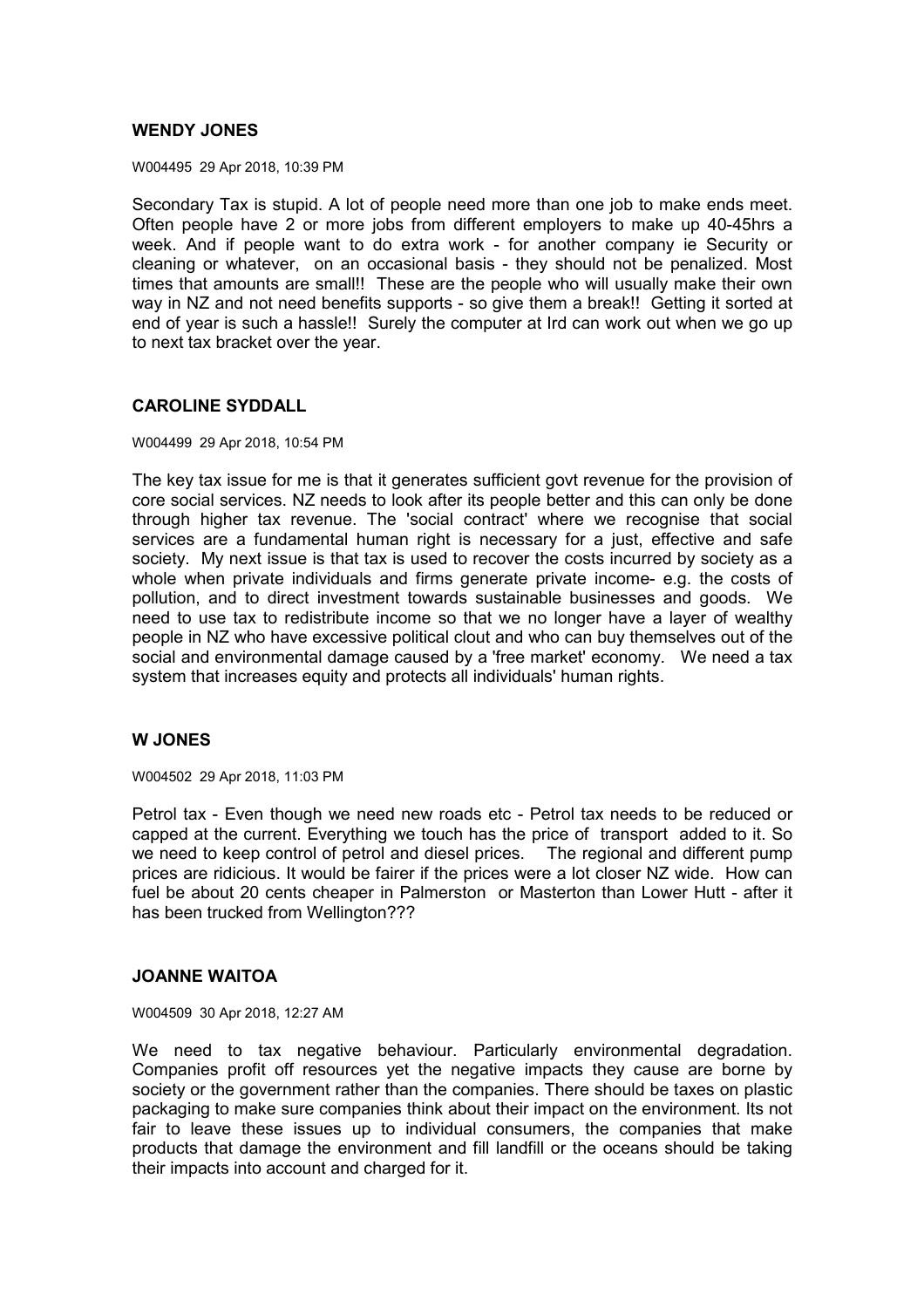### **WENDY JONES**

W004495 29 Apr 2018, 10:39 PM

Secondary Tax is stupid. A lot of people need more than one job to make ends meet. Often people have 2 or more jobs from different employers to make up 40-45hrs a week. And if people want to do extra work - for another company ie Security or cleaning or whatever, on an occasional basis - they should not be penalized. Most times that amounts are small!! These are the people who will usually make their own way in NZ and not need benefits supports - so give them a break!! Getting it sorted at end of year is such a hassle!! Surely the computer at Ird can work out when we go up to next tax bracket over the year.

### **CAROLINE SYDDALL**

W004499 29 Apr 2018, 10:54 PM

The key tax issue for me is that it generates sufficient govt revenue for the provision of core social services. NZ needs to look after its people better and this can only be done through higher tax revenue. The 'social contract' where we recognise that social services are a fundamental human right is necessary for a just, effective and safe society. My next issue is that tax is used to recover the costs incurred by society as a whole when private individuals and firms generate private income- e.g. the costs of pollution, and to direct investment towards sustainable businesses and goods. We need to use tax to redistribute income so that we no longer have a layer of wealthy people in NZ who have excessive political clout and who can buy themselves out of the social and environmental damage caused by a 'free market' economy. We need a tax system that increases equity and protects all individuals' human rights.

#### **W JONES**

W004502 29 Apr 2018, 11:03 PM

Petrol tax - Even though we need new roads etc - Petrol tax needs to be reduced or capped at the current. Everything we touch has the price of transport added to it. So we need to keep control of petrol and diesel prices. The regional and different pump prices are ridicious. It would be fairer if the prices were a lot closer NZ wide. How can fuel be about 20 cents cheaper in Palmerston or Masterton than Lower Hutt - after it has been trucked from Wellington???

### **JOANNE WAITOA**

W004509 30 Apr 2018, 12:27 AM

We need to tax negative behaviour. Particularly environmental degradation. Companies profit off resources yet the negative impacts they cause are borne by society or the government rather than the companies. There should be taxes on plastic packaging to make sure companies think about their impact on the environment. Its not fair to leave these issues up to individual consumers, the companies that make products that damage the environment and fill landfill or the oceans should be taking their impacts into account and charged for it.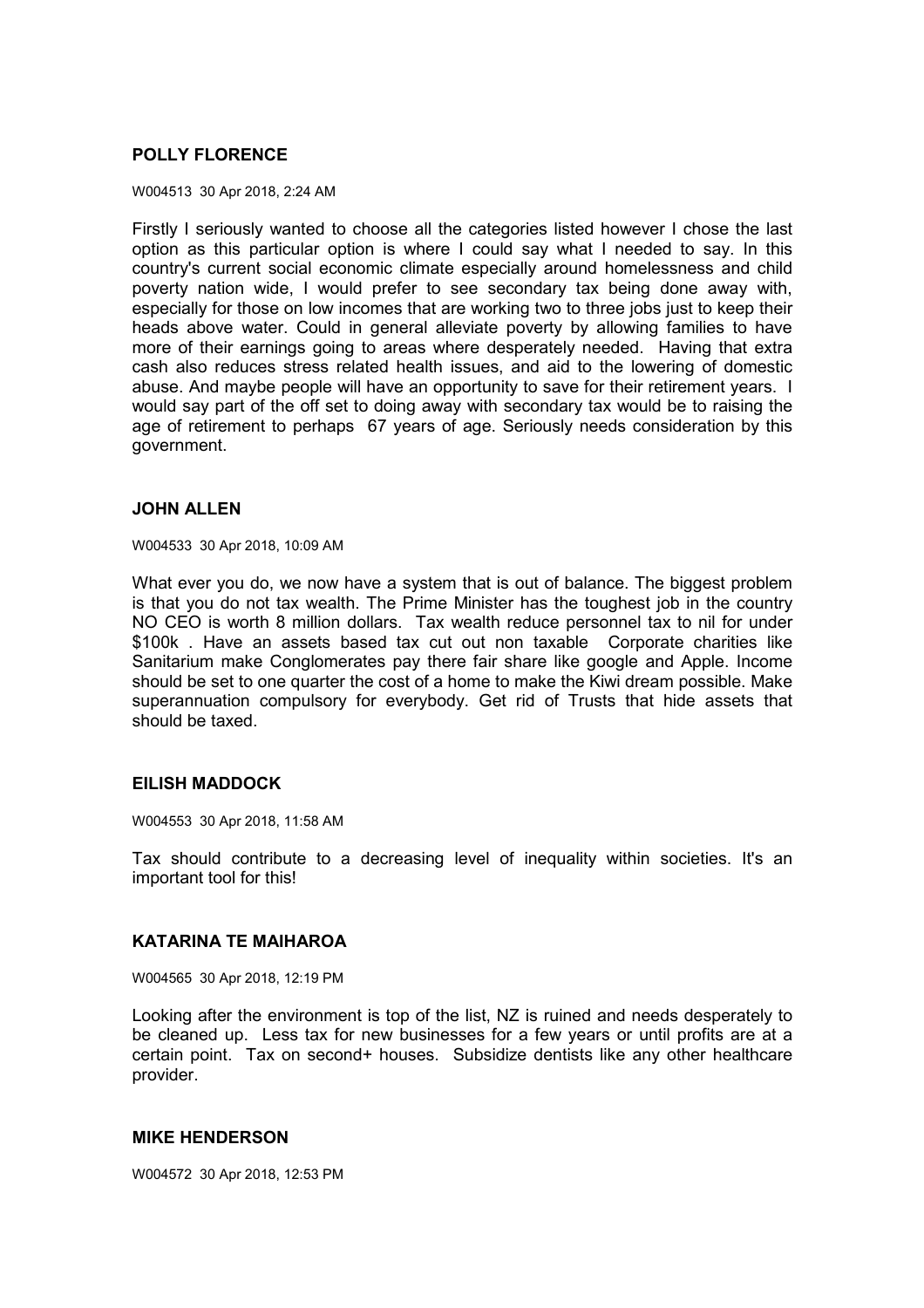# **POLLY FLORENCE**

#### W004513 30 Apr 2018, 2:24 AM

Firstly I seriously wanted to choose all the categories listed however I chose the last option as this particular option is where I could say what I needed to say. In this country's current social economic climate especially around homelessness and child poverty nation wide, I would prefer to see secondary tax being done away with, especially for those on low incomes that are working two to three jobs just to keep their heads above water. Could in general alleviate poverty by allowing families to have more of their earnings going to areas where desperately needed. Having that extra cash also reduces stress related health issues, and aid to the lowering of domestic abuse. And maybe people will have an opportunity to save for their retirement years. I would say part of the off set to doing away with secondary tax would be to raising the age of retirement to perhaps 67 years of age. Seriously needs consideration by this government.

### **JOHN ALLEN**

W004533 30 Apr 2018, 10:09 AM

What ever you do, we now have a system that is out of balance. The biggest problem is that you do not tax wealth. The Prime Minister has the toughest job in the country NO CEO is worth 8 million dollars. Tax wealth reduce personnel tax to nil for under \$100k . Have an assets based tax cut out non taxable Corporate charities like Sanitarium make Conglomerates pay there fair share like google and Apple. Income should be set to one quarter the cost of a home to make the Kiwi dream possible. Make superannuation compulsory for everybody. Get rid of Trusts that hide assets that should be taxed.

### **EILISH MADDOCK**

W004553 30 Apr 2018, 11:58 AM

Tax should contribute to a decreasing level of inequality within societies. It's an important tool for this!

### **KATARINA TE MAIHAROA**

W004565 30 Apr 2018, 12:19 PM

Looking after the environment is top of the list, NZ is ruined and needs desperately to be cleaned up. Less tax for new businesses for a few years or until profits are at a certain point. Tax on second+ houses. Subsidize dentists like any other healthcare provider.

### **MIKE HENDERSON**

W004572 30 Apr 2018, 12:53 PM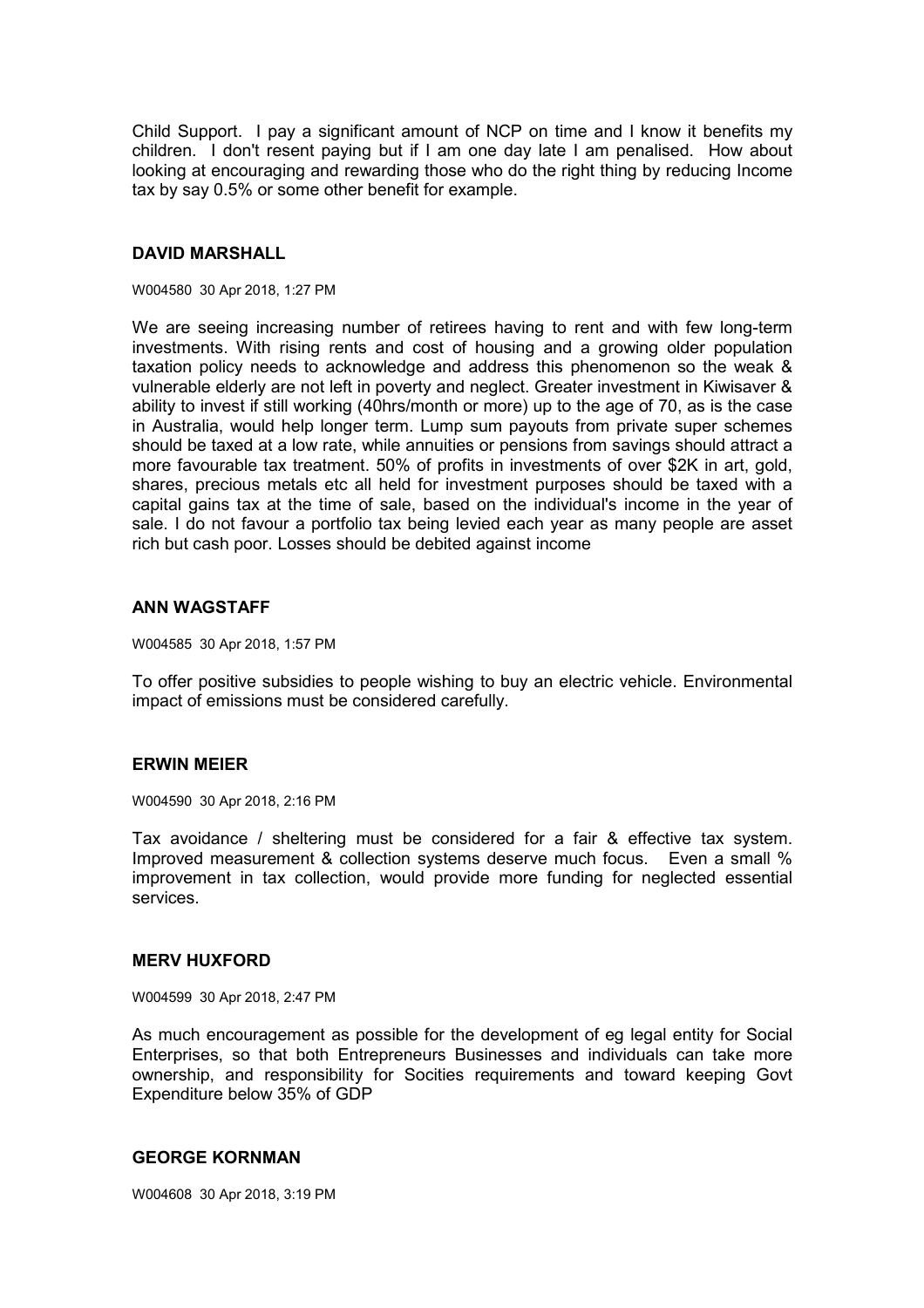Child Support. I pay a significant amount of NCP on time and I know it benefits my children. I don't resent paying but if I am one day late I am penalised. How about looking at encouraging and rewarding those who do the right thing by reducing Income tax by say 0.5% or some other benefit for example.

### **DAVID MARSHALL**

#### W004580 30 Apr 2018, 1:27 PM

We are seeing increasing number of retirees having to rent and with few long-term investments. With rising rents and cost of housing and a growing older population taxation policy needs to acknowledge and address this phenomenon so the weak & vulnerable elderly are not left in poverty and neglect. Greater investment in Kiwisaver & ability to invest if still working (40hrs/month or more) up to the age of 70, as is the case in Australia, would help longer term. Lump sum payouts from private super schemes should be taxed at a low rate, while annuities or pensions from savings should attract a more favourable tax treatment. 50% of profits in investments of over \$2K in art, gold, shares, precious metals etc all held for investment purposes should be taxed with a capital gains tax at the time of sale, based on the individual's income in the year of sale. I do not favour a portfolio tax being levied each year as many people are asset rich but cash poor. Losses should be debited against income

#### **ANN WAGSTAFF**

W004585 30 Apr 2018, 1:57 PM

To offer positive subsidies to people wishing to buy an electric vehicle. Environmental impact of emissions must be considered carefully.

#### **ERWIN MEIER**

W004590 30 Apr 2018, 2:16 PM

Tax avoidance / sheltering must be considered for a fair & effective tax system. Improved measurement & collection systems deserve much focus. Even a small % improvement in tax collection, would provide more funding for neglected essential services.

#### **MERV HUXFORD**

W004599 30 Apr 2018, 2:47 PM

As much encouragement as possible for the development of eg legal entity for Social Enterprises, so that both Entrepreneurs Businesses and individuals can take more ownership, and responsibility for Socities requirements and toward keeping Govt Expenditure below 35% of GDP

### **GEORGE KORNMAN**

W004608 30 Apr 2018, 3:19 PM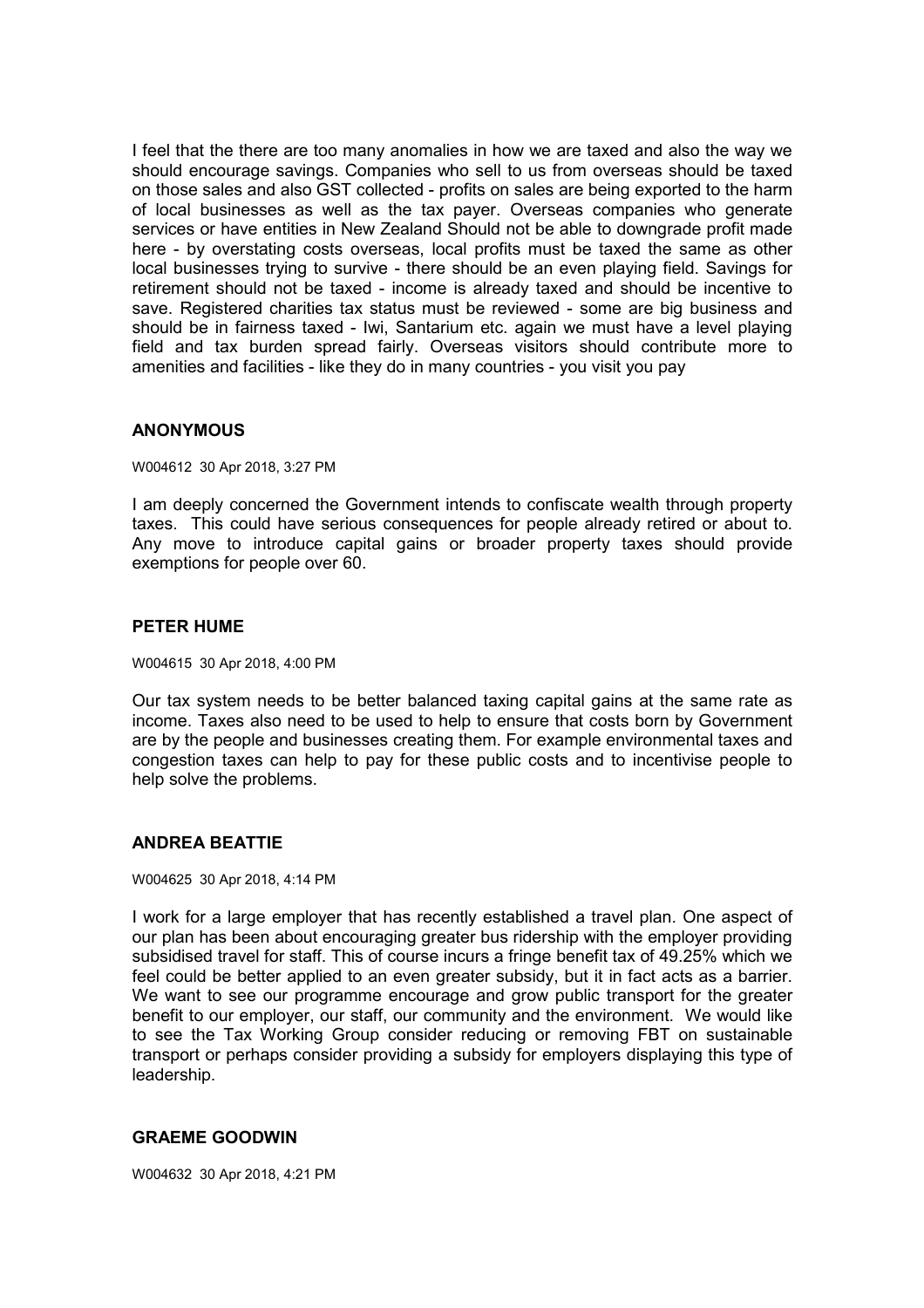I feel that the there are too many anomalies in how we are taxed and also the way we should encourage savings. Companies who sell to us from overseas should be taxed on those sales and also GST collected - profits on sales are being exported to the harm of local businesses as well as the tax payer. Overseas companies who generate services or have entities in New Zealand Should not be able to downgrade profit made here - by overstating costs overseas, local profits must be taxed the same as other local businesses trying to survive - there should be an even playing field. Savings for retirement should not be taxed - income is already taxed and should be incentive to save. Registered charities tax status must be reviewed - some are big business and should be in fairness taxed - Iwi, Santarium etc. again we must have a level playing field and tax burden spread fairly. Overseas visitors should contribute more to amenities and facilities - like they do in many countries - you visit you pay

### **ANONYMOUS**

W004612 30 Apr 2018, 3:27 PM

I am deeply concerned the Government intends to confiscate wealth through property taxes. This could have serious consequences for people already retired or about to. Any move to introduce capital gains or broader property taxes should provide exemptions for people over 60.

#### **PETER HUME**

W004615 30 Apr 2018, 4:00 PM

Our tax system needs to be better balanced taxing capital gains at the same rate as income. Taxes also need to be used to help to ensure that costs born by Government are by the people and businesses creating them. For example environmental taxes and congestion taxes can help to pay for these public costs and to incentivise people to help solve the problems.

### **ANDREA BEATTIE**

W004625 30 Apr 2018, 4:14 PM

I work for a large employer that has recently established a travel plan. One aspect of our plan has been about encouraging greater bus ridership with the employer providing subsidised travel for staff. This of course incurs a fringe benefit tax of 49.25% which we feel could be better applied to an even greater subsidy, but it in fact acts as a barrier. We want to see our programme encourage and grow public transport for the greater benefit to our employer, our staff, our community and the environment. We would like to see the Tax Working Group consider reducing or removing FBT on sustainable transport or perhaps consider providing a subsidy for employers displaying this type of leadership.

### **GRAEME GOODWIN**

W004632 30 Apr 2018, 4:21 PM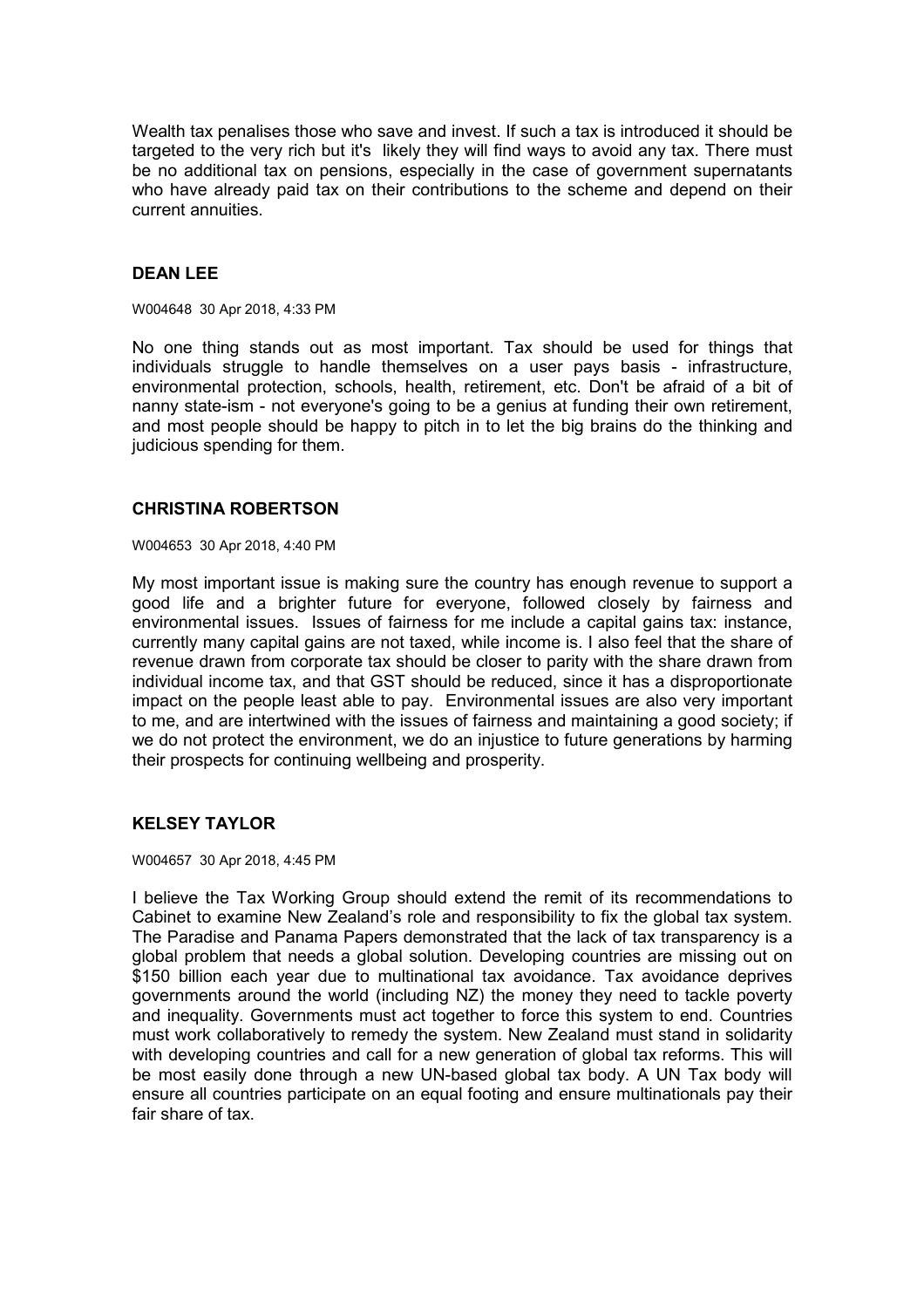Wealth tax penalises those who save and invest. If such a tax is introduced it should be targeted to the very rich but it's likely they will find ways to avoid any tax. There must be no additional tax on pensions, especially in the case of government supernatants who have already paid tax on their contributions to the scheme and depend on their current annuities.

# **DEAN LEE**

W004648 30 Apr 2018, 4:33 PM

No one thing stands out as most important. Tax should be used for things that individuals struggle to handle themselves on a user pays basis - infrastructure, environmental protection, schools, health, retirement, etc. Don't be afraid of a bit of nanny state-ism - not everyone's going to be a genius at funding their own retirement, and most people should be happy to pitch in to let the big brains do the thinking and judicious spending for them.

### **CHRISTINA ROBERTSON**

W004653 30 Apr 2018, 4:40 PM

My most important issue is making sure the country has enough revenue to support a good life and a brighter future for everyone, followed closely by fairness and environmental issues. Issues of fairness for me include a capital gains tax: instance, currently many capital gains are not taxed, while income is. I also feel that the share of revenue drawn from corporate tax should be closer to parity with the share drawn from individual income tax, and that GST should be reduced, since it has a disproportionate impact on the people least able to pay. Environmental issues are also very important to me, and are intertwined with the issues of fairness and maintaining a good society; if we do not protect the environment, we do an injustice to future generations by harming their prospects for continuing wellbeing and prosperity.

### **KELSEY TAYLOR**

W004657 30 Apr 2018, 4:45 PM

I believe the Tax Working Group should extend the remit of its recommendations to Cabinet to examine New Zealand's role and responsibility to fix the global tax system. The Paradise and Panama Papers demonstrated that the lack of tax transparency is a global problem that needs a global solution. Developing countries are missing out on \$150 billion each year due to multinational tax avoidance. Tax avoidance deprives governments around the world (including NZ) the money they need to tackle poverty and inequality. Governments must act together to force this system to end. Countries must work collaboratively to remedy the system. New Zealand must stand in solidarity with developing countries and call for a new generation of global tax reforms. This will be most easily done through a new UN-based global tax body. A UN Tax body will ensure all countries participate on an equal footing and ensure multinationals pay their fair share of tax.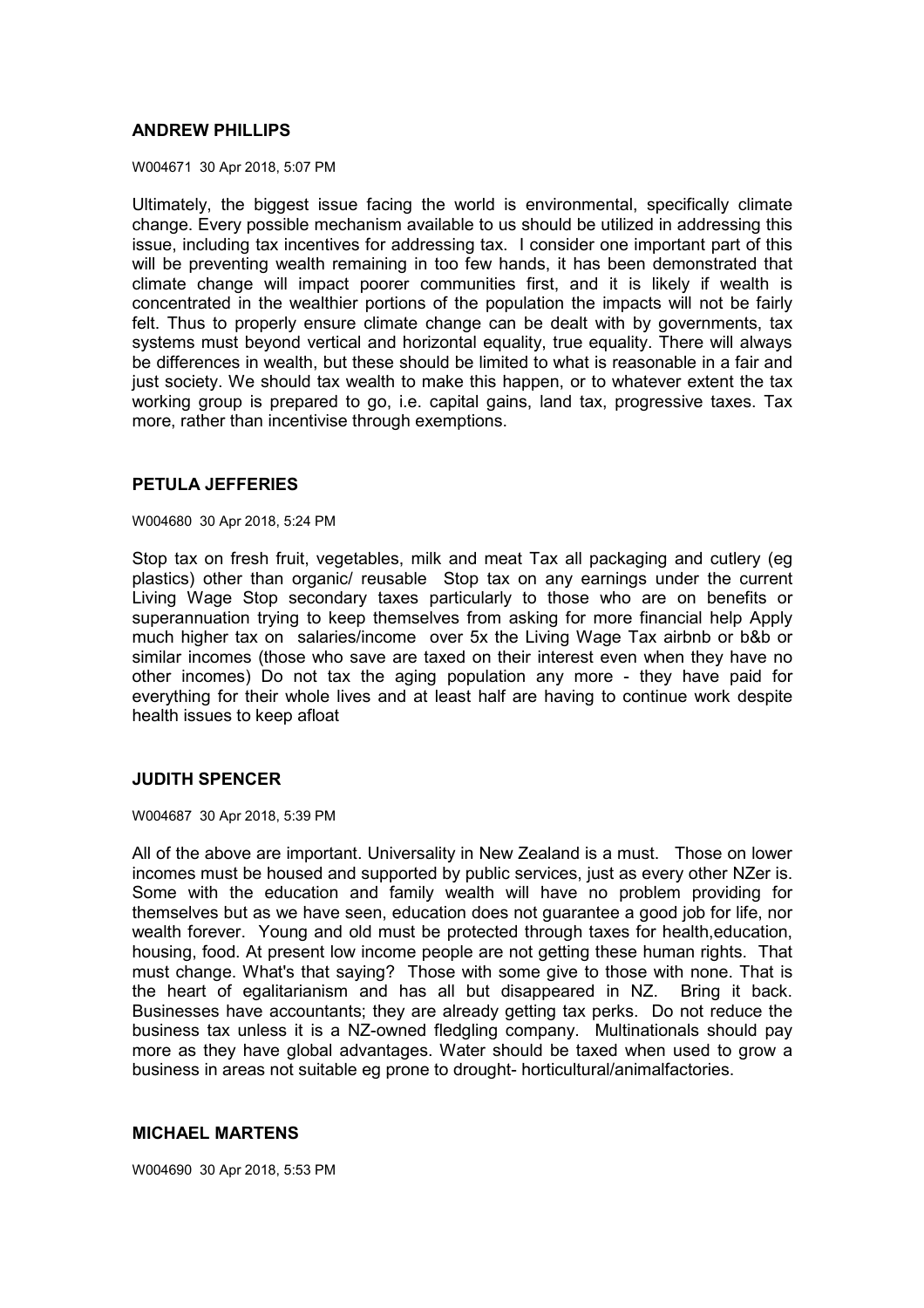### **ANDREW PHILLIPS**

W004671 30 Apr 2018, 5:07 PM

Ultimately, the biggest issue facing the world is environmental, specifically climate change. Every possible mechanism available to us should be utilized in addressing this issue, including tax incentives for addressing tax. I consider one important part of this will be preventing wealth remaining in too few hands, it has been demonstrated that climate change will impact poorer communities first, and it is likely if wealth is concentrated in the wealthier portions of the population the impacts will not be fairly felt. Thus to properly ensure climate change can be dealt with by governments, tax systems must beyond vertical and horizontal equality, true equality. There will always be differences in wealth, but these should be limited to what is reasonable in a fair and just society. We should tax wealth to make this happen, or to whatever extent the tax working group is prepared to go, i.e. capital gains, land tax, progressive taxes. Tax more, rather than incentivise through exemptions.

# **PETULA JEFFERIES**

W004680 30 Apr 2018, 5:24 PM

Stop tax on fresh fruit, vegetables, milk and meat Tax all packaging and cutlery (eg plastics) other than organic/ reusable Stop tax on any earnings under the current Living Wage Stop secondary taxes particularly to those who are on benefits or superannuation trying to keep themselves from asking for more financial help Apply much higher tax on salaries/income over 5x the Living Wage Tax airbnb or b&b or similar incomes (those who save are taxed on their interest even when they have no other incomes) Do not tax the aging population any more - they have paid for everything for their whole lives and at least half are having to continue work despite health issues to keep afloat

### **JUDITH SPENCER**

W004687 30 Apr 2018, 5:39 PM

All of the above are important. Universality in New Zealand is a must. Those on lower incomes must be housed and supported by public services, just as every other NZer is. Some with the education and family wealth will have no problem providing for themselves but as we have seen, education does not guarantee a good job for life, nor wealth forever. Young and old must be protected through taxes for health,education, housing, food. At present low income people are not getting these human rights. That must change. What's that saying? Those with some give to those with none. That is the heart of egalitarianism and has all but disappeared in NZ. Bring it back. Businesses have accountants; they are already getting tax perks. Do not reduce the business tax unless it is a NZ-owned fledgling company. Multinationals should pay more as they have global advantages. Water should be taxed when used to grow a business in areas not suitable eg prone to drought- horticultural/animalfactories.

### **MICHAEL MARTENS**

W004690 30 Apr 2018, 5:53 PM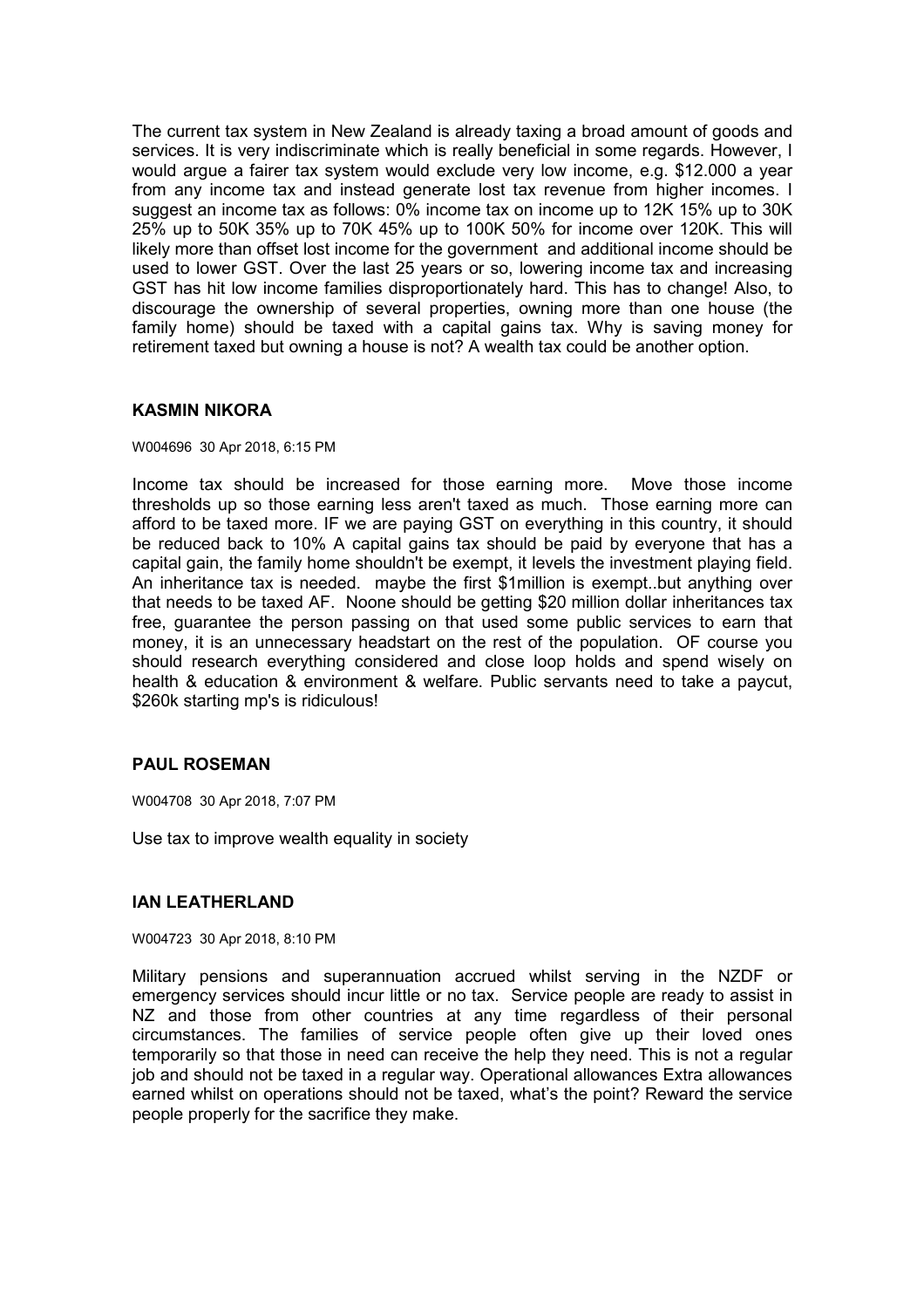The current tax system in New Zealand is already taxing a broad amount of goods and services. It is very indiscriminate which is really beneficial in some regards. However, I would argue a fairer tax system would exclude very low income, e.g. \$12.000 a year from any income tax and instead generate lost tax revenue from higher incomes. I suggest an income tax as follows: 0% income tax on income up to 12K 15% up to 30K 25% up to 50K 35% up to 70K 45% up to 100K 50% for income over 120K. This will likely more than offset lost income for the government and additional income should be used to lower GST. Over the last 25 years or so, lowering income tax and increasing GST has hit low income families disproportionately hard. This has to change! Also, to discourage the ownership of several properties, owning more than one house (the family home) should be taxed with a capital gains tax. Why is saving money for retirement taxed but owning a house is not? A wealth tax could be another option.

# **KASMIN NIKORA**

#### W004696 30 Apr 2018, 6:15 PM

Income tax should be increased for those earning more. Move those income thresholds up so those earning less aren't taxed as much. Those earning more can afford to be taxed more. IF we are paying GST on everything in this country, it should be reduced back to 10% A capital gains tax should be paid by everyone that has a capital gain, the family home shouldn't be exempt, it levels the investment playing field. An inheritance tax is needed. maybe the first \$1million is exempt..but anything over that needs to be taxed AF. Noone should be getting \$20 million dollar inheritances tax free, guarantee the person passing on that used some public services to earn that money, it is an unnecessary headstart on the rest of the population. OF course you should research everything considered and close loop holds and spend wisely on health & education & environment & welfare. Public servants need to take a paycut, \$260k starting mp's is ridiculous!

### **PAUL ROSEMAN**

W004708 30 Apr 2018, 7:07 PM

Use tax to improve wealth equality in society

### **IAN LEATHERLAND**

#### W004723 30 Apr 2018, 8:10 PM

Military pensions and superannuation accrued whilst serving in the NZDF or emergency services should incur little or no tax. Service people are ready to assist in NZ and those from other countries at any time regardless of their personal circumstances. The families of service people often give up their loved ones temporarily so that those in need can receive the help they need. This is not a regular job and should not be taxed in a regular way. Operational allowances Extra allowances earned whilst on operations should not be taxed, what's the point? Reward the service people properly for the sacrifice they make.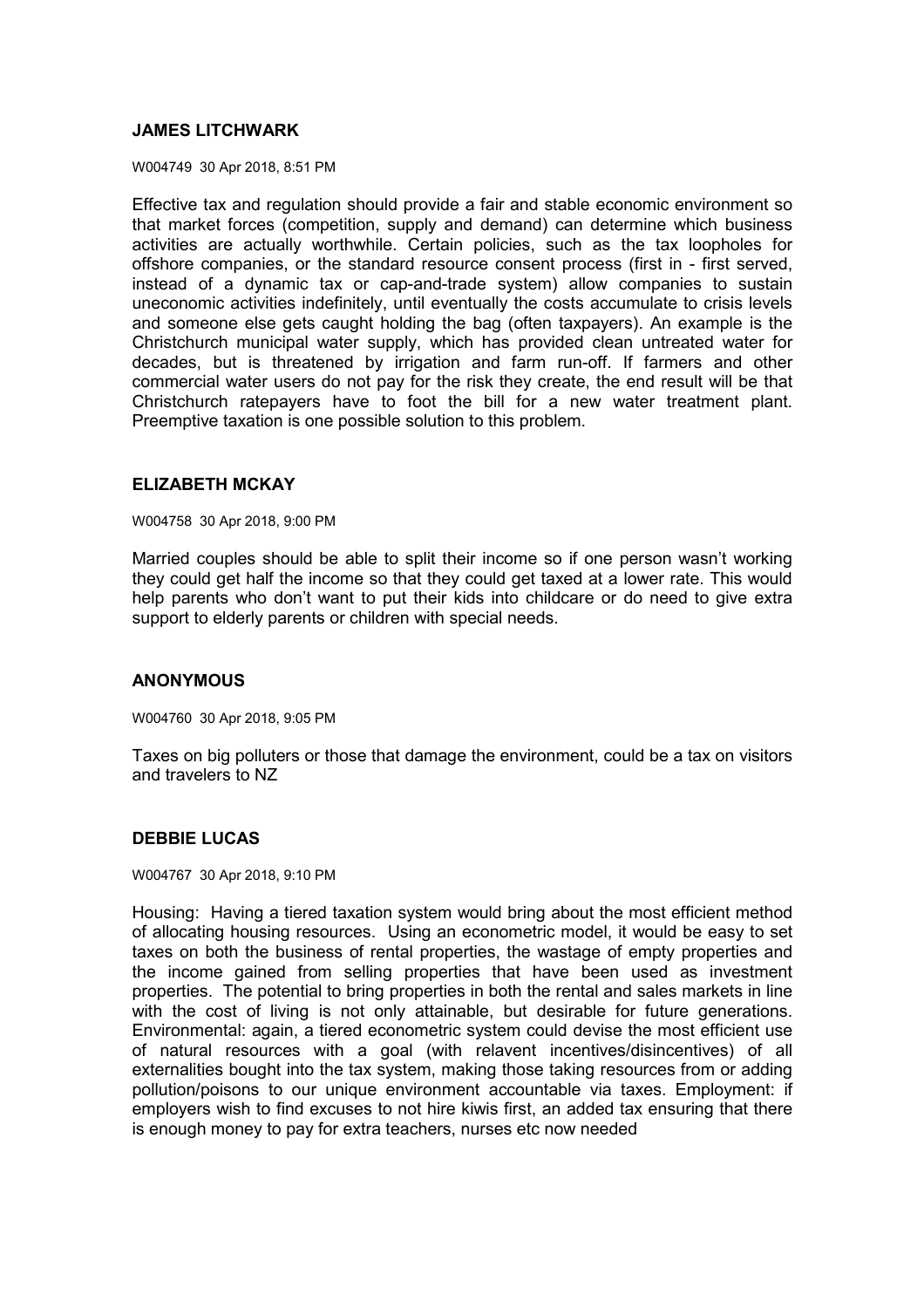# **JAMES LITCHWARK**

W004749 30 Apr 2018, 8:51 PM

Effective tax and regulation should provide a fair and stable economic environment so that market forces (competition, supply and demand) can determine which business activities are actually worthwhile. Certain policies, such as the tax loopholes for offshore companies, or the standard resource consent process (first in - first served, instead of a dynamic tax or cap-and-trade system) allow companies to sustain uneconomic activities indefinitely, until eventually the costs accumulate to crisis levels and someone else gets caught holding the bag (often taxpayers). An example is the Christchurch municipal water supply, which has provided clean untreated water for decades, but is threatened by irrigation and farm run-off. If farmers and other commercial water users do not pay for the risk they create, the end result will be that Christchurch ratepayers have to foot the bill for a new water treatment plant. Preemptive taxation is one possible solution to this problem.

# **ELIZABETH MCKAY**

W004758 30 Apr 2018, 9:00 PM

Married couples should be able to split their income so if one person wasn't working they could get half the income so that they could get taxed at a lower rate. This would help parents who don't want to put their kids into childcare or do need to give extra support to elderly parents or children with special needs.

### **ANONYMOUS**

W004760 30 Apr 2018, 9:05 PM

Taxes on big polluters or those that damage the environment, could be a tax on visitors and travelers to NZ

### **DEBBIE LUCAS**

W004767 30 Apr 2018, 9:10 PM

Housing: Having a tiered taxation system would bring about the most efficient method of allocating housing resources. Using an econometric model, it would be easy to set taxes on both the business of rental properties, the wastage of empty properties and the income gained from selling properties that have been used as investment properties. The potential to bring properties in both the rental and sales markets in line with the cost of living is not only attainable, but desirable for future generations. Environmental: again, a tiered econometric system could devise the most efficient use of natural resources with a goal (with relavent incentives/disincentives) of all externalities bought into the tax system, making those taking resources from or adding pollution/poisons to our unique environment accountable via taxes. Employment: if employers wish to find excuses to not hire kiwis first, an added tax ensuring that there is enough money to pay for extra teachers, nurses etc now needed